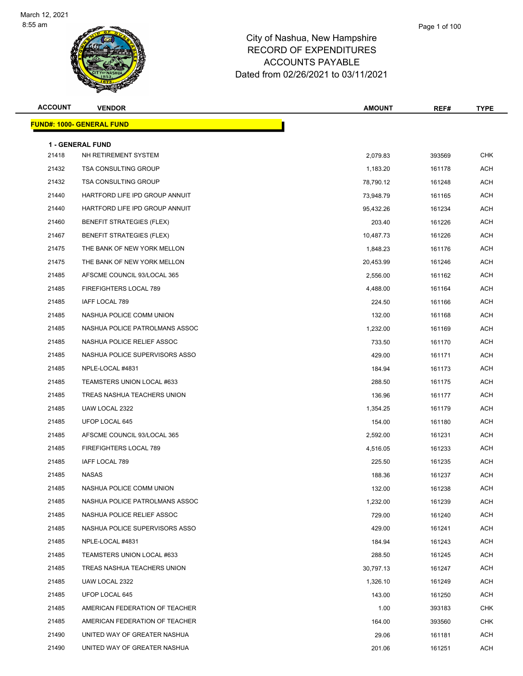

| <b>ACCOUNT</b> | <b>VENDOR</b>                                   | <b>AMOUNT</b> | REF#   | <b>TYPE</b> |
|----------------|-------------------------------------------------|---------------|--------|-------------|
|                | <u> FUND#: 1000- GENERAL FUND</u>               |               |        |             |
|                |                                                 |               |        |             |
| 21418          | <b>1 - GENERAL FUND</b><br>NH RETIREMENT SYSTEM | 2,079.83      | 393569 | <b>CHK</b>  |
| 21432          | <b>TSA CONSULTING GROUP</b>                     | 1,183.20      | 161178 | ACH         |
| 21432          | <b>TSA CONSULTING GROUP</b>                     | 78,790.12     | 161248 | ACH         |
| 21440          | HARTFORD LIFE IPD GROUP ANNUIT                  | 73,948.79     | 161165 | <b>ACH</b>  |
| 21440          | HARTFORD LIFE IPD GROUP ANNUIT                  | 95,432.26     | 161234 | <b>ACH</b>  |
| 21460          | BENEFIT STRATEGIES (FLEX)                       | 203.40        | 161226 | ACH         |
| 21467          | <b>BENEFIT STRATEGIES (FLEX)</b>                | 10,487.73     | 161226 | ACH         |
| 21475          | THE BANK OF NEW YORK MELLON                     | 1,848.23      | 161176 | <b>ACH</b>  |
| 21475          | THE BANK OF NEW YORK MELLON                     | 20,453.99     | 161246 | ACH         |
| 21485          | AFSCME COUNCIL 93/LOCAL 365                     | 2,556.00      | 161162 | ACH         |
| 21485          | FIREFIGHTERS LOCAL 789                          | 4,488.00      | 161164 | ACH         |
| 21485          | IAFF LOCAL 789                                  | 224.50        | 161166 | ACH         |
| 21485          | NASHUA POLICE COMM UNION                        | 132.00        | 161168 | <b>ACH</b>  |
| 21485          | NASHUA POLICE PATROLMANS ASSOC                  | 1,232.00      | 161169 | <b>ACH</b>  |
| 21485          | NASHUA POLICE RELIEF ASSOC                      | 733.50        | 161170 | <b>ACH</b>  |
| 21485          | NASHUA POLICE SUPERVISORS ASSO                  | 429.00        | 161171 | ACH         |
| 21485          | NPLE-LOCAL #4831                                | 184.94        | 161173 | ACH         |
| 21485          | TEAMSTERS UNION LOCAL #633                      | 288.50        | 161175 | <b>ACH</b>  |
| 21485          | TREAS NASHUA TEACHERS UNION                     | 136.96        | 161177 | ACH         |
| 21485          | UAW LOCAL 2322                                  | 1,354.25      | 161179 | ACH         |
| 21485          | UFOP LOCAL 645                                  | 154.00        | 161180 | ACH         |
| 21485          | AFSCME COUNCIL 93/LOCAL 365                     | 2,592.00      | 161231 | ACH         |
| 21485          | FIREFIGHTERS LOCAL 789                          | 4,516.05      | 161233 | <b>ACH</b>  |
| 21485          | IAFF LOCAL 789                                  | 225.50        | 161235 | ACH         |
| 21485          | <b>NASAS</b>                                    | 188.36        | 161237 | ACH         |
| 21485          | NASHUA POLICE COMM UNION                        | 132.00        | 161238 | ACH         |
| 21485          | NASHUA POLICE PATROLMANS ASSOC                  | 1,232.00      | 161239 | ACH         |
| 21485          | NASHUA POLICE RELIEF ASSOC                      | 729.00        | 161240 | ACH         |
| 21485          | NASHUA POLICE SUPERVISORS ASSO                  | 429.00        | 161241 | ACH         |
| 21485          | NPLE-LOCAL #4831                                | 184.94        | 161243 | ACH         |
| 21485          | TEAMSTERS UNION LOCAL #633                      | 288.50        | 161245 | ACH         |
| 21485          | TREAS NASHUA TEACHERS UNION                     | 30,797.13     | 161247 | ACH         |
| 21485          | UAW LOCAL 2322                                  | 1,326.10      | 161249 | ACH         |
| 21485          | UFOP LOCAL 645                                  | 143.00        | 161250 | ACH         |
| 21485          | AMERICAN FEDERATION OF TEACHER                  | 1.00          | 393183 | CHK         |
| 21485          | AMERICAN FEDERATION OF TEACHER                  | 164.00        | 393560 | CHK         |
| 21490          | UNITED WAY OF GREATER NASHUA                    | 29.06         | 161181 | ACH         |
| 21490          | UNITED WAY OF GREATER NASHUA                    | 201.06        | 161251 | ACH         |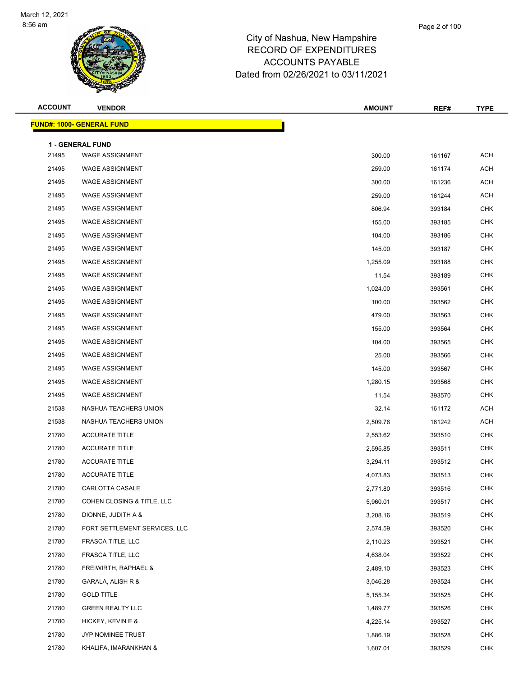

| <b>ACCOUNT</b> | <b>VENDOR</b>                    | <b>AMOUNT</b> | REF#   | <b>TYPE</b> |
|----------------|----------------------------------|---------------|--------|-------------|
|                | <b>FUND#: 1000- GENERAL FUND</b> |               |        |             |
|                | <b>1 - GENERAL FUND</b>          |               |        |             |
| 21495          | <b>WAGE ASSIGNMENT</b>           | 300.00        | 161167 | <b>ACH</b>  |
| 21495          | <b>WAGE ASSIGNMENT</b>           | 259.00        | 161174 | <b>ACH</b>  |
| 21495          | <b>WAGE ASSIGNMENT</b>           | 300.00        | 161236 | ACH         |
| 21495          | <b>WAGE ASSIGNMENT</b>           | 259.00        | 161244 | <b>ACH</b>  |
| 21495          | <b>WAGE ASSIGNMENT</b>           | 806.94        | 393184 | <b>CHK</b>  |
| 21495          | <b>WAGE ASSIGNMENT</b>           | 155.00        | 393185 | <b>CHK</b>  |
| 21495          | <b>WAGE ASSIGNMENT</b>           | 104.00        | 393186 | <b>CHK</b>  |
| 21495          | <b>WAGE ASSIGNMENT</b>           | 145.00        | 393187 | <b>CHK</b>  |
| 21495          | <b>WAGE ASSIGNMENT</b>           | 1,255.09      | 393188 | <b>CHK</b>  |
| 21495          | <b>WAGE ASSIGNMENT</b>           | 11.54         | 393189 | <b>CHK</b>  |
| 21495          | <b>WAGE ASSIGNMENT</b>           | 1,024.00      | 393561 | <b>CHK</b>  |
| 21495          | <b>WAGE ASSIGNMENT</b>           | 100.00        | 393562 | <b>CHK</b>  |
| 21495          | <b>WAGE ASSIGNMENT</b>           | 479.00        | 393563 | <b>CHK</b>  |
| 21495          | <b>WAGE ASSIGNMENT</b>           | 155.00        | 393564 | <b>CHK</b>  |
| 21495          | <b>WAGE ASSIGNMENT</b>           | 104.00        | 393565 | <b>CHK</b>  |
| 21495          | <b>WAGE ASSIGNMENT</b>           | 25.00         | 393566 | <b>CHK</b>  |
| 21495          | <b>WAGE ASSIGNMENT</b>           | 145.00        | 393567 | <b>CHK</b>  |
| 21495          | <b>WAGE ASSIGNMENT</b>           | 1,280.15      | 393568 | <b>CHK</b>  |
| 21495          | <b>WAGE ASSIGNMENT</b>           | 11.54         | 393570 | <b>CHK</b>  |
| 21538          | NASHUA TEACHERS UNION            | 32.14         | 161172 | ACH         |
| 21538          | NASHUA TEACHERS UNION            | 2,509.76      | 161242 | ACH         |
| 21780          | <b>ACCURATE TITLE</b>            | 2,553.62      | 393510 | <b>CHK</b>  |
| 21780          | <b>ACCURATE TITLE</b>            | 2,595.85      | 393511 | <b>CHK</b>  |
| 21780          | <b>ACCURATE TITLE</b>            | 3,294.11      | 393512 | <b>CHK</b>  |
| 21780          | <b>ACCURATE TITLE</b>            | 4,073.83      | 393513 | <b>CHK</b>  |
| 21780          | CARLOTTA CASALE                  | 2,771.80      | 393516 | CHK         |
| 21780          | COHEN CLOSING & TITLE, LLC       | 5,960.01      | 393517 | <b>CHK</b>  |
| 21780          | DIONNE, JUDITH A &               | 3,208.16      | 393519 | <b>CHK</b>  |
| 21780          | FORT SETTLEMENT SERVICES, LLC    | 2,574.59      | 393520 | <b>CHK</b>  |
| 21780          | FRASCA TITLE, LLC                | 2,110.23      | 393521 | <b>CHK</b>  |
| 21780          | FRASCA TITLE, LLC                | 4,638.04      | 393522 | <b>CHK</b>  |
| 21780          | FREIWIRTH, RAPHAEL &             | 2,489.10      | 393523 | <b>CHK</b>  |
| 21780          | GARALA, ALISH R &                | 3,046.28      | 393524 | <b>CHK</b>  |
| 21780          | <b>GOLD TITLE</b>                | 5,155.34      | 393525 | <b>CHK</b>  |
| 21780          | <b>GREEN REALTY LLC</b>          | 1,489.77      | 393526 | <b>CHK</b>  |
| 21780          | HICKEY, KEVIN E &                | 4,225.14      | 393527 | <b>CHK</b>  |
| 21780          | JYP NOMINEE TRUST                | 1,886.19      | 393528 | <b>CHK</b>  |
| 21780          | KHALIFA, IMARANKHAN &            | 1,607.01      | 393529 | <b>CHK</b>  |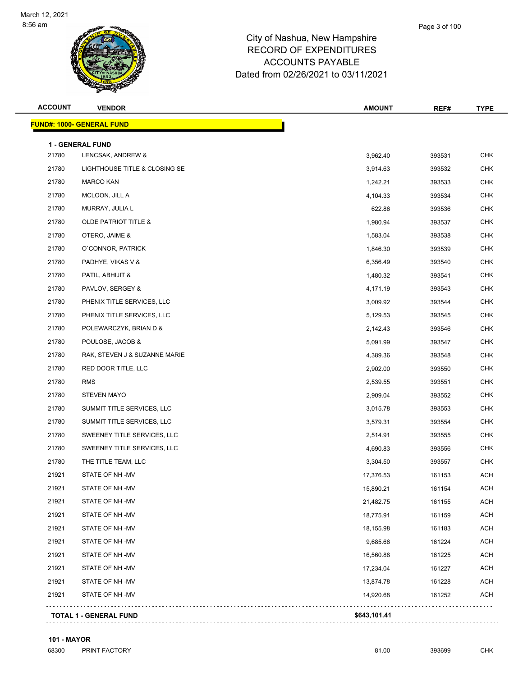

| <b>ACCOUNT</b> | <b>VENDOR</b>                    | <b>AMOUNT</b> | REF#   | <b>TYPE</b> |
|----------------|----------------------------------|---------------|--------|-------------|
|                | <b>FUND#: 1000- GENERAL FUND</b> |               |        |             |
|                | 1 - GENERAL FUND                 |               |        |             |
| 21780          | LENCSAK, ANDREW &                | 3,962.40      | 393531 | <b>CHK</b>  |
| 21780          | LIGHTHOUSE TITLE & CLOSING SE    | 3,914.63      | 393532 | <b>CHK</b>  |
| 21780          | <b>MARCO KAN</b>                 | 1,242.21      | 393533 | <b>CHK</b>  |
| 21780          | MCLOON, JILL A                   | 4,104.33      | 393534 | <b>CHK</b>  |
| 21780          | MURRAY, JULIA L                  | 622.86        | 393536 | <b>CHK</b>  |
| 21780          | <b>OLDE PATRIOT TITLE &amp;</b>  | 1,980.94      | 393537 | <b>CHK</b>  |
| 21780          | OTERO, JAIME &                   | 1,583.04      | 393538 | CHK         |
| 21780          | O'CONNOR, PATRICK                | 1,846.30      | 393539 | <b>CHK</b>  |
| 21780          | PADHYE, VIKAS V &                | 6,356.49      | 393540 | <b>CHK</b>  |
| 21780          | PATIL, ABHIJIT &                 | 1,480.32      | 393541 | <b>CHK</b>  |
| 21780          | PAVLOV, SERGEY &                 | 4,171.19      | 393543 | <b>CHK</b>  |
| 21780          | PHENIX TITLE SERVICES, LLC       | 3,009.92      | 393544 | CHK         |
| 21780          | PHENIX TITLE SERVICES, LLC       | 5,129.53      | 393545 | <b>CHK</b>  |
| 21780          | POLEWARCZYK, BRIAN D &           | 2,142.43      | 393546 | CHK         |
| 21780          | POULOSE, JACOB &                 | 5,091.99      | 393547 | <b>CHK</b>  |
| 21780          | RAK, STEVEN J & SUZANNE MARIE    | 4,389.36      | 393548 | <b>CHK</b>  |
| 21780          | RED DOOR TITLE, LLC              | 2,902.00      | 393550 | CHK         |
| 21780          | <b>RMS</b>                       | 2,539.55      | 393551 | <b>CHK</b>  |
| 21780          | <b>STEVEN MAYO</b>               | 2,909.04      | 393552 | <b>CHK</b>  |
| 21780          | SUMMIT TITLE SERVICES, LLC       | 3,015.78      | 393553 | <b>CHK</b>  |
| 21780          | SUMMIT TITLE SERVICES, LLC       | 3,579.31      | 393554 | <b>CHK</b>  |
| 21780          | SWEENEY TITLE SERVICES, LLC      | 2,514.91      | 393555 | CHK         |
| 21780          | SWEENEY TITLE SERVICES, LLC      | 4,690.83      | 393556 | <b>CHK</b>  |
| 21780          | THE TITLE TEAM, LLC              | 3,304.50      | 393557 | CHK         |
| 21921          | STATE OF NH-MV                   | 17,376.53     | 161153 | ACH         |
| 21921          | STATE OF NH-MV                   | 15,890.21     | 161154 | ACH         |
| 21921          | STATE OF NH-MV                   | 21,482.75     | 161155 | <b>ACH</b>  |
| 21921          | STATE OF NH-MV                   | 18,775.91     | 161159 | <b>ACH</b>  |
| 21921          | STATE OF NH-MV                   | 18,155.98     | 161183 | ACH         |
| 21921          | STATE OF NH-MV                   | 9,685.66      | 161224 | ACH         |
| 21921          | STATE OF NH-MV                   | 16,560.88     | 161225 | <b>ACH</b>  |
| 21921          | STATE OF NH-MV                   | 17,234.04     | 161227 | <b>ACH</b>  |
| 21921          | STATE OF NH-MV                   | 13,874.78     | 161228 | <b>ACH</b>  |
| 21921          | STATE OF NH-MV                   | 14,920.68     | 161252 | <b>ACH</b>  |

## **101 - MAYOR**

ed and the print of the property of the set of the set of the set of the set of the set of the set of the set of the set of the set of the set of the set of the set of the set of the set of the set of the set of the set of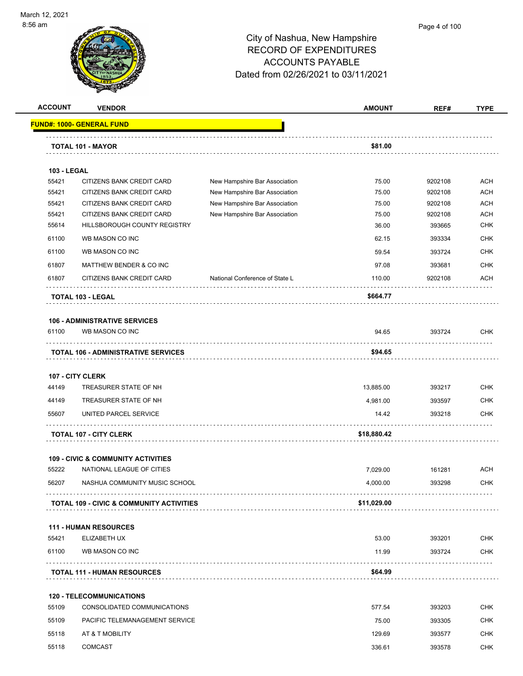

#### Page 4 of 100

|                    | <b>VENDOR</b>                                             |                                | <b>AMOUNT</b>  | REF#              | <b>TYPE</b>              |
|--------------------|-----------------------------------------------------------|--------------------------------|----------------|-------------------|--------------------------|
|                    | <u> FUND#: 1000- GENERAL FUND</u>                         |                                |                |                   |                          |
|                    | TOTAL 101 - MAYOR                                         |                                | \$81.00        |                   |                          |
|                    |                                                           |                                |                |                   |                          |
| <b>103 - LEGAL</b> |                                                           |                                |                |                   |                          |
| 55421              | CITIZENS BANK CREDIT CARD                                 | New Hampshire Bar Association  | 75.00          | 9202108           | <b>ACH</b>               |
| 55421              | CITIZENS BANK CREDIT CARD                                 | New Hampshire Bar Association  | 75.00          | 9202108           | <b>ACH</b>               |
| 55421              | CITIZENS BANK CREDIT CARD                                 | New Hampshire Bar Association  | 75.00          | 9202108           | <b>ACH</b><br><b>ACH</b> |
| 55421<br>55614     | CITIZENS BANK CREDIT CARD<br>HILLSBOROUGH COUNTY REGISTRY | New Hampshire Bar Association  | 75.00<br>36.00 | 9202108<br>393665 | <b>CHK</b>               |
|                    |                                                           |                                |                |                   |                          |
| 61100              | WB MASON CO INC                                           |                                | 62.15          | 393334            | <b>CHK</b>               |
| 61100              | WB MASON CO INC                                           |                                | 59.54          | 393724            | <b>CHK</b>               |
| 61807              | MATTHEW BENDER & CO INC                                   |                                | 97.08          | 393681            | <b>CHK</b>               |
| 61807              | CITIZENS BANK CREDIT CARD                                 | National Conference of State L | 110.00         | 9202108           | <b>ACH</b>               |
|                    | <b>TOTAL 103 - LEGAL</b>                                  |                                | \$664.77       |                   |                          |
|                    | <b>106 - ADMINISTRATIVE SERVICES</b>                      |                                |                |                   |                          |
| 61100              | WB MASON CO INC                                           |                                | 94.65          | 393724            | <b>CHK</b>               |
|                    | <b>TOTAL 106 - ADMINISTRATIVE SERVICES</b>                |                                | \$94.65        |                   |                          |
|                    | 107 - CITY CLERK                                          |                                |                |                   |                          |
| 44149              | TREASURER STATE OF NH                                     |                                | 13,885.00      | 393217            | <b>CHK</b>               |
| 44149              | TREASURER STATE OF NH                                     |                                | 4,981.00       | 393597            | <b>CHK</b>               |
| 55607              | UNITED PARCEL SERVICE                                     |                                | 14.42          | 393218            | CHK                      |
|                    | <b>TOTAL 107 - CITY CLERK</b>                             |                                | \$18,880.42    |                   |                          |
|                    |                                                           |                                |                |                   |                          |
| 55222              | <b>109 - CIVIC &amp; COMMUNITY ACTIVITIES</b>             |                                |                |                   |                          |
|                    | NATIONAL LEAGUE OF CITIES                                 |                                | 7,029.00       | 161281            | <b>ACH</b>               |
| 56207              | NASHUA COMMUNITY MUSIC SCHOOL                             |                                | 4,000.00       | 393298            | <b>CHK</b>               |
|                    | <b>TOTAL 109 - CIVIC &amp; COMMUNITY ACTIVITIES</b>       |                                | \$11,029.00    |                   |                          |
|                    |                                                           |                                |                |                   |                          |
| 55421              | <b>111 - HUMAN RESOURCES</b><br>ELIZABETH UX              |                                | 53.00          | 393201            | <b>CHK</b>               |
|                    |                                                           |                                |                |                   |                          |
| 61100              | WB MASON CO INC                                           |                                | 11.99          | 393724<br>.       | <b>CHK</b>               |
|                    | <b>TOTAL 111 - HUMAN RESOURCES</b>                        |                                | \$64.99        |                   |                          |
|                    | <b>120 - TELECOMMUNICATIONS</b>                           |                                |                |                   |                          |
| 55109              | CONSOLIDATED COMMUNICATIONS                               |                                | 577.54         | 393203            | CHK                      |
| 55109              | PACIFIC TELEMANAGEMENT SERVICE                            |                                | 75.00          | 393305            | <b>CHK</b>               |
|                    |                                                           |                                |                |                   |                          |
| 55118              | AT & T MOBILITY                                           |                                | 129.69         | 393577            | CHK                      |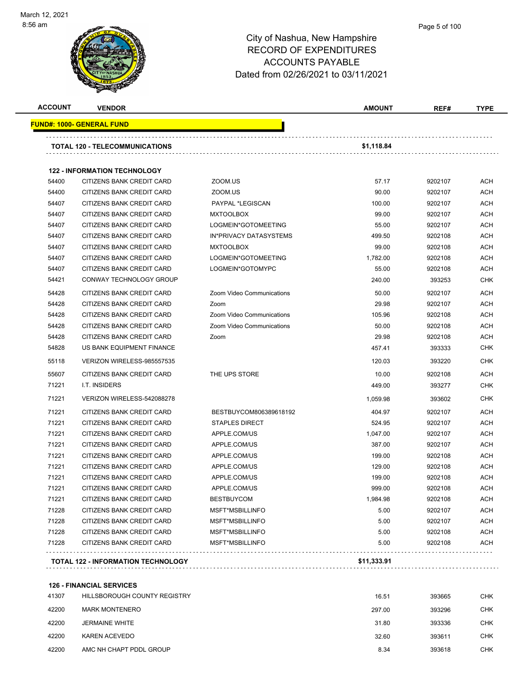

#### Page 5 of 100

## City of Nashua, New Hampshire RECORD OF EXPENDITURES ACCOUNTS PAYABLE Dated from 02/26/2021 to 03/11/2021

| <b>ACCOUNT</b> | <b>VENDOR</b>                             |                           | <b>AMOUNT</b> | REF#    | <b>TYPE</b> |
|----------------|-------------------------------------------|---------------------------|---------------|---------|-------------|
|                | <u> FUND#: 1000- GENERAL FUND</u>         |                           |               |         |             |
|                | TOTAL 120 - TELECOMMUNICATIONS            |                           | \$1,118.84    |         |             |
|                | <b>122 - INFORMATION TECHNOLOGY</b>       |                           |               |         |             |
| 54400          | CITIZENS BANK CREDIT CARD                 | ZOOM.US                   | 57.17         | 9202107 | <b>ACH</b>  |
| 54400          | <b>CITIZENS BANK CREDIT CARD</b>          | ZOOM.US                   | 90.00         | 9202107 | <b>ACH</b>  |
| 54407          | <b>CITIZENS BANK CREDIT CARD</b>          | PAYPAL *LEGISCAN          | 100.00        | 9202107 | <b>ACH</b>  |
| 54407          | <b>CITIZENS BANK CREDIT CARD</b>          | <b>MXTOOLBOX</b>          | 99.00         | 9202107 | <b>ACH</b>  |
| 54407          | <b>CITIZENS BANK CREDIT CARD</b>          | LOGMEIN*GOTOMEETING       | 55.00         | 9202107 | <b>ACH</b>  |
| 54407          | CITIZENS BANK CREDIT CARD                 | IN*PRIVACY DATASYSTEMS    | 499.50        | 9202108 | <b>ACH</b>  |
| 54407          | CITIZENS BANK CREDIT CARD                 | <b>MXTOOLBOX</b>          | 99.00         | 9202108 | <b>ACH</b>  |
| 54407          | CITIZENS BANK CREDIT CARD                 | LOGMEIN*GOTOMEETING       | 1,782.00      | 9202108 | <b>ACH</b>  |
| 54407          | CITIZENS BANK CREDIT CARD                 | LOGMEIN*GOTOMYPC          | 55.00         | 9202108 | <b>ACH</b>  |
| 54421          | CONWAY TECHNOLOGY GROUP                   |                           | 240.00        | 393253  | <b>CHK</b>  |
| 54428          | CITIZENS BANK CREDIT CARD                 | Zoom Video Communications | 50.00         | 9202107 | <b>ACH</b>  |
| 54428          | <b>CITIZENS BANK CREDIT CARD</b>          | Zoom                      | 29.98         | 9202107 | <b>ACH</b>  |
| 54428          | CITIZENS BANK CREDIT CARD                 | Zoom Video Communications | 105.96        | 9202108 | <b>ACH</b>  |
| 54428          | <b>CITIZENS BANK CREDIT CARD</b>          | Zoom Video Communications | 50.00         | 9202108 | <b>ACH</b>  |
| 54428          | CITIZENS BANK CREDIT CARD                 | Zoom                      | 29.98         | 9202108 | <b>ACH</b>  |
| 54828          | US BANK EQUIPMENT FINANCE                 |                           | 457.41        | 393333  | <b>CHK</b>  |
| 55118          | VERIZON WIRELESS-985557535                |                           | 120.03        | 393220  | <b>CHK</b>  |
| 55607          | CITIZENS BANK CREDIT CARD                 | THE UPS STORE             | 10.00         | 9202108 | <b>ACH</b>  |
| 71221          | <b>I.T. INSIDERS</b>                      |                           | 449.00        | 393277  | <b>CHK</b>  |
| 71221          | VERIZON WIRELESS-542088278                |                           | 1,059.98      | 393602  | <b>CHK</b>  |
| 71221          | CITIZENS BANK CREDIT CARD                 | BESTBUYCOM806389618192    | 404.97        | 9202107 | <b>ACH</b>  |
| 71221          | CITIZENS BANK CREDIT CARD                 | <b>STAPLES DIRECT</b>     | 524.95        | 9202107 | ACH         |
| 71221          | CITIZENS BANK CREDIT CARD                 | APPLE.COM/US              | 1,047.00      | 9202107 | <b>ACH</b>  |
| 71221          | CITIZENS BANK CREDIT CARD                 | APPLE.COM/US              | 387.00        | 9202107 | <b>ACH</b>  |
| 71221          | CITIZENS BANK CREDIT CARD                 | APPLE.COM/US              | 199.00        | 9202108 | <b>ACH</b>  |
| 71221          | CITIZENS BANK CREDIT CARD                 | APPLE.COM/US              | 129.00        | 9202108 | <b>ACH</b>  |
| 71221          | CITIZENS BANK CREDIT CARD                 | APPLE.COM/US              | 199.00        | 9202108 | <b>ACH</b>  |
| 71221          | CITIZENS BANK CREDIT CARD                 | APPLE.COM/US              | 999.00        | 9202108 | <b>ACH</b>  |
| 71221          | CITIZENS BANK CREDIT CARD                 | <b>BESTBUYCOM</b>         | 1,984.98      | 9202108 | ACH         |
| 71228          | CITIZENS BANK CREDIT CARD                 | MSFT*MSBILLINFO           | 5.00          | 9202107 | <b>ACH</b>  |
| 71228          | CITIZENS BANK CREDIT CARD                 | MSFT*MSBILLINFO           | 5.00          | 9202107 | <b>ACH</b>  |
| 71228          | CITIZENS BANK CREDIT CARD                 | MSFT*MSBILLINFO           | 5.00          | 9202108 | <b>ACH</b>  |
| 71228          | CITIZENS BANK CREDIT CARD                 | MSFT*MSBILLINFO           | 5.00          | 9202108 | ACH         |
|                | <b>TOTAL 122 - INFORMATION TECHNOLOGY</b> |                           | \$11,333.91   |         |             |

**126 - FINANCIAL SERVICES**

| 41307 | <b>HILLSBOROUGH COUNTY REGISTRY</b> | 16.51  | 393665 | <b>CHK</b> |
|-------|-------------------------------------|--------|--------|------------|
| 42200 | <b>MARK MONTENERO</b>               | 297.00 | 393296 | снк        |
| 42200 | JERMAINE WHITE                      | 31.80  | 393336 | CHK        |
| 42200 | KAREN ACEVEDO                       | 32.60  | 393611 | <b>CHK</b> |
| 42200 | AMC NH CHAPT PDDL GROUP             | 8.34   | 393618 | CHK        |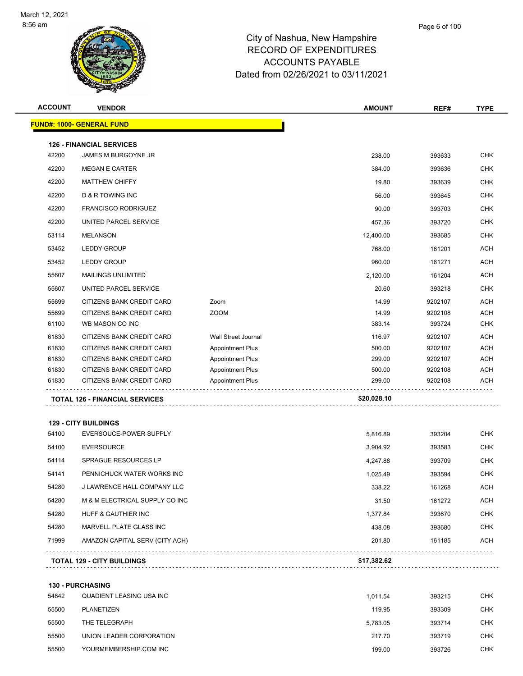

| <b>ACCOUNT</b> | <b>VENDOR</b>                                       |                            | <b>AMOUNT</b> | REF#    | <b>TYPE</b> |
|----------------|-----------------------------------------------------|----------------------------|---------------|---------|-------------|
|                | <b>FUND#: 1000- GENERAL FUND</b>                    |                            |               |         |             |
|                | <b>126 - FINANCIAL SERVICES</b>                     |                            |               |         |             |
| 42200          | JAMES M BURGOYNE JR                                 |                            | 238.00        | 393633  | <b>CHK</b>  |
| 42200          | <b>MEGAN E CARTER</b>                               |                            | 384.00        | 393636  | <b>CHK</b>  |
| 42200          | <b>MATTHEW CHIFFY</b>                               |                            | 19.80         | 393639  | <b>CHK</b>  |
| 42200          | <b>D &amp; R TOWING INC</b>                         |                            | 56.00         | 393645  | <b>CHK</b>  |
| 42200          | <b>FRANCISCO RODRIGUEZ</b>                          |                            | 90.00         | 393703  | <b>CHK</b>  |
| 42200          | UNITED PARCEL SERVICE                               |                            | 457.36        | 393720  | <b>CHK</b>  |
| 53114          | MELANSON                                            |                            | 12,400.00     | 393685  | <b>CHK</b>  |
| 53452          | <b>LEDDY GROUP</b>                                  |                            | 768.00        | 161201  | <b>ACH</b>  |
| 53452          | <b>LEDDY GROUP</b>                                  |                            | 960.00        | 161271  | <b>ACH</b>  |
| 55607          | <b>MAILINGS UNLIMITED</b>                           |                            | 2,120.00      | 161204  | <b>ACH</b>  |
| 55607          | UNITED PARCEL SERVICE                               |                            | 20.60         | 393218  | <b>CHK</b>  |
| 55699          | CITIZENS BANK CREDIT CARD                           | Zoom                       | 14.99         | 9202107 | <b>ACH</b>  |
| 55699          | CITIZENS BANK CREDIT CARD                           | <b>ZOOM</b>                | 14.99         | 9202108 | <b>ACH</b>  |
| 61100          | WB MASON CO INC                                     |                            | 383.14        | 393724  | <b>CHK</b>  |
| 61830          | CITIZENS BANK CREDIT CARD                           | <b>Wall Street Journal</b> | 116.97        | 9202107 | <b>ACH</b>  |
| 61830          | CITIZENS BANK CREDIT CARD                           | <b>Appointment Plus</b>    | 500.00        | 9202107 | <b>ACH</b>  |
| 61830          | CITIZENS BANK CREDIT CARD                           | <b>Appointment Plus</b>    | 299.00        | 9202107 | <b>ACH</b>  |
| 61830          | CITIZENS BANK CREDIT CARD                           | <b>Appointment Plus</b>    | 500.00        | 9202108 | <b>ACH</b>  |
| 61830          | CITIZENS BANK CREDIT CARD                           | <b>Appointment Plus</b>    | 299.00        | 9202108 | <b>ACH</b>  |
|                | <b>TOTAL 126 - FINANCIAL SERVICES</b>               |                            | \$20,028.10   |         |             |
|                | <b>129 - CITY BUILDINGS</b>                         |                            |               |         |             |
| 54100          | EVERSOUCE-POWER SUPPLY                              |                            | 5,816.89      | 393204  | <b>CHK</b>  |
| 54100          | <b>EVERSOURCE</b>                                   |                            | 3,904.92      | 393583  | <b>CHK</b>  |
| 54114          | SPRAGUE RESOURCES LP                                |                            | 4,247.88      | 393709  | <b>CHK</b>  |
| 54141          | PENNICHUCK WATER WORKS INC                          |                            | 1,025.49      | 393594  | <b>CHK</b>  |
| 54280          | J LAWRENCE HALL COMPANY LLC                         |                            | 338.22        | 161268  | ACH         |
| 54280          | M & M ELECTRICAL SUPPLY CO INC                      |                            | 31.50         | 161272  | <b>ACH</b>  |
| 54280          |                                                     |                            |               |         |             |
|                | HUFF & GAUTHIER INC                                 |                            | 1,377.84      | 393670  | <b>CHK</b>  |
| 54280          | MARVELL PLATE GLASS INC                             |                            | 438.08        | 393680  | CHK         |
| 71999          | AMAZON CAPITAL SERV (CITY ACH)                      |                            | 201.80        | 161185  | <b>ACH</b>  |
|                | <b>TOTAL 129 - CITY BUILDINGS</b>                   |                            | \$17,382.62   |         |             |
|                |                                                     |                            |               |         |             |
| 54842          | <b>130 - PURCHASING</b><br>QUADIENT LEASING USA INC |                            | 1,011.54      |         | <b>CHK</b>  |
|                |                                                     |                            |               | 393215  |             |
| 55500          | PLANETIZEN                                          |                            | 119.95        | 393309  | CHK         |
| 55500          | THE TELEGRAPH                                       |                            | 5,783.05      | 393714  | <b>CHK</b>  |
| 55500          | UNION LEADER CORPORATION                            |                            | 217.70        | 393719  | <b>CHK</b>  |
| 55500          | YOURMEMBERSHIP.COM INC                              |                            | 199.00        | 393726  | <b>CHK</b>  |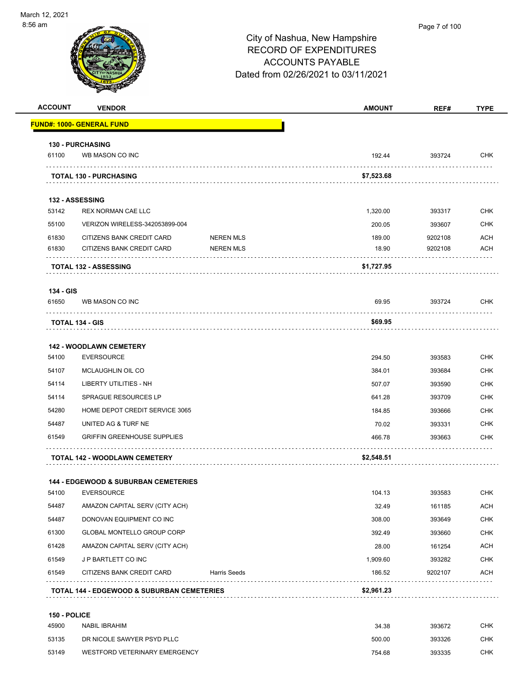. . . . . . . . . . . . . .

-

| 56 am              |                                                     |                     | Page 7 of 100<br>City of Nashua, New Hampshire<br><b>RECORD OF EXPENDITURES</b> |         |             |  |  |
|--------------------|-----------------------------------------------------|---------------------|---------------------------------------------------------------------------------|---------|-------------|--|--|
|                    |                                                     |                     | <b>ACCOUNTS PAYABLE</b>                                                         |         |             |  |  |
|                    |                                                     |                     | Dated from 02/26/2021 to 03/11/2021                                             |         |             |  |  |
|                    |                                                     |                     |                                                                                 |         |             |  |  |
| <b>ACCOUNT</b>     | <b>VENDOR</b>                                       |                     | <b>AMOUNT</b>                                                                   | REF#    | <b>TYPE</b> |  |  |
|                    | <b>FUND#: 1000- GENERAL FUND</b>                    |                     |                                                                                 |         |             |  |  |
|                    | 130 - PURCHASING                                    |                     |                                                                                 |         |             |  |  |
| 61100              | WB MASON CO INC                                     |                     | 192.44                                                                          | 393724  | CHK         |  |  |
|                    | .<br><b>TOTAL 130 - PURCHASING</b>                  |                     | \$7,523.68                                                                      |         |             |  |  |
|                    |                                                     |                     |                                                                                 |         |             |  |  |
| 53142              | 132 - ASSESSING<br><b>REX NORMAN CAE LLC</b>        |                     | 1,320.00                                                                        | 393317  | <b>CHK</b>  |  |  |
| 55100              | VERIZON WIRELESS-342053899-004                      |                     | 200.05                                                                          | 393607  | CHK         |  |  |
| 61830              | CITIZENS BANK CREDIT CARD                           | <b>NEREN MLS</b>    | 189.00                                                                          | 9202108 | ACH         |  |  |
| 61830              | CITIZENS BANK CREDIT CARD                           | <b>NEREN MLS</b>    | 18.90                                                                           | 9202108 | <b>ACH</b>  |  |  |
|                    | <b>TOTAL 132 - ASSESSING</b>                        | .                   | \$1,727.95                                                                      |         |             |  |  |
|                    |                                                     |                     |                                                                                 |         |             |  |  |
| 134 - GIS<br>61650 | WB MASON CO INC                                     |                     | 69.95                                                                           | 393724  | <b>CHK</b>  |  |  |
|                    | <b>TOTAL 134 - GIS</b>                              |                     | \$69.95                                                                         |         |             |  |  |
|                    |                                                     |                     |                                                                                 |         |             |  |  |
| 54100              | <b>142 - WOODLAWN CEMETERY</b><br><b>EVERSOURCE</b> |                     | 294.50                                                                          | 393583  | <b>CHK</b>  |  |  |
| 54107              | MCLAUGHLIN OIL CO                                   |                     | 384.01                                                                          | 393684  | CHK         |  |  |
| 54114              | LIBERTY UTILITIES - NH                              |                     | 507.07                                                                          | 393590  | <b>CHK</b>  |  |  |
| 54114              | <b>SPRAGUE RESOURCES LP</b>                         |                     | 641.28                                                                          | 393709  | <b>CHK</b>  |  |  |
| 54280              | HOME DEPOT CREDIT SERVICE 3065                      |                     | 184.85                                                                          | 393666  | <b>CHK</b>  |  |  |
| 54487              | UNITED AG & TURF NE                                 |                     | 70.02                                                                           | 393331  | <b>CHK</b>  |  |  |
| 61549              | <b>GRIFFIN GREENHOUSE SUPPLIES</b>                  |                     | 466.78                                                                          | 393663  | CHK         |  |  |
|                    | TOTAL 142 - WOODLAWN CEMETERY                       |                     | \$2,548.51                                                                      |         |             |  |  |
|                    | 144 - EDGEWOOD & SUBURBAN CEMETERIES                |                     |                                                                                 |         |             |  |  |
| 54100              | <b>EVERSOURCE</b>                                   |                     | 104.13                                                                          | 393583  | <b>CHK</b>  |  |  |
| 54487              | AMAZON CAPITAL SERV (CITY ACH)                      |                     | 32.49                                                                           | 161185  | ACH         |  |  |
| 54487              | DONOVAN EQUIPMENT CO INC                            |                     | 308.00                                                                          | 393649  | CHK         |  |  |
| 61300              | GLOBAL MONTELLO GROUP CORP                          |                     | 392.49                                                                          | 393660  | <b>CHK</b>  |  |  |
| 61428              | AMAZON CAPITAL SERV (CITY ACH)                      |                     | 28.00                                                                           | 161254  | <b>ACH</b>  |  |  |
| 61549              | J P BARTLETT CO INC                                 |                     | 1,909.60                                                                        | 393282  | <b>CHK</b>  |  |  |
| 61549              | CITIZENS BANK CREDIT CARD                           | <b>Harris Seeds</b> | 186.52                                                                          | 9202107 | <b>ACH</b>  |  |  |

**TOTAL 144 - EDGEWOOD & SUBURBAN CEMETERIES \$2,961.23**

#### **150 - POLICE**

| 45900 | NABIL IBRAHIM                 | 34.38  | 393672 | снк |
|-------|-------------------------------|--------|--------|-----|
| 53135 | DR NICOLE SAWYER PSYD PLLC    | 500.00 | 393326 | снк |
| 53149 | WESTFORD VETERINARY EMERGENCY | 754.68 | 393335 | снк |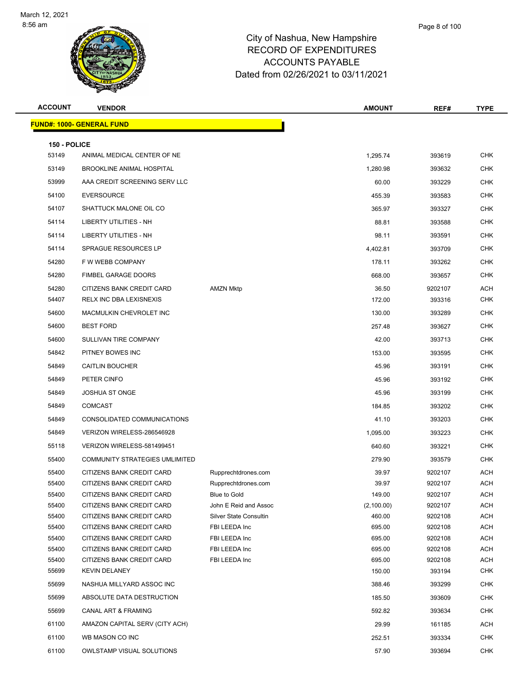

| <b>ACCOUNT</b> | <b>VENDOR</b>                                          |                                     | <b>AMOUNT</b>   | REF#               | <b>TYPE</b>       |
|----------------|--------------------------------------------------------|-------------------------------------|-----------------|--------------------|-------------------|
|                | <u> FUND#: 1000- GENERAL FUND</u>                      |                                     |                 |                    |                   |
|                |                                                        |                                     |                 |                    |                   |
| 150 - POLICE   |                                                        |                                     |                 |                    |                   |
| 53149          | ANIMAL MEDICAL CENTER OF NE                            |                                     | 1,295.74        | 393619             | <b>CHK</b>        |
| 53149          | <b>BROOKLINE ANIMAL HOSPITAL</b>                       |                                     | 1,280.98        | 393632             | <b>CHK</b>        |
| 53999          | AAA CREDIT SCREENING SERV LLC                          |                                     | 60.00           | 393229             | <b>CHK</b>        |
| 54100          | <b>EVERSOURCE</b>                                      |                                     | 455.39          | 393583             | <b>CHK</b>        |
| 54107          | SHATTUCK MALONE OIL CO                                 |                                     | 365.97          | 393327             | <b>CHK</b>        |
| 54114          | <b>LIBERTY UTILITIES - NH</b>                          |                                     | 88.81           | 393588             | <b>CHK</b>        |
| 54114          | LIBERTY UTILITIES - NH                                 |                                     | 98.11           | 393591             | <b>CHK</b>        |
| 54114          | SPRAGUE RESOURCES LP                                   |                                     | 4,402.81        | 393709             | <b>CHK</b>        |
| 54280          | F W WEBB COMPANY                                       |                                     | 178.11          | 393262             | <b>CHK</b>        |
| 54280          | FIMBEL GARAGE DOORS                                    |                                     | 668.00          | 393657             | <b>CHK</b>        |
| 54280          | <b>CITIZENS BANK CREDIT CARD</b>                       | <b>AMZN Mktp</b>                    | 36.50           | 9202107            | <b>ACH</b>        |
| 54407          | RELX INC DBA LEXISNEXIS                                |                                     | 172.00          | 393316             | <b>CHK</b>        |
| 54600          | MACMULKIN CHEVROLET INC                                |                                     | 130.00          | 393289             | <b>CHK</b>        |
| 54600          | <b>BEST FORD</b>                                       |                                     | 257.48          | 393627             | <b>CHK</b>        |
| 54600          | SULLIVAN TIRE COMPANY                                  |                                     | 42.00           | 393713             | <b>CHK</b>        |
| 54842          | PITNEY BOWES INC                                       |                                     | 153.00          | 393595             | <b>CHK</b>        |
| 54849          | <b>CAITLIN BOUCHER</b>                                 |                                     | 45.96           | 393191             | <b>CHK</b>        |
| 54849          | PETER CINFO                                            |                                     | 45.96           | 393192             | <b>CHK</b>        |
| 54849          | <b>JOSHUA ST ONGE</b>                                  |                                     | 45.96           | 393199             | <b>CHK</b>        |
| 54849          | <b>COMCAST</b>                                         |                                     | 184.85          | 393202             | <b>CHK</b>        |
| 54849          | CONSOLIDATED COMMUNICATIONS                            |                                     | 41.10           |                    | <b>CHK</b>        |
|                |                                                        |                                     |                 | 393203             |                   |
| 54849          | VERIZON WIRELESS-286546928                             |                                     | 1,095.00        | 393223             | <b>CHK</b>        |
| 55118          | VERIZON WIRELESS-581499451                             |                                     | 640.60          | 393221             | <b>CHK</b>        |
| 55400          | <b>COMMUNITY STRATEGIES UMLIMITED</b>                  |                                     | 279.90          | 393579             | <b>CHK</b>        |
| 55400          | CITIZENS BANK CREDIT CARD                              | Rupprechtdrones.com                 | 39.97           | 9202107            | ACH               |
| 55400<br>55400 | CITIZENS BANK CREDIT CARD<br>CITIZENS BANK CREDIT CARD | Rupprechtdrones.com<br>Blue to Gold | 39.97<br>149.00 | 9202107            | <b>ACH</b><br>ACH |
| 55400          | CITIZENS BANK CREDIT CARD                              | John E Reid and Assoc               | (2,100.00)      | 9202107<br>9202107 | <b>ACH</b>        |
| 55400          | CITIZENS BANK CREDIT CARD                              | Silver State Consultin              | 460.00          | 9202108            | <b>ACH</b>        |
| 55400          | CITIZENS BANK CREDIT CARD                              | FBI LEEDA Inc                       | 695.00          | 9202108            | <b>ACH</b>        |
| 55400          | CITIZENS BANK CREDIT CARD                              | FBI LEEDA Inc                       | 695.00          | 9202108            | ACH               |
| 55400          | CITIZENS BANK CREDIT CARD                              | FBI LEEDA Inc                       | 695.00          | 9202108            | <b>ACH</b>        |
| 55400          | CITIZENS BANK CREDIT CARD                              | FBI LEEDA Inc                       | 695.00          | 9202108            | <b>ACH</b>        |
| 55699          | <b>KEVIN DELANEY</b>                                   |                                     | 150.00          | 393194             | <b>CHK</b>        |
| 55699          | NASHUA MILLYARD ASSOC INC                              |                                     | 388.46          | 393299             | <b>CHK</b>        |
| 55699          | ABSOLUTE DATA DESTRUCTION                              |                                     | 185.50          | 393609             | <b>CHK</b>        |
| 55699          | CANAL ART & FRAMING                                    |                                     | 592.82          | 393634             | <b>CHK</b>        |
| 61100          | AMAZON CAPITAL SERV (CITY ACH)                         |                                     | 29.99           | 161185             | <b>ACH</b>        |
| 61100          | WB MASON CO INC                                        |                                     | 252.51          | 393334             | <b>CHK</b>        |
| 61100          | OWLSTAMP VISUAL SOLUTIONS                              |                                     | 57.90           | 393694             | <b>CHK</b>        |
|                |                                                        |                                     |                 |                    |                   |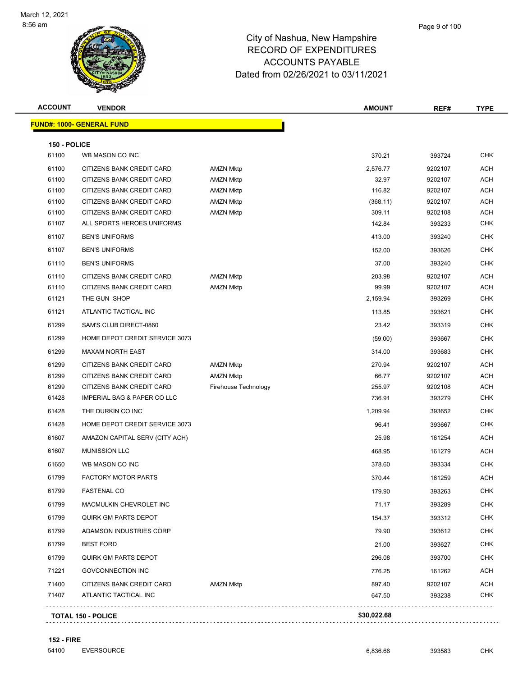

| <b>ACCOUNT</b> | <b>VENDOR</b>                          |                      | <b>AMOUNT</b> | REF#    | <b>TYPE</b> |
|----------------|----------------------------------------|----------------------|---------------|---------|-------------|
|                | <mark>FUND#: 1000- GENERAL FUND</mark> |                      |               |         |             |
| 150 - POLICE   |                                        |                      |               |         |             |
| 61100          | WB MASON CO INC                        |                      | 370.21        | 393724  | <b>CHK</b>  |
| 61100          | CITIZENS BANK CREDIT CARD              | <b>AMZN Mktp</b>     | 2,576.77      | 9202107 | ACH         |
| 61100          | CITIZENS BANK CREDIT CARD              | <b>AMZN Mktp</b>     | 32.97         | 9202107 | ACH         |
| 61100          | CITIZENS BANK CREDIT CARD              | <b>AMZN Mktp</b>     | 116.82        | 9202107 | ACH         |
| 61100          | CITIZENS BANK CREDIT CARD              | <b>AMZN Mktp</b>     | (368.11)      | 9202107 | ACH         |
| 61100          | CITIZENS BANK CREDIT CARD              | <b>AMZN Mktp</b>     | 309.11        | 9202108 | ACH         |
| 61107          | ALL SPORTS HEROES UNIFORMS             |                      | 142.84        | 393233  | <b>CHK</b>  |
| 61107          | <b>BEN'S UNIFORMS</b>                  |                      | 413.00        | 393240  | <b>CHK</b>  |
| 61107          | <b>BEN'S UNIFORMS</b>                  |                      | 152.00        | 393626  | <b>CHK</b>  |
| 61110          | <b>BEN'S UNIFORMS</b>                  |                      | 37.00         | 393240  | <b>CHK</b>  |
| 61110          | CITIZENS BANK CREDIT CARD              | <b>AMZN Mktp</b>     | 203.98        | 9202107 | ACH         |
| 61110          | CITIZENS BANK CREDIT CARD              | <b>AMZN Mktp</b>     | 99.99         | 9202107 | ACH         |
| 61121          | THE GUN SHOP                           |                      | 2,159.94      | 393269  | <b>CHK</b>  |
| 61121          | ATLANTIC TACTICAL INC                  |                      | 113.85        | 393621  | <b>CHK</b>  |
| 61299          | SAM'S CLUB DIRECT-0860                 |                      | 23.42         | 393319  | <b>CHK</b>  |
| 61299          | HOME DEPOT CREDIT SERVICE 3073         |                      | (59.00)       | 393667  | <b>CHK</b>  |
| 61299          | <b>MAXAM NORTH EAST</b>                |                      | 314.00        | 393683  | <b>CHK</b>  |
| 61299          | CITIZENS BANK CREDIT CARD              | <b>AMZN Mktp</b>     | 270.94        | 9202107 | ACH         |
| 61299          | CITIZENS BANK CREDIT CARD              | <b>AMZN Mktp</b>     | 66.77         | 9202107 | ACH         |
| 61299          | CITIZENS BANK CREDIT CARD              | Firehouse Technology | 255.97        | 9202108 | ACH         |
| 61428          | <b>IMPERIAL BAG &amp; PAPER CO LLC</b> |                      | 736.91        | 393279  | <b>CHK</b>  |
| 61428          | THE DURKIN CO INC                      |                      | 1,209.94      | 393652  | <b>CHK</b>  |
| 61428          | HOME DEPOT CREDIT SERVICE 3073         |                      | 96.41         | 393667  | <b>CHK</b>  |
| 61607          | AMAZON CAPITAL SERV (CITY ACH)         |                      | 25.98         | 161254  | ACH         |
| 61607          | <b>MUNISSION LLC</b>                   |                      | 468.95        | 161279  | ACH         |
| 61650          | WB MASON CO INC                        |                      | 378.60        | 393334  | <b>CHK</b>  |
| 61799          | <b>FACTORY MOTOR PARTS</b>             |                      | 370.44        | 161259  | ACH         |
| 61799          | <b>FASTENAL CO</b>                     |                      | 179.90        | 393263  | <b>CHK</b>  |
| 61799          | MACMULKIN CHEVROLET INC                |                      | 71.17         | 393289  | CHK         |
| 61799          | <b>QUIRK GM PARTS DEPOT</b>            |                      | 154.37        | 393312  | <b>CHK</b>  |
| 61799          | ADAMSON INDUSTRIES CORP                |                      | 79.90         | 393612  | <b>CHK</b>  |
| 61799          | <b>BEST FORD</b>                       |                      | 21.00         | 393627  | <b>CHK</b>  |
| 61799          | <b>QUIRK GM PARTS DEPOT</b>            |                      | 296.08        | 393700  | <b>CHK</b>  |
| 71221          | <b>GOVCONNECTION INC</b>               |                      | 776.25        | 161262  | ACH         |
| 71400          | CITIZENS BANK CREDIT CARD              | <b>AMZN Mktp</b>     | 897.40        | 9202107 | ACH         |
| 71407          | ATLANTIC TACTICAL INC                  |                      | 647.50        | 393238  | <b>CHK</b>  |
|                |                                        |                      |               |         |             |

**TOTAL 150 - POLICE \$30,022.68**

. . . . . . . . . . . . . . . . . . .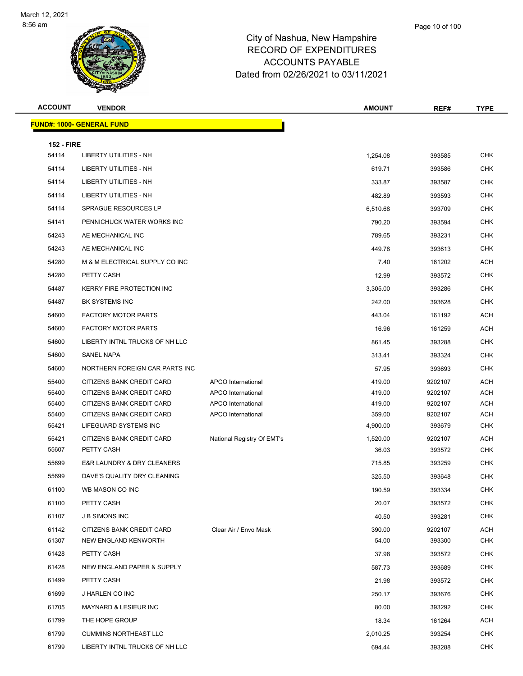| <b>ACCOUNT</b>    | <b>VENDOR</b>                             |                            | <b>AMOUNT</b> | REF#    | <b>TYPE</b> |
|-------------------|-------------------------------------------|----------------------------|---------------|---------|-------------|
|                   | <u> FUND#: 1000- GENERAL FUND</u>         |                            |               |         |             |
|                   |                                           |                            |               |         |             |
| <b>152 - FIRE</b> |                                           |                            |               |         |             |
| 54114             | LIBERTY UTILITIES - NH                    |                            | 1,254.08      | 393585  | <b>CHK</b>  |
| 54114             | LIBERTY UTILITIES - NH                    |                            | 619.71        | 393586  | <b>CHK</b>  |
| 54114             | LIBERTY UTILITIES - NH                    |                            | 333.87        | 393587  | <b>CHK</b>  |
| 54114             | LIBERTY UTILITIES - NH                    |                            | 482.89        | 393593  | <b>CHK</b>  |
| 54114             | <b>SPRAGUE RESOURCES LP</b>               |                            | 6,510.68      | 393709  | <b>CHK</b>  |
| 54141             | PENNICHUCK WATER WORKS INC                |                            | 790.20        | 393594  | CHK         |
| 54243             | AE MECHANICAL INC                         |                            | 789.65        | 393231  | <b>CHK</b>  |
| 54243             | AE MECHANICAL INC                         |                            | 449.78        | 393613  | <b>CHK</b>  |
| 54280             | M & M ELECTRICAL SUPPLY CO INC            |                            | 7.40          | 161202  | <b>ACH</b>  |
| 54280             | PETTY CASH                                |                            | 12.99         | 393572  | <b>CHK</b>  |
| 54487             | <b>KERRY FIRE PROTECTION INC</b>          |                            | 3,305.00      | 393286  | <b>CHK</b>  |
| 54487             | <b>BK SYSTEMS INC</b>                     |                            | 242.00        | 393628  | CHK         |
| 54600             | <b>FACTORY MOTOR PARTS</b>                |                            | 443.04        | 161192  | ACH         |
| 54600             | <b>FACTORY MOTOR PARTS</b>                |                            | 16.96         | 161259  | <b>ACH</b>  |
| 54600             | LIBERTY INTNL TRUCKS OF NH LLC            |                            | 861.45        | 393288  | <b>CHK</b>  |
| 54600             | SANEL NAPA                                |                            | 313.41        | 393324  | <b>CHK</b>  |
| 54600             | NORTHERN FOREIGN CAR PARTS INC            |                            | 57.95         | 393693  | <b>CHK</b>  |
| 55400             | CITIZENS BANK CREDIT CARD                 | APCO International         | 419.00        | 9202107 | <b>ACH</b>  |
| 55400             | CITIZENS BANK CREDIT CARD                 | APCO International         | 419.00        | 9202107 | <b>ACH</b>  |
| 55400             | CITIZENS BANK CREDIT CARD                 | APCO International         | 419.00        | 9202107 | <b>ACH</b>  |
| 55400             | CITIZENS BANK CREDIT CARD                 | APCO International         | 359.00        | 9202107 | <b>ACH</b>  |
| 55421             | LIFEGUARD SYSTEMS INC                     |                            | 4,900.00      | 393679  | <b>CHK</b>  |
| 55421             | CITIZENS BANK CREDIT CARD                 | National Registry Of EMT's | 1,520.00      | 9202107 | <b>ACH</b>  |
| 55607             | PETTY CASH                                |                            | 36.03         | 393572  | <b>CHK</b>  |
| 55699             | <b>E&amp;R LAUNDRY &amp; DRY CLEANERS</b> |                            | 715.85        | 393259  | <b>CHK</b>  |
| 55699             | DAVE'S QUALITY DRY CLEANING               |                            | 325.50        | 393648  | <b>CHK</b>  |
| 61100             | WB MASON CO INC                           |                            | 190.59        | 393334  | <b>CHK</b>  |
| 61100             | PETTY CASH                                |                            | 20.07         | 393572  | <b>CHK</b>  |
| 61107             | <b>J B SIMONS INC</b>                     |                            | 40.50         | 393281  | <b>CHK</b>  |
| 61142             | CITIZENS BANK CREDIT CARD                 | Clear Air / Envo Mask      | 390.00        | 9202107 | <b>ACH</b>  |
| 61307             | NEW ENGLAND KENWORTH                      |                            | 54.00         | 393300  | CHK         |
| 61428             | PETTY CASH                                |                            | 37.98         | 393572  | <b>CHK</b>  |
| 61428             | NEW ENGLAND PAPER & SUPPLY                |                            | 587.73        | 393689  | <b>CHK</b>  |
| 61499             | PETTY CASH                                |                            | 21.98         | 393572  | <b>CHK</b>  |
| 61699             | J HARLEN CO INC                           |                            | 250.17        | 393676  | <b>CHK</b>  |
| 61705             | MAYNARD & LESIEUR INC                     |                            | 80.00         | 393292  | CHK         |
| 61799             | THE HOPE GROUP                            |                            | 18.34         | 161264  | <b>ACH</b>  |
| 61799             | <b>CUMMINS NORTHEAST LLC</b>              |                            | 2,010.25      | 393254  | <b>CHK</b>  |
| 61799             | LIBERTY INTNL TRUCKS OF NH LLC            |                            | 694.44        | 393288  | CHK         |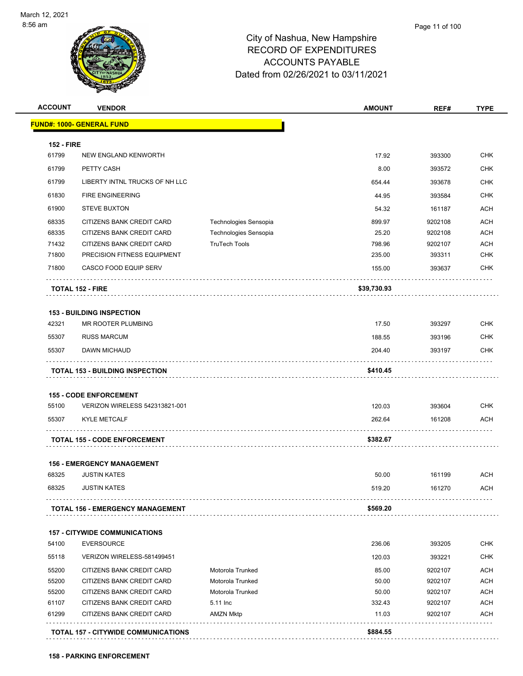

| <b>ACCOUNT</b>    | <b>VENDOR</b>                          |                       | <b>AMOUNT</b> | REF#    | <b>TYPE</b> |
|-------------------|----------------------------------------|-----------------------|---------------|---------|-------------|
|                   | <b>FUND#: 1000- GENERAL FUND</b>       |                       |               |         |             |
| <b>152 - FIRE</b> |                                        |                       |               |         |             |
| 61799             | NEW ENGLAND KENWORTH                   |                       | 17.92         | 393300  | <b>CHK</b>  |
| 61799             | PETTY CASH                             |                       | 8.00          | 393572  | <b>CHK</b>  |
| 61799             | LIBERTY INTNL TRUCKS OF NH LLC         |                       | 654.44        | 393678  | <b>CHK</b>  |
| 61830             | <b>FIRE ENGINEERING</b>                |                       | 44.95         | 393584  | <b>CHK</b>  |
| 61900             | <b>STEVE BUXTON</b>                    |                       | 54.32         | 161187  | <b>ACH</b>  |
| 68335             | CITIZENS BANK CREDIT CARD              | Technologies Sensopia | 899.97        | 9202108 | <b>ACH</b>  |
| 68335             | CITIZENS BANK CREDIT CARD              | Technologies Sensopia | 25.20         | 9202108 | <b>ACH</b>  |
| 71432             | CITIZENS BANK CREDIT CARD              | <b>TruTech Tools</b>  | 798.96        | 9202107 | <b>ACH</b>  |
| 71800             | PRECISION FITNESS EQUIPMENT            |                       | 235.00        | 393311  | <b>CHK</b>  |
| 71800             | CASCO FOOD EQUIP SERV                  |                       | 155.00        | 393637  | <b>CHK</b>  |
|                   | <b>TOTAL 152 - FIRE</b>                |                       | \$39,730.93   |         |             |
|                   | <b>153 - BUILDING INSPECTION</b>       |                       |               |         |             |
| 42321             | MR ROOTER PLUMBING                     |                       | 17.50         | 393297  | <b>CHK</b>  |
| 55307             | <b>RUSS MARCUM</b>                     |                       | 188.55        | 393196  | <b>CHK</b>  |
| 55307             | DAWN MICHAUD                           |                       | 204.40        | 393197  | <b>CHK</b>  |
|                   | <b>TOTAL 153 - BUILDING INSPECTION</b> |                       | \$410.45      |         |             |
|                   | <b>155 - CODE ENFORCEMENT</b>          |                       |               |         |             |
| 55100             | VERIZON WIRELESS 542313821-001         |                       | 120.03        | 393604  | <b>CHK</b>  |
| 55307             | <b>KYLE METCALF</b>                    |                       | 262.64        | 161208  | ACH         |
|                   | <b>TOTAL 155 - CODE ENFORCEMENT</b>    |                       | \$382.67      |         |             |
|                   | <b>156 - EMERGENCY MANAGEMENT</b>      |                       |               |         |             |
| 68325             | <b>JUSTIN KATES</b>                    |                       | 50.00         | 161199  | ACH         |
| 68325             | <b>JUSTIN KATES</b>                    |                       | 519.20        | 161270  | <b>ACH</b>  |
|                   | TOTAL 156 - EMERGENCY MANAGEMENT       |                       | \$569.20      |         |             |
|                   | <b>157 - CITYWIDE COMMUNICATIONS</b>   |                       |               |         |             |
| 54100             | <b>EVERSOURCE</b>                      |                       | 236.06        | 393205  | CHK         |
| 55118             | VERIZON WIRELESS-581499451             |                       | 120.03        | 393221  | <b>CHK</b>  |
| 55200             | CITIZENS BANK CREDIT CARD              | Motorola Trunked      | 85.00         | 9202107 | <b>ACH</b>  |
| 55200             | CITIZENS BANK CREDIT CARD              | Motorola Trunked      | 50.00         | 9202107 | <b>ACH</b>  |
| 55200             | CITIZENS BANK CREDIT CARD              | Motorola Trunked      | 50.00         | 9202107 | ACH         |
| 61107             | CITIZENS BANK CREDIT CARD              | 5.11 Inc              | 332.43        | 9202107 | ACH         |
| 61299             | CITIZENS BANK CREDIT CARD              | <b>AMZN Mktp</b>      | 11.03         | 9202107 | <b>ACH</b>  |
|                   | TOTAL 157 - CITYWIDE COMMUNICATIONS    |                       | \$884.55      |         |             |

**158 - PARKING ENFORCEMENT**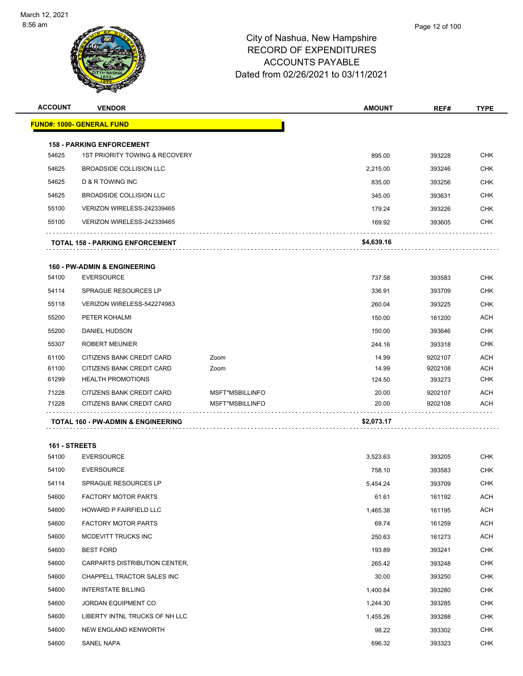

| <b>VENDOR</b>                          |                                                                                                          | <b>AMOUNT</b>   | REF#    | TYPE              |
|----------------------------------------|----------------------------------------------------------------------------------------------------------|-----------------|---------|-------------------|
| <u> FUND#: 1000- GENERAL FUND</u>      |                                                                                                          |                 |         |                   |
|                                        |                                                                                                          |                 |         |                   |
| 1ST PRIORITY TOWING & RECOVERY         |                                                                                                          | 895.00          | 393228  | <b>CHK</b>        |
| <b>BROADSIDE COLLISION LLC</b>         |                                                                                                          | 2,215.00        | 393246  | <b>CHK</b>        |
| D & R TOWING INC                       |                                                                                                          | 835.00          | 393256  | <b>CHK</b>        |
| <b>BROADSIDE COLLISION LLC</b>         |                                                                                                          | 345.00          | 393631  | <b>CHK</b>        |
| VERIZON WIRELESS-242339465             |                                                                                                          | 179.24          | 393226  | <b>CHK</b>        |
| VERIZON WIRELESS-242339465             |                                                                                                          | 169.92          | 393605  | <b>CHK</b>        |
| <b>TOTAL 158 - PARKING ENFORCEMENT</b> |                                                                                                          | \$4,639.16      |         |                   |
|                                        |                                                                                                          |                 |         |                   |
| <b>EVERSOURCE</b>                      |                                                                                                          | 737.58          | 393583  | CHK               |
| <b>SPRAGUE RESOURCES LP</b>            |                                                                                                          | 336.91          | 393709  | <b>CHK</b>        |
| VERIZON WIRELESS-542274983             |                                                                                                          | 260.04          | 393225  | <b>CHK</b>        |
| PETER KOHALMI                          |                                                                                                          | 150.00          | 161200  | <b>ACH</b>        |
| DANIEL HUDSON                          |                                                                                                          | 150.00          | 393646  | <b>CHK</b>        |
| <b>ROBERT MEUNIER</b>                  |                                                                                                          | 244.16          | 393318  | <b>CHK</b>        |
| CITIZENS BANK CREDIT CARD              | Zoom                                                                                                     | 14.99           | 9202107 | <b>ACH</b>        |
| CITIZENS BANK CREDIT CARD              | Zoom                                                                                                     | 14.99           | 9202108 | <b>ACH</b>        |
| <b>HEALTH PROMOTIONS</b>               |                                                                                                          | 124.50          | 393273  | <b>CHK</b>        |
| CITIZENS BANK CREDIT CARD              | MSFT*MSBILLINFO                                                                                          | 20.00           | 9202107 | ACH<br><b>ACH</b> |
|                                        |                                                                                                          |                 |         |                   |
| TOTAL 160 - PW-ADMIN & ENGINEERING     |                                                                                                          | \$2,073.17      |         |                   |
| 161 - STREETS                          |                                                                                                          |                 |         |                   |
| <b>EVERSOURCE</b>                      |                                                                                                          | 3,523.63        | 393205  | CHK               |
| <b>EVERSOURCE</b>                      |                                                                                                          | 758.10          | 393583  | <b>CHK</b>        |
| <b>SPRAGUE RESOURCES LP</b>            |                                                                                                          | 5.454.24        | 393709  | <b>CHK</b>        |
| <b>FACTORY MOTOR PARTS</b>             |                                                                                                          | 61.61           | 161192  | <b>ACH</b>        |
| HOWARD P FAIRFIELD LLC                 |                                                                                                          | 1,465.38        | 161195  | <b>ACH</b>        |
| <b>FACTORY MOTOR PARTS</b>             |                                                                                                          | 69.74           | 161259  | ACH               |
| MCDEVITT TRUCKS INC                    |                                                                                                          | 250.63          | 161273  | <b>ACH</b>        |
| <b>BEST FORD</b>                       |                                                                                                          | 193.89          | 393241  | CHK               |
| CARPARTS DISTRIBUTION CENTER,          |                                                                                                          | 265.42          | 393248  | <b>CHK</b>        |
| CHAPPELL TRACTOR SALES INC             |                                                                                                          | 30.00           | 393250  | <b>CHK</b>        |
| <b>INTERSTATE BILLING</b>              |                                                                                                          | 1,400.84        | 393280  | <b>CHK</b>        |
| JORDAN EQUIPMENT CO                    |                                                                                                          | 1,244.30        | 393285  | <b>CHK</b>        |
| LIBERTY INTNL TRUCKS OF NH LLC         |                                                                                                          | 1,455.26        | 393288  | <b>CHK</b>        |
| NEW ENGLAND KENWORTH                   |                                                                                                          | 98.22           | 393302  | <b>CHK</b>        |
| SANEL NAPA                             |                                                                                                          | 696.32          | 393323  | <b>CHK</b>        |
|                                        | <b>158 - PARKING ENFORCEMENT</b><br><b>160 - PW-ADMIN &amp; ENGINEERING</b><br>CITIZENS BANK CREDIT CARD | MSFT*MSBILLINFO | 20.00   | 9202108           |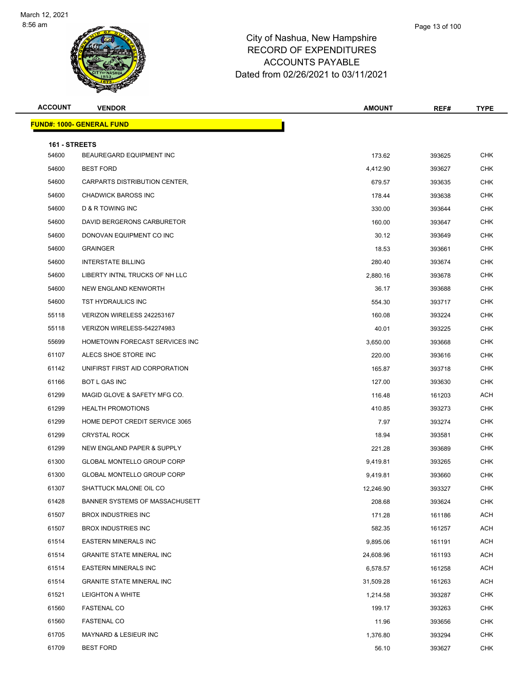

| <b>ACCOUNT</b>         | <b>VENDOR</b>                     | <b>AMOUNT</b> | REF#   | <b>TYPE</b> |
|------------------------|-----------------------------------|---------------|--------|-------------|
|                        | <b>FUND#: 1000- GENERAL FUND</b>  |               |        |             |
|                        |                                   |               |        |             |
| 161 - STREETS<br>54600 | BEAUREGARD EQUIPMENT INC          | 173.62        | 393625 | <b>CHK</b>  |
| 54600                  | <b>BEST FORD</b>                  | 4,412.90      | 393627 | <b>CHK</b>  |
| 54600                  | CARPARTS DISTRIBUTION CENTER,     | 679.57        | 393635 | <b>CHK</b>  |
| 54600                  | <b>CHADWICK BAROSS INC</b>        | 178.44        | 393638 | <b>CHK</b>  |
| 54600                  | <b>D &amp; R TOWING INC</b>       | 330.00        | 393644 | <b>CHK</b>  |
| 54600                  | DAVID BERGERONS CARBURETOR        | 160.00        | 393647 | <b>CHK</b>  |
| 54600                  | DONOVAN EQUIPMENT CO INC          | 30.12         | 393649 | CHK         |
| 54600                  | <b>GRAINGER</b>                   | 18.53         | 393661 | <b>CHK</b>  |
| 54600                  | <b>INTERSTATE BILLING</b>         | 280.40        | 393674 | <b>CHK</b>  |
| 54600                  | LIBERTY INTNL TRUCKS OF NH LLC    | 2,880.16      | 393678 | <b>CHK</b>  |
| 54600                  | NEW ENGLAND KENWORTH              | 36.17         | 393688 | <b>CHK</b>  |
| 54600                  | TST HYDRAULICS INC                | 554.30        | 393717 | CHK         |
| 55118                  | VERIZON WIRELESS 242253167        | 160.08        | 393224 | <b>CHK</b>  |
| 55118                  | VERIZON WIRELESS-542274983        | 40.01         | 393225 | <b>CHK</b>  |
| 55699                  | HOMETOWN FORECAST SERVICES INC    | 3,650.00      | 393668 | <b>CHK</b>  |
| 61107                  | ALECS SHOE STORE INC              | 220.00        | 393616 | <b>CHK</b>  |
| 61142                  | UNIFIRST FIRST AID CORPORATION    | 165.87        | 393718 | CHK         |
| 61166                  | <b>BOT L GAS INC</b>              | 127.00        | 393630 | <b>CHK</b>  |
| 61299                  | MAGID GLOVE & SAFETY MFG CO.      | 116.48        | 161203 | ACH         |
| 61299                  | <b>HEALTH PROMOTIONS</b>          | 410.85        | 393273 | <b>CHK</b>  |
| 61299                  | HOME DEPOT CREDIT SERVICE 3065    | 7.97          | 393274 | <b>CHK</b>  |
| 61299                  | <b>CRYSTAL ROCK</b>               | 18.94         | 393581 | CHK         |
| 61299                  | NEW ENGLAND PAPER & SUPPLY        | 221.28        | 393689 | <b>CHK</b>  |
| 61300                  | GLOBAL MONTELLO GROUP CORP        | 9,419.81      | 393265 | CHK         |
| 61300                  | <b>GLOBAL MONTELLO GROUP CORP</b> | 9.419.81      | 393660 | <b>CHK</b>  |
| 61307                  | SHATTUCK MALONE OIL CO            | 12,246.90     | 393327 | <b>CHK</b>  |
| 61428                  | BANNER SYSTEMS OF MASSACHUSETT    | 208.68        | 393624 | <b>CHK</b>  |
| 61507                  | <b>BROX INDUSTRIES INC</b>        | 171.28        | 161186 | <b>ACH</b>  |
| 61507                  | <b>BROX INDUSTRIES INC</b>        | 582.35        | 161257 | ACH         |
| 61514                  | <b>EASTERN MINERALS INC</b>       | 9,895.06      | 161191 | ACH         |
| 61514                  | <b>GRANITE STATE MINERAL INC</b>  | 24,608.96     | 161193 | ACH         |
| 61514                  | <b>EASTERN MINERALS INC</b>       | 6,578.57      | 161258 | ACH         |
| 61514                  | <b>GRANITE STATE MINERAL INC</b>  | 31,509.28     | 161263 | <b>ACH</b>  |
| 61521                  | LEIGHTON A WHITE                  | 1,214.58      | 393287 | <b>CHK</b>  |
| 61560                  | <b>FASTENAL CO</b>                | 199.17        | 393263 | <b>CHK</b>  |
| 61560                  | <b>FASTENAL CO</b>                | 11.96         | 393656 | <b>CHK</b>  |
| 61705                  | MAYNARD & LESIEUR INC             | 1,376.80      | 393294 | CHK         |
| 61709                  | <b>BEST FORD</b>                  | 56.10         | 393627 | <b>CHK</b>  |
|                        |                                   |               |        |             |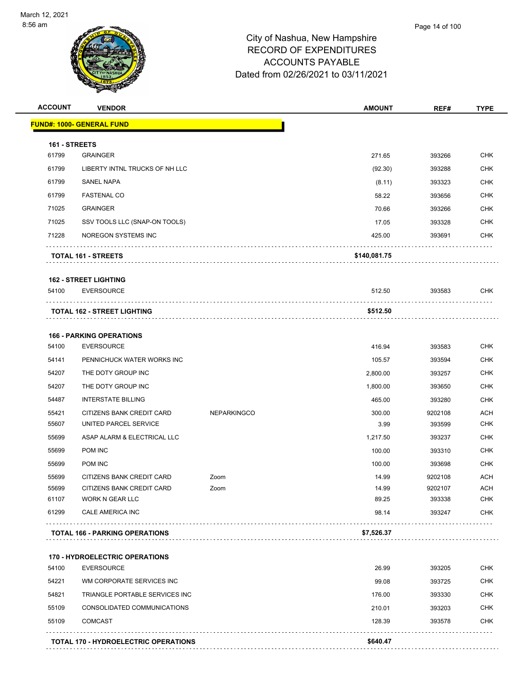

| <b>ACCOUNT</b> | <b>VENDOR</b>                                              |                    | <b>AMOUNT</b>  | REF#              | <b>TYPE</b>              |
|----------------|------------------------------------------------------------|--------------------|----------------|-------------------|--------------------------|
|                | <u> FUND#: 1000- GENERAL FUND</u>                          |                    |                |                   |                          |
| 161 - STREETS  |                                                            |                    |                |                   |                          |
| 61799          | <b>GRAINGER</b>                                            |                    | 271.65         | 393266            | <b>CHK</b>               |
| 61799          | LIBERTY INTNL TRUCKS OF NH LLC                             |                    | (92.30)        | 393288            | <b>CHK</b>               |
| 61799          | <b>SANEL NAPA</b>                                          |                    | (8.11)         | 393323            | <b>CHK</b>               |
| 61799          | <b>FASTENAL CO</b>                                         |                    | 58.22          | 393656            | <b>CHK</b>               |
| 71025          | <b>GRAINGER</b>                                            |                    | 70.66          | 393266            | <b>CHK</b>               |
| 71025          | SSV TOOLS LLC (SNAP-ON TOOLS)                              |                    | 17.05          | 393328            | <b>CHK</b>               |
| 71228          | NOREGON SYSTEMS INC                                        |                    | 425.00         | 393691            | <b>CHK</b>               |
|                | TOTAL 161 - STREETS                                        |                    | \$140,081.75   |                   |                          |
|                | <b>162 - STREET LIGHTING</b>                               |                    |                |                   |                          |
| 54100          | <b>EVERSOURCE</b>                                          |                    | 512.50         | 393583            | <b>CHK</b>               |
|                | <b>TOTAL 162 - STREET LIGHTING</b>                         |                    | \$512.50       |                   |                          |
|                |                                                            |                    |                |                   |                          |
| 54100          | <b>166 - PARKING OPERATIONS</b><br><b>EVERSOURCE</b>       |                    |                |                   |                          |
|                |                                                            |                    | 416.94         | 393583            | <b>CHK</b>               |
| 54141          | PENNICHUCK WATER WORKS INC                                 |                    | 105.57         | 393594            | <b>CHK</b><br><b>CHK</b> |
| 54207<br>54207 | THE DOTY GROUP INC                                         |                    | 2,800.00       | 393257            | <b>CHK</b>               |
| 54487          | THE DOTY GROUP INC                                         |                    | 1,800.00       | 393650            | <b>CHK</b>               |
| 55421          | <b>INTERSTATE BILLING</b>                                  |                    | 465.00         | 393280            | <b>ACH</b>               |
| 55607          | CITIZENS BANK CREDIT CARD<br>UNITED PARCEL SERVICE         | <b>NEPARKINGCO</b> | 300.00<br>3.99 | 9202108<br>393599 | <b>CHK</b>               |
| 55699          | ASAP ALARM & ELECTRICAL LLC                                |                    | 1,217.50       | 393237            | <b>CHK</b>               |
| 55699          | POM INC                                                    |                    | 100.00         | 393310            | <b>CHK</b>               |
| 55699          | POM INC                                                    |                    | 100.00         | 393698            | <b>CHK</b>               |
| 55699          | CITIZENS BANK CREDIT CARD                                  | Zoom               | 14.99          | 9202108           | ACH                      |
| 55699          | CITIZENS BANK CREDIT CARD                                  | Zoom               | 14.99          | 9202107           | <b>ACH</b>               |
| 61107          | WORK N GEAR LLC                                            |                    | 89.25          | 393338            | <b>CHK</b>               |
| 61299          | CALE AMERICA INC                                           |                    | 98.14          | 393247            | <b>CHK</b>               |
|                | <b>TOTAL 166 - PARKING OPERATIONS</b>                      |                    | \$7,526.37     |                   | .                        |
|                |                                                            |                    |                |                   |                          |
| 54100          | <b>170 - HYDROELECTRIC OPERATIONS</b><br><b>EVERSOURCE</b> |                    | 26.99          | 393205            | <b>CHK</b>               |
| 54221          | WM CORPORATE SERVICES INC                                  |                    | 99.08          | 393725            | CHK                      |
| 54821          | TRIANGLE PORTABLE SERVICES INC                             |                    | 176.00         | 393330            | <b>CHK</b>               |
| 55109          | CONSOLIDATED COMMUNICATIONS                                |                    | 210.01         | 393203            | <b>CHK</b>               |
|                | <b>COMCAST</b>                                             |                    | 128.39         | 393578            | <b>CHK</b>               |

**TOTAL 170 - HYDROELECTRIC OPERATIONS \$640.47**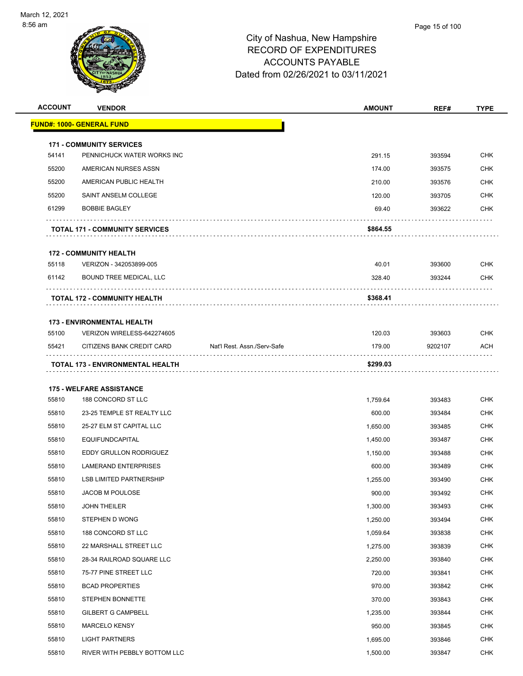

| <b>ACCOUNT</b> | <b>VENDOR</b>                                                 |                             | <b>AMOUNT</b> | REF#    | <b>TYPE</b> |
|----------------|---------------------------------------------------------------|-----------------------------|---------------|---------|-------------|
|                | <b>FUND#: 1000- GENERAL FUND</b>                              |                             |               |         |             |
|                |                                                               |                             |               |         |             |
| 54141          | <b>171 - COMMUNITY SERVICES</b><br>PENNICHUCK WATER WORKS INC |                             | 291.15        | 393594  | <b>CHK</b>  |
| 55200          | AMERICAN NURSES ASSN                                          |                             | 174.00        | 393575  | <b>CHK</b>  |
| 55200          | AMERICAN PUBLIC HEALTH                                        |                             | 210.00        | 393576  | <b>CHK</b>  |
| 55200          | SAINT ANSELM COLLEGE                                          |                             | 120.00        | 393705  | <b>CHK</b>  |
| 61299          | <b>BOBBIE BAGLEY</b>                                          |                             | 69.40         | 393622  | CHK         |
|                |                                                               |                             |               |         |             |
|                | <b>TOTAL 171 - COMMUNITY SERVICES</b>                         |                             | \$864.55      |         |             |
|                | <b>172 - COMMUNITY HEALTH</b>                                 |                             |               |         |             |
| 55118          | VERIZON - 342053899-005                                       |                             | 40.01         | 393600  | <b>CHK</b>  |
| 61142          | <b>BOUND TREE MEDICAL, LLC</b>                                |                             | 328.40        | 393244  | <b>CHK</b>  |
|                | <b>TOTAL 172 - COMMUNITY HEALTH</b>                           |                             | \$368.41      |         |             |
|                |                                                               |                             |               |         |             |
|                | <b>173 - ENVIRONMENTAL HEALTH</b>                             |                             |               |         |             |
| 55100          | VERIZON WIRELESS-642274605                                    |                             | 120.03        | 393603  | <b>CHK</b>  |
| 55421          | CITIZENS BANK CREDIT CARD                                     | Nat'l Rest. Assn./Serv-Safe | 179.00        | 9202107 | ACH         |
|                | TOTAL 173 - ENVIRONMENTAL HEALTH                              |                             | \$299.03      |         |             |
|                | <b>175 - WELFARE ASSISTANCE</b>                               |                             |               |         |             |
| 55810          | 188 CONCORD ST LLC                                            |                             | 1,759.64      | 393483  | <b>CHK</b>  |
| 55810          | 23-25 TEMPLE ST REALTY LLC                                    |                             | 600.00        | 393484  | <b>CHK</b>  |
| 55810          | 25-27 ELM ST CAPITAL LLC                                      |                             | 1,650.00      | 393485  | <b>CHK</b>  |
| 55810          | <b>EQUIFUNDCAPITAL</b>                                        |                             | 1,450.00      | 393487  | <b>CHK</b>  |
| 55810          | EDDY GRULLON RODRIGUEZ                                        |                             | 1,150.00      | 393488  | <b>CHK</b>  |
| 55810          | <b>LAMERAND ENTERPRISES</b>                                   |                             | 600.00        | 393489  | <b>CHK</b>  |
| 55810          | <b>LSB LIMITED PARTNERSHIP</b>                                |                             | 1,255.00      | 393490  | CHK         |
| 55810          | JACOB M POULOSE                                               |                             | 900.00        | 393492  | <b>CHK</b>  |
| 55810          | <b>JOHN THEILER</b>                                           |                             | 1,300.00      | 393493  | <b>CHK</b>  |
| 55810          | STEPHEN D WONG                                                |                             | 1,250.00      | 393494  | <b>CHK</b>  |
| 55810          | 188 CONCORD ST LLC                                            |                             | 1,059.64      | 393838  | <b>CHK</b>  |
| 55810          | 22 MARSHALL STREET LLC                                        |                             | 1,275.00      | 393839  | <b>CHK</b>  |
| 55810          | 28-34 RAILROAD SQUARE LLC                                     |                             | 2,250.00      | 393840  | <b>CHK</b>  |
| 55810          | 75-77 PINE STREET LLC                                         |                             | 720.00        | 393841  | <b>CHK</b>  |
| 55810          | <b>BCAD PROPERTIES</b>                                        |                             | 970.00        | 393842  | <b>CHK</b>  |
| 55810          | STEPHEN BONNETTE                                              |                             | 370.00        | 393843  | <b>CHK</b>  |
| 55810          | GILBERT G CAMPBELL                                            |                             | 1,235.00      | 393844  | <b>CHK</b>  |
| 55810          | <b>MARCELO KENSY</b>                                          |                             | 950.00        | 393845  | <b>CHK</b>  |
| 55810          | <b>LIGHT PARTNERS</b>                                         |                             | 1,695.00      | 393846  | <b>CHK</b>  |
| 55810          | RIVER WITH PEBBLY BOTTOM LLC                                  |                             | 1,500.00      | 393847  | <b>CHK</b>  |
|                |                                                               |                             |               |         |             |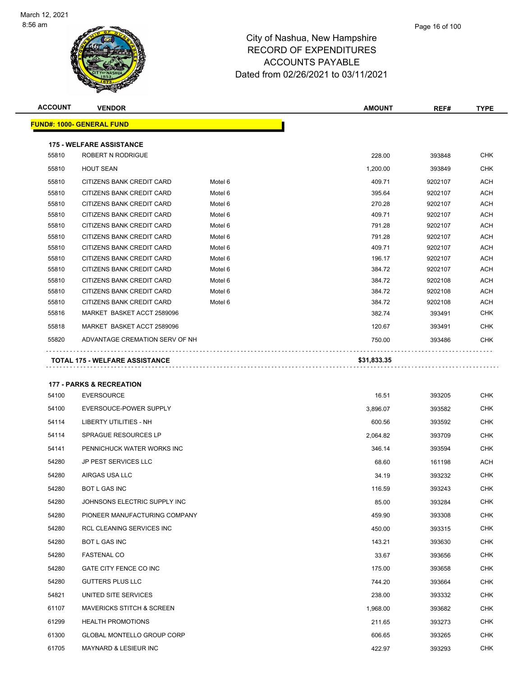

| <b>ACCOUNT</b> | <b>VENDOR</b>                                          |                    | <b>AMOUNT</b>    | REF#               | <b>TYPE</b> |
|----------------|--------------------------------------------------------|--------------------|------------------|--------------------|-------------|
|                | <b>FUND#: 1000- GENERAL FUND</b>                       |                    |                  |                    |             |
|                |                                                        |                    |                  |                    |             |
|                | <b>175 - WELFARE ASSISTANCE</b>                        |                    |                  |                    |             |
| 55810          | ROBERT N RODRIGUE                                      |                    | 228.00           | 393848             | <b>CHK</b>  |
| 55810          | <b>HOUT SEAN</b>                                       |                    | 1,200.00         | 393849             | <b>CHK</b>  |
| 55810          | CITIZENS BANK CREDIT CARD                              | Motel 6            | 409.71           | 9202107            | ACH         |
| 55810          | CITIZENS BANK CREDIT CARD                              | Motel 6            | 395.64           | 9202107            | <b>ACH</b>  |
| 55810          | CITIZENS BANK CREDIT CARD                              | Motel 6            | 270.28           | 9202107            | ACH         |
| 55810          | CITIZENS BANK CREDIT CARD                              | Motel 6            | 409.71           | 9202107            | <b>ACH</b>  |
| 55810          | CITIZENS BANK CREDIT CARD                              | Motel 6            | 791.28           | 9202107            | ACH         |
| 55810          | CITIZENS BANK CREDIT CARD                              | Motel 6            | 791.28           | 9202107            | ACH         |
| 55810          | CITIZENS BANK CREDIT CARD                              | Motel 6            | 409.71           | 9202107            | <b>ACH</b>  |
| 55810<br>55810 | CITIZENS BANK CREDIT CARD<br>CITIZENS BANK CREDIT CARD | Motel 6<br>Motel 6 | 196.17<br>384.72 | 9202107<br>9202107 | ACH<br>ACH  |
| 55810          | CITIZENS BANK CREDIT CARD                              | Motel 6            | 384.72           | 9202108            | ACH         |
| 55810          | CITIZENS BANK CREDIT CARD                              | Motel 6            | 384.72           | 9202108            | ACH         |
| 55810          | CITIZENS BANK CREDIT CARD                              | Motel <sub>6</sub> | 384.72           | 9202108            | <b>ACH</b>  |
| 55816          | MARKET BASKET ACCT 2589096                             |                    | 382.74           | 393491             | CHK         |
| 55818          | MARKET BASKET ACCT 2589096                             |                    | 120.67           | 393491             | CHK         |
| 55820          | ADVANTAGE CREMATION SERV OF NH                         |                    | 750.00           | 393486             | <b>CHK</b>  |
|                |                                                        |                    |                  |                    |             |
|                | <b>TOTAL 175 - WELFARE ASSISTANCE</b>                  |                    | \$31,833.35      |                    |             |
|                | <b>177 - PARKS &amp; RECREATION</b>                    |                    |                  |                    |             |
| 54100          | <b>EVERSOURCE</b>                                      |                    | 16.51            | 393205             | CHK         |
| 54100          | EVERSOUCE-POWER SUPPLY                                 |                    | 3,896.07         | 393582             | <b>CHK</b>  |
| 54114          | LIBERTY UTILITIES - NH                                 |                    | 600.56           | 393592             | CHK         |
| 54114          | SPRAGUE RESOURCES LP                                   |                    | 2,064.82         | 393709             | <b>CHK</b>  |
| 54141          | PENNICHUCK WATER WORKS INC                             |                    | 346.14           | 393594             | <b>CHK</b>  |
| 54280          | <b>JP PEST SERVICES LLC</b>                            |                    | 68.60            | 161198             | ACH         |
| 54280          | AIRGAS USA LLC                                         |                    | 34.19            | 393232             | CHK         |
| 54280          | BOT L GAS INC                                          |                    | 116.59           | 393243             | <b>CHK</b>  |
| 54280          | JOHNSONS ELECTRIC SUPPLY INC                           |                    | 85.00            | 393284             | <b>CHK</b>  |
| 54280          | PIONEER MANUFACTURING COMPANY                          |                    | 459.90           | 393308             | <b>CHK</b>  |
| 54280          | RCL CLEANING SERVICES INC                              |                    | 450.00           | 393315             | <b>CHK</b>  |
| 54280          | BOT L GAS INC                                          |                    | 143.21           | 393630             | <b>CHK</b>  |

Page 16 of 100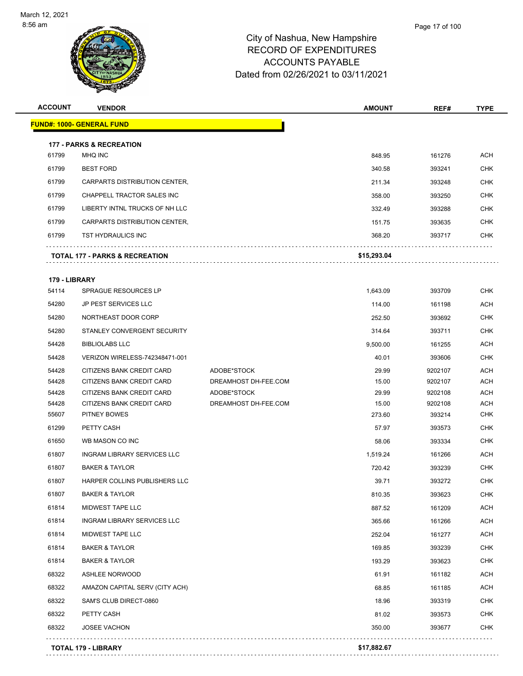

**ACCOUNT VENDOR AMOUNT REF# TYPE**

|       | Page 17 of 100 |
|-------|----------------|
| shire |                |

| 61799          | <b>MHQ INC</b>                                         |                                     | 848.95         | 161276             | <b>ACH</b>               |
|----------------|--------------------------------------------------------|-------------------------------------|----------------|--------------------|--------------------------|
| 61799          | <b>BEST FORD</b>                                       |                                     | 340.58         | 393241             | <b>CHK</b>               |
| 61799          | CARPARTS DISTRIBUTION CENTER,                          |                                     | 211.34         | 393248             | <b>CHK</b>               |
| 61799          | CHAPPELL TRACTOR SALES INC                             |                                     | 358.00         | 393250             | CHK                      |
| 61799          | LIBERTY INTNL TRUCKS OF NH LLC                         |                                     | 332.49         | 393288             | CHK                      |
| 61799          | CARPARTS DISTRIBUTION CENTER,                          |                                     | 151.75         | 393635             | <b>CHK</b>               |
| 61799          | <b>TST HYDRAULICS INC</b>                              |                                     | 368.20         | 393717             | CHK                      |
|                |                                                        |                                     |                |                    |                          |
|                | <b>TOTAL 177 - PARKS &amp; RECREATION</b>              |                                     | \$15,293.04    |                    |                          |
| 179 - LIBRARY  |                                                        |                                     |                |                    |                          |
| 54114          | <b>SPRAGUE RESOURCES LP</b>                            |                                     | 1,643.09       | 393709             | <b>CHK</b>               |
| 54280          | JP PEST SERVICES LLC                                   |                                     | 114.00         | 161198             | ACH                      |
| 54280          | NORTHEAST DOOR CORP                                    |                                     | 252.50         | 393692             | CHK                      |
| 54280          | STANLEY CONVERGENT SECURITY                            |                                     | 314.64         | 393711             | <b>CHK</b>               |
| 54428          | <b>BIBLIOLABS LLC</b>                                  |                                     | 9,500.00       | 161255             | ACH                      |
| 54428          | VERIZON WIRELESS-742348471-001                         |                                     | 40.01          | 393606             | <b>CHK</b>               |
| 54428<br>54428 | CITIZENS BANK CREDIT CARD<br>CITIZENS BANK CREDIT CARD | ADOBE*STOCK<br>DREAMHOST DH-FEE.COM | 29.99<br>15.00 | 9202107<br>9202107 | <b>ACH</b><br><b>ACH</b> |
| 54428          | CITIZENS BANK CREDIT CARD                              | ADOBE*STOCK                         | 29.99          | 9202108            | ACH                      |
| 54428          | CITIZENS BANK CREDIT CARD                              | DREAMHOST DH-FEE.COM                | 15.00          | 9202108            | ACH                      |
| 55607          | <b>PITNEY BOWES</b>                                    |                                     | 273.60         | 393214             | CHK                      |
| 61299          | PETTY CASH                                             |                                     | 57.97          | 393573             | <b>CHK</b>               |
| 61650          | WB MASON CO INC                                        |                                     | 58.06          | 393334             | <b>CHK</b>               |
| 61807          | INGRAM LIBRARY SERVICES LLC                            |                                     | 1,519.24       | 161266             | ACH                      |
| 61807          | <b>BAKER &amp; TAYLOR</b>                              |                                     | 720.42         | 393239             | <b>CHK</b>               |
| 61807          | HARPER COLLINS PUBLISHERS LLC                          |                                     | 39.71          | 393272             | CHK                      |
| 61807          | <b>BAKER &amp; TAYLOR</b>                              |                                     | 810.35         | 393623             | <b>CHK</b>               |
| 61814          | MIDWEST TAPE LLC                                       |                                     | 887.52         | 161209             | <b>ACH</b>               |
| 61814          | INGRAM LIBRARY SERVICES LLC                            |                                     | 365.66         | 161266             | <b>ACH</b>               |
| 61814          | MIDWEST TAPE LLC                                       |                                     | 252.04         | 161277             | <b>ACH</b>               |
| 61814          | <b>BAKER &amp; TAYLOR</b>                              |                                     | 169.85         | 393239             | CHK                      |
| 61814          | <b>BAKER &amp; TAYLOR</b>                              |                                     | 193.29         | 393623             | <b>CHK</b>               |
| 68322          | ASHLEE NORWOOD                                         |                                     | 61.91          | 161182             | <b>ACH</b>               |
| 68322          | AMAZON CAPITAL SERV (CITY ACH)                         |                                     | 68.85          | 161185             | <b>ACH</b>               |
| 68322          | SAM'S CLUB DIRECT-0860                                 |                                     | 18.96          | 393319             | <b>CHK</b>               |
| 68322          | PETTY CASH                                             |                                     | 81.02          | 393573             | CHK                      |
| 68322          | <b>JOSEE VACHON</b>                                    |                                     | 350.00         | 393677             | <b>CHK</b>               |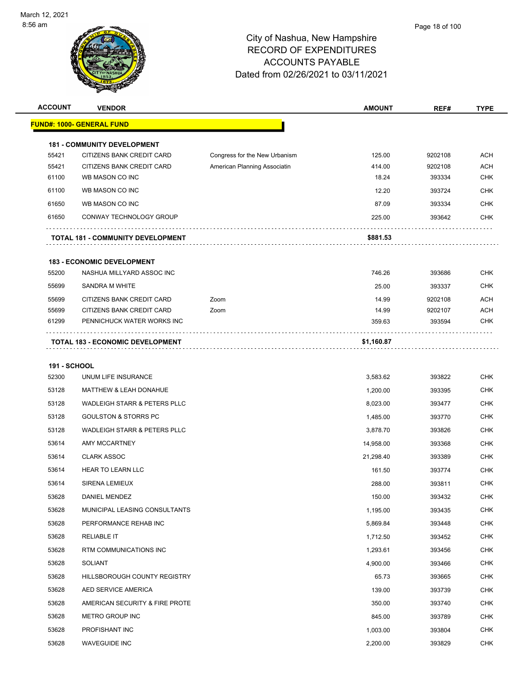| <b>ACCOUNT</b>      | <b>VENDOR</b>                            |                               | <b>AMOUNT</b> | REF#    | <b>TYPE</b> |
|---------------------|------------------------------------------|-------------------------------|---------------|---------|-------------|
|                     | <b>FUND#: 1000- GENERAL FUND</b>         |                               |               |         |             |
|                     | <b>181 - COMMUNITY DEVELOPMENT</b>       |                               |               |         |             |
| 55421               | CITIZENS BANK CREDIT CARD                | Congress for the New Urbanism | 125.00        | 9202108 | <b>ACH</b>  |
| 55421               | CITIZENS BANK CREDIT CARD                | American Planning Associatin  | 414.00        | 9202108 | <b>ACH</b>  |
| 61100               | WB MASON CO INC                          |                               | 18.24         | 393334  | <b>CHK</b>  |
| 61100               | WB MASON CO INC                          |                               | 12.20         | 393724  | <b>CHK</b>  |
| 61650               | WB MASON CO INC                          |                               | 87.09         | 393334  | <b>CHK</b>  |
| 61650               | CONWAY TECHNOLOGY GROUP                  |                               | 225.00        | 393642  | <b>CHK</b>  |
|                     | <b>TOTAL 181 - COMMUNITY DEVELOPMENT</b> |                               | \$881.53      |         |             |
|                     | <b>183 - ECONOMIC DEVELOPMENT</b>        |                               |               |         |             |
| 55200               | NASHUA MILLYARD ASSOC INC                |                               | 746.26        | 393686  | <b>CHK</b>  |
| 55699               | SANDRA M WHITE                           |                               | 25.00         | 393337  | <b>CHK</b>  |
| 55699               | CITIZENS BANK CREDIT CARD                | Zoom                          | 14.99         | 9202108 | <b>ACH</b>  |
| 55699               | CITIZENS BANK CREDIT CARD                | Zoom                          | 14.99         | 9202107 | <b>ACH</b>  |
| 61299               | PENNICHUCK WATER WORKS INC               |                               | 359.63        | 393594  | <b>CHK</b>  |
|                     | <b>TOTAL 183 - ECONOMIC DEVELOPMENT</b>  |                               | \$1,160.87    |         |             |
| <b>191 - SCHOOL</b> |                                          |                               |               |         |             |
| 52300               | UNUM LIFE INSURANCE                      |                               | 3,583.62      | 393822  | <b>CHK</b>  |
| 53128               | <b>MATTHEW &amp; LEAH DONAHUE</b>        |                               | 1,200.00      | 393395  | <b>CHK</b>  |
| 53128               | WADLEIGH STARR & PETERS PLLC             |                               | 8,023.00      | 393477  | <b>CHK</b>  |
| 53128               | <b>GOULSTON &amp; STORRS PC</b>          |                               | 1,485.00      | 393770  | <b>CHK</b>  |
| 53128               | <b>WADLEIGH STARR &amp; PETERS PLLC</b>  |                               | 3,878.70      | 393826  | <b>CHK</b>  |
| 53614               | AMY MCCARTNEY                            |                               | 14,958.00     | 393368  | <b>CHK</b>  |
| 53614               | <b>CLARK ASSOC</b>                       |                               | 21,298.40     | 393389  | <b>CHK</b>  |
| 53614               | <b>HEAR TO LEARN LLC</b>                 |                               | 161.50        | 393774  | <b>CHK</b>  |
| 53614               | SIRENA LEMIEUX                           |                               | 288.00        | 393811  | <b>CHK</b>  |
| 53628               | DANIEL MENDEZ                            |                               | 150.00        | 393432  | <b>CHK</b>  |
| 53628               | MUNICIPAL LEASING CONSULTANTS            |                               | 1,195.00      | 393435  | <b>CHK</b>  |
| 53628               | PERFORMANCE REHAB INC                    |                               | 5,869.84      | 393448  | <b>CHK</b>  |
| 53628               | <b>RELIABLE IT</b>                       |                               | 1,712.50      | 393452  | <b>CHK</b>  |
| 53628               | RTM COMMUNICATIONS INC                   |                               | 1,293.61      | 393456  | <b>CHK</b>  |
| 53628               | SOLIANT                                  |                               | 4,900.00      | 393466  | <b>CHK</b>  |
| 53628               | HILLSBOROUGH COUNTY REGISTRY             |                               | 65.73         | 393665  | <b>CHK</b>  |
| 53628               | AED SERVICE AMERICA                      |                               | 139.00        | 393739  | <b>CHK</b>  |
| 53628               | AMERICAN SECURITY & FIRE PROTE           |                               | 350.00        | 393740  | <b>CHK</b>  |
|                     |                                          |                               |               |         |             |
| 53628               | METRO GROUP INC                          |                               | 845.00        | 393789  | CHK         |
| 53628               | PROFISHANT INC                           |                               | 1,003.00      | 393804  | <b>CHK</b>  |
| 53628               | <b>WAVEGUIDE INC</b>                     |                               | 2,200.00      | 393829  | <b>CHK</b>  |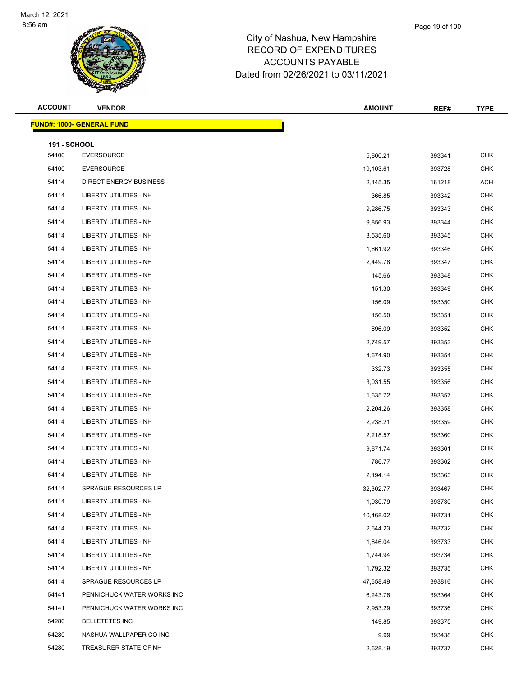

| <b>ACCOUNT</b>               | <b>VENDOR</b>                     | <b>AMOUNT</b> | REF#   | <b>TYPE</b> |
|------------------------------|-----------------------------------|---------------|--------|-------------|
|                              | <u> FUND#: 1000- GENERAL FUND</u> |               |        |             |
|                              |                                   |               |        |             |
| <b>191 - SCHOOL</b><br>54100 | <b>EVERSOURCE</b>                 | 5,800.21      | 393341 | <b>CHK</b>  |
| 54100                        | <b>EVERSOURCE</b>                 | 19,103.61     | 393728 | <b>CHK</b>  |
| 54114                        | DIRECT ENERGY BUSINESS            | 2,145.35      | 161218 | ACH         |
| 54114                        | LIBERTY UTILITIES - NH            | 366.85        | 393342 | <b>CHK</b>  |
| 54114                        | LIBERTY UTILITIES - NH            | 9,286.75      | 393343 | <b>CHK</b>  |
| 54114                        | <b>LIBERTY UTILITIES - NH</b>     | 9,856.93      | 393344 | <b>CHK</b>  |
| 54114                        | LIBERTY UTILITIES - NH            | 3,535.60      | 393345 | <b>CHK</b>  |
| 54114                        | LIBERTY UTILITIES - NH            | 1,661.92      | 393346 | <b>CHK</b>  |
| 54114                        | LIBERTY UTILITIES - NH            | 2,449.78      | 393347 | <b>CHK</b>  |
| 54114                        | <b>LIBERTY UTILITIES - NH</b>     | 145.66        | 393348 | <b>CHK</b>  |
| 54114                        | LIBERTY UTILITIES - NH            | 151.30        | 393349 | <b>CHK</b>  |
| 54114                        | LIBERTY UTILITIES - NH            | 156.09        | 393350 | <b>CHK</b>  |
| 54114                        | LIBERTY UTILITIES - NH            | 156.50        | 393351 | <b>CHK</b>  |
| 54114                        | LIBERTY UTILITIES - NH            | 696.09        | 393352 | <b>CHK</b>  |
| 54114                        | LIBERTY UTILITIES - NH            | 2,749.57      | 393353 | <b>CHK</b>  |
| 54114                        | LIBERTY UTILITIES - NH            | 4,674.90      | 393354 | <b>CHK</b>  |
| 54114                        | LIBERTY UTILITIES - NH            | 332.73        | 393355 | <b>CHK</b>  |
| 54114                        | LIBERTY UTILITIES - NH            | 3,031.55      | 393356 | <b>CHK</b>  |
| 54114                        | LIBERTY UTILITIES - NH            | 1,635.72      | 393357 | <b>CHK</b>  |
| 54114                        | LIBERTY UTILITIES - NH            | 2,204.26      | 393358 | <b>CHK</b>  |
| 54114                        | LIBERTY UTILITIES - NH            | 2,238.21      | 393359 | <b>CHK</b>  |
| 54114                        | <b>LIBERTY UTILITIES - NH</b>     | 2,218.57      | 393360 | <b>CHK</b>  |
| 54114                        | LIBERTY UTILITIES - NH            | 9,871.74      | 393361 | <b>CHK</b>  |
| 54114                        | <b>LIBERTY UTILITIES - NH</b>     | 786.77        | 393362 | <b>CHK</b>  |
| 54114                        | <b>LIBERTY UTILITIES - NH</b>     | 2,194.14      | 393363 | <b>CHK</b>  |
| 54114                        | SPRAGUE RESOURCES LP              | 32,302.77     | 393467 | CHK         |
| 54114                        | <b>LIBERTY UTILITIES - NH</b>     | 1,930.79      | 393730 | <b>CHK</b>  |
| 54114                        | LIBERTY UTILITIES - NH            | 10,468.02     | 393731 | <b>CHK</b>  |
| 54114                        | LIBERTY UTILITIES - NH            | 2,644.23      | 393732 | <b>CHK</b>  |
| 54114                        | LIBERTY UTILITIES - NH            | 1,846.04      | 393733 | CHK         |
| 54114                        | <b>LIBERTY UTILITIES - NH</b>     | 1,744.94      | 393734 | <b>CHK</b>  |
| 54114                        | LIBERTY UTILITIES - NH            | 1,792.32      | 393735 | CHK         |
| 54114                        | SPRAGUE RESOURCES LP              | 47,658.49     | 393816 | <b>CHK</b>  |
| 54141                        | PENNICHUCK WATER WORKS INC        | 6,243.76      | 393364 | <b>CHK</b>  |
| 54141                        | PENNICHUCK WATER WORKS INC        | 2,953.29      | 393736 | CHK         |
| 54280                        | <b>BELLETETES INC</b>             | 149.85        | 393375 | <b>CHK</b>  |
| 54280                        | NASHUA WALLPAPER CO INC           | 9.99          | 393438 | <b>CHK</b>  |
| 54280                        | TREASURER STATE OF NH             | 2,628.19      | 393737 | <b>CHK</b>  |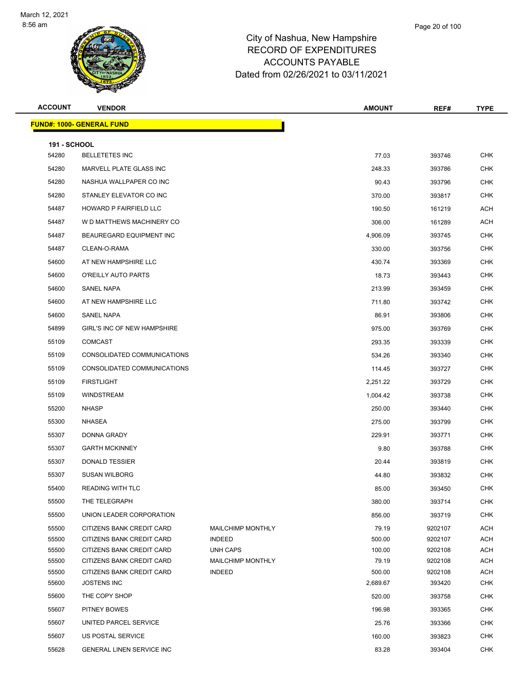

| <b>ACCOUNT</b>               | <b>VENDOR</b>                                   |                          | <b>AMOUNT</b> | REF#    | <b>TYPE</b>       |
|------------------------------|-------------------------------------------------|--------------------------|---------------|---------|-------------------|
|                              | <b>FUND#: 1000- GENERAL FUND</b>                |                          |               |         |                   |
|                              |                                                 |                          |               |         |                   |
| <b>191 - SCHOOL</b><br>54280 | <b>BELLETETES INC</b>                           |                          | 77.03         | 393746  | <b>CHK</b>        |
| 54280                        | MARVELL PLATE GLASS INC                         |                          |               |         | <b>CHK</b>        |
|                              |                                                 |                          | 248.33        | 393786  |                   |
| 54280                        | NASHUA WALLPAPER CO INC                         |                          | 90.43         | 393796  | <b>CHK</b>        |
| 54280                        | STANLEY ELEVATOR CO INC                         |                          | 370.00        | 393817  | <b>CHK</b>        |
| 54487                        | HOWARD P FAIRFIELD LLC                          |                          | 190.50        | 161219  | ACH               |
| 54487                        | W D MATTHEWS MACHINERY CO                       |                          | 306.00        | 161289  | ACH               |
| 54487                        | BEAUREGARD EQUIPMENT INC                        |                          | 4,906.09      | 393745  | <b>CHK</b>        |
| 54487                        | CLEAN-O-RAMA                                    |                          | 330.00        | 393756  | CHK               |
| 54600                        | AT NEW HAMPSHIRE LLC                            |                          | 430.74        | 393369  | <b>CHK</b>        |
| 54600                        | O'REILLY AUTO PARTS                             |                          | 18.73         | 393443  | <b>CHK</b>        |
| 54600                        | <b>SANEL NAPA</b>                               |                          | 213.99        | 393459  | <b>CHK</b>        |
| 54600                        | AT NEW HAMPSHIRE LLC                            |                          | 711.80        | 393742  | <b>CHK</b>        |
| 54600                        | SANEL NAPA                                      |                          | 86.91         | 393806  | <b>CHK</b>        |
| 54899                        | GIRL'S INC OF NEW HAMPSHIRE                     |                          | 975.00        | 393769  | <b>CHK</b>        |
| 55109                        | <b>COMCAST</b>                                  |                          | 293.35        | 393339  | <b>CHK</b>        |
| 55109                        | CONSOLIDATED COMMUNICATIONS                     |                          | 534.26        | 393340  | <b>CHK</b>        |
| 55109                        | CONSOLIDATED COMMUNICATIONS                     |                          | 114.45        | 393727  | <b>CHK</b>        |
| 55109                        | <b>FIRSTLIGHT</b>                               |                          | 2,251.22      | 393729  | <b>CHK</b>        |
| 55109                        | <b>WINDSTREAM</b>                               |                          | 1,004.42      | 393738  | <b>CHK</b>        |
| 55200                        | <b>NHASP</b>                                    |                          | 250.00        | 393440  | <b>CHK</b>        |
| 55300                        | NHASEA                                          |                          | 275.00        | 393799  | <b>CHK</b>        |
| 55307                        | DONNA GRADY                                     |                          | 229.91        | 393771  | <b>CHK</b>        |
| 55307                        | <b>GARTH MCKINNEY</b>                           |                          | 9.80          | 393788  | <b>CHK</b>        |
| 55307                        | <b>DONALD TESSIER</b>                           |                          | 20.44         | 393819  | <b>CHK</b>        |
| 55307                        | <b>SUSAN WILBORG</b>                            |                          | 44.80         | 393832  | <b>CHK</b>        |
| 55400                        | <b>READING WITH TLC</b>                         |                          | 85.00         | 393450  | CHK               |
| 55500                        | THE TELEGRAPH                                   |                          | 380.00        | 393714  | <b>CHK</b>        |
| 55500                        | UNION LEADER CORPORATION                        |                          | 856.00        | 393719  | <b>CHK</b>        |
| 55500                        | CITIZENS BANK CREDIT CARD                       | <b>MAILCHIMP MONTHLY</b> | 79.19         | 9202107 | ACH               |
| 55500                        | CITIZENS BANK CREDIT CARD                       | <b>INDEED</b>            | 500.00        | 9202107 | ACH               |
| 55500                        | CITIZENS BANK CREDIT CARD                       | <b>UNH CAPS</b>          | 100.00        | 9202108 | ACH               |
| 55500                        | CITIZENS BANK CREDIT CARD                       | <b>MAILCHIMP MONTHLY</b> | 79.19         | 9202108 | ACH               |
| 55500<br>55600               | CITIZENS BANK CREDIT CARD<br><b>JOSTENS INC</b> | <b>INDEED</b>            | 500.00        | 9202108 | ACH<br><b>CHK</b> |
|                              |                                                 |                          | 2,689.67      | 393420  |                   |
| 55600                        | THE COPY SHOP                                   |                          | 520.00        | 393758  | <b>CHK</b>        |
| 55607                        | PITNEY BOWES                                    |                          | 196.98        | 393365  | <b>CHK</b>        |
| 55607                        | UNITED PARCEL SERVICE                           |                          | 25.76         | 393366  | <b>CHK</b>        |
| 55607                        | US POSTAL SERVICE                               |                          | 160.00        | 393823  | <b>CHK</b>        |
| 55628                        | GENERAL LINEN SERVICE INC                       |                          | 83.28         | 393404  | <b>CHK</b>        |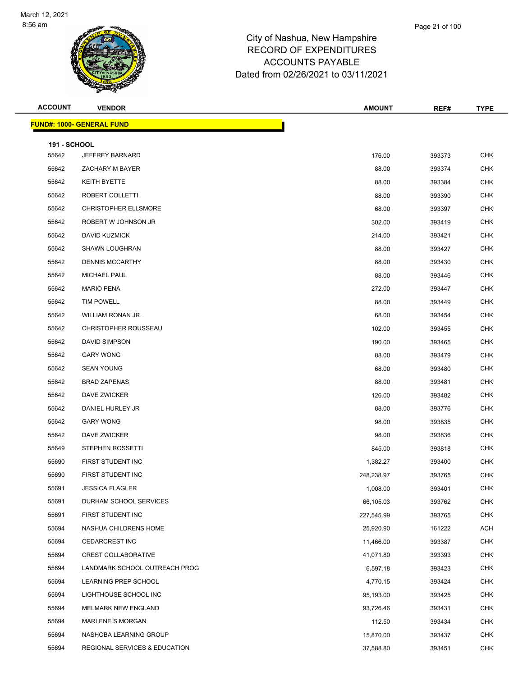

| <b>ACCOUNT</b>               | <b>VENDOR</b>                    | <b>AMOUNT</b> | REF#   | <b>TYPE</b> |
|------------------------------|----------------------------------|---------------|--------|-------------|
|                              | <b>FUND#: 1000- GENERAL FUND</b> |               |        |             |
|                              |                                  |               |        |             |
| <b>191 - SCHOOL</b><br>55642 | JEFFREY BARNARD                  | 176.00        | 393373 | <b>CHK</b>  |
| 55642                        | ZACHARY M BAYER                  | 88.00         | 393374 | <b>CHK</b>  |
| 55642                        | KEITH BYETTE                     | 88.00         | 393384 | <b>CHK</b>  |
| 55642                        | ROBERT COLLETTI                  | 88.00         | 393390 | <b>CHK</b>  |
| 55642                        | <b>CHRISTOPHER ELLSMORE</b>      | 68.00         | 393397 | <b>CHK</b>  |
| 55642                        | ROBERT W JOHNSON JR              | 302.00        | 393419 | <b>CHK</b>  |
| 55642                        | DAVID KUZMICK                    | 214.00        | 393421 | <b>CHK</b>  |
| 55642                        | <b>SHAWN LOUGHRAN</b>            | 88.00         | 393427 | <b>CHK</b>  |
| 55642                        | <b>DENNIS MCCARTHY</b>           | 88.00         | 393430 | <b>CHK</b>  |
| 55642                        | <b>MICHAEL PAUL</b>              | 88.00         | 393446 | <b>CHK</b>  |
| 55642                        | <b>MARIO PENA</b>                | 272.00        | 393447 | <b>CHK</b>  |
| 55642                        | <b>TIM POWELL</b>                | 88.00         | 393449 | <b>CHK</b>  |
| 55642                        | WILLIAM RONAN JR.                | 68.00         | 393454 | <b>CHK</b>  |
| 55642                        | <b>CHRISTOPHER ROUSSEAU</b>      | 102.00        | 393455 | <b>CHK</b>  |
| 55642                        | DAVID SIMPSON                    | 190.00        | 393465 | <b>CHK</b>  |
| 55642                        | <b>GARY WONG</b>                 | 88.00         | 393479 | <b>CHK</b>  |
| 55642                        | <b>SEAN YOUNG</b>                | 68.00         | 393480 | <b>CHK</b>  |
| 55642                        | <b>BRAD ZAPENAS</b>              | 88.00         | 393481 | <b>CHK</b>  |
| 55642                        | DAVE ZWICKER                     | 126.00        | 393482 | <b>CHK</b>  |
| 55642                        | DANIEL HURLEY JR                 | 88.00         | 393776 | <b>CHK</b>  |
| 55642                        | <b>GARY WONG</b>                 | 98.00         | 393835 | <b>CHK</b>  |
| 55642                        | DAVE ZWICKER                     | 98.00         | 393836 | <b>CHK</b>  |
| 55649                        | STEPHEN ROSSETTI                 | 845.00        | 393818 | CHK         |
| 55690                        | FIRST STUDENT INC                | 1,382.27      | 393400 | <b>CHK</b>  |
| 55690                        | FIRST STUDENT INC                | 248,238.97    | 393765 | <b>CHK</b>  |
| 55691                        | <b>JESSICA FLAGLER</b>           | 1,008.00      | 393401 | CHK         |
| 55691                        | DURHAM SCHOOL SERVICES           | 66,105.03     | 393762 | <b>CHK</b>  |
| 55691                        | FIRST STUDENT INC                | 227,545.99    | 393765 | <b>CHK</b>  |
| 55694                        | NASHUA CHILDRENS HOME            | 25,920.90     | 161222 | ACH         |
| 55694                        | <b>CEDARCREST INC</b>            | 11,466.00     | 393387 | <b>CHK</b>  |
| 55694                        | <b>CREST COLLABORATIVE</b>       | 41,071.80     | 393393 | <b>CHK</b>  |
| 55694                        | LANDMARK SCHOOL OUTREACH PROG    | 6,597.18      | 393423 | <b>CHK</b>  |
| 55694                        | LEARNING PREP SCHOOL             | 4,770.15      | 393424 | <b>CHK</b>  |
| 55694                        | LIGHTHOUSE SCHOOL INC            | 95,193.00     | 393425 | <b>CHK</b>  |
| 55694                        | MELMARK NEW ENGLAND              | 93,726.46     | 393431 | <b>CHK</b>  |
| 55694                        | <b>MARLENE S MORGAN</b>          | 112.50        | 393434 | <b>CHK</b>  |
| 55694                        | NASHOBA LEARNING GROUP           | 15,870.00     | 393437 | <b>CHK</b>  |
| 55694                        | REGIONAL SERVICES & EDUCATION    | 37,588.80     | 393451 | <b>CHK</b>  |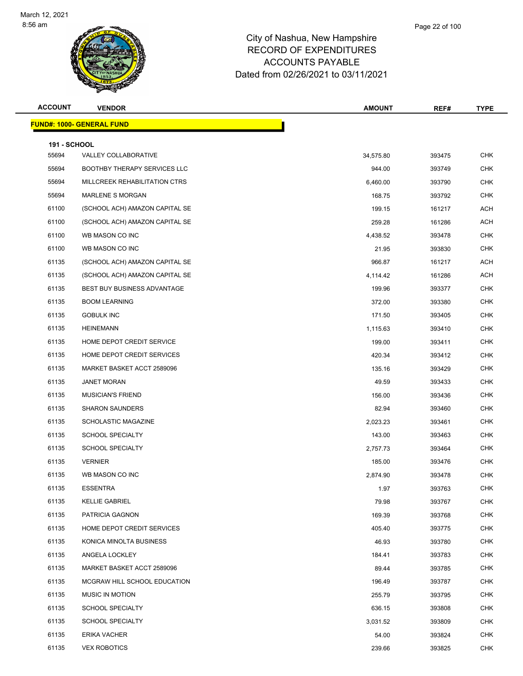

| <b>ACCOUNT</b>      | <b>VENDOR</b>                      | <b>AMOUNT</b> | REF#   | <b>TYPE</b> |
|---------------------|------------------------------------|---------------|--------|-------------|
|                     | <b>FUND#: 1000- GENERAL FUND</b>   |               |        |             |
| <b>191 - SCHOOL</b> |                                    |               |        |             |
| 55694               | VALLEY COLLABORATIVE               | 34,575.80     | 393475 | <b>CHK</b>  |
| 55694               | BOOTHBY THERAPY SERVICES LLC       | 944.00        | 393749 | <b>CHK</b>  |
| 55694               | MILLCREEK REHABILITATION CTRS      | 6,460.00      | 393790 | <b>CHK</b>  |
| 55694               | <b>MARLENE S MORGAN</b>            | 168.75        | 393792 | <b>CHK</b>  |
| 61100               | (SCHOOL ACH) AMAZON CAPITAL SE     | 199.15        | 161217 | <b>ACH</b>  |
| 61100               | (SCHOOL ACH) AMAZON CAPITAL SE     | 259.28        | 161286 | <b>ACH</b>  |
| 61100               | WB MASON CO INC                    | 4,438.52      | 393478 | <b>CHK</b>  |
| 61100               | WB MASON CO INC                    | 21.95         | 393830 | <b>CHK</b>  |
| 61135               | (SCHOOL ACH) AMAZON CAPITAL SE     | 966.87        | 161217 | <b>ACH</b>  |
| 61135               | (SCHOOL ACH) AMAZON CAPITAL SE     | 4,114.42      | 161286 | <b>ACH</b>  |
| 61135               | <b>BEST BUY BUSINESS ADVANTAGE</b> | 199.96        | 393377 | <b>CHK</b>  |
| 61135               | <b>BOOM LEARNING</b>               | 372.00        | 393380 | <b>CHK</b>  |
| 61135               | <b>GOBULK INC</b>                  | 171.50        | 393405 | <b>CHK</b>  |
| 61135               | <b>HEINEMANN</b>                   | 1,115.63      | 393410 | <b>CHK</b>  |
| 61135               | HOME DEPOT CREDIT SERVICE          | 199.00        | 393411 | <b>CHK</b>  |
| 61135               | HOME DEPOT CREDIT SERVICES         | 420.34        | 393412 | <b>CHK</b>  |
| 61135               | MARKET BASKET ACCT 2589096         | 135.16        | 393429 | <b>CHK</b>  |
| 61135               | <b>JANET MORAN</b>                 | 49.59         | 393433 | <b>CHK</b>  |
| 61135               | <b>MUSICIAN'S FRIEND</b>           | 156.00        | 393436 | <b>CHK</b>  |
| 61135               | <b>SHARON SAUNDERS</b>             | 82.94         | 393460 | <b>CHK</b>  |
| 61135               | SCHOLASTIC MAGAZINE                | 2,023.23      | 393461 | <b>CHK</b>  |
| 61135               | <b>SCHOOL SPECIALTY</b>            | 143.00        | 393463 | <b>CHK</b>  |
| 61135               | <b>SCHOOL SPECIALTY</b>            | 2,757.73      | 393464 | <b>CHK</b>  |
| 61135               | <b>VERNIER</b>                     | 185.00        | 393476 | <b>CHK</b>  |
| 61135               | WB MASON CO INC                    | 2,874.90      | 393478 | <b>CHK</b>  |
| 61135               | <b>ESSENTRA</b>                    | 1.97          | 393763 | <b>CHK</b>  |
| 61135               | <b>KELLIE GABRIEL</b>              | 79.98         | 393767 | CHK         |
| 61135               | PATRICIA GAGNON                    | 169.39        | 393768 | CHK         |
| 61135               | HOME DEPOT CREDIT SERVICES         | 405.40        | 393775 | <b>CHK</b>  |
| 61135               | KONICA MINOLTA BUSINESS            | 46.93         | 393780 | <b>CHK</b>  |
| 61135               | ANGELA LOCKLEY                     | 184.41        | 393783 | <b>CHK</b>  |
| 61135               | MARKET BASKET ACCT 2589096         | 89.44         | 393785 | <b>CHK</b>  |
| 61135               | MCGRAW HILL SCHOOL EDUCATION       | 196.49        | 393787 | <b>CHK</b>  |
| 61135               | <b>MUSIC IN MOTION</b>             | 255.79        | 393795 | <b>CHK</b>  |
| 61135               | <b>SCHOOL SPECIALTY</b>            | 636.15        | 393808 | <b>CHK</b>  |
| 61135               | SCHOOL SPECIALTY                   | 3,031.52      | 393809 | <b>CHK</b>  |

 ERIKA VACHER 54.00 393824 CHK VEX ROBOTICS 239.66 393825 CHK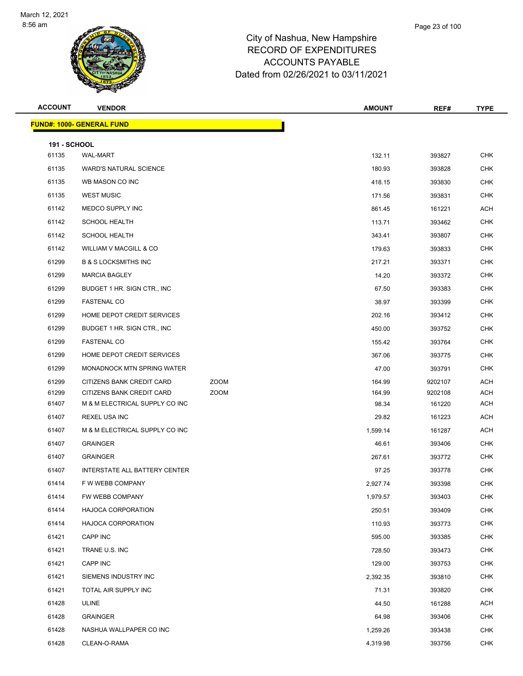

|           | Page 23 of 100 |
|-----------|----------------|
| Hampshire |                |
| JDITURES. |                |

| <b>ACCOUNT</b>      | <b>VENDOR</b>                                          |             | <b>AMOUNT</b>    | REF#             | <b>TYPE</b>              |
|---------------------|--------------------------------------------------------|-------------|------------------|------------------|--------------------------|
|                     | <b>FUND#: 1000- GENERAL FUND</b>                       |             |                  |                  |                          |
| <b>191 - SCHOOL</b> |                                                        |             |                  |                  |                          |
| 61135               | <b>WAL-MART</b>                                        |             | 132.11           | 393827           | <b>CHK</b>               |
| 61135               | <b>WARD'S NATURAL SCIENCE</b>                          |             | 180.93           | 393828           | <b>CHK</b>               |
| 61135               | WB MASON CO INC                                        |             | 418.15           | 393830           | <b>CHK</b>               |
| 61135               | <b>WEST MUSIC</b>                                      |             | 171.56           | 393831           | CHK                      |
| 61142               | MEDCO SUPPLY INC                                       |             | 861.45           | 161221           | <b>ACH</b>               |
| 61142               | <b>SCHOOL HEALTH</b>                                   |             | 113.71           | 393462           | <b>CHK</b>               |
| 61142               | <b>SCHOOL HEALTH</b>                                   |             | 343.41           | 393807           | CHK                      |
| 61142               | WILLIAM V MACGILL & CO                                 |             | 179.63           | 393833           | <b>CHK</b>               |
| 61299               | <b>B &amp; S LOCKSMITHS INC</b>                        |             | 217.21           | 393371           | CHK                      |
| 61299               | <b>MARCIA BAGLEY</b>                                   |             | 14.20            | 393372           | <b>CHK</b>               |
| 61299               | BUDGET 1 HR. SIGN CTR., INC.                           |             | 67.50            | 393383           | <b>CHK</b>               |
| 61299               | <b>FASTENAL CO</b>                                     |             | 38.97            | 393399           | CHK                      |
| 61299               | HOME DEPOT CREDIT SERVICES                             |             | 202.16           | 393412           | <b>CHK</b>               |
| 61299               | BUDGET 1 HR. SIGN CTR., INC.                           |             | 450.00           | 393752           | CHK                      |
| 61299               | <b>FASTENAL CO</b>                                     |             | 155.42           | 393764           | <b>CHK</b>               |
| 61299               | HOME DEPOT CREDIT SERVICES                             |             | 367.06           | 393775           | <b>CHK</b>               |
| 61299               | MONADNOCK MTN SPRING WATER                             |             | 47.00            | 393791           | <b>CHK</b>               |
| 61299               | CITIZENS BANK CREDIT CARD                              | <b>ZOOM</b> | 164.99           | 9202107          | <b>ACH</b>               |
| 61299               | CITIZENS BANK CREDIT CARD                              | <b>ZOOM</b> | 164.99           | 9202108          | ACH                      |
| 61407               | M & M ELECTRICAL SUPPLY CO INC                         |             | 98.34            | 161220           | ACH                      |
| 61407               | <b>REXEL USA INC</b>                                   |             | 29.82            | 161223           | ACH                      |
| 61407               | M & M ELECTRICAL SUPPLY CO INC                         |             | 1,599.14         | 161287           | <b>ACH</b>               |
| 61407               | <b>GRAINGER</b>                                        |             | 46.61            | 393406           | CHK                      |
| 61407               | <b>GRAINGER</b>                                        |             | 267.61           | 393772           | <b>CHK</b>               |
| 61407               | INTERSTATE ALL BATTERY CENTER                          |             | 97.25            | 393778           | <b>CHK</b>               |
| 61414               | F W WEBB COMPANY                                       |             | 2,927.74         | 393398           | <b>CHK</b>               |
| 61414               | FW WEBB COMPANY                                        |             | 1,979.57         | 393403           | <b>CHK</b>               |
| 61414               | <b>HAJOCA CORPORATION</b><br><b>HAJOCA CORPORATION</b> |             | 250.51           | 393409           | <b>CHK</b>               |
| 61414<br>61421      | CAPP INC                                               |             | 110.93           | 393773           | <b>CHK</b><br><b>CHK</b> |
| 61421               | TRANE U.S. INC                                         |             | 595.00<br>728.50 | 393385<br>393473 | <b>CHK</b>               |
| 61421               | CAPP INC                                               |             | 129.00           | 393753           | <b>CHK</b>               |
| 61421               | SIEMENS INDUSTRY INC                                   |             | 2,392.35         | 393810           | <b>CHK</b>               |
| 61421               | TOTAL AIR SUPPLY INC                                   |             | 71.31            | 393820           | <b>CHK</b>               |
| 61428               | ULINE                                                  |             | 44.50            | 161288           | <b>ACH</b>               |
| 61428               | <b>GRAINGER</b>                                        |             | 64.98            | 393406           | <b>CHK</b>               |
| 61428               | NASHUA WALLPAPER CO INC                                |             | 1,259.26         | 393438           | <b>CHK</b>               |
| 61428               | CLEAN-O-RAMA                                           |             | 4,319.98         | 393756           | <b>CHK</b>               |
|                     |                                                        |             |                  |                  |                          |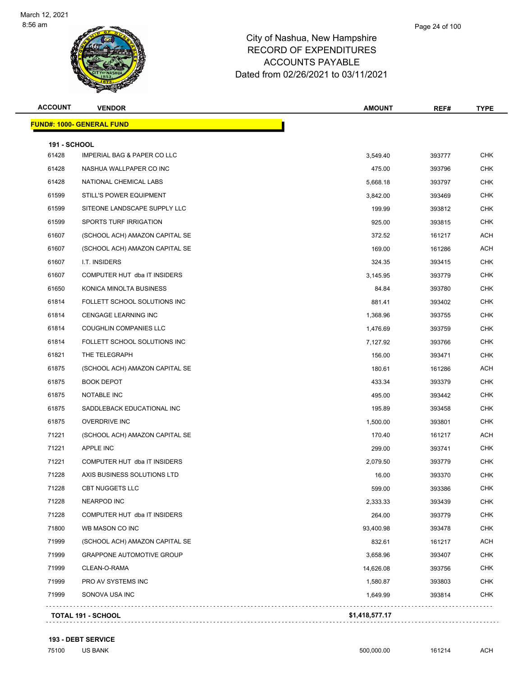

| <b>ACCOUNT</b>      | <b>VENDOR</b>                          | <b>AMOUNT</b> | REF#   | TYPE       |
|---------------------|----------------------------------------|---------------|--------|------------|
|                     | <u> FUND#: 1000- GENERAL FUND</u>      |               |        |            |
| <b>191 - SCHOOL</b> |                                        |               |        |            |
| 61428               | <b>IMPERIAL BAG &amp; PAPER CO LLC</b> | 3,549.40      | 393777 | <b>CHK</b> |
| 61428               | NASHUA WALLPAPER CO INC                | 475.00        | 393796 | <b>CHK</b> |
| 61428               | NATIONAL CHEMICAL LABS                 | 5,668.18      | 393797 | <b>CHK</b> |
| 61599               | STILL'S POWER EQUIPMENT                | 3,842.00      | 393469 | CHK        |
| 61599               | SITEONE LANDSCAPE SUPPLY LLC           | 199.99        | 393812 | <b>CHK</b> |
| 61599               | SPORTS TURF IRRIGATION                 | 925.00        | 393815 | <b>CHK</b> |
| 61607               | (SCHOOL ACH) AMAZON CAPITAL SE         | 372.52        | 161217 | ACH        |
| 61607               | (SCHOOL ACH) AMAZON CAPITAL SE         | 169.00        | 161286 | <b>ACH</b> |
| 61607               | I.T. INSIDERS                          | 324.35        | 393415 | CHK        |
| 61607               | COMPUTER HUT dba IT INSIDERS           | 3,145.95      | 393779 | <b>CHK</b> |
| 61650               | KONICA MINOLTA BUSINESS                | 84.84         | 393780 | <b>CHK</b> |
| 61814               | FOLLETT SCHOOL SOLUTIONS INC           | 881.41        | 393402 | <b>CHK</b> |
| 61814               | <b>CENGAGE LEARNING INC</b>            | 1,368.96      | 393755 | <b>CHK</b> |
| 61814               | COUGHLIN COMPANIES LLC                 | 1,476.69      | 393759 | <b>CHK</b> |
| 61814               | FOLLETT SCHOOL SOLUTIONS INC           | 7,127.92      | 393766 | <b>CHK</b> |
| 61821               | THE TELEGRAPH                          | 156.00        | 393471 | <b>CHK</b> |
| 61875               | (SCHOOL ACH) AMAZON CAPITAL SE         | 180.61        | 161286 | ACH        |
| 61875               | <b>BOOK DEPOT</b>                      | 433.34        | 393379 | <b>CHK</b> |
| 61875               | NOTABLE INC                            | 495.00        | 393442 | <b>CHK</b> |
| 61875               | SADDLEBACK EDUCATIONAL INC             | 195.89        | 393458 | <b>CHK</b> |
| 61875               | <b>OVERDRIVE INC</b>                   | 1,500.00      | 393801 | <b>CHK</b> |
| 71221               | (SCHOOL ACH) AMAZON CAPITAL SE         | 170.40        | 161217 | ACH        |
| 71221               | APPLE INC                              | 299.00        | 393741 | <b>CHK</b> |
| 71221               | COMPUTER HUT dba IT INSIDERS           | 2,079.50      | 393779 | <b>CHK</b> |
| 71228               | AXIS BUSINESS SOLUTIONS LTD            | 16.00         | 393370 | <b>CHK</b> |
| 71228               | CBT NUGGETS LLC                        | 599.00        | 393386 | CHK        |
| 71228               | <b>NEARPOD INC</b>                     | 2,333.33      | 393439 | <b>CHK</b> |
| 71228               | COMPUTER HUT dba IT INSIDERS           | 264.00        | 393779 | <b>CHK</b> |
| 71800               | WB MASON CO INC                        | 93,400.98     | 393478 | <b>CHK</b> |
| 71999               | (SCHOOL ACH) AMAZON CAPITAL SE         | 832.61        | 161217 | ACH        |
| 71999               | <b>GRAPPONE AUTOMOTIVE GROUP</b>       | 3,658.96      | 393407 | <b>CHK</b> |
| 71999               | CLEAN-O-RAMA                           | 14,626.08     | 393756 | <b>CHK</b> |
| 71999               | PRO AV SYSTEMS INC                     | 1,580.87      | 393803 | <b>CHK</b> |
| 71999               | SONOVA USA INC                         | 1,649.99      | 393814 | <b>CHK</b> |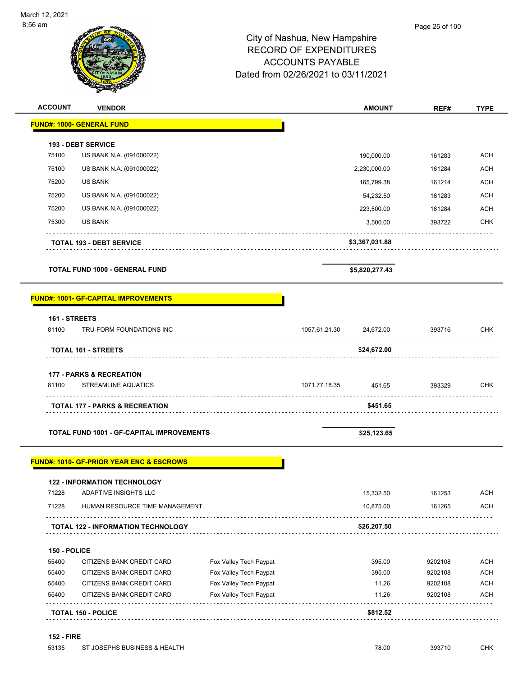| 6 am           |                                       | City of Nashua, New Hampshire<br><b>RECORD OF EXPENDITURES</b><br><b>ACCOUNTS PAYABLE</b><br>Dated from 02/26/2021 to 03/11/2021 | Page 25 of 100 |             |
|----------------|---------------------------------------|----------------------------------------------------------------------------------------------------------------------------------|----------------|-------------|
| <b>ACCOUNT</b> | <b>VENDOR</b>                         | <b>AMOUNT</b>                                                                                                                    | REF#           | <b>TYPE</b> |
|                | <b>FUND#: 1000- GENERAL FUND</b>      |                                                                                                                                  |                |             |
|                | 193 - DEBT SERVICE                    |                                                                                                                                  |                |             |
| 75100          | US BANK N.A. (091000022)              | 190,000.00                                                                                                                       | 161283         | <b>ACH</b>  |
| 75100          | US BANK N.A. (091000022)              | 2,230,000.00                                                                                                                     | 161284         | <b>ACH</b>  |
| 75200          | <b>US BANK</b>                        | 165,799.38                                                                                                                       | 161214         | <b>ACH</b>  |
| 75200          | US BANK N.A. (091000022)              | 54,232.50                                                                                                                        | 161283         | <b>ACH</b>  |
| 75200          | US BANK N.A. (091000022)              | 223,500.00                                                                                                                       | 161284         | <b>ACH</b>  |
| 75300          | <b>US BANK</b>                        | 3,500.00                                                                                                                         | 393722         | <b>CHK</b>  |
|                | <b>TOTAL 193 - DEBT SERVICE</b>       | \$3,367,031.88                                                                                                                   |                |             |
|                | <b>TOTAL FUND 1000 - GENERAL FUND</b> | \$5,820,277.43                                                                                                                   |                |             |

#### **161 - STREETS**

| 81100 | TRU-FORM FOUNDATIONS INC                  | 1057.61.21.30 | 24.672.00   | 393716 | CHK |
|-------|-------------------------------------------|---------------|-------------|--------|-----|
|       | <b>TOTAL 161 - STREETS</b>                |               | \$24,672.00 |        |     |
|       | <b>177 - PARKS &amp; RECREATION</b>       |               |             |        |     |
| 81100 | <b>STREAMLINE AQUATICS</b>                | 1071.77.18.35 | 451.65      | 393329 | CHK |
|       | <b>TOTAL 177 - PARKS &amp; RECREATION</b> |               | \$451.65    |        |     |

TOTAL FUND 1001 - GF-CAPITAL IMPROVEMENTS **\$25,123.65** \$25,123.65

#### **FUND#: 1010- GF-PRIOR YEAR ENC & ESCROWS**

|       | <b>TOTAL 122 - INFORMATION TECHNOLOGY</b> | \$26,207.50 |        |            |
|-------|-------------------------------------------|-------------|--------|------------|
| 71228 | HUMAN RESOURCE TIME MANAGEMENT            | 10.875.00   | 161265 | <b>ACH</b> |
| 71228 | ADAPTIVE INSIGHTS LLC                     | 15.332.50   | 161253 | <b>ACH</b> |
|       | <b>122 - INFORMATION TECHNOLOGY</b>       |             |        |            |
|       |                                           |             |        |            |

**150 - POLICE**

|       | <b>TOTAL 150 - POLICE</b> |                        | \$812.52 |         |            |
|-------|---------------------------|------------------------|----------|---------|------------|
| 55400 | CITIZENS BANK CREDIT CARD | Fox Valley Tech Paypat | 11.26    | 9202108 | <b>ACH</b> |
| 55400 | CITIZENS BANK CREDIT CARD | Fox Valley Tech Paypat | 11.26    | 9202108 | <b>ACH</b> |
| 55400 | CITIZENS BANK CREDIT CARD | Fox Valley Tech Paypat | 395.00   | 9202108 | <b>ACH</b> |
| 55400 | CITIZENS BANK CREDIT CARD | Fox Valley Tech Paypat | 395.00   | 9202108 | <b>ACH</b> |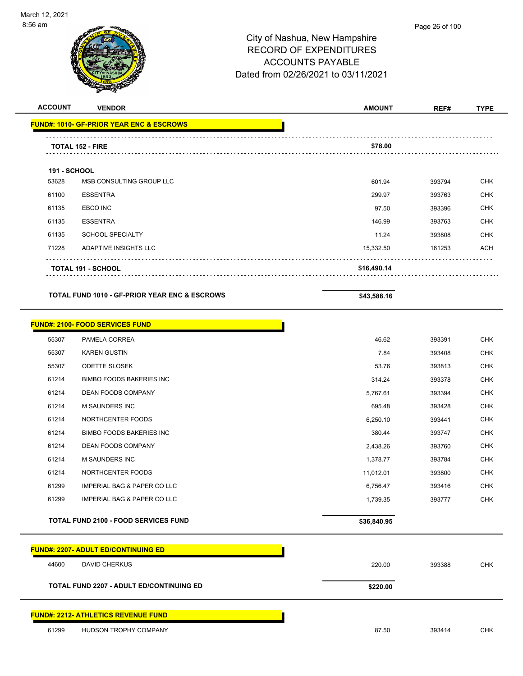

|                     | <b>VENDOR</b>                                            | <b>AMOUNT</b> | REF#   | <b>TYPE</b>                     |
|---------------------|----------------------------------------------------------|---------------|--------|---------------------------------|
|                     | <b>FUND#: 1010- GF-PRIOR YEAR ENC &amp; ESCROWS</b>      |               |        |                                 |
|                     | <b>TOTAL 152 - FIRE</b>                                  | \$78.00       |        |                                 |
| <b>191 - SCHOOL</b> |                                                          |               |        |                                 |
| 53628               | MSB CONSULTING GROUP LLC                                 | 601.94        | 393794 | <b>CHK</b>                      |
| 61100               | <b>ESSENTRA</b>                                          | 299.97        | 393763 | <b>CHK</b>                      |
| 61135               | EBCO INC                                                 | 97.50         | 393396 | <b>CHK</b>                      |
| 61135               | <b>ESSENTRA</b>                                          | 146.99        | 393763 | <b>CHK</b>                      |
| 61135               | <b>SCHOOL SPECIALTY</b>                                  | 11.24         | 393808 | <b>CHK</b>                      |
| 71228               | ADAPTIVE INSIGHTS LLC                                    | 15,332.50     | 161253 | <b>ACH</b>                      |
|                     | TOTAL 191 - SCHOOL                                       | \$16,490.14   |        |                                 |
|                     | <b>TOTAL FUND 1010 - GF-PRIOR YEAR ENC &amp; ESCROWS</b> | \$43,588.16   |        |                                 |
|                     | <b>FUND#: 2100- FOOD SERVICES FUND</b>                   |               |        |                                 |
| 55307               | PAMELA CORREA                                            | 46.62         | 393391 | <b>CHK</b>                      |
| 55307               | <b>KAREN GUSTIN</b>                                      | 7.84          | 393408 | <b>CHK</b>                      |
| 55307               | <b>ODETTE SLOSEK</b>                                     | 53.76         |        | <b>CHK</b>                      |
|                     |                                                          |               | 393813 |                                 |
| 61214               | <b>BIMBO FOODS BAKERIES INC</b>                          | 314.24        | 393378 | <b>CHK</b>                      |
| 61214               | DEAN FOODS COMPANY                                       | 5,767.61      | 393394 | <b>CHK</b>                      |
| 61214               | <b>M SAUNDERS INC</b>                                    | 695.48        | 393428 | <b>CHK</b>                      |
| 61214               | NORTHCENTER FOODS                                        | 6,250.10      | 393441 | <b>CHK</b>                      |
| 61214               | <b>BIMBO FOODS BAKERIES INC</b>                          | 380.44        | 393747 | <b>CHK</b>                      |
| 61214               | <b>DEAN FOODS COMPANY</b>                                | 2,438.26      | 393760 |                                 |
| 61214               | M SAUNDERS INC                                           | 1,378.77      | 393784 | <b>CHK</b><br><b>CHK</b>        |
| 61214               | NORTHCENTER FOODS                                        | 11,012.01     | 393800 |                                 |
| 61299               | <b>IMPERIAL BAG &amp; PAPER CO LLC</b>                   | 6,756.47      | 393416 |                                 |
| 61299               | <b>IMPERIAL BAG &amp; PAPER CO LLC</b>                   | 1,739.35      | 393777 | <b>CHK</b><br>CHK<br><b>CHK</b> |

|       | <b>TOTAL FUND 2207 - ADULT ED/CONTINUING ED</b> | \$220.00 |        |     |
|-------|-------------------------------------------------|----------|--------|-----|
| 44600 | DAVID CHERKUS                                   | 220.00   | 393388 | CHK |

#### **FUND#: 2212- ATHLETICS REVENUE FUND**

61299 HUDSON TROPHY COMPANY 87.50 393414 CHK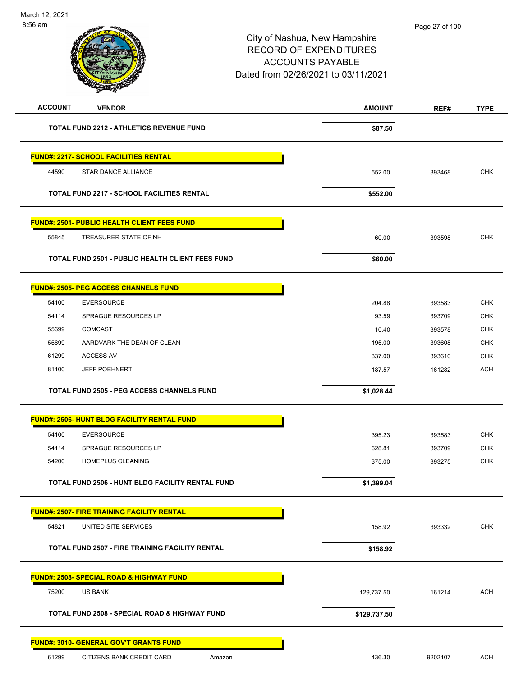| <b>ACCOUNT</b><br><b>VENDOR</b>                          | <b>AMOUNT</b> | REF#    | <b>TYPE</b> |
|----------------------------------------------------------|---------------|---------|-------------|
| <b>TOTAL FUND 2212 - ATHLETICS REVENUE FUND</b>          | \$87.50       |         |             |
| <b>FUND#: 2217- SCHOOL FACILITIES RENTAL</b>             |               |         |             |
| 44590<br><b>STAR DANCE ALLIANCE</b>                      | 552.00        | 393468  | <b>CHK</b>  |
|                                                          |               |         |             |
| <b>TOTAL FUND 2217 - SCHOOL FACILITIES RENTAL</b>        | \$552.00      |         |             |
| <u> FUND#: 2501- PUBLIC HEALTH CLIENT FEES FUND</u>      |               |         |             |
| TREASURER STATE OF NH<br>55845                           | 60.00         | 393598  | <b>CHK</b>  |
| <b>TOTAL FUND 2501 - PUBLIC HEALTH CLIENT FEES FUND</b>  | \$60.00       |         |             |
| <b>FUND#: 2505- PEG ACCESS CHANNELS FUND</b>             |               |         |             |
| 54100<br><b>EVERSOURCE</b>                               | 204.88        | 393583  | <b>CHK</b>  |
| 54114<br>SPRAGUE RESOURCES LP                            | 93.59         | 393709  | <b>CHK</b>  |
| 55699<br><b>COMCAST</b>                                  | 10.40         | 393578  | <b>CHK</b>  |
| 55699<br>AARDVARK THE DEAN OF CLEAN                      | 195.00        | 393608  | CHK         |
| 61299<br>ACCESS AV                                       | 337.00        | 393610  | <b>CHK</b>  |
| <b>JEFF POEHNERT</b><br>81100                            | 187.57        | 161282  | <b>ACH</b>  |
| <b>TOTAL FUND 2505 - PEG ACCESS CHANNELS FUND</b>        | \$1,028.44    |         |             |
| <b>FUND#: 2506- HUNT BLDG FACILITY RENTAL FUND</b>       |               |         |             |
| 54100<br><b>EVERSOURCE</b>                               | 395.23        | 393583  | <b>CHK</b>  |
| 54114<br>SPRAGUE RESOURCES LP                            | 628.81        | 393709  | <b>CHK</b>  |
| 54200<br><b>HOMEPLUS CLEANING</b>                        | 375.00        | 393275  | <b>CHK</b>  |
| TOTAL FUND 2506 - HUNT BLDG FACILITY RENTAL FUND         | \$1,399.04    |         |             |
| <b>FUND#: 2507- FIRE TRAINING FACILITY RENTAL</b>        |               |         |             |
| 54821<br>UNITED SITE SERVICES                            | 158.92        | 393332  | <b>CHK</b>  |
| <b>TOTAL FUND 2507 - FIRE TRAINING FACILITY RENTAL</b>   | \$158.92      |         |             |
| <b>FUND#: 2508- SPECIAL ROAD &amp; HIGHWAY FUND</b>      |               |         |             |
| 75200<br><b>US BANK</b>                                  | 129,737.50    | 161214  | <b>ACH</b>  |
| <b>TOTAL FUND 2508 - SPECIAL ROAD &amp; HIGHWAY FUND</b> | \$129,737.50  |         |             |
| <b>FUND#: 3010- GENERAL GOV'T GRANTS FUND</b>            |               |         |             |
| 61299<br>CITIZENS BANK CREDIT CARD<br>Amazon             | 436.30        | 9202107 | <b>ACH</b>  |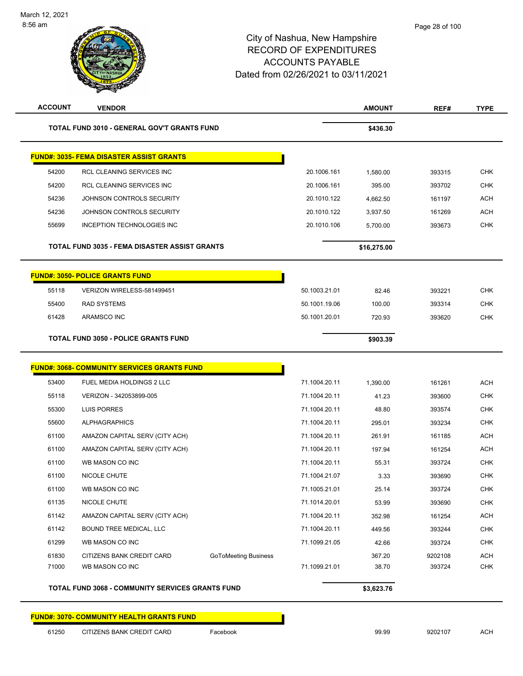| <b>ACCOUNT</b> | <b>VENDOR</b>                                            |               | <b>AMOUNT</b> | REF#    | <b>TYPE</b> |
|----------------|----------------------------------------------------------|---------------|---------------|---------|-------------|
|                | TOTAL FUND 3010 - GENERAL GOV'T GRANTS FUND              |               | \$436.30      |         |             |
|                | <u> FUND#: 3035- FEMA DISASTER ASSIST GRANTS</u>         |               |               |         |             |
| 54200          | RCL CLEANING SERVICES INC                                | 20.1006.161   | 1,580.00      | 393315  | <b>CHK</b>  |
| 54200          | RCL CLEANING SERVICES INC                                | 20.1006.161   | 395.00        | 393702  | <b>CHK</b>  |
| 54236          | JOHNSON CONTROLS SECURITY                                | 20.1010.122   | 4,662.50      | 161197  | <b>ACH</b>  |
| 54236          | JOHNSON CONTROLS SECURITY                                | 20.1010.122   | 3,937.50      | 161269  | <b>ACH</b>  |
| 55699          | <b>INCEPTION TECHNOLOGIES INC</b>                        | 20.1010.106   | 5,700.00      | 393673  | <b>CHK</b>  |
|                | <b>TOTAL FUND 3035 - FEMA DISASTER ASSIST GRANTS</b>     |               | \$16,275.00   |         |             |
|                | <b>FUND#: 3050- POLICE GRANTS FUND</b>                   |               |               |         |             |
| 55118          | VERIZON WIRELESS-581499451                               | 50.1003.21.01 | 82.46         | 393221  | <b>CHK</b>  |
| 55400          | <b>RAD SYSTEMS</b>                                       | 50.1001.19.06 | 100.00        | 393314  | <b>CHK</b>  |
| 61428          | ARAMSCO INC                                              | 50.1001.20.01 | 720.93        | 393620  | <b>CHK</b>  |
|                | <b>TOTAL FUND 3050 - POLICE GRANTS FUND</b>              |               | \$903.39      |         |             |
|                | <b>FUND#: 3068- COMMUNITY SERVICES GRANTS FUND</b>       |               |               |         |             |
| 53400          | FUEL MEDIA HOLDINGS 2 LLC                                | 71.1004.20.11 | 1,390.00      | 161261  | <b>ACH</b>  |
| 55118          | VERIZON - 342053899-005                                  | 71.1004.20.11 | 41.23         | 393600  | <b>CHK</b>  |
| 55300          | LUIS PORRES                                              | 71.1004.20.11 | 48.80         | 393574  | <b>CHK</b>  |
| 55600          | <b>ALPHAGRAPHICS</b>                                     | 71.1004.20.11 | 295.01        | 393234  | <b>CHK</b>  |
| 61100          | AMAZON CAPITAL SERV (CITY ACH)                           | 71.1004.20.11 | 261.91        | 161185  | <b>ACH</b>  |
| 61100          | AMAZON CAPITAL SERV (CITY ACH)                           | 71.1004.20.11 | 197.94        | 161254  | <b>ACH</b>  |
| 61100          | WB MASON CO INC                                          | 71.1004.20.11 | 55.31         | 393724  | <b>CHK</b>  |
| 61100          | NICOLE CHUTE                                             | 71.1004.21.07 | 3.33          | 393690  | <b>CHK</b>  |
| 61100          | WB MASON CO INC                                          | 71.1005.21.01 | 25.14         | 393724  | <b>CHK</b>  |
| 61135          | NICOLE CHUTE                                             | 71.1014.20.01 | 53.99         | 393690  | CHK         |
| 61142          | AMAZON CAPITAL SERV (CITY ACH)                           | 71.1004.20.11 | 352.98        | 161254  | <b>ACH</b>  |
| 61142          | BOUND TREE MEDICAL, LLC                                  | 71.1004.20.11 | 449.56        | 393244  | <b>CHK</b>  |
| 61299          | WB MASON CO INC                                          | 71.1099.21.05 | 42.66         | 393724  | <b>CHK</b>  |
| 61830          | CITIZENS BANK CREDIT CARD<br><b>GoToMeeting Business</b> |               | 367.20        | 9202108 | <b>ACH</b>  |
| 71000          | WB MASON CO INC                                          | 71.1099.21.01 | 38.70         | 393724  | <b>CHK</b>  |
|                | TOTAL FUND 3068 - COMMUNITY SERVICES GRANTS FUND         |               | \$3,623.76    |         |             |
|                |                                                          |               |               |         |             |

**FUND#: 3070- COMMUNITY HEALTH GRANTS FUND**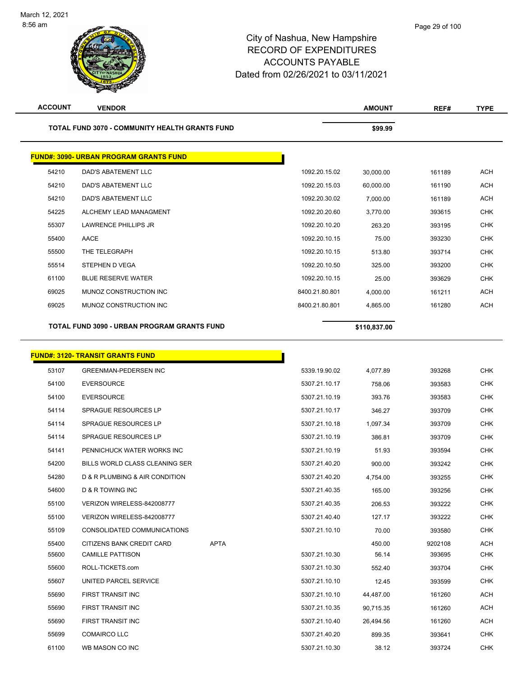| <b>ACCOUNT</b> | <b>VENDOR</b>                                  |                | <b>AMOUNT</b> | REF#    | <b>TYPE</b> |
|----------------|------------------------------------------------|----------------|---------------|---------|-------------|
|                | TOTAL FUND 3070 - COMMUNITY HEALTH GRANTS FUND |                | \$99.99       |         |             |
|                | <b>FUND#: 3090- URBAN PROGRAM GRANTS FUND</b>  |                |               |         |             |
| 54210          | DAD'S ABATEMENT LLC                            | 1092.20.15.02  | 30,000.00     | 161189  | <b>ACH</b>  |
| 54210          | DAD'S ABATEMENT LLC                            | 1092.20.15.03  | 60,000.00     | 161190  | ACH         |
| 54210          | DAD'S ABATEMENT LLC                            | 1092.20.30.02  | 7,000.00      | 161189  | <b>ACH</b>  |
| 54225          | ALCHEMY LEAD MANAGMENT                         | 1092.20.20.60  | 3,770.00      | 393615  | <b>CHK</b>  |
| 55307          | LAWRENCE PHILLIPS JR                           | 1092.20.10.20  | 263.20        | 393195  | <b>CHK</b>  |
| 55400          | AACE                                           | 1092.20.10.15  | 75.00         | 393230  | <b>CHK</b>  |
| 55500          | THE TELEGRAPH                                  | 1092.20.10.15  | 513.80        | 393714  | <b>CHK</b>  |
| 55514          | STEPHEN D VEGA                                 | 1092.20.10.50  | 325.00        | 393200  | <b>CHK</b>  |
| 61100          | <b>BLUE RESERVE WATER</b>                      | 1092.20.10.15  | 25.00         | 393629  | <b>CHK</b>  |
| 69025          | MUNOZ CONSTRUCTION INC                         | 8400.21.80.801 | 4,000.00      | 161211  | <b>ACH</b>  |
| 69025          | MUNOZ CONSTRUCTION INC                         | 8400.21.80.801 | 4,865.00      | 161280  | <b>ACH</b>  |
|                | TOTAL FUND 3090 - URBAN PROGRAM GRANTS FUND    |                | \$110,837.00  |         |             |
|                |                                                |                |               |         |             |
|                | <b>FUND#: 3120- TRANSIT GRANTS FUND</b>        |                |               |         |             |
| 53107          | <b>GREENMAN-PEDERSEN INC</b>                   | 5339.19.90.02  | 4,077.89      | 393268  | <b>CHK</b>  |
| 54100          | <b>EVERSOURCE</b>                              | 5307.21.10.17  | 758.06        | 393583  | <b>CHK</b>  |
| 54100          | <b>EVERSOURCE</b>                              | 5307.21.10.19  | 393.76        | 393583  | <b>CHK</b>  |
| 54114          | SPRAGUE RESOURCES LP                           | 5307.21.10.17  | 346.27        | 393709  | CHK         |
| 54114          | SPRAGUE RESOURCES LP                           | 5307.21.10.18  | 1,097.34      | 393709  | <b>CHK</b>  |
| 54114          | <b>SPRAGUE RESOURCES LP</b>                    | 5307.21.10.19  | 386.81        | 393709  | <b>CHK</b>  |
| 54141          | PENNICHUCK WATER WORKS INC                     | 5307.21.10.19  | 51.93         | 393594  | CHK         |
| 54200          | BILLS WORLD CLASS CLEANING SER                 | 5307.21.40.20  | 900.00        | 393242  | <b>CHK</b>  |
| 54280          | D & R PLUMBING & AIR CONDITION                 | 5307.21.40.20  | 4,754.00      | 393255  | <b>CHK</b>  |
| 54600          | <b>D &amp; R TOWING INC</b>                    | 5307.21.40.35  | 165.00        | 393256  | CHK         |
| 55100          | VERIZON WIRELESS-842008777                     | 5307.21.40.35  | 206.53        | 393222  | <b>CHK</b>  |
| 55100          | VERIZON WIRELESS-842008777                     | 5307.21.40.40  | 127.17        | 393222  | CHK         |
| 55109          | CONSOLIDATED COMMUNICATIONS                    | 5307.21.10.10  | 70.00         | 393580  | <b>CHK</b>  |
| 55400          | <b>APTA</b><br>CITIZENS BANK CREDIT CARD       |                | 450.00        | 9202108 | <b>ACH</b>  |
| 55600          | <b>CAMILLE PATTISON</b>                        | 5307.21.10.30  | 56.14         | 393695  | <b>CHK</b>  |
| 55600          | ROLL-TICKETS.com                               | 5307.21.10.30  | 552.40        | 393704  | <b>CHK</b>  |
| 55607          | UNITED PARCEL SERVICE                          | 5307.21.10.10  | 12.45         | 393599  | <b>CHK</b>  |
| 55690          | FIRST TRANSIT INC                              | 5307.21.10.10  | 44,487.00     | 161260  | ACH         |
| 55690          | FIRST TRANSIT INC                              | 5307.21.10.35  | 90,715.35     | 161260  | ACH         |
| 55690          | FIRST TRANSIT INC                              | 5307.21.10.40  | 26,494.56     | 161260  | ACH         |
| 55699          | <b>COMAIRCO LLC</b>                            | 5307.21.40.20  | 899.35        | 393641  | CHK         |
| 61100          | WB MASON CO INC                                | 5307.21.10.30  | 38.12         | 393724  | <b>CHK</b>  |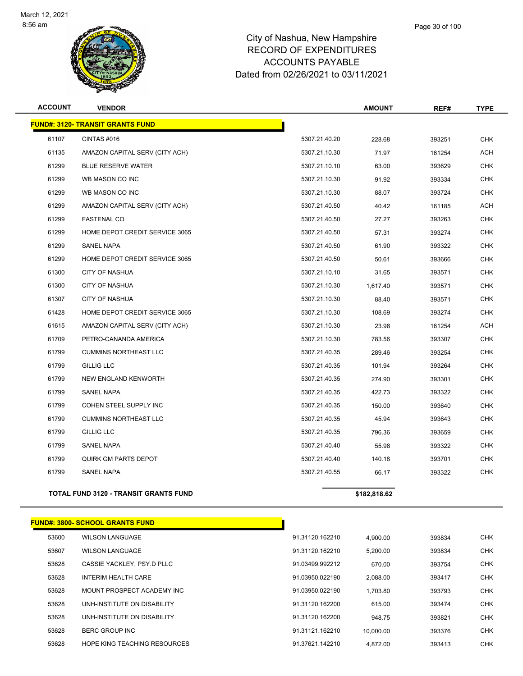

| <b>ACCOUNT</b> | <b>VENDOR</b>                                |               | <b>AMOUNT</b> | REF#   | <b>TYPE</b> |
|----------------|----------------------------------------------|---------------|---------------|--------|-------------|
|                | <b>FUND#: 3120- TRANSIT GRANTS FUND</b>      |               |               |        |             |
| 61107          | CINTAS#016                                   | 5307.21.40.20 | 228.68        | 393251 | <b>CHK</b>  |
| 61135          | AMAZON CAPITAL SERV (CITY ACH)               | 5307.21.10.30 | 71.97         | 161254 | <b>ACH</b>  |
| 61299          | <b>BLUE RESERVE WATER</b>                    | 5307.21.10.10 | 63.00         | 393629 | <b>CHK</b>  |
| 61299          | WB MASON CO INC                              | 5307.21.10.30 | 91.92         | 393334 | <b>CHK</b>  |
| 61299          | WB MASON CO INC                              | 5307.21.10.30 | 88.07         | 393724 | <b>CHK</b>  |
| 61299          | AMAZON CAPITAL SERV (CITY ACH)               | 5307.21.40.50 | 40.42         | 161185 | ACH         |
| 61299          | <b>FASTENAL CO</b>                           | 5307.21.40.50 | 27.27         | 393263 | <b>CHK</b>  |
| 61299          | HOME DEPOT CREDIT SERVICE 3065               | 5307.21.40.50 | 57.31         | 393274 | <b>CHK</b>  |
| 61299          | <b>SANEL NAPA</b>                            | 5307.21.40.50 | 61.90         | 393322 | <b>CHK</b>  |
| 61299          | HOME DEPOT CREDIT SERVICE 3065               | 5307.21.40.50 | 50.61         | 393666 | CHK         |
| 61300          | <b>CITY OF NASHUA</b>                        | 5307.21.10.10 | 31.65         | 393571 | CHK         |
| 61300          | <b>CITY OF NASHUA</b>                        | 5307.21.10.30 | 1,617.40      | 393571 | <b>CHK</b>  |
| 61307          | <b>CITY OF NASHUA</b>                        | 5307.21.10.30 | 88.40         | 393571 | <b>CHK</b>  |
| 61428          | HOME DEPOT CREDIT SERVICE 3065               | 5307.21.10.30 | 108.69        | 393274 | <b>CHK</b>  |
| 61615          | AMAZON CAPITAL SERV (CITY ACH)               | 5307.21.10.30 | 23.98         | 161254 | ACH         |
| 61709          | PETRO-CANANDA AMERICA                        | 5307.21.10.30 | 783.56        | 393307 | <b>CHK</b>  |
| 61799          | <b>CUMMINS NORTHEAST LLC</b>                 | 5307.21.40.35 | 289.46        | 393254 | CHK         |
| 61799          | <b>GILLIG LLC</b>                            | 5307.21.40.35 | 101.94        | 393264 | CHK         |
| 61799          | NEW ENGLAND KENWORTH                         | 5307.21.40.35 | 274.90        | 393301 | <b>CHK</b>  |
| 61799          | SANEL NAPA                                   | 5307.21.40.35 | 422.73        | 393322 | <b>CHK</b>  |
| 61799          | COHEN STEEL SUPPLY INC                       | 5307.21.40.35 | 150.00        | 393640 | <b>CHK</b>  |
| 61799          | <b>CUMMINS NORTHEAST LLC</b>                 | 5307.21.40.35 | 45.94         | 393643 | CHK         |
| 61799          | <b>GILLIG LLC</b>                            | 5307.21.40.35 | 796.36        | 393659 | <b>CHK</b>  |
| 61799          | <b>SANEL NAPA</b>                            | 5307.21.40.40 | 55.98         | 393322 | <b>CHK</b>  |
| 61799          | <b>QUIRK GM PARTS DEPOT</b>                  | 5307.21.40.40 | 140.18        | 393701 | <b>CHK</b>  |
| 61799          | <b>SANEL NAPA</b>                            | 5307.21.40.55 | 66.17         | 393322 | <b>CHK</b>  |
|                | <b>TOTAL FUND 3120 - TRANSIT GRANTS FUND</b> |               | \$182,818.62  |        |             |

|       | <b>FUND#: 3800- SCHOOL GRANTS FUND</b> |                 |           |        |            |
|-------|----------------------------------------|-----------------|-----------|--------|------------|
| 53600 | <b>WILSON LANGUAGE</b>                 | 91.31120.162210 | 4.900.00  | 393834 | <b>CHK</b> |
| 53607 | <b>WILSON LANGUAGE</b>                 | 91.31120.162210 | 5.200.00  | 393834 | <b>CHK</b> |
| 53628 | CASSIE YACKLEY, PSY.D PLLC             | 91.03499.992212 | 670.00    | 393754 | <b>CHK</b> |
| 53628 | <b>INTERIM HEALTH CARE</b>             | 91.03950.022190 | 2.088.00  | 393417 | <b>CHK</b> |
| 53628 | MOUNT PROSPECT ACADEMY INC             | 91.03950.022190 | 1.703.80  | 393793 | <b>CHK</b> |
| 53628 | UNH-INSTITUTE ON DISABILITY            | 91.31120.162200 | 615.00    | 393474 | <b>CHK</b> |
| 53628 | UNH-INSTITUTE ON DISABILITY            | 91.31120.162200 | 948.75    | 393821 | <b>CHK</b> |
| 53628 | BERC GROUP INC                         | 91.31121.162210 | 10.000.00 | 393376 | <b>CHK</b> |
| 53628 | HOPE KING TEACHING RESOURCES           | 91.37621.142210 | 4.872.00  | 393413 | <b>CHK</b> |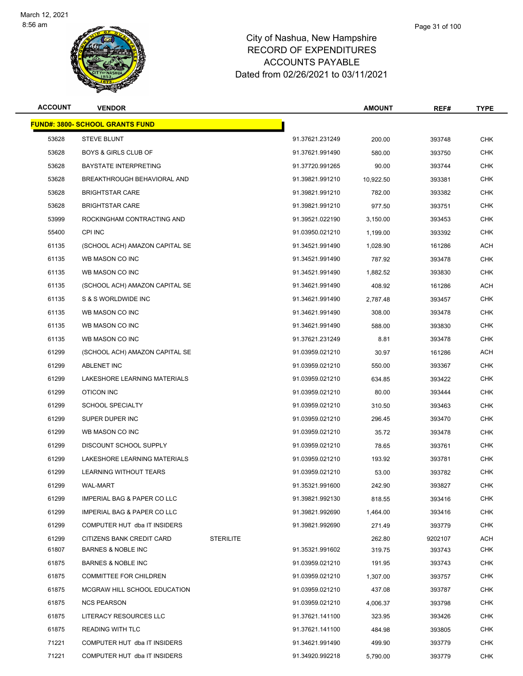

| <b>ACCOUNT</b> | <b>VENDOR</b>                           |                  |                 | <b>AMOUNT</b> | REF#    | <b>TYPE</b> |
|----------------|-----------------------------------------|------------------|-----------------|---------------|---------|-------------|
|                | <u> FUND#: 3800- SCHOOL GRANTS FUND</u> |                  |                 |               |         |             |
| 53628          | <b>STEVE BLUNT</b>                      |                  | 91.37621.231249 | 200.00        | 393748  | <b>CHK</b>  |
| 53628          | <b>BOYS &amp; GIRLS CLUB OF</b>         |                  | 91.37621.991490 | 580.00        | 393750  | <b>CHK</b>  |
| 53628          | <b>BAYSTATE INTERPRETING</b>            |                  | 91.37720.991265 | 90.00         | 393744  | <b>CHK</b>  |
| 53628          | BREAKTHROUGH BEHAVIORAL AND             |                  | 91.39821.991210 | 10,922.50     | 393381  | <b>CHK</b>  |
| 53628          | <b>BRIGHTSTAR CARE</b>                  |                  | 91.39821.991210 | 782.00        | 393382  | <b>CHK</b>  |
| 53628          | <b>BRIGHTSTAR CARE</b>                  |                  | 91.39821.991210 | 977.50        | 393751  | <b>CHK</b>  |
| 53999          | ROCKINGHAM CONTRACTING AND              |                  | 91.39521.022190 | 3,150.00      | 393453  | <b>CHK</b>  |
| 55400          | CPI INC                                 |                  | 91.03950.021210 | 1,199.00      | 393392  | <b>CHK</b>  |
| 61135          | (SCHOOL ACH) AMAZON CAPITAL SE          |                  | 91.34521.991490 | 1,028.90      | 161286  | ACH         |
| 61135          | WB MASON CO INC                         |                  | 91.34521.991490 | 787.92        | 393478  | <b>CHK</b>  |
| 61135          | WB MASON CO INC                         |                  | 91.34521.991490 | 1,882.52      | 393830  | <b>CHK</b>  |
| 61135          | (SCHOOL ACH) AMAZON CAPITAL SE          |                  | 91.34621.991490 | 408.92        | 161286  | ACH         |
| 61135          | S & S WORLDWIDE INC                     |                  | 91.34621.991490 | 2,787.48      | 393457  | <b>CHK</b>  |
| 61135          | WB MASON CO INC                         |                  | 91.34621.991490 | 308.00        | 393478  | <b>CHK</b>  |
| 61135          | WB MASON CO INC                         |                  | 91.34621.991490 | 588.00        | 393830  | <b>CHK</b>  |
| 61135          | WB MASON CO INC                         |                  | 91.37621.231249 | 8.81          | 393478  | <b>CHK</b>  |
| 61299          | (SCHOOL ACH) AMAZON CAPITAL SE          |                  | 91.03959.021210 | 30.97         | 161286  | ACH         |
| 61299          | <b>ABLENET INC</b>                      |                  | 91.03959.021210 | 550.00        | 393367  | <b>CHK</b>  |
| 61299          | LAKESHORE LEARNING MATERIALS            |                  | 91.03959.021210 | 634.85        | 393422  | <b>CHK</b>  |
| 61299          | OTICON INC                              |                  | 91.03959.021210 | 80.00         | 393444  | <b>CHK</b>  |
| 61299          | <b>SCHOOL SPECIALTY</b>                 |                  | 91.03959.021210 | 310.50        | 393463  | <b>CHK</b>  |
| 61299          | SUPER DUPER INC                         |                  | 91.03959.021210 | 296.45        | 393470  | <b>CHK</b>  |
| 61299          | WB MASON CO INC                         |                  | 91.03959.021210 | 35.72         | 393478  | <b>CHK</b>  |
| 61299          | DISCOUNT SCHOOL SUPPLY                  |                  | 91.03959.021210 | 78.65         | 393761  | <b>CHK</b>  |
| 61299          | LAKESHORE LEARNING MATERIALS            |                  | 91.03959.021210 | 193.92        | 393781  | <b>CHK</b>  |
| 61299          | LEARNING WITHOUT TEARS                  |                  | 91.03959.021210 | 53.00         | 393782  | <b>CHK</b>  |
| 61299          | WAL-MART                                |                  | 91.35321.991600 | 242.90        | 393827  | CHK         |
| 61299          | IMPERIAL BAG & PAPER CO LLC             |                  | 91.39821.992130 | 818.55        | 393416  | <b>CHK</b>  |
| 61299          | <b>IMPERIAL BAG &amp; PAPER CO LLC</b>  |                  | 91.39821.992690 | 1,464.00      | 393416  | <b>CHK</b>  |
| 61299          | COMPUTER HUT dba IT INSIDERS            |                  | 91.39821.992690 | 271.49        | 393779  | <b>CHK</b>  |
| 61299          | CITIZENS BANK CREDIT CARD               | <b>STERILITE</b> |                 | 262.80        | 9202107 | ACH         |
| 61807          | BARNES & NOBLE INC                      |                  | 91.35321.991602 | 319.75        | 393743  | CHK         |
| 61875          | <b>BARNES &amp; NOBLE INC</b>           |                  | 91.03959.021210 | 191.95        | 393743  | <b>CHK</b>  |
| 61875          | <b>COMMITTEE FOR CHILDREN</b>           |                  | 91.03959.021210 | 1,307.00      | 393757  | <b>CHK</b>  |
| 61875          | MCGRAW HILL SCHOOL EDUCATION            |                  | 91.03959.021210 | 437.08        | 393787  | <b>CHK</b>  |
| 61875          | <b>NCS PEARSON</b>                      |                  | 91.03959.021210 | 4,006.37      | 393798  | <b>CHK</b>  |
| 61875          | LITERACY RESOURCES LLC                  |                  | 91.37621.141100 | 323.95        | 393426  | <b>CHK</b>  |
| 61875          | <b>READING WITH TLC</b>                 |                  | 91.37621.141100 | 484.98        | 393805  | CHK         |
| 71221          | COMPUTER HUT dba IT INSIDERS            |                  | 91.34621.991490 | 499.90        | 393779  | <b>CHK</b>  |
| 71221          | COMPUTER HUT dba IT INSIDERS            |                  | 91.34920.992218 | 5,790.00      | 393779  | <b>CHK</b>  |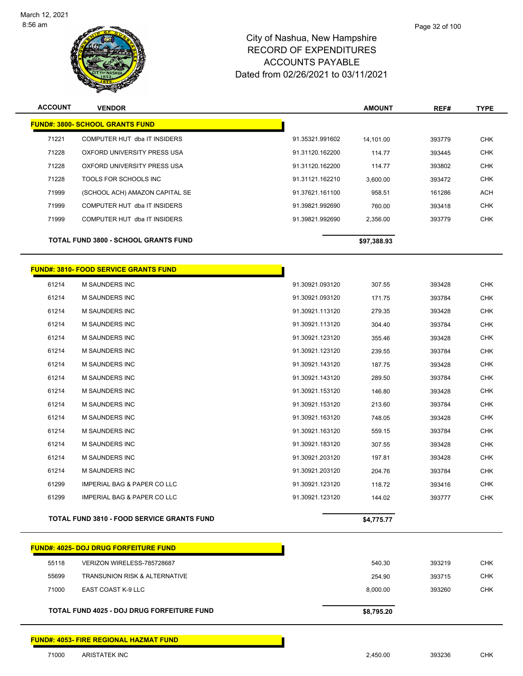

| <b>ACCOUNT</b> | <b>VENDOR</b>                               |                 | <b>AMOUNT</b> | REF#   | <b>TYPE</b> |
|----------------|---------------------------------------------|-----------------|---------------|--------|-------------|
|                | <b>FUND#: 3800- SCHOOL GRANTS FUND</b>      |                 |               |        |             |
| 71221          | COMPUTER HUT dba IT INSIDERS                | 91.35321.991602 | 14.101.00     | 393779 | <b>CHK</b>  |
| 71228          | OXFORD UNIVERSITY PRESS USA                 | 91.31120.162200 | 114.77        | 393445 | <b>CHK</b>  |
| 71228          | OXFORD UNIVERSITY PRESS USA                 | 91.31120.162200 | 114.77        | 393802 | <b>CHK</b>  |
| 71228          | TOOLS FOR SCHOOLS INC                       | 91.31121.162210 | 3,600.00      | 393472 | <b>CHK</b>  |
| 71999          | (SCHOOL ACH) AMAZON CAPITAL SE              | 91.37621.161100 | 958.51        | 161286 | <b>ACH</b>  |
| 71999          | COMPUTER HUT dba IT INSIDERS                | 91.39821.992690 | 760.00        | 393418 | <b>CHK</b>  |
| 71999          | COMPUTER HUT dba IT INSIDERS                | 91.39821.992690 | 2,356.00      | 393779 | <b>CHK</b>  |
|                | <b>TOTAL FUND 3800 - SCHOOL GRANTS FUND</b> |                 | \$97,388.93   |        |             |
|                |                                             |                 |               |        |             |

Г

# **FUND#: 3810- FOOD SERVICE GRANTS FUND**

|       | <b>TOTAL FUND 3810 - FOOD SERVICE GRANTS FUND</b> |                 | \$4,775.77 |        |            |
|-------|---------------------------------------------------|-----------------|------------|--------|------------|
| 61299 | <b>IMPERIAL BAG &amp; PAPER CO LLC</b>            | 91.30921.123120 | 144.02     | 393777 | <b>CHK</b> |
| 61299 | <b>IMPERIAL BAG &amp; PAPER CO LLC</b>            | 91.30921.123120 | 118.72     | 393416 | <b>CHK</b> |
| 61214 | <b>M SAUNDERS INC</b>                             | 91.30921.203120 | 204.76     | 393784 | <b>CHK</b> |
| 61214 | <b>M SAUNDERS INC</b>                             | 91.30921.203120 | 197.81     | 393428 | <b>CHK</b> |
| 61214 | <b>M SAUNDERS INC</b>                             | 91.30921.183120 | 307.55     | 393428 | <b>CHK</b> |
| 61214 | <b>M SAUNDERS INC</b>                             | 91.30921.163120 | 559.15     | 393784 | <b>CHK</b> |
| 61214 | <b>M SAUNDERS INC</b>                             | 91.30921.163120 | 748.05     | 393428 | <b>CHK</b> |
| 61214 | <b>M SAUNDERS INC</b>                             | 91.30921.153120 | 213.60     | 393784 | <b>CHK</b> |
| 61214 | <b>M SAUNDERS INC</b>                             | 91.30921.153120 | 146.80     | 393428 | <b>CHK</b> |
| 61214 | <b>M SAUNDERS INC</b>                             | 91.30921.143120 | 289.50     | 393784 | <b>CHK</b> |
| 61214 | <b>M SAUNDERS INC</b>                             | 91.30921.143120 | 187.75     | 393428 | <b>CHK</b> |
| 61214 | <b>M SAUNDERS INC</b>                             | 91.30921.123120 | 239.55     | 393784 | <b>CHK</b> |
| 61214 | <b>M SAUNDERS INC</b>                             | 91.30921.123120 | 355.46     | 393428 | <b>CHK</b> |
| 61214 | <b>M SAUNDERS INC</b>                             | 91.30921.113120 | 304.40     | 393784 | <b>CHK</b> |
| 61214 | <b>M SAUNDERS INC</b>                             | 91.30921.113120 | 279.35     | 393428 | <b>CHK</b> |
| 61214 | <b>M SAUNDERS INC</b>                             | 91.30921.093120 | 171.75     | 393784 | <b>CHK</b> |
| 61214 | <b>M SAUNDERS INC</b>                             | 91.30921.093120 | 307.55     | 393428 | <b>CHK</b> |
|       |                                                   |                 |            |        |            |

|       | <b>FUND#: 4025- DOJ DRUG FORFEITURE FUND</b> |            |        |            |
|-------|----------------------------------------------|------------|--------|------------|
| 55118 | VERIZON WIRELESS-785728687                   | 540.30     | 393219 | СНК        |
| 55699 | <b>TRANSUNION RISK &amp; ALTERNATIVE</b>     | 254.90     | 393715 | CHK        |
| 71000 | EAST COAST K-9 LLC                           | 8.000.00   | 393260 | <b>CHK</b> |
|       |                                              |            |        |            |
|       | TOTAL FUND 4025 - DOJ DRUG FORFEITURE FUND   | \$8,795.20 |        |            |

**FUND#: 4053- FIRE REGIONAL HAZMAT FUND**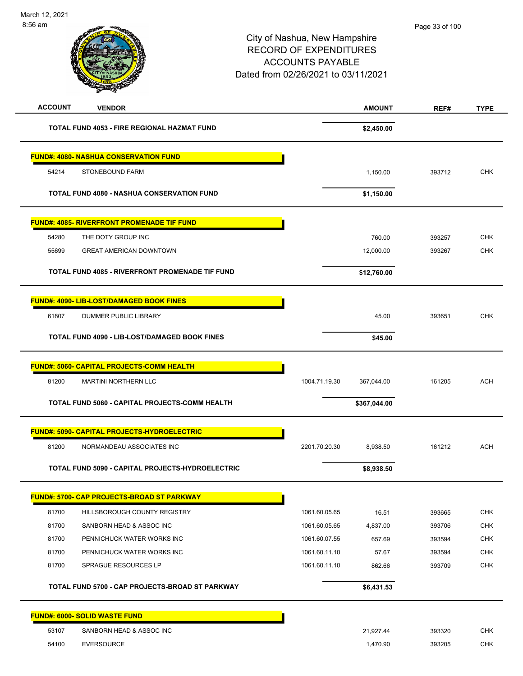| <b>ACCOUNT</b> | <b>VENDOR</b>                                        |               | <b>AMOUNT</b> | REF#   | <b>TYPE</b> |
|----------------|------------------------------------------------------|---------------|---------------|--------|-------------|
|                | <b>TOTAL FUND 4053 - FIRE REGIONAL HAZMAT FUND</b>   |               | \$2,450.00    |        |             |
|                | <b>FUND#: 4080- NASHUA CONSERVATION FUND</b>         |               |               |        |             |
| 54214          | STONEBOUND FARM                                      |               | 1,150.00      | 393712 | <b>CHK</b>  |
|                | <b>TOTAL FUND 4080 - NASHUA CONSERVATION FUND</b>    |               | \$1,150.00    |        |             |
|                | <b>FUND#: 4085- RIVERFRONT PROMENADE TIF FUND</b>    |               |               |        |             |
| 54280          | THE DOTY GROUP INC                                   |               | 760.00        | 393257 | <b>CHK</b>  |
| 55699          | <b>GREAT AMERICAN DOWNTOWN</b>                       |               | 12,000.00     | 393267 | <b>CHK</b>  |
|                | TOTAL FUND 4085 - RIVERFRONT PROMENADE TIF FUND      |               | \$12,760.00   |        |             |
|                | FUND#: 4090- LIB-LOST/DAMAGED BOOK FINES             |               |               |        |             |
| 61807          | DUMMER PUBLIC LIBRARY                                |               | 45.00         | 393651 | <b>CHK</b>  |
|                | <b>TOTAL FUND 4090 - LIB-LOST/DAMAGED BOOK FINES</b> |               | \$45.00       |        |             |
|                | <b>FUND#: 5060- CAPITAL PROJECTS-COMM HEALTH</b>     |               |               |        |             |
| 81200          | <b>MARTINI NORTHERN LLC</b>                          | 1004.71.19.30 | 367,044.00    | 161205 | <b>ACH</b>  |
|                | TOTAL FUND 5060 - CAPITAL PROJECTS-COMM HEALTH       |               | \$367,044.00  |        |             |
|                | <b>FUND#: 5090- CAPITAL PROJECTS-HYDROELECTRIC</b>   |               |               |        |             |
| 81200          | NORMANDEAU ASSOCIATES INC                            | 2201.70.20.30 | 8,938.50      | 161212 | <b>ACH</b>  |
|                | TOTAL FUND 5090 - CAPITAL PROJECTS-HYDROELECTRIC     |               | \$8,938.50    |        |             |
|                | <u> FUND#: 5700- CAP PROJECTS-BROAD ST PARKWAY</u>   |               |               |        |             |
| 81700          | HILLSBOROUGH COUNTY REGISTRY                         | 1061.60.05.65 | 16.51         | 393665 | <b>CHK</b>  |
| 81700          | SANBORN HEAD & ASSOC INC                             | 1061.60.05.65 | 4,837.00      | 393706 | <b>CHK</b>  |
| 81700          | PENNICHUCK WATER WORKS INC                           | 1061.60.07.55 | 657.69        | 393594 | <b>CHK</b>  |
| 81700          | PENNICHUCK WATER WORKS INC                           | 1061.60.11.10 | 57.67         | 393594 | <b>CHK</b>  |
| 81700          | SPRAGUE RESOURCES LP                                 | 1061.60.11.10 | 862.66        | 393709 | <b>CHK</b>  |
|                | TOTAL FUND 5700 - CAP PROJECTS-BROAD ST PARKWAY      |               | \$6,431.53    |        |             |
|                | <b>FUND#: 6000- SOLID WASTE FUND</b>                 |               |               |        |             |
| 53107          | SANBORN HEAD & ASSOC INC                             |               | 21,927.44     | 393320 | <b>CHK</b>  |
| 54100          | <b>EVERSOURCE</b>                                    |               | 1,470.90      | 393205 | <b>CHK</b>  |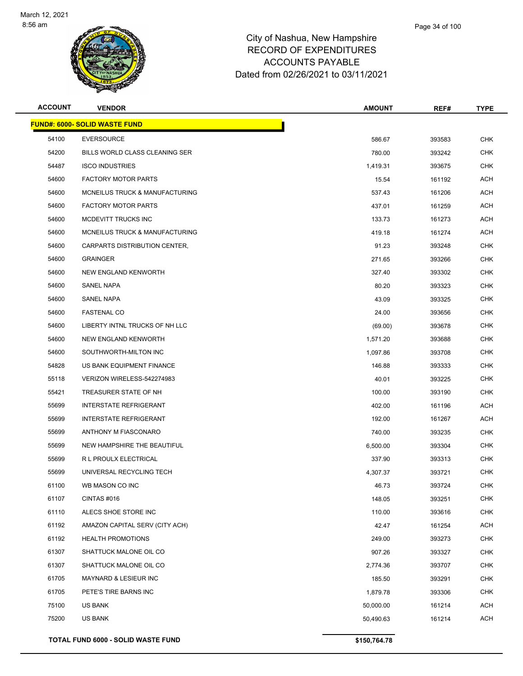

| <b>ACCOUNT</b> | <b>VENDOR</b>                        | <b>AMOUNT</b> | REF#   | <b>TYPE</b> |
|----------------|--------------------------------------|---------------|--------|-------------|
|                | <b>FUND#: 6000- SOLID WASTE FUND</b> |               |        |             |
| 54100          | <b>EVERSOURCE</b>                    | 586.67        | 393583 | <b>CHK</b>  |
| 54200          | BILLS WORLD CLASS CLEANING SER       | 780.00        | 393242 | <b>CHK</b>  |
| 54487          | <b>ISCO INDUSTRIES</b>               | 1,419.31      | 393675 | <b>CHK</b>  |
| 54600          | <b>FACTORY MOTOR PARTS</b>           | 15.54         | 161192 | ACH         |
| 54600          | MCNEILUS TRUCK & MANUFACTURING       | 537.43        | 161206 | ACH         |
| 54600          | <b>FACTORY MOTOR PARTS</b>           | 437.01        | 161259 | ACH         |
| 54600          | MCDEVITT TRUCKS INC                  | 133.73        | 161273 | <b>ACH</b>  |
| 54600          | MCNEILUS TRUCK & MANUFACTURING       | 419.18        | 161274 | ACH         |
| 54600          | CARPARTS DISTRIBUTION CENTER,        | 91.23         | 393248 | <b>CHK</b>  |
| 54600          | <b>GRAINGER</b>                      | 271.65        | 393266 | <b>CHK</b>  |
| 54600          | NEW ENGLAND KENWORTH                 | 327.40        | 393302 | <b>CHK</b>  |
| 54600          | SANEL NAPA                           | 80.20         | 393323 | <b>CHK</b>  |
| 54600          | <b>SANEL NAPA</b>                    | 43.09         | 393325 | <b>CHK</b>  |
| 54600          | <b>FASTENAL CO</b>                   | 24.00         | 393656 | <b>CHK</b>  |
| 54600          | LIBERTY INTNL TRUCKS OF NH LLC       | (69.00)       | 393678 | <b>CHK</b>  |
| 54600          | NEW ENGLAND KENWORTH                 | 1,571.20      | 393688 | <b>CHK</b>  |
| 54600          | SOUTHWORTH-MILTON INC                | 1,097.86      | 393708 | <b>CHK</b>  |
| 54828          | US BANK EQUIPMENT FINANCE            | 146.88        | 393333 | <b>CHK</b>  |
| 55118          | VERIZON WIRELESS-542274983           | 40.01         | 393225 | <b>CHK</b>  |
| 55421          | TREASURER STATE OF NH                | 100.00        | 393190 | <b>CHK</b>  |
| 55699          | <b>INTERSTATE REFRIGERANT</b>        | 402.00        | 161196 | ACH         |
| 55699          | <b>INTERSTATE REFRIGERANT</b>        | 192.00        | 161267 | ACH         |
| 55699          | ANTHONY M FIASCONARO                 | 740.00        | 393235 | <b>CHK</b>  |
| 55699          | NEW HAMPSHIRE THE BEAUTIFUL          | 6,500.00      | 393304 | <b>CHK</b>  |
| 55699          | R L PROULX ELECTRICAL                | 337.90        | 393313 | <b>CHK</b>  |
| 55699          | UNIVERSAL RECYCLING TECH             | 4,307.37      | 393721 | <b>CHK</b>  |
| 61100          | WB MASON CO INC                      | 46.73         | 393724 | <b>CHK</b>  |
| 61107          | CINTAS #016                          | 148.05        | 393251 | <b>CHK</b>  |
| 61110          | ALECS SHOE STORE INC                 | 110.00        | 393616 | <b>CHK</b>  |
| 61192          | AMAZON CAPITAL SERV (CITY ACH)       | 42.47         | 161254 | ACH         |
| 61192          | <b>HEALTH PROMOTIONS</b>             | 249.00        | 393273 | <b>CHK</b>  |
| 61307          | SHATTUCK MALONE OIL CO               | 907.26        | 393327 | CHK         |
| 61307          | SHATTUCK MALONE OIL CO               | 2,774.36      | 393707 | <b>CHK</b>  |
| 61705          | MAYNARD & LESIEUR INC                | 185.50        | 393291 | <b>CHK</b>  |
| 61705          | PETE'S TIRE BARNS INC                | 1,879.78      | 393306 | <b>CHK</b>  |
| 75100          | US BANK                              | 50,000.00     | 161214 | ACH         |
| 75200          | <b>US BANK</b>                       | 50,490.63     | 161214 | <b>ACH</b>  |
|                |                                      |               |        |             |

**TOTAL FUND 6000 - SOLID WASTE FUND \$150,764.78**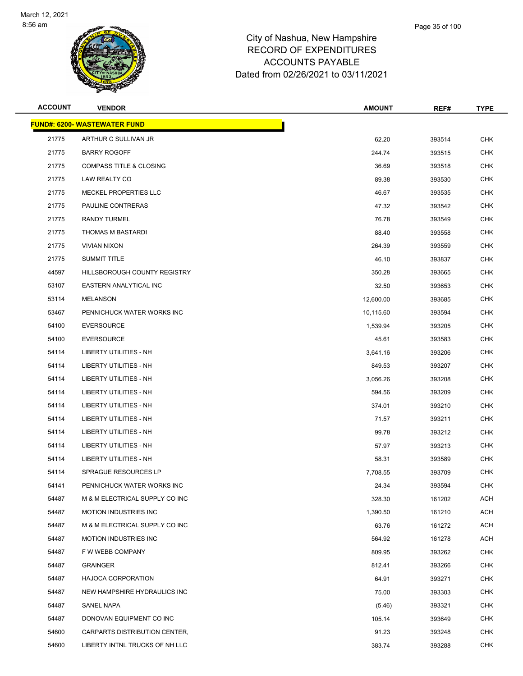

| <b>ACCOUNT</b> | <b>VENDOR</b>                       | <b>AMOUNT</b> | REF#   | <b>TYPE</b> |
|----------------|-------------------------------------|---------------|--------|-------------|
|                | <b>FUND#: 6200- WASTEWATER FUND</b> |               |        |             |
| 21775          | ARTHUR C SULLIVAN JR                | 62.20         | 393514 | <b>CHK</b>  |
| 21775          | <b>BARRY ROGOFF</b>                 | 244.74        | 393515 | <b>CHK</b>  |
| 21775          | <b>COMPASS TITLE &amp; CLOSING</b>  | 36.69         | 393518 | <b>CHK</b>  |
| 21775          | LAW REALTY CO                       | 89.38         | 393530 | <b>CHK</b>  |
| 21775          | MECKEL PROPERTIES LLC               | 46.67         | 393535 | <b>CHK</b>  |
| 21775          | PAULINE CONTRERAS                   | 47.32         | 393542 | CHK         |
| 21775          | <b>RANDY TURMEL</b>                 | 76.78         | 393549 | <b>CHK</b>  |
| 21775          | THOMAS M BASTARDI                   | 88.40         | 393558 | <b>CHK</b>  |
| 21775          | <b>VIVIAN NIXON</b>                 | 264.39        | 393559 | <b>CHK</b>  |
| 21775          | <b>SUMMIT TITLE</b>                 | 46.10         | 393837 | <b>CHK</b>  |
| 44597          | HILLSBOROUGH COUNTY REGISTRY        | 350.28        | 393665 | CHK         |
| 53107          | EASTERN ANALYTICAL INC              | 32.50         | 393653 | <b>CHK</b>  |
| 53114          | <b>MELANSON</b>                     | 12,600.00     | 393685 | <b>CHK</b>  |
| 53467          | PENNICHUCK WATER WORKS INC          | 10,115.60     | 393594 | <b>CHK</b>  |
| 54100          | <b>EVERSOURCE</b>                   | 1,539.94      | 393205 | <b>CHK</b>  |
| 54100          | <b>EVERSOURCE</b>                   | 45.61         | 393583 | CHK         |
| 54114          | LIBERTY UTILITIES - NH              | 3,641.16      | 393206 | <b>CHK</b>  |
| 54114          | LIBERTY UTILITIES - NH              | 849.53        | 393207 | <b>CHK</b>  |
| 54114          | <b>LIBERTY UTILITIES - NH</b>       | 3,056.26      | 393208 | <b>CHK</b>  |
| 54114          | LIBERTY UTILITIES - NH              | 594.56        | 393209 | <b>CHK</b>  |
| 54114          | LIBERTY UTILITIES - NH              | 374.01        | 393210 | CHK         |
| 54114          | LIBERTY UTILITIES - NH              | 71.57         | 393211 | <b>CHK</b>  |
| 54114          | LIBERTY UTILITIES - NH              | 99.78         | 393212 | <b>CHK</b>  |
| 54114          | <b>LIBERTY UTILITIES - NH</b>       | 57.97         | 393213 | <b>CHK</b>  |
| 54114          | LIBERTY UTILITIES - NH              | 58.31         | 393589 | <b>CHK</b>  |
| 54114          | SPRAGUE RESOURCES LP                | 7,708.55      | 393709 | CHK         |
| 54141          | PENNICHUCK WATER WORKS INC          | 24.34         | 393594 | <b>CHK</b>  |
| 54487          | M & M ELECTRICAL SUPPLY CO INC      | 328.30        | 161202 | <b>ACH</b>  |
| 54487          | <b>MOTION INDUSTRIES INC</b>        | 1,390.50      | 161210 | <b>ACH</b>  |
| 54487          | M & M ELECTRICAL SUPPLY CO INC      | 63.76         | 161272 | ACH         |
| 54487          | <b>MOTION INDUSTRIES INC</b>        | 564.92        | 161278 | ACH         |
| 54487          | F W WEBB COMPANY                    | 809.95        | 393262 | <b>CHK</b>  |
| 54487          | <b>GRAINGER</b>                     | 812.41        | 393266 | <b>CHK</b>  |
| 54487          | <b>HAJOCA CORPORATION</b>           | 64.91         | 393271 | <b>CHK</b>  |
| 54487          | NEW HAMPSHIRE HYDRAULICS INC        | 75.00         | 393303 | CHK         |
| 54487          | SANEL NAPA                          | (5.46)        | 393321 | CHK         |
| 54487          | DONOVAN EQUIPMENT CO INC            | 105.14        | 393649 | <b>CHK</b>  |
| 54600          | CARPARTS DISTRIBUTION CENTER,       | 91.23         | 393248 | CHK         |
| 54600          | LIBERTY INTNL TRUCKS OF NH LLC      | 383.74        | 393288 | <b>CHK</b>  |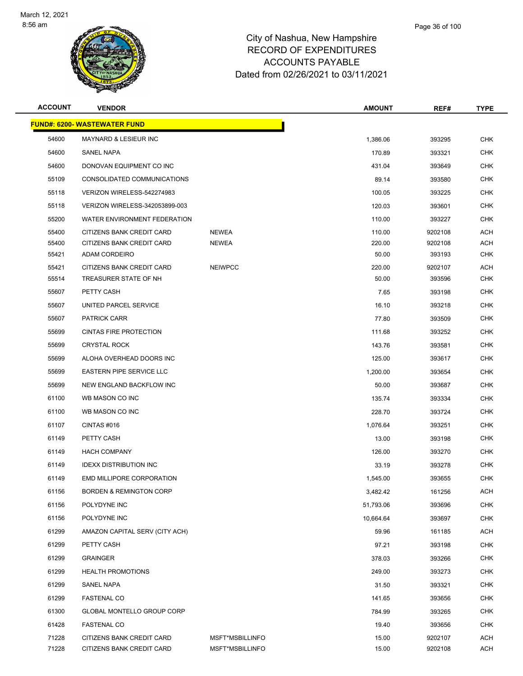

| <b>ACCOUNT</b> | <b>VENDOR</b>                                      |                 | <b>AMOUNT</b>  | REF#             | <b>TYPE</b>              |
|----------------|----------------------------------------------------|-----------------|----------------|------------------|--------------------------|
|                | <b>FUND#: 6200- WASTEWATER FUND</b>                |                 |                |                  |                          |
| 54600          | <b>MAYNARD &amp; LESIEUR INC</b>                   |                 | 1,386.06       | 393295           | <b>CHK</b>               |
| 54600          | SANEL NAPA                                         |                 | 170.89         | 393321           | <b>CHK</b>               |
| 54600          | DONOVAN EQUIPMENT CO INC                           |                 | 431.04         | 393649           | <b>CHK</b>               |
| 55109          | CONSOLIDATED COMMUNICATIONS                        |                 | 89.14          | 393580           | <b>CHK</b>               |
| 55118          | VERIZON WIRELESS-542274983                         |                 | 100.05         | 393225           | <b>CHK</b>               |
| 55118          | VERIZON WIRELESS-342053899-003                     |                 | 120.03         | 393601           | <b>CHK</b>               |
| 55200          | WATER ENVIRONMENT FEDERATION                       |                 | 110.00         | 393227           | <b>CHK</b>               |
| 55400          | CITIZENS BANK CREDIT CARD                          | <b>NEWEA</b>    | 110.00         | 9202108          | <b>ACH</b>               |
| 55400          | CITIZENS BANK CREDIT CARD                          | <b>NEWEA</b>    | 220.00         | 9202108          | <b>ACH</b>               |
| 55421          | ADAM CORDEIRO                                      |                 | 50.00          | 393193           | <b>CHK</b>               |
| 55421          | CITIZENS BANK CREDIT CARD<br>TREASURER STATE OF NH | <b>NEIWPCC</b>  | 220.00         | 9202107          | ACH                      |
| 55514          | PETTY CASH                                         |                 | 50.00          | 393596           | <b>CHK</b><br><b>CHK</b> |
| 55607<br>55607 | UNITED PARCEL SERVICE                              |                 | 7.65           | 393198           |                          |
| 55607          | <b>PATRICK CARR</b>                                |                 | 16.10<br>77.80 | 393218<br>393509 | <b>CHK</b><br><b>CHK</b> |
| 55699          | <b>CINTAS FIRE PROTECTION</b>                      |                 | 111.68         | 393252           | <b>CHK</b>               |
| 55699          | <b>CRYSTAL ROCK</b>                                |                 | 143.76         | 393581           | <b>CHK</b>               |
| 55699          | ALOHA OVERHEAD DOORS INC                           |                 | 125.00         | 393617           | <b>CHK</b>               |
| 55699          | <b>EASTERN PIPE SERVICE LLC</b>                    |                 | 1,200.00       | 393654           | <b>CHK</b>               |
| 55699          | NEW ENGLAND BACKFLOW INC                           |                 | 50.00          | 393687           | <b>CHK</b>               |
| 61100          | WB MASON CO INC                                    |                 | 135.74         | 393334           | <b>CHK</b>               |
| 61100          | WB MASON CO INC                                    |                 | 228.70         | 393724           | <b>CHK</b>               |
| 61107          | CINTAS #016                                        |                 | 1,076.64       | 393251           | <b>CHK</b>               |
| 61149          | PETTY CASH                                         |                 | 13.00          | 393198           | CHK                      |
| 61149          | <b>HACH COMPANY</b>                                |                 | 126.00         | 393270           | <b>CHK</b>               |
| 61149          | <b>IDEXX DISTRIBUTION INC</b>                      |                 | 33.19          | 393278           | <b>CHK</b>               |
| 61149          | <b>EMD MILLIPORE CORPORATION</b>                   |                 | 1,545.00       | 393655           | <b>CHK</b>               |
| 61156          | <b>BORDEN &amp; REMINGTON CORP</b>                 |                 | 3,482.42       | 161256           | <b>ACH</b>               |
| 61156          | POLYDYNE INC                                       |                 | 51,793.06      | 393696           | <b>CHK</b>               |
| 61156          | POLYDYNE INC                                       |                 | 10,664.64      | 393697           | <b>CHK</b>               |
| 61299          | AMAZON CAPITAL SERV (CITY ACH)                     |                 | 59.96          | 161185           | ACH                      |
| 61299          | PETTY CASH                                         |                 | 97.21          | 393198           | <b>CHK</b>               |
| 61299          | <b>GRAINGER</b>                                    |                 | 378.03         | 393266           | <b>CHK</b>               |
| 61299          | <b>HEALTH PROMOTIONS</b>                           |                 | 249.00         | 393273           | <b>CHK</b>               |
| 61299          | SANEL NAPA                                         |                 | 31.50          | 393321           | <b>CHK</b>               |
| 61299          | <b>FASTENAL CO</b>                                 |                 | 141.65         | 393656           | <b>CHK</b>               |
| 61300          | GLOBAL MONTELLO GROUP CORP                         |                 | 784.99         | 393265           | CHK                      |
| 61428          | <b>FASTENAL CO</b>                                 |                 | 19.40          | 393656           | <b>CHK</b>               |
| 71228          | CITIZENS BANK CREDIT CARD                          | MSFT*MSBILLINFO | 15.00          | 9202107          | <b>ACH</b>               |
| 71228          | CITIZENS BANK CREDIT CARD                          | MSFT*MSBILLINFO | 15.00          | 9202108          | <b>ACH</b>               |
|                |                                                    |                 |                |                  |                          |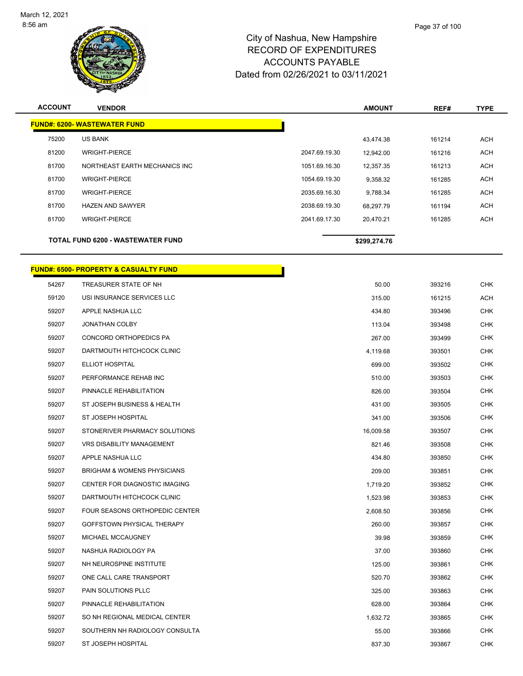

| <b>ACCOUNT</b> | <b>VENDOR</b>                            |               | <b>AMOUNT</b> | REF#   | <b>TYPE</b> |
|----------------|------------------------------------------|---------------|---------------|--------|-------------|
|                | <b>FUND#: 6200- WASTEWATER FUND</b>      |               |               |        |             |
| 75200          | <b>US BANK</b>                           |               | 43.474.38     | 161214 | <b>ACH</b>  |
| 81200          | <b>WRIGHT-PIERCE</b>                     | 2047.69.19.30 | 12,942.00     | 161216 | <b>ACH</b>  |
| 81700          | NORTHEAST EARTH MECHANICS INC            | 1051.69.16.30 | 12,357.35     | 161213 | <b>ACH</b>  |
| 81700          | <b>WRIGHT-PIERCE</b>                     | 1054.69.19.30 | 9,358.32      | 161285 | <b>ACH</b>  |
| 81700          | <b>WRIGHT-PIERCE</b>                     | 2035.69.16.30 | 9,788.34      | 161285 | <b>ACH</b>  |
| 81700          | <b>HAZEN AND SAWYER</b>                  | 2038.69.19.30 | 68,297.79     | 161194 | <b>ACH</b>  |
| 81700          | <b>WRIGHT-PIERCE</b>                     | 2041.69.17.30 | 20,470.21     | 161285 | <b>ACH</b>  |
|                | <b>TOTAL FUND 6200 - WASTEWATER FUND</b> |               | \$299,274.76  |        |             |

П

# **FUND#: 6500- PROPERTY & CASUALTY FUND**

| 54267 | TREASURER STATE OF NH                  | 50.00     | 393216 | CHK        |
|-------|----------------------------------------|-----------|--------|------------|
| 59120 | USI INSURANCE SERVICES LLC             | 315.00    | 161215 | ACH        |
| 59207 | APPLE NASHUA LLC                       | 434.80    | 393496 | <b>CHK</b> |
| 59207 | <b>JONATHAN COLBY</b>                  | 113.04    | 393498 | <b>CHK</b> |
| 59207 | CONCORD ORTHOPEDICS PA                 | 267.00    | 393499 | <b>CHK</b> |
| 59207 | DARTMOUTH HITCHCOCK CLINIC             | 4,119.68  | 393501 | <b>CHK</b> |
| 59207 | ELLIOT HOSPITAL                        | 699.00    | 393502 | <b>CHK</b> |
| 59207 | PERFORMANCE REHAB INC                  | 510.00    | 393503 | CHK        |
| 59207 | PINNACLE REHABILITATION                | 826.00    | 393504 | <b>CHK</b> |
| 59207 | ST JOSEPH BUSINESS & HEALTH            | 431.00    | 393505 | <b>CHK</b> |
| 59207 | ST JOSEPH HOSPITAL                     | 341.00    | 393506 | <b>CHK</b> |
| 59207 | STONERIVER PHARMACY SOLUTIONS          | 16,009.58 | 393507 | <b>CHK</b> |
| 59207 | <b>VRS DISABILITY MANAGEMENT</b>       | 821.46    | 393508 | <b>CHK</b> |
| 59207 | APPLE NASHUA LLC                       | 434.80    | 393850 | <b>CHK</b> |
| 59207 | <b>BRIGHAM &amp; WOMENS PHYSICIANS</b> | 209.00    | 393851 | <b>CHK</b> |
| 59207 | CENTER FOR DIAGNOSTIC IMAGING          | 1,719.20  | 393852 | <b>CHK</b> |
| 59207 | DARTMOUTH HITCHCOCK CLINIC             | 1,523.98  | 393853 | <b>CHK</b> |
| 59207 | FOUR SEASONS ORTHOPEDIC CENTER         | 2,608.50  | 393856 | <b>CHK</b> |
| 59207 | GOFFSTOWN PHYSICAL THERAPY             | 260.00    | 393857 | <b>CHK</b> |
| 59207 | MICHAEL MCCAUGNEY                      | 39.98     | 393859 | <b>CHK</b> |
| 59207 | NASHUA RADIOLOGY PA                    | 37.00     | 393860 | <b>CHK</b> |
| 59207 | NH NEUROSPINE INSTITUTE                | 125.00    | 393861 | <b>CHK</b> |
| 59207 | ONE CALL CARE TRANSPORT                | 520.70    | 393862 | <b>CHK</b> |
| 59207 | PAIN SOLUTIONS PLLC                    | 325.00    | 393863 | <b>CHK</b> |
| 59207 | PINNACLE REHABILITATION                | 628.00    | 393864 | <b>CHK</b> |
| 59207 | SO NH REGIONAL MEDICAL CENTER          | 1,632.72  | 393865 | <b>CHK</b> |
| 59207 | SOUTHERN NH RADIOLOGY CONSULTA         | 55.00     | 393866 | <b>CHK</b> |
| 59207 | ST JOSEPH HOSPITAL                     | 837.30    | 393867 | <b>CHK</b> |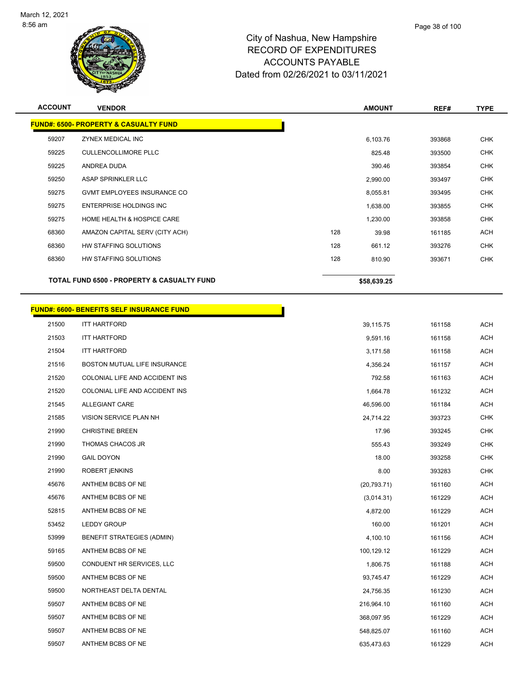

| <b>ACCOUNT</b> | <b>VENDOR</b>                                    | <b>AMOUNT</b> | REF#   | <b>TYPE</b> |
|----------------|--------------------------------------------------|---------------|--------|-------------|
|                | <b>FUND#: 6500- PROPERTY &amp; CASUALTY FUND</b> |               |        |             |
| 59207          | ZYNEX MEDICAL INC                                | 6,103.76      | 393868 | <b>CHK</b>  |
| 59225          | <b>CULLENCOLLIMORE PLLC</b>                      | 825.48        | 393500 | <b>CHK</b>  |
| 59225          | ANDREA DUDA                                      | 390.46        | 393854 | <b>CHK</b>  |
| 59250          | ASAP SPRINKLER LLC                               | 2,990.00      | 393497 | <b>CHK</b>  |
| 59275          | <b>GVMT EMPLOYEES INSURANCE CO</b>               | 8,055.81      | 393495 | <b>CHK</b>  |
| 59275          | ENTERPRISE HOLDINGS INC                          | 1,638.00      | 393855 | <b>CHK</b>  |
| 59275          | HOME HEALTH & HOSPICE CARE                       | 1,230.00      | 393858 | <b>CHK</b>  |
| 68360          | AMAZON CAPITAL SERV (CITY ACH)                   | 128<br>39.98  | 161185 | <b>ACH</b>  |
| 68360          | HW STAFFING SOLUTIONS                            | 128<br>661.12 | 393276 | <b>CHK</b>  |
| 68360          | HW STAFFING SOLUTIONS                            | 128<br>810.90 | 393671 | <b>CHK</b>  |
|                |                                                  |               |        |             |
|                | TOTAL FUND 6500 - PROPERTY & CASUALTY FUND       | \$58,639.25   |        |             |
|                | <b>FUND#: 6600- BENEFITS SELF INSURANCE FUND</b> |               |        |             |
| 21500          | <b>ITT HARTFORD</b>                              | 39,115.75     | 161158 | <b>ACH</b>  |
| 21503          | <b>ITT HARTFORD</b>                              | 9,591.16      | 161158 | <b>ACH</b>  |
| 21504          | <b>ITT HARTFORD</b>                              | 3,171.58      | 161158 | <b>ACH</b>  |
| 21516          | BOSTON MUTUAL LIFE INSURANCE                     | 4,356.24      | 161157 | <b>ACH</b>  |
| 21520          | COLONIAL LIFE AND ACCIDENT INS                   | 792.58        | 161163 | ACH         |
| 21520          | COLONIAL LIFE AND ACCIDENT INS                   | 1,664.78      | 161232 | <b>ACH</b>  |
| 21545          | <b>ALLEGIANT CARE</b>                            | 46,596.00     | 161184 | <b>ACH</b>  |
| 21585          | VISION SERVICE PLAN NH                           | 24,714.22     | 393723 | <b>CHK</b>  |
| 21990          | <b>CHRISTINE BREEN</b>                           | 17.96         | 393245 | <b>CHK</b>  |
| 21990          | THOMAS CHACOS JR                                 | 555.43        | 393249 | <b>CHK</b>  |
| 21990          | <b>GAIL DOYON</b>                                | 18.00         | 393258 | <b>CHK</b>  |
| 21990          | ROBERT <i><b>ENKINS</b></i>                      | 8.00          | 393283 | <b>CHK</b>  |
| 45676          | ANTHEM BCBS OF NE                                | (20, 793.71)  | 161160 | ACH         |
| 45676          | ANTHEM BCBS OF NE                                | (3,014.31)    | 161229 | <b>ACH</b>  |
| 52815          | ANTHEM BCBS OF NE                                | 4,872.00      | 161229 | <b>ACH</b>  |
| 53452          | LEDDY GROUP                                      | 160.00        | 161201 | ACH         |
| 53999          | BENEFIT STRATEGIES (ADMIN)                       | 4,100.10      | 161156 | <b>ACH</b>  |
| 59165          | ANTHEM BCBS OF NE                                | 100,129.12    | 161229 | <b>ACH</b>  |
| 59500          | CONDUENT HR SERVICES, LLC                        | 1,806.75      | 161188 | <b>ACH</b>  |
| 59500          | ANTHEM BCBS OF NE                                | 93,745.47     | 161229 | <b>ACH</b>  |
| 59500          | NORTHEAST DELTA DENTAL                           | 24,756.35     | 161230 | ACH         |
| 59507          | ANTHEM BCBS OF NE                                | 216,964.10    | 161160 | <b>ACH</b>  |
| 59507          | ANTHEM BCBS OF NE                                | 368,097.95    | 161229 | <b>ACH</b>  |

59507 ANTHEM BCBS OF NE 548,825.07 161160 ACH 59507 ANTHEM BCBS OF NE 635,473.63 161229 ACH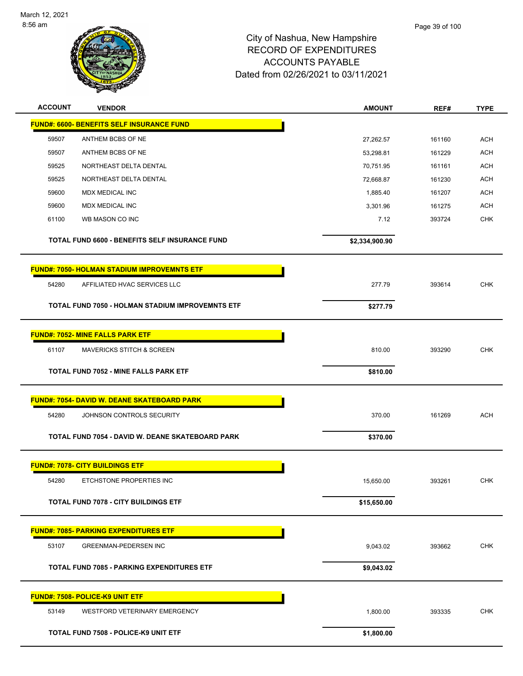

| <b>ACCOUNT</b> | <b>VENDOR</b>                                      | <b>AMOUNT</b>  | REF#   | <b>TYPE</b> |
|----------------|----------------------------------------------------|----------------|--------|-------------|
|                | <b>FUND#: 6600- BENEFITS SELF INSURANCE FUND</b>   |                |        |             |
| 59507          | ANTHEM BCBS OF NE                                  | 27,262.57      | 161160 | <b>ACH</b>  |
| 59507          | ANTHEM BCBS OF NE                                  | 53,298.81      | 161229 | <b>ACH</b>  |
| 59525          | NORTHEAST DELTA DENTAL                             | 70,751.95      | 161161 | <b>ACH</b>  |
| 59525          | NORTHEAST DELTA DENTAL                             | 72,668.87      | 161230 | ACH         |
| 59600          | <b>MDX MEDICAL INC</b>                             | 1,885.40       | 161207 | <b>ACH</b>  |
| 59600          | <b>MDX MEDICAL INC</b>                             | 3,301.96       | 161275 | <b>ACH</b>  |
| 61100          | WB MASON CO INC                                    | 7.12           | 393724 | <b>CHK</b>  |
|                | TOTAL FUND 6600 - BENEFITS SELF INSURANCE FUND     | \$2,334,900.90 |        |             |
|                | <b>FUND#: 7050- HOLMAN STADIUM IMPROVEMNTS ETF</b> |                |        |             |
| 54280          | AFFILIATED HVAC SERVICES LLC                       | 277.79         | 393614 | <b>CHK</b>  |
|                | TOTAL FUND 7050 - HOLMAN STADIUM IMPROVEMNTS ETF   | \$277.79       |        |             |
|                | <b>FUND#: 7052- MINE FALLS PARK ETF</b>            |                |        |             |
| 61107          | <b>MAVERICKS STITCH &amp; SCREEN</b>               | 810.00         | 393290 | <b>CHK</b>  |
|                | <b>TOTAL FUND 7052 - MINE FALLS PARK ETF</b>       | \$810.00       |        |             |
|                | <b>FUND#: 7054- DAVID W. DEANE SKATEBOARD PARK</b> |                |        |             |
| 54280          | JOHNSON CONTROLS SECURITY                          | 370.00         | 161269 | <b>ACH</b>  |
|                | TOTAL FUND 7054 - DAVID W. DEANE SKATEBOARD PARK   | \$370.00       |        |             |
|                | <b>FUND#: 7078- CITY BUILDINGS ETF</b>             |                |        |             |
| 54280          | ETCHSTONE PROPERTIES INC                           | 15,650.00      | 393261 | <b>CHK</b>  |
|                | <b>TOTAL FUND 7078 - CITY BUILDINGS ETF</b>        | \$15,650.00    |        |             |
|                | <b>FUND#: 7085- PARKING EXPENDITURES ETF</b>       |                |        |             |
| 53107          | <b>GREENMAN-PEDERSEN INC</b>                       | 9,043.02       | 393662 | <b>CHK</b>  |
|                | <b>TOTAL FUND 7085 - PARKING EXPENDITURES ETF</b>  | \$9,043.02     |        |             |
|                | <b>FUND#: 7508- POLICE-K9 UNIT ETF</b>             |                |        |             |
| 53149          | WESTFORD VETERINARY EMERGENCY                      | 1,800.00       | 393335 | <b>CHK</b>  |
|                | TOTAL FUND 7508 - POLICE-K9 UNIT ETF               | \$1,800.00     |        |             |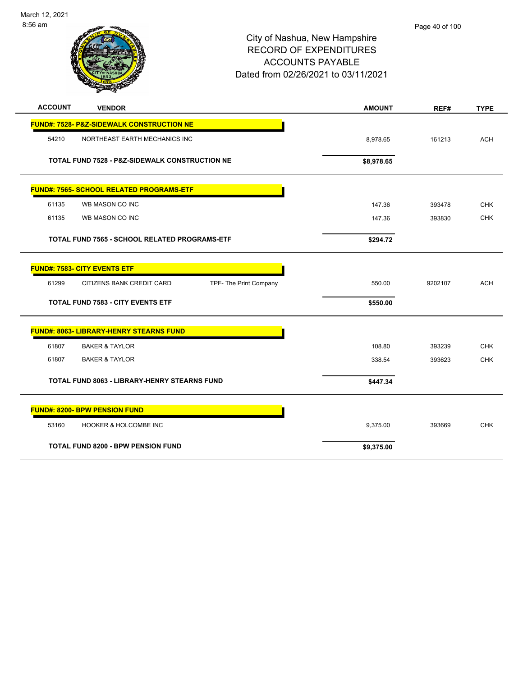

|       | Page 40 of 100 |
|-------|----------------|
| shire |                |

| <b>ACCOUNT</b><br><b>VENDOR</b>                              | <b>AMOUNT</b> | REF#    | <b>TYPE</b> |
|--------------------------------------------------------------|---------------|---------|-------------|
| <b>FUND#: 7528- P&amp;Z-SIDEWALK CONSTRUCTION NE</b>         |               |         |             |
| 54210<br>NORTHEAST EARTH MECHANICS INC                       | 8,978.65      | 161213  | <b>ACH</b>  |
| TOTAL FUND 7528 - P&Z-SIDEWALK CONSTRUCTION NE               | \$8,978.65    |         |             |
| <b>FUND#: 7565- SCHOOL RELATED PROGRAMS-ETF</b>              |               |         |             |
| 61135<br>WB MASON CO INC                                     | 147.36        | 393478  | <b>CHK</b>  |
| 61135<br>WB MASON CO INC                                     | 147.36        | 393830  | <b>CHK</b>  |
| <b>TOTAL FUND 7565 - SCHOOL RELATED PROGRAMS-ETF</b>         | \$294.72      |         |             |
| <b>FUND#: 7583- CITY EVENTS ETF</b>                          |               |         |             |
| 61299<br>CITIZENS BANK CREDIT CARD<br>TPF- The Print Company | 550.00        | 9202107 | <b>ACH</b>  |
| <b>TOTAL FUND 7583 - CITY EVENTS ETF</b>                     | \$550.00      |         |             |
| <b>FUND#: 8063- LIBRARY-HENRY STEARNS FUND</b>               |               |         |             |
| 61807<br><b>BAKER &amp; TAYLOR</b>                           | 108.80        | 393239  | <b>CHK</b>  |
| 61807<br><b>BAKER &amp; TAYLOR</b>                           | 338.54        | 393623  | <b>CHK</b>  |
| <b>TOTAL FUND 8063 - LIBRARY-HENRY STEARNS FUND</b>          | \$447.34      |         |             |
| <b>FUND#: 8200- BPW PENSION FUND</b>                         |               |         |             |
| HOOKER & HOLCOMBE INC<br>53160                               | 9,375.00      | 393669  | <b>CHK</b>  |
| <b>TOTAL FUND 8200 - BPW PENSION FUND</b>                    | \$9,375.00    |         |             |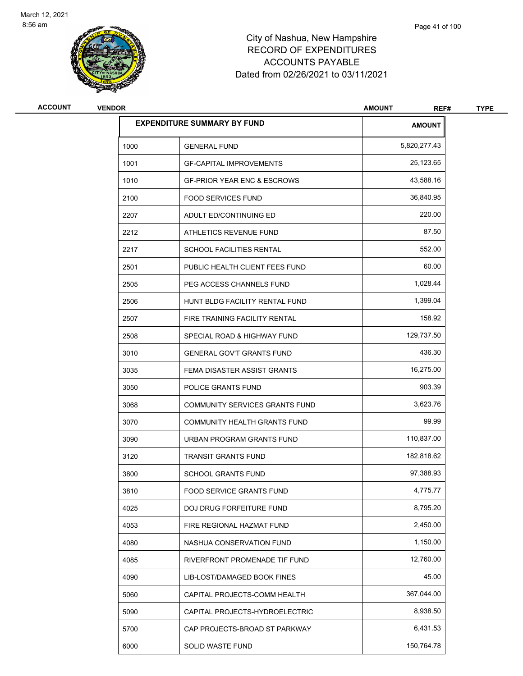

| <b>ACCOUNT</b> | <b>VENDOR</b> |                                        | <b>AMOUNT</b><br>REF# | <b>TYPE</b> |
|----------------|---------------|----------------------------------------|-----------------------|-------------|
|                |               | <b>EXPENDITURE SUMMARY BY FUND</b>     | <b>AMOUNT</b>         |             |
|                | 1000          | <b>GENERAL FUND</b>                    | 5,820,277.43          |             |
|                | 1001          | <b>GF-CAPITAL IMPROVEMENTS</b>         | 25,123.65             |             |
|                | 1010          | <b>GF-PRIOR YEAR ENC &amp; ESCROWS</b> | 43,588.16             |             |
|                | 2100          | <b>FOOD SERVICES FUND</b>              | 36,840.95             |             |
|                | 2207          | ADULT ED/CONTINUING ED                 | 220.00                |             |
|                | 2212          | ATHLETICS REVENUE FUND                 | 87.50                 |             |
|                | 2217          | SCHOOL FACILITIES RENTAL               | 552.00                |             |
|                | 2501          | PUBLIC HEALTH CLIENT FEES FUND         | 60.00                 |             |
|                | 2505          | PEG ACCESS CHANNELS FUND               | 1,028.44              |             |
|                | 2506          | HUNT BLDG FACILITY RENTAL FUND         | 1,399.04              |             |
|                | 2507          | FIRE TRAINING FACILITY RENTAL          | 158.92                |             |
|                | 2508          | SPECIAL ROAD & HIGHWAY FUND            | 129,737.50            |             |
|                | 3010          | <b>GENERAL GOV'T GRANTS FUND</b>       | 436.30                |             |
|                | 3035          | FEMA DISASTER ASSIST GRANTS            | 16,275.00             |             |
|                | 3050          | POLICE GRANTS FUND                     | 903.39                |             |
|                | 3068          | COMMUNITY SERVICES GRANTS FUND         | 3,623.76              |             |
|                | 3070          | COMMUNITY HEALTH GRANTS FUND           | 99.99                 |             |
|                | 3090          | URBAN PROGRAM GRANTS FUND              | 110,837.00            |             |
|                | 3120          | <b>TRANSIT GRANTS FUND</b>             | 182,818.62            |             |
|                | 3800          | <b>SCHOOL GRANTS FUND</b>              | 97,388.93             |             |
|                | 3810          | FOOD SERVICE GRANTS FUND               | 4,775.77              |             |
|                | 4025          | DOJ DRUG FORFEITURE FUND               | 8,795.20              |             |
|                | 4053          | FIRE REGIONAL HAZMAT FUND              | 2,450.00              |             |
|                | 4080          | NASHUA CONSERVATION FUND               | 1,150.00              |             |
|                | 4085          | RIVERFRONT PROMENADE TIF FUND          | 12,760.00             |             |
|                | 4090          | LIB-LOST/DAMAGED BOOK FINES            | 45.00                 |             |
|                | 5060          | CAPITAL PROJECTS-COMM HEALTH           | 367,044.00            |             |
|                | 5090          | CAPITAL PROJECTS-HYDROELECTRIC         | 8,938.50              |             |
|                | 5700          | CAP PROJECTS-BROAD ST PARKWAY          | 6,431.53              |             |
|                | 6000          | SOLID WASTE FUND                       | 150,764.78            |             |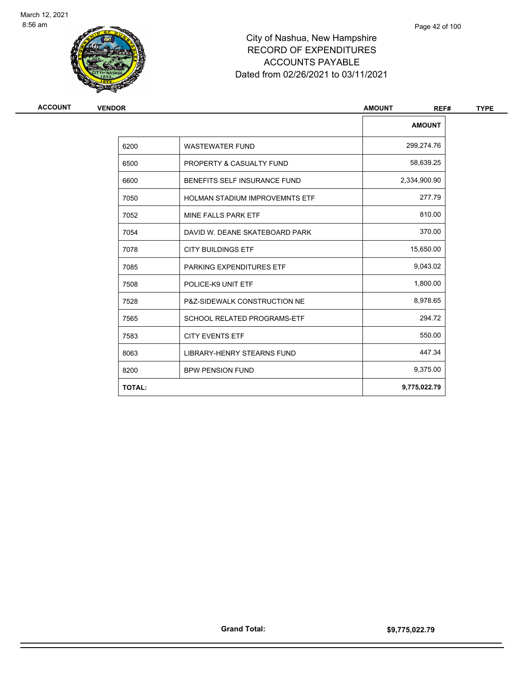

| ACCOUNT | <b>VENDOR</b> |                                       | <b>AMOUNT</b><br>REF# |
|---------|---------------|---------------------------------------|-----------------------|
|         |               |                                       | <b>AMOUNT</b>         |
|         | 6200          | <b>WASTEWATER FUND</b>                | 299,274.76            |
|         | 6500          | PROPERTY & CASUALTY FUND              | 58,639.25             |
|         | 6600          | BENEFITS SELF INSURANCE FUND          | 2,334,900.90          |
|         | 7050          | <b>HOLMAN STADIUM IMPROVEMNTS ETF</b> | 277.79                |
|         | 7052          | MINE FALLS PARK ETF                   | 810.00                |
|         | 7054          | DAVID W. DEANE SKATEBOARD PARK        | 370.00                |
|         | 7078          | <b>CITY BUILDINGS ETF</b>             | 15,650.00             |
|         | 7085          | PARKING EXPENDITURES ETF              | 9,043.02              |
|         | 7508          | POLICE-K9 UNIT ETF                    | 1,800.00              |
|         | 7528          | P&Z-SIDEWALK CONSTRUCTION NE          | 8,978.65              |
|         | 7565          | <b>SCHOOL RELATED PROGRAMS-ETF</b>    | 294.72                |
|         | 7583          | <b>CITY EVENTS ETF</b>                | 550.00                |
|         | 8063          | LIBRARY-HENRY STEARNS FUND            | 447.34                |
|         | 8200          | <b>BPW PENSION FUND</b>               | 9,375.00              |
|         | <b>TOTAL:</b> |                                       | 9,775,022.79          |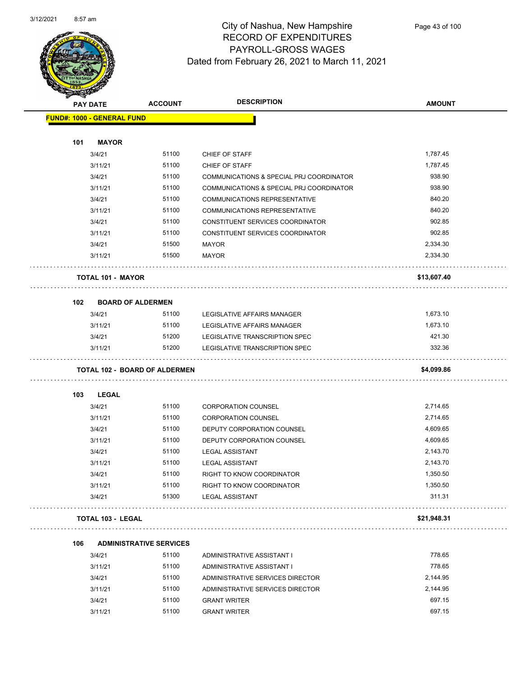

| <b>SANGALL</b> |                                      |                                | <b>DESCRIPTION</b>                       |               |
|----------------|--------------------------------------|--------------------------------|------------------------------------------|---------------|
|                | <b>PAY DATE</b>                      | <b>ACCOUNT</b>                 |                                          | <b>AMOUNT</b> |
|                | <b>FUND#: 1000 - GENERAL FUND</b>    |                                |                                          |               |
|                |                                      |                                |                                          |               |
| 101            | <b>MAYOR</b>                         |                                |                                          |               |
|                | 3/4/21                               | 51100                          | CHIEF OF STAFF                           | 1,787.45      |
|                | 3/11/21                              | 51100                          | CHIEF OF STAFF                           | 1,787.45      |
|                | 3/4/21                               | 51100                          | COMMUNICATIONS & SPECIAL PRJ COORDINATOR | 938.90        |
|                | 3/11/21                              | 51100                          | COMMUNICATIONS & SPECIAL PRJ COORDINATOR | 938.90        |
|                | 3/4/21                               | 51100                          | COMMUNICATIONS REPRESENTATIVE            | 840.20        |
|                | 3/11/21                              | 51100                          | COMMUNICATIONS REPRESENTATIVE            | 840.20        |
|                | 3/4/21                               | 51100                          | CONSTITUENT SERVICES COORDINATOR         | 902.85        |
|                | 3/11/21                              | 51100                          | CONSTITUENT SERVICES COORDINATOR         | 902.85        |
|                | 3/4/21                               | 51500                          | <b>MAYOR</b>                             | 2,334.30      |
|                | 3/11/21                              | 51500                          | <b>MAYOR</b>                             | 2,334.30      |
|                | <b>TOTAL 101 - MAYOR</b>             |                                |                                          | \$13,607.40   |
|                |                                      |                                |                                          |               |
| 102            | <b>BOARD OF ALDERMEN</b>             |                                |                                          |               |
|                | 3/4/21                               | 51100                          | LEGISLATIVE AFFAIRS MANAGER              | 1,673.10      |
|                | 3/11/21                              | 51100                          | LEGISLATIVE AFFAIRS MANAGER              | 1,673.10      |
|                | 3/4/21                               | 51200                          | LEGISLATIVE TRANSCRIPTION SPEC           | 421.30        |
|                | 3/11/21                              | 51200                          | LEGISLATIVE TRANSCRIPTION SPEC           | 332.36        |
|                | <b>TOTAL 102 - BOARD OF ALDERMEN</b> |                                |                                          | \$4,099.86    |
| 103            | LEGAL                                |                                |                                          |               |
|                | 3/4/21                               | 51100                          | <b>CORPORATION COUNSEL</b>               | 2,714.65      |
|                | 3/11/21                              | 51100                          | <b>CORPORATION COUNSEL</b>               | 2,714.65      |
|                | 3/4/21                               | 51100                          | DEPUTY CORPORATION COUNSEL               | 4,609.65      |
|                | 3/11/21                              | 51100                          | DEPUTY CORPORATION COUNSEL               | 4,609.65      |
|                | 3/4/21                               | 51100                          | <b>LEGAL ASSISTANT</b>                   | 2,143.70      |
|                | 3/11/21                              | 51100                          | <b>LEGAL ASSISTANT</b>                   | 2,143.70      |
|                | 3/4/21                               | 51100                          | <b>RIGHT TO KNOW COORDINATOR</b>         | 1,350.50      |
|                | 3/11/21                              | 51100                          | RIGHT TO KNOW COORDINATOR                | 1,350.50      |
|                | 3/4/21                               | 51300                          | <b>LEGAL ASSISTANT</b>                   | 311.31        |
|                | <b>TOTAL 103 - LEGAL</b>             |                                |                                          | \$21,948.31   |
|                |                                      |                                |                                          |               |
| 106            |                                      | <b>ADMINISTRATIVE SERVICES</b> |                                          |               |
|                | 3/4/21                               | 51100                          | ADMINISTRATIVE ASSISTANT I               | 778.65        |
|                | 3/11/21                              | 51100                          | ADMINISTRATIVE ASSISTANT I               | 778.65        |
|                | 3/4/21                               | 51100                          | ADMINISTRATIVE SERVICES DIRECTOR         | 2,144.95      |
|                | 3/11/21                              | 51100                          | ADMINISTRATIVE SERVICES DIRECTOR         | 2,144.95      |
|                | 3/4/21                               | 51100                          | <b>GRANT WRITER</b>                      | 697.15        |
|                | 3/11/21                              | 51100                          | <b>GRANT WRITER</b>                      | 697.15        |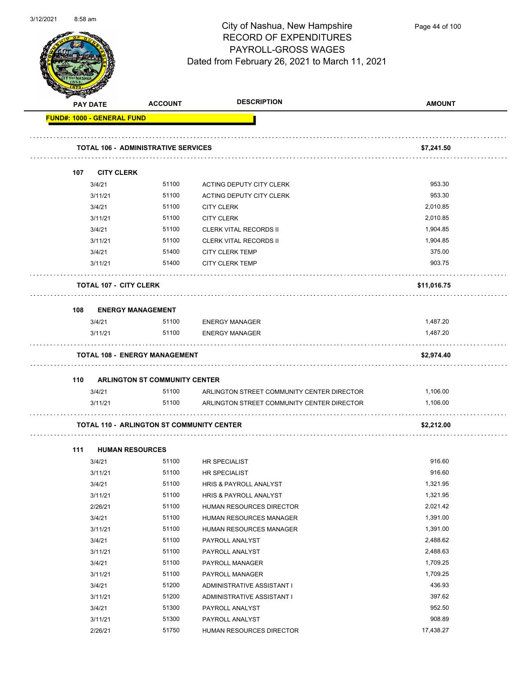

Page 44 of 100

| <b>PAY DATE</b>                   | <b>ACCOUNT</b>                                   | <b>DESCRIPTION</b>                         | <b>AMOUNT</b> |
|-----------------------------------|--------------------------------------------------|--------------------------------------------|---------------|
| <b>FUND#: 1000 - GENERAL FUND</b> |                                                  |                                            |               |
|                                   | <b>TOTAL 106 - ADMINISTRATIVE SERVICES</b>       |                                            | \$7,241.50    |
| 107                               | <b>CITY CLERK</b>                                |                                            |               |
| 3/4/21                            | 51100                                            | ACTING DEPUTY CITY CLERK                   | 953.30        |
| 3/11/21                           | 51100                                            | ACTING DEPUTY CITY CLERK                   | 953.30        |
| 3/4/21                            | 51100                                            | <b>CITY CLERK</b>                          | 2,010.85      |
| 3/11/21                           | 51100                                            | <b>CITY CLERK</b>                          | 2,010.85      |
| 3/4/21                            | 51100                                            | <b>CLERK VITAL RECORDS II</b>              | 1,904.85      |
| 3/11/21                           | 51100                                            | <b>CLERK VITAL RECORDS II</b>              | 1,904.85      |
| 3/4/21                            | 51400                                            | <b>CITY CLERK TEMP</b>                     | 375.00        |
| 3/11/21                           | 51400                                            | <b>CITY CLERK TEMP</b>                     | 903.75        |
|                                   |                                                  |                                            |               |
|                                   | <b>TOTAL 107 - CITY CLERK</b>                    |                                            | \$11,016.75   |
| 108                               | <b>ENERGY MANAGEMENT</b>                         |                                            |               |
| 3/4/21                            | 51100                                            | <b>ENERGY MANAGER</b>                      | 1,487.20      |
| 3/11/21                           | 51100                                            | <b>ENERGY MANAGER</b>                      | 1,487.20      |
|                                   | <b>TOTAL 108 - ENERGY MANAGEMENT</b>             |                                            | \$2,974.40    |
|                                   |                                                  |                                            |               |
| 110                               | <b>ARLINGTON ST COMMUNITY CENTER</b>             |                                            |               |
| 3/4/21                            | 51100                                            | ARLINGTON STREET COMMUNITY CENTER DIRECTOR | 1,106.00      |
| 3/11/21                           | 51100                                            | ARLINGTON STREET COMMUNITY CENTER DIRECTOR | 1,106.00      |
|                                   | <b>TOTAL 110 - ARLINGTON ST COMMUNITY CENTER</b> |                                            | \$2,212.00    |
| 111                               | <b>HUMAN RESOURCES</b>                           |                                            |               |
| 3/4/21                            | 51100                                            | <b>HR SPECIALIST</b>                       | 916.60        |
| 3/11/21                           | 51100                                            | HR SPECIALIST                              | 916.60        |
| 3/4/21                            | 51100                                            | HRIS & PAYROLL ANALYST                     | 1,321.95      |
| 3/11/21                           | 51100                                            | HRIS & PAYROLL ANALYST                     | 1,321.95      |
| 2/26/21                           | 51100                                            | HUMAN RESOURCES DIRECTOR                   | 2,021.42      |
| 3/4/21                            | 51100                                            | HUMAN RESOURCES MANAGER                    | 1,391.00      |
| 3/11/21                           | 51100                                            | HUMAN RESOURCES MANAGER                    | 1,391.00      |
| 3/4/21                            | 51100                                            | PAYROLL ANALYST                            | 2,488.62      |
| 3/11/21                           | 51100                                            | PAYROLL ANALYST                            | 2,488.63      |
| 3/4/21                            | 51100                                            | PAYROLL MANAGER                            | 1,709.25      |
| 3/11/21                           | 51100                                            | PAYROLL MANAGER                            | 1,709.25      |
| 3/4/21                            | 51200                                            | ADMINISTRATIVE ASSISTANT I                 | 436.93        |
| 3/11/21                           | 51200                                            | ADMINISTRATIVE ASSISTANT I                 | 397.62        |
| 3/4/21                            | 51300                                            | PAYROLL ANALYST                            | 952.50        |
| 3/11/21                           | 51300                                            | PAYROLL ANALYST                            | 908.89        |
| 2/26/21                           | 51750                                            | HUMAN RESOURCES DIRECTOR                   | 17,438.27     |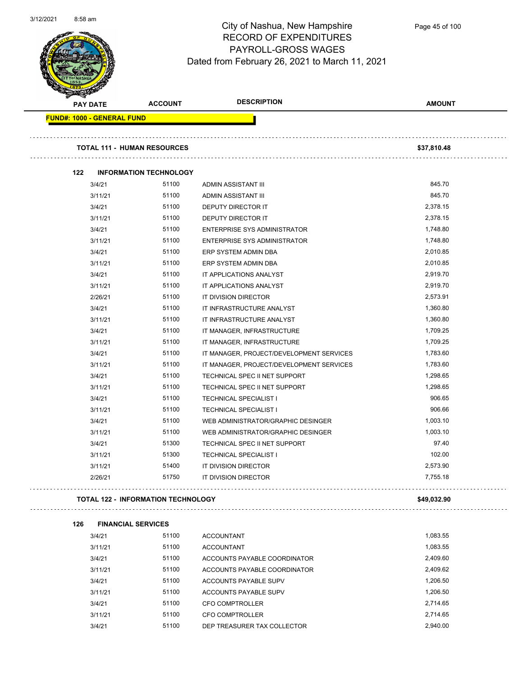

Page 45 of 100

| <b>PAY DATE</b>                   | <b>ACCOUNT</b>                            | <b>DESCRIPTION</b>                       | <b>AMOUNT</b> |
|-----------------------------------|-------------------------------------------|------------------------------------------|---------------|
| <b>FUND#: 1000 - GENERAL FUND</b> |                                           |                                          |               |
|                                   | <b>TOTAL 111 - HUMAN RESOURCES</b>        |                                          | \$37,810.48   |
| 122                               | <b>INFORMATION TECHNOLOGY</b>             |                                          |               |
| 3/4/21                            | 51100                                     | ADMIN ASSISTANT III                      | 845.70        |
| 3/11/21                           | 51100                                     | ADMIN ASSISTANT III                      | 845.70        |
| 3/4/21                            | 51100                                     | DEPUTY DIRECTOR IT                       | 2,378.15      |
| 3/11/21                           | 51100                                     | DEPUTY DIRECTOR IT                       | 2,378.15      |
| 3/4/21                            | 51100                                     | <b>ENTERPRISE SYS ADMINISTRATOR</b>      | 1,748.80      |
| 3/11/21                           | 51100                                     | ENTERPRISE SYS ADMINISTRATOR             | 1,748.80      |
| 3/4/21                            | 51100                                     | ERP SYSTEM ADMIN DBA                     | 2,010.85      |
| 3/11/21                           | 51100                                     | ERP SYSTEM ADMIN DBA                     | 2,010.85      |
| 3/4/21                            | 51100                                     | IT APPLICATIONS ANALYST                  | 2,919.70      |
| 3/11/21                           | 51100                                     | IT APPLICATIONS ANALYST                  | 2,919.70      |
| 2/26/21                           | 51100                                     | IT DIVISION DIRECTOR                     | 2,573.91      |
| 3/4/21                            | 51100                                     | IT INFRASTRUCTURE ANALYST                | 1,360.80      |
| 3/11/21                           | 51100                                     | IT INFRASTRUCTURE ANALYST                | 1,360.80      |
| 3/4/21                            | 51100                                     | IT MANAGER, INFRASTRUCTURE               | 1,709.25      |
| 3/11/21                           | 51100                                     | IT MANAGER, INFRASTRUCTURE               | 1,709.25      |
| 3/4/21                            | 51100                                     | IT MANAGER, PROJECT/DEVELOPMENT SERVICES | 1,783.60      |
| 3/11/21                           | 51100                                     | IT MANAGER, PROJECT/DEVELOPMENT SERVICES | 1,783.60      |
| 3/4/21                            | 51100                                     | TECHNICAL SPEC II NET SUPPORT            | 1,298.65      |
| 3/11/21                           | 51100                                     | TECHNICAL SPEC II NET SUPPORT            | 1,298.65      |
| 3/4/21                            | 51100                                     | <b>TECHNICAL SPECIALIST I</b>            | 906.65        |
| 3/11/21                           | 51100                                     | <b>TECHNICAL SPECIALIST I</b>            | 906.66        |
| 3/4/21                            | 51100                                     | WEB ADMINISTRATOR/GRAPHIC DESINGER       | 1,003.10      |
| 3/11/21                           | 51100                                     | WEB ADMINISTRATOR/GRAPHIC DESINGER       | 1,003.10      |
| 3/4/21                            | 51300                                     | TECHNICAL SPEC II NET SUPPORT            | 97.40         |
| 3/11/21                           | 51300                                     | <b>TECHNICAL SPECIALIST I</b>            | 102.00        |
| 3/11/21                           | 51400                                     | IT DIVISION DIRECTOR                     | 2,573.90      |
| 2/26/21                           | 51750                                     | IT DIVISION DIRECTOR                     | 7,755.18      |
|                                   | <b>TOTAL 122 - INFORMATION TECHNOLOGY</b> |                                          | \$49,032.90   |
| 126                               | <b>FINANCIAL SERVICES</b>                 |                                          |               |
| 3/4/21                            | 51100                                     | <b>ACCOUNTANT</b>                        | 1,083.55      |
| 3/11/21                           | 51100                                     | <b>ACCOUNTANT</b>                        | 1,083.55      |
| 3/4/21                            | 51100                                     | ACCOUNTS PAYABLE COORDINATOR             | 2,409.60      |
| 3/11/21                           | 51100                                     | ACCOUNTS PAYABLE COORDINATOR             | 2,409.62      |
| 3/4/21                            | 51100                                     | ACCOUNTS PAYABLE SUPV                    | 1,206.50      |
| 3/11/21                           | 51100                                     | ACCOUNTS PAYABLE SUPV                    | 1,206.50      |
| 3/4/21                            | 51100                                     | <b>CFO COMPTROLLER</b>                   | 2,714.65      |
| 3/11/21                           | 51100                                     | <b>CFO COMPTROLLER</b>                   | 2,714.65      |
| 3/4/21                            | 51100                                     | DEP TREASURER TAX COLLECTOR              | 2,940.00      |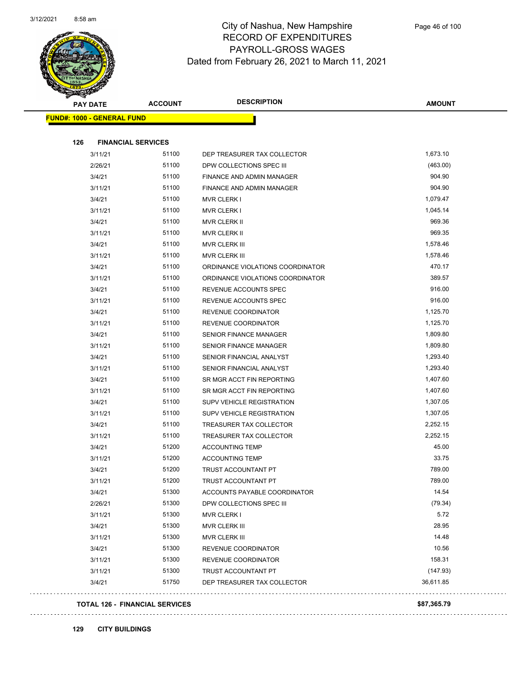

| PAY DATE                          | <b>ACCOUNT</b> | <b>DESCRIPTION</b>               | <b>AMOUNT</b> |
|-----------------------------------|----------------|----------------------------------|---------------|
| <b>FUND#: 1000 - GENERAL FUND</b> |                |                                  |               |
|                                   |                |                                  |               |
| 126<br><b>FINANCIAL SERVICES</b>  |                |                                  |               |
| 3/11/21                           | 51100          | DEP TREASURER TAX COLLECTOR      | 1,673.10      |
| 2/26/21                           | 51100          | DPW COLLECTIONS SPEC III         | (463.00)      |
| 3/4/21                            | 51100          | FINANCE AND ADMIN MANAGER        | 904.90        |
| 3/11/21                           | 51100          | FINANCE AND ADMIN MANAGER        | 904.90        |
| 3/4/21                            | 51100          | <b>MVR CLERK I</b>               | 1,079.47      |
| 3/11/21                           | 51100          | <b>MVR CLERK I</b>               | 1,045.14      |
| 3/4/21                            | 51100          | <b>MVR CLERK II</b>              | 969.36        |
| 3/11/21                           | 51100          | MVR CLERK II                     | 969.35        |
| 3/4/21                            | 51100          | MVR CLERK III                    | 1,578.46      |
| 3/11/21                           | 51100          | MVR CLERK III                    | 1,578.46      |
| 3/4/21                            | 51100          | ORDINANCE VIOLATIONS COORDINATOR | 470.17        |
| 3/11/21                           | 51100          | ORDINANCE VIOLATIONS COORDINATOR | 389.57        |
| 3/4/21                            | 51100          | REVENUE ACCOUNTS SPEC            | 916.00        |
| 3/11/21                           | 51100          | REVENUE ACCOUNTS SPEC            | 916.00        |
| 3/4/21                            | 51100          | REVENUE COORDINATOR              | 1,125.70      |
| 3/11/21                           | 51100          | REVENUE COORDINATOR              | 1,125.70      |
| 3/4/21                            | 51100          | <b>SENIOR FINANCE MANAGER</b>    | 1,809.80      |
| 3/11/21                           | 51100          | SENIOR FINANCE MANAGER           | 1,809.80      |
| 3/4/21                            | 51100          | SENIOR FINANCIAL ANALYST         | 1,293.40      |
| 3/11/21                           | 51100          | SENIOR FINANCIAL ANALYST         | 1,293.40      |
| 3/4/21                            | 51100          | SR MGR ACCT FIN REPORTING        | 1,407.60      |
| 3/11/21                           | 51100          | SR MGR ACCT FIN REPORTING        | 1,407.60      |
| 3/4/21                            | 51100          | SUPV VEHICLE REGISTRATION        | 1,307.05      |
| 3/11/21                           | 51100          | SUPV VEHICLE REGISTRATION        | 1,307.05      |
| 3/4/21                            | 51100          | TREASURER TAX COLLECTOR          | 2,252.15      |
| 3/11/21                           | 51100          | TREASURER TAX COLLECTOR          | 2,252.15      |
| 3/4/21                            | 51200          | <b>ACCOUNTING TEMP</b>           | 45.00         |
| 3/11/21                           | 51200          | <b>ACCOUNTING TEMP</b>           | 33.75         |
| 3/4/21                            | 51200          | TRUST ACCOUNTANT PT              | 789.00        |
| 3/11/21                           | 51200          | <b>TRUST ACCOUNTANT PT</b>       | 789.00        |
| 3/4/21                            | 51300          | ACCOUNTS PAYABLE COORDINATOR     | 14.54         |
| 2/26/21                           | 51300          | DPW COLLECTIONS SPEC III         | (79.34)       |
| 3/11/21                           | 51300          | <b>MVR CLERK I</b>               | 5.72          |
| 3/4/21                            | 51300          | MVR CLERK III                    | 28.95         |
| 3/11/21                           | 51300          | MVR CLERK III                    | 14.48         |
| 3/4/21                            | 51300          | REVENUE COORDINATOR              | 10.56         |
| 3/11/21                           | 51300          | REVENUE COORDINATOR              | 158.31        |
| 3/11/21                           | 51300          | TRUST ACCOUNTANT PT              | (147.93)      |
| 3/4/21                            | 51750          | DEP TREASURER TAX COLLECTOR      | 36,611.85     |
|                                   |                |                                  |               |

#### **TOTAL 126 - FINANCIAL SERVICES \$87,365.79**

#### **129 CITY BUILDINGS**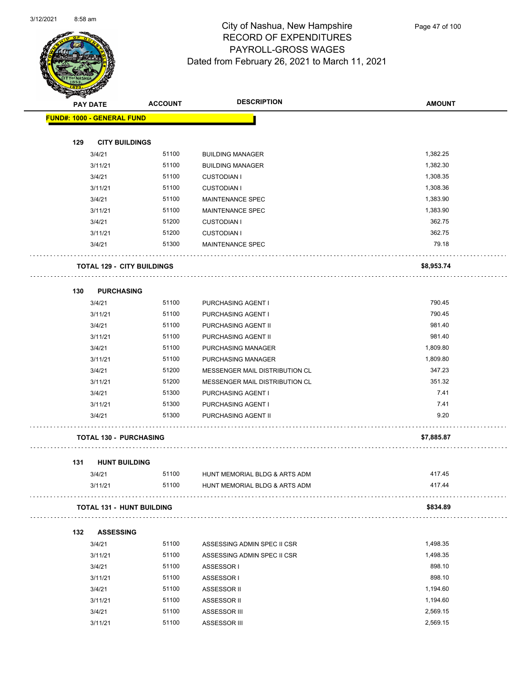

| <b>SANGAL</b> |                                   |                |                                |               |  |
|---------------|-----------------------------------|----------------|--------------------------------|---------------|--|
|               | <b>PAY DATE</b>                   | <b>ACCOUNT</b> | <b>DESCRIPTION</b>             | <b>AMOUNT</b> |  |
|               | <b>FUND#: 1000 - GENERAL FUND</b> |                |                                |               |  |
|               |                                   |                |                                |               |  |
| 129           | <b>CITY BUILDINGS</b>             |                |                                |               |  |
|               | 3/4/21                            | 51100          | <b>BUILDING MANAGER</b>        | 1,382.25      |  |
|               | 3/11/21                           | 51100          | <b>BUILDING MANAGER</b>        | 1,382.30      |  |
|               | 3/4/21                            | 51100          | <b>CUSTODIAN I</b>             | 1,308.35      |  |
|               | 3/11/21                           | 51100          | <b>CUSTODIAN I</b>             | 1,308.36      |  |
|               | 3/4/21                            | 51100          | <b>MAINTENANCE SPEC</b>        | 1,383.90      |  |
|               | 3/11/21                           | 51100          | <b>MAINTENANCE SPEC</b>        | 1,383.90      |  |
|               | 3/4/21                            | 51200          | <b>CUSTODIAN I</b>             | 362.75        |  |
|               | 3/11/21                           | 51200          | <b>CUSTODIAN I</b>             | 362.75        |  |
|               | 3/4/21                            | 51300          | <b>MAINTENANCE SPEC</b>        | 79.18         |  |
|               | <b>TOTAL 129 - CITY BUILDINGS</b> |                |                                | \$8,953.74    |  |
| 130           | <b>PURCHASING</b>                 |                |                                |               |  |
|               | 3/4/21                            | 51100          | PURCHASING AGENT I             | 790.45        |  |
|               | 3/11/21                           | 51100          | PURCHASING AGENT I             | 790.45        |  |
|               | 3/4/21                            | 51100          | PURCHASING AGENT II            | 981.40        |  |
|               | 3/11/21                           | 51100          | PURCHASING AGENT II            | 981.40        |  |
|               | 3/4/21                            | 51100          | PURCHASING MANAGER             | 1,809.80      |  |
|               | 3/11/21                           | 51100          | PURCHASING MANAGER             | 1,809.80      |  |
|               | 3/4/21                            | 51200          | MESSENGER MAIL DISTRIBUTION CL | 347.23        |  |
|               | 3/11/21                           | 51200          | MESSENGER MAIL DISTRIBUTION CL | 351.32        |  |
|               | 3/4/21                            | 51300          | PURCHASING AGENT I             | 7.41          |  |
|               | 3/11/21                           | 51300          | PURCHASING AGENT I             | 7.41          |  |
|               | 3/4/21                            | 51300          | PURCHASING AGENT II            | 9.20          |  |
|               | <b>TOTAL 130 - PURCHASING</b>     |                |                                | \$7,885.87    |  |
| 131           | <b>HUNT BUILDING</b>              |                |                                |               |  |
|               | 3/4/21                            | 51100          | HUNT MEMORIAL BLDG & ARTS ADM  | 417.45        |  |
|               | 3/11/21                           | 51100          | HUNT MEMORIAL BLDG & ARTS ADM  | 417.44        |  |
|               | <b>TOTAL 131 - HUNT BUILDING</b>  |                |                                | \$834.89      |  |
| 132           | <b>ASSESSING</b>                  |                |                                |               |  |
|               | 3/4/21                            | 51100          | ASSESSING ADMIN SPEC II CSR    | 1,498.35      |  |
|               | 3/11/21                           | 51100          | ASSESSING ADMIN SPEC II CSR    | 1,498.35      |  |
|               | 3/4/21                            | 51100          | ASSESSOR I                     | 898.10        |  |
|               | 3/11/21                           | 51100          | ASSESSOR I                     | 898.10        |  |
|               | 3/4/21                            | 51100          | ASSESSOR II                    | 1,194.60      |  |
|               | 3/11/21                           | 51100          | ASSESSOR II                    | 1,194.60      |  |
|               | 3/4/21                            | 51100          | ASSESSOR III                   | 2,569.15      |  |
|               | 3/11/21                           | 51100          | ASSESSOR III                   | 2,569.15      |  |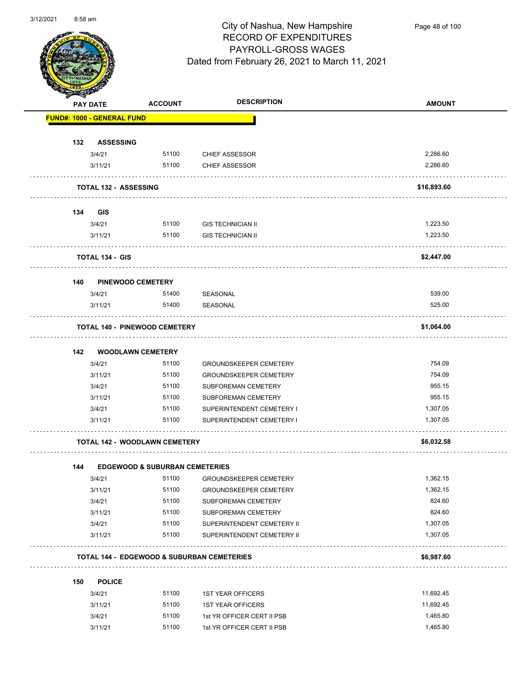

Page 48 of 100

|     | <b>Andre</b><br><b>PAY DATE</b>   | <b>ACCOUNT</b>                            | <b>DESCRIPTION</b>                                    | <b>AMOUNT</b> |
|-----|-----------------------------------|-------------------------------------------|-------------------------------------------------------|---------------|
|     | <b>FUND#: 1000 - GENERAL FUND</b> |                                           |                                                       |               |
| 132 | <b>ASSESSING</b>                  |                                           |                                                       |               |
|     | 3/4/21                            | 51100                                     | <b>CHIEF ASSESSOR</b>                                 | 2,286.60      |
|     | 3/11/21                           | 51100                                     | <b>CHIEF ASSESSOR</b>                                 | 2,286.60      |
|     | <b>TOTAL 132 - ASSESSING</b>      |                                           |                                                       | \$16,893.60   |
| 134 | <b>GIS</b>                        |                                           |                                                       |               |
|     | 3/4/21                            | 51100                                     | <b>GIS TECHNICIAN II</b>                              | 1,223.50      |
|     | 3/11/21                           | 51100                                     | <b>GIS TECHNICIAN II</b>                              | 1,223.50      |
|     | TOTAL 134 - GIS                   |                                           |                                                       | \$2,447.00    |
| 140 | <b>PINEWOOD CEMETERY</b>          |                                           |                                                       |               |
|     | 3/4/21                            | 51400                                     | SEASONAL                                              | 539.00        |
|     | 3/11/21                           | 51400                                     | SEASONAL                                              | 525.00        |
|     |                                   | <b>TOTAL 140 - PINEWOOD CEMETERY</b>      |                                                       | \$1,064.00    |
| 142 | <b>WOODLAWN CEMETERY</b>          |                                           |                                                       |               |
|     | 3/4/21                            | 51100                                     | <b>GROUNDSKEEPER CEMETERY</b>                         | 754.09        |
|     | 3/11/21                           | 51100                                     | <b>GROUNDSKEEPER CEMETERY</b>                         | 754.09        |
|     | 3/4/21                            | 51100                                     | SUBFOREMAN CEMETERY                                   | 955.15        |
|     | 3/11/21                           | 51100                                     | SUBFOREMAN CEMETERY                                   | 955.15        |
|     | 3/4/21                            | 51100                                     | SUPERINTENDENT CEMETERY I                             | 1,307.05      |
|     | 3/11/21                           | 51100                                     | SUPERINTENDENT CEMETERY I                             | 1,307.05      |
|     |                                   | <b>TOTAL 142 - WOODLAWN CEMETERY</b>      |                                                       | \$6,032.58    |
| 144 |                                   | <b>EDGEWOOD &amp; SUBURBAN CEMETERIES</b> |                                                       |               |
|     | 3/4/21                            | 51100                                     | GROUNDSKEEPER CEMETERY                                | 1,362.15      |
|     | 3/11/21                           | 51100                                     | <b>GROUNDSKEEPER CEMETERY</b>                         | 1,362.15      |
|     | 3/4/21                            | 51100                                     | SUBFOREMAN CEMETERY                                   | 824.60        |
|     | 3/11/21                           | 51100                                     | SUBFOREMAN CEMETERY                                   | 824.60        |
|     | 3/4/21                            | 51100                                     | SUPERINTENDENT CEMETERY II                            | 1,307.05      |
|     | 3/11/21                           | 51100                                     | SUPERINTENDENT CEMETERY II                            | 1,307.05      |
|     |                                   |                                           | <b>TOTAL 144 - EDGEWOOD &amp; SUBURBAN CEMETERIES</b> | \$6,987.60    |
| 150 | <b>POLICE</b>                     |                                           |                                                       |               |
|     | 3/4/21                            | 51100                                     | <b>1ST YEAR OFFICERS</b>                              | 11,692.45     |
|     | 3/11/21                           | 51100                                     | <b>1ST YEAR OFFICERS</b>                              | 11,692.45     |
|     | 3/4/21                            | 51100                                     | 1st YR OFFICER CERT II PSB                            | 1,465.80      |
|     |                                   |                                           |                                                       |               |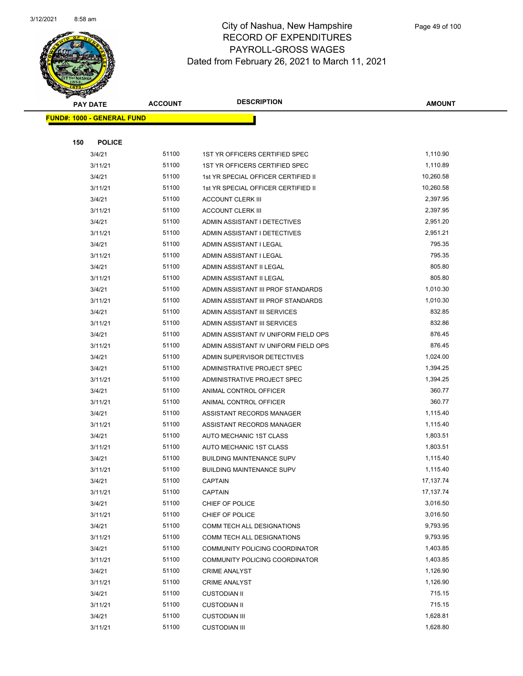

|     | <b>PAY DATE</b>                    | <b>ACCOUNT</b> | <b>DESCRIPTION</b>                   | <b>AMOUNT</b> |
|-----|------------------------------------|----------------|--------------------------------------|---------------|
|     | <u> FUND#: 1000 - GENERAL FUND</u> |                |                                      |               |
|     |                                    |                |                                      |               |
| 150 | <b>POLICE</b>                      |                |                                      |               |
|     | 3/4/21                             | 51100          | 1ST YR OFFICERS CERTIFIED SPEC       | 1,110.90      |
|     | 3/11/21                            | 51100          | 1ST YR OFFICERS CERTIFIED SPEC       | 1,110.89      |
|     | 3/4/21                             | 51100          | 1st YR SPECIAL OFFICER CERTIFIED II  | 10,260.58     |
|     | 3/11/21                            | 51100          | 1st YR SPECIAL OFFICER CERTIFIED II  | 10,260.58     |
|     | 3/4/21                             | 51100          | <b>ACCOUNT CLERK III</b>             | 2,397.95      |
|     | 3/11/21                            | 51100          | <b>ACCOUNT CLERK III</b>             | 2,397.95      |
|     | 3/4/21                             | 51100          | ADMIN ASSISTANT I DETECTIVES         | 2,951.20      |
|     | 3/11/21                            | 51100          | ADMIN ASSISTANT I DETECTIVES         | 2,951.21      |
|     | 3/4/21                             | 51100          | ADMIN ASSISTANT I LEGAL              | 795.35        |
|     | 3/11/21                            | 51100          | ADMIN ASSISTANT I LEGAL              | 795.35        |
|     | 3/4/21                             | 51100          | ADMIN ASSISTANT II LEGAL             | 805.80        |
|     | 3/11/21                            | 51100          | ADMIN ASSISTANT II LEGAL             | 805.80        |
|     | 3/4/21                             | 51100          | ADMIN ASSISTANT III PROF STANDARDS   | 1,010.30      |
|     | 3/11/21                            | 51100          | ADMIN ASSISTANT III PROF STANDARDS   | 1,010.30      |
|     | 3/4/21                             | 51100          | ADMIN ASSISTANT III SERVICES         | 832.85        |
|     | 3/11/21                            | 51100          | ADMIN ASSISTANT III SERVICES         | 832.86        |
|     | 3/4/21                             | 51100          | ADMIN ASSISTANT IV UNIFORM FIELD OPS | 876.45        |
|     | 3/11/21                            | 51100          | ADMIN ASSISTANT IV UNIFORM FIELD OPS | 876.45        |
|     | 3/4/21                             | 51100          | ADMIN SUPERVISOR DETECTIVES          | 1,024.00      |
|     | 3/4/21                             | 51100          | ADMINISTRATIVE PROJECT SPEC          | 1,394.25      |
|     | 3/11/21                            | 51100          | ADMINISTRATIVE PROJECT SPEC          | 1,394.25      |
|     | 3/4/21                             | 51100          | ANIMAL CONTROL OFFICER               | 360.77        |
|     | 3/11/21                            | 51100          | ANIMAL CONTROL OFFICER               | 360.77        |
|     | 3/4/21                             | 51100          | ASSISTANT RECORDS MANAGER            | 1,115.40      |
|     | 3/11/21                            | 51100          | ASSISTANT RECORDS MANAGER            | 1,115.40      |
|     | 3/4/21                             | 51100          | AUTO MECHANIC 1ST CLASS              | 1,803.51      |
|     | 3/11/21                            | 51100          | AUTO MECHANIC 1ST CLASS              | 1,803.51      |
|     | 3/4/21                             | 51100          | <b>BUILDING MAINTENANCE SUPV</b>     | 1,115.40      |
|     | 3/11/21                            | 51100          | <b>BUILDING MAINTENANCE SUPV</b>     | 1,115.40      |
|     | 3/4/21                             | 51100          | <b>CAPTAIN</b>                       | 17, 137. 74   |
|     | 3/11/21                            | 51100          | <b>CAPTAIN</b>                       | 17, 137. 74   |
|     | 3/4/21                             | 51100          | CHIEF OF POLICE                      | 3,016.50      |
|     | 3/11/21                            | 51100          | CHIEF OF POLICE                      | 3,016.50      |
|     | 3/4/21                             | 51100          | COMM TECH ALL DESIGNATIONS           | 9,793.95      |
|     | 3/11/21                            | 51100          | COMM TECH ALL DESIGNATIONS           | 9,793.95      |
|     | 3/4/21                             | 51100          | COMMUNITY POLICING COORDINATOR       | 1,403.85      |
|     | 3/11/21                            | 51100          | COMMUNITY POLICING COORDINATOR       | 1,403.85      |
|     | 3/4/21                             | 51100          | <b>CRIME ANALYST</b>                 | 1,126.90      |
|     | 3/11/21                            | 51100          | <b>CRIME ANALYST</b>                 | 1,126.90      |
|     | 3/4/21                             | 51100          | <b>CUSTODIAN II</b>                  | 715.15        |
|     | 3/11/21                            | 51100          | <b>CUSTODIAN II</b>                  | 715.15        |
|     | 3/4/21                             | 51100          | <b>CUSTODIAN III</b>                 | 1,628.81      |
|     | 3/11/21                            | 51100          | <b>CUSTODIAN III</b>                 | 1,628.80      |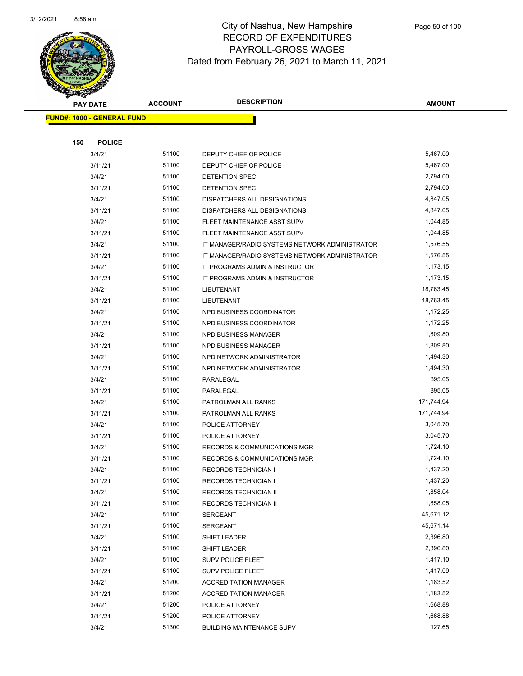

|     | <b>PAY DATE</b>                    | <b>ACCOUNT</b> | <b>DESCRIPTION</b>                             | <b>AMOUNT</b> |  |
|-----|------------------------------------|----------------|------------------------------------------------|---------------|--|
|     | <u> FUND#: 1000 - GENERAL FUND</u> |                |                                                |               |  |
|     |                                    |                |                                                |               |  |
| 150 | <b>POLICE</b>                      |                |                                                |               |  |
|     | 3/4/21                             | 51100          | DEPUTY CHIEF OF POLICE                         | 5,467.00      |  |
|     | 3/11/21                            | 51100          | DEPUTY CHIEF OF POLICE                         | 5,467.00      |  |
|     | 3/4/21                             | 51100          | DETENTION SPEC                                 | 2,794.00      |  |
|     | 3/11/21                            | 51100          | DETENTION SPEC                                 | 2,794.00      |  |
|     | 3/4/21                             | 51100          | DISPATCHERS ALL DESIGNATIONS                   | 4,847.05      |  |
|     | 3/11/21                            | 51100          | DISPATCHERS ALL DESIGNATIONS                   | 4,847.05      |  |
|     | 3/4/21                             | 51100          | FLEET MAINTENANCE ASST SUPV                    | 1,044.85      |  |
|     | 3/11/21                            | 51100          | FLEET MAINTENANCE ASST SUPV                    | 1,044.85      |  |
|     | 3/4/21                             | 51100          | IT MANAGER/RADIO SYSTEMS NETWORK ADMINISTRATOR | 1,576.55      |  |
|     | 3/11/21                            | 51100          | IT MANAGER/RADIO SYSTEMS NETWORK ADMINISTRATOR | 1,576.55      |  |
|     | 3/4/21                             | 51100          | IT PROGRAMS ADMIN & INSTRUCTOR                 | 1,173.15      |  |
|     | 3/11/21                            | 51100          | IT PROGRAMS ADMIN & INSTRUCTOR                 | 1,173.15      |  |
|     | 3/4/21                             | 51100          | LIEUTENANT                                     | 18,763.45     |  |
|     | 3/11/21                            | 51100          | LIEUTENANT                                     | 18,763.45     |  |
|     | 3/4/21                             | 51100          | NPD BUSINESS COORDINATOR                       | 1,172.25      |  |
|     | 3/11/21                            | 51100          | NPD BUSINESS COORDINATOR                       | 1,172.25      |  |
|     | 3/4/21                             | 51100          | NPD BUSINESS MANAGER                           | 1,809.80      |  |
|     | 3/11/21                            | 51100          | <b>NPD BUSINESS MANAGER</b>                    | 1,809.80      |  |
|     | 3/4/21                             | 51100          | NPD NETWORK ADMINISTRATOR                      | 1,494.30      |  |
|     | 3/11/21                            | 51100          | NPD NETWORK ADMINISTRATOR                      | 1,494.30      |  |
|     | 3/4/21                             | 51100          | PARALEGAL                                      | 895.05        |  |
|     | 3/11/21                            | 51100          | PARALEGAL                                      | 895.05        |  |
|     | 3/4/21                             | 51100          | PATROLMAN ALL RANKS                            | 171,744.94    |  |
|     | 3/11/21                            | 51100          | PATROLMAN ALL RANKS                            | 171,744.94    |  |
|     | 3/4/21                             | 51100          | POLICE ATTORNEY                                | 3,045.70      |  |
|     | 3/11/21                            | 51100          | POLICE ATTORNEY                                | 3,045.70      |  |
|     | 3/4/21                             | 51100          | <b>RECORDS &amp; COMMUNICATIONS MGR</b>        | 1,724.10      |  |
|     | 3/11/21                            | 51100          | RECORDS & COMMUNICATIONS MGR                   | 1,724.10      |  |
|     | 3/4/21                             | 51100          | <b>RECORDS TECHNICIAN I</b>                    | 1,437.20      |  |
|     | 3/11/21                            | 51100          | RECORDS TECHNICIAN I                           | 1,437.20      |  |
|     | 3/4/21                             | 51100          | RECORDS TECHNICIAN II                          | 1,858.04      |  |
|     | 3/11/21                            | 51100          | RECORDS TECHNICIAN II                          | 1,858.05      |  |
|     | 3/4/21                             | 51100          | SERGEANT                                       | 45,671.12     |  |
|     | 3/11/21                            | 51100          | SERGEANT                                       | 45,671.14     |  |
|     | 3/4/21                             | 51100          | SHIFT LEADER                                   | 2,396.80      |  |
|     | 3/11/21                            | 51100          | SHIFT LEADER                                   | 2,396.80      |  |
|     | 3/4/21                             | 51100          | SUPV POLICE FLEET                              | 1,417.10      |  |
|     | 3/11/21                            | 51100          | SUPV POLICE FLEET                              | 1,417.09      |  |
|     | 3/4/21                             | 51200          | <b>ACCREDITATION MANAGER</b>                   | 1,183.52      |  |
|     | 3/11/21                            | 51200          | <b>ACCREDITATION MANAGER</b>                   | 1,183.52      |  |
|     | 3/4/21                             | 51200          | POLICE ATTORNEY                                | 1,668.88      |  |
|     | 3/11/21                            | 51200          | POLICE ATTORNEY                                | 1,668.88      |  |
|     | 3/4/21                             | 51300          | <b>BUILDING MAINTENANCE SUPV</b>               | 127.65        |  |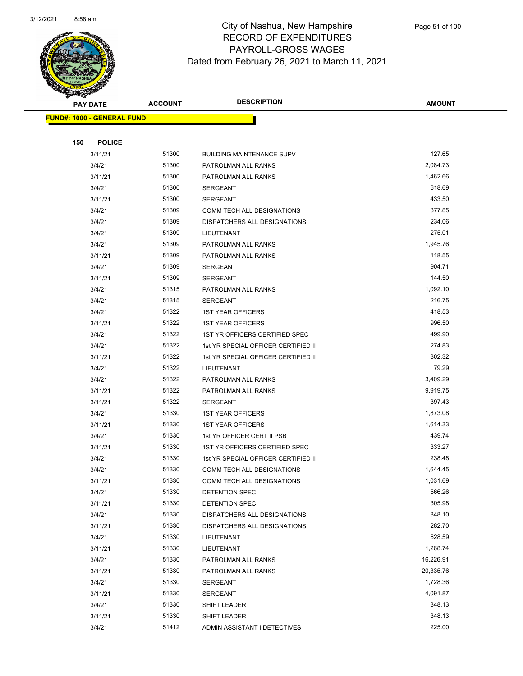

|     | <b>PAY DATE</b>                    | <b>ACCOUNT</b> | <b>DESCRIPTION</b>                  | <b>AMOUNT</b> |
|-----|------------------------------------|----------------|-------------------------------------|---------------|
|     | <u> FUND#: 1000 - GENERAL FUND</u> |                |                                     |               |
|     |                                    |                |                                     |               |
| 150 | <b>POLICE</b>                      |                |                                     |               |
|     | 3/11/21                            | 51300          | <b>BUILDING MAINTENANCE SUPV</b>    | 127.65        |
|     | 3/4/21                             | 51300          | PATROLMAN ALL RANKS                 | 2,084.73      |
|     | 3/11/21                            | 51300          | PATROLMAN ALL RANKS                 | 1,462.66      |
|     | 3/4/21                             | 51300          | <b>SERGEANT</b>                     | 618.69        |
|     | 3/11/21                            | 51300          | <b>SERGEANT</b>                     | 433.50        |
|     | 3/4/21                             | 51309          | <b>COMM TECH ALL DESIGNATIONS</b>   | 377.85        |
|     | 3/4/21                             | 51309          | DISPATCHERS ALL DESIGNATIONS        | 234.06        |
|     | 3/4/21                             | 51309          | LIEUTENANT                          | 275.01        |
|     | 3/4/21                             | 51309          | PATROLMAN ALL RANKS                 | 1,945.76      |
|     | 3/11/21                            | 51309          | PATROLMAN ALL RANKS                 | 118.55        |
|     | 3/4/21                             | 51309          | <b>SERGEANT</b>                     | 904.71        |
|     | 3/11/21                            | 51309          | <b>SERGEANT</b>                     | 144.50        |
|     | 3/4/21                             | 51315          | PATROLMAN ALL RANKS                 | 1,092.10      |
|     | 3/4/21                             | 51315          | <b>SERGEANT</b>                     | 216.75        |
|     | 3/4/21                             | 51322          | <b>1ST YEAR OFFICERS</b>            | 418.53        |
|     | 3/11/21                            | 51322          | <b>1ST YEAR OFFICERS</b>            | 996.50        |
|     | 3/4/21                             | 51322          | 1ST YR OFFICERS CERTIFIED SPEC      | 499.90        |
|     | 3/4/21                             | 51322          | 1st YR SPECIAL OFFICER CERTIFIED II | 274.83        |
|     | 3/11/21                            | 51322          | 1st YR SPECIAL OFFICER CERTIFIED II | 302.32        |
|     | 3/4/21                             | 51322          | LIEUTENANT                          | 79.29         |
|     | 3/4/21                             | 51322          | PATROLMAN ALL RANKS                 | 3,409.29      |
|     | 3/11/21                            | 51322          | PATROLMAN ALL RANKS                 | 9,919.75      |
|     | 3/11/21                            | 51322          | <b>SERGEANT</b>                     | 397.43        |
|     | 3/4/21                             | 51330          | <b>1ST YEAR OFFICERS</b>            | 1,873.08      |
|     | 3/11/21                            | 51330          | <b>1ST YEAR OFFICERS</b>            | 1,614.33      |
|     | 3/4/21                             | 51330          | 1st YR OFFICER CERT II PSB          | 439.74        |
|     | 3/11/21                            | 51330          | 1ST YR OFFICERS CERTIFIED SPEC      | 333.27        |
|     | 3/4/21                             | 51330          | 1st YR SPECIAL OFFICER CERTIFIED II | 238.48        |
|     | 3/4/21                             | 51330          | COMM TECH ALL DESIGNATIONS          | 1,644.45      |
|     | 3/11/21                            | 51330          | COMM TECH ALL DESIGNATIONS          | 1,031.69      |
|     | 3/4/21                             | 51330          | DETENTION SPEC                      | 566.26        |
|     | 3/11/21                            | 51330          | DETENTION SPEC                      | 305.98        |
|     | 3/4/21                             | 51330          | DISPATCHERS ALL DESIGNATIONS        | 848.10        |
|     | 3/11/21                            | 51330          | DISPATCHERS ALL DESIGNATIONS        | 282.70        |
|     | 3/4/21                             | 51330          | LIEUTENANT                          | 628.59        |
|     | 3/11/21                            | 51330          | LIEUTENANT                          | 1,268.74      |
|     | 3/4/21                             | 51330          | PATROLMAN ALL RANKS                 | 16,226.91     |
|     | 3/11/21                            | 51330          | PATROLMAN ALL RANKS                 | 20,335.76     |
|     | 3/4/21                             | 51330          | <b>SERGEANT</b>                     | 1,728.36      |
|     | 3/11/21                            | 51330          | <b>SERGEANT</b>                     | 4,091.87      |
|     | 3/4/21                             | 51330          | SHIFT LEADER                        | 348.13        |
|     | 3/11/21                            | 51330          | SHIFT LEADER                        | 348.13        |
|     | 3/4/21                             | 51412          | ADMIN ASSISTANT I DETECTIVES        | 225.00        |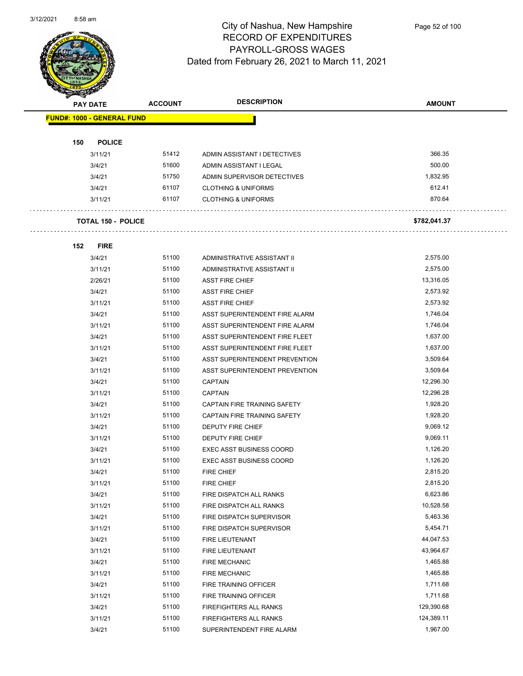

| <b>PAY DATE</b> |                                   | <b>ACCOUNT</b> | <b>DESCRIPTION</b>              | <b>AMOUNT</b> |
|-----------------|-----------------------------------|----------------|---------------------------------|---------------|
|                 | <b>FUND#: 1000 - GENERAL FUND</b> |                |                                 |               |
|                 |                                   |                |                                 |               |
| 150             | <b>POLICE</b>                     |                |                                 |               |
|                 | 3/11/21                           | 51412          | ADMIN ASSISTANT I DETECTIVES    | 366.35        |
|                 | 3/4/21                            | 51600          | ADMIN ASSISTANT I LEGAL         | 500.00        |
|                 | 3/4/21                            | 51750          | ADMIN SUPERVISOR DETECTIVES     | 1,832.95      |
|                 | 3/4/21                            | 61107          | <b>CLOTHING &amp; UNIFORMS</b>  | 612.41        |
|                 | 3/11/21                           | 61107          | <b>CLOTHING &amp; UNIFORMS</b>  | 870.64        |
|                 |                                   |                |                                 |               |
|                 | <b>TOTAL 150 - POLICE</b>         |                |                                 | \$782,041.37  |
|                 |                                   |                |                                 |               |
| 152             | <b>FIRE</b>                       |                |                                 |               |
|                 | 3/4/21                            | 51100          | ADMINISTRATIVE ASSISTANT II     | 2,575.00      |
|                 | 3/11/21                           | 51100          | ADMINISTRATIVE ASSISTANT II     | 2,575.00      |
|                 | 2/26/21                           | 51100          | <b>ASST FIRE CHIEF</b>          | 13,316.05     |
|                 | 3/4/21                            | 51100          | <b>ASST FIRE CHIEF</b>          | 2,573.92      |
|                 | 3/11/21                           | 51100          | <b>ASST FIRE CHIEF</b>          | 2,573.92      |
|                 | 3/4/21                            | 51100          | ASST SUPERINTENDENT FIRE ALARM  | 1,746.04      |
|                 | 3/11/21                           | 51100          | ASST SUPERINTENDENT FIRE ALARM  | 1,746.04      |
|                 | 3/4/21                            | 51100          | ASST SUPERINTENDENT FIRE FLEET  | 1,637.00      |
|                 | 3/11/21                           | 51100          | ASST SUPERINTENDENT FIRE FLEET  | 1,637.00      |
|                 | 3/4/21                            | 51100          | ASST SUPERINTENDENT PREVENTION  | 3,509.64      |
|                 | 3/11/21                           | 51100          | ASST SUPERINTENDENT PREVENTION  | 3,509.64      |
|                 | 3/4/21                            | 51100          | <b>CAPTAIN</b>                  | 12,296.30     |
|                 | 3/11/21                           | 51100          | <b>CAPTAIN</b>                  | 12,296.28     |
|                 | 3/4/21                            | 51100          | CAPTAIN FIRE TRAINING SAFETY    | 1,928.20      |
|                 | 3/11/21                           | 51100          | CAPTAIN FIRE TRAINING SAFETY    | 1,928.20      |
|                 | 3/4/21                            | 51100          | DEPUTY FIRE CHIEF               | 9,069.12      |
|                 | 3/11/21                           | 51100          | <b>DEPUTY FIRE CHIEF</b>        | 9,069.11      |
|                 | 3/4/21                            | 51100          | <b>EXEC ASST BUSINESS COORD</b> | 1,126.20      |
|                 | 3/11/21                           | 51100          | <b>EXEC ASST BUSINESS COORD</b> | 1,126.20      |
|                 | 3/4/21                            | 51100          | <b>FIRE CHIEF</b>               | 2,815.20      |
|                 | 3/11/21                           | 51100          | FIRE CHIEF                      | 2,815.20      |
|                 | 3/4/21                            | 51100          | FIRE DISPATCH ALL RANKS         | 6,623.86      |
|                 | 3/11/21                           | 51100          | FIRE DISPATCH ALL RANKS         | 10,528.58     |
|                 | 3/4/21                            | 51100          | FIRE DISPATCH SUPERVISOR        | 5,463.36      |
|                 | 3/11/21                           | 51100          | FIRE DISPATCH SUPERVISOR        | 5,454.71      |
|                 | 3/4/21                            | 51100          | FIRE LIEUTENANT                 | 44,047.53     |
|                 | 3/11/21                           | 51100          | FIRE LIEUTENANT                 | 43,964.67     |
|                 | 3/4/21                            | 51100          | <b>FIRE MECHANIC</b>            | 1,465.88      |
|                 | 3/11/21                           | 51100          | <b>FIRE MECHANIC</b>            | 1,465.88      |
|                 | 3/4/21                            | 51100          | FIRE TRAINING OFFICER           | 1,711.68      |
|                 | 3/11/21                           | 51100          | FIRE TRAINING OFFICER           | 1,711.68      |
|                 | 3/4/21                            | 51100          | FIREFIGHTERS ALL RANKS          | 129,390.68    |
|                 | 3/11/21                           | 51100          | FIREFIGHTERS ALL RANKS          | 124,389.11    |
|                 | 3/4/21                            | 51100          | SUPERINTENDENT FIRE ALARM       | 1,967.00      |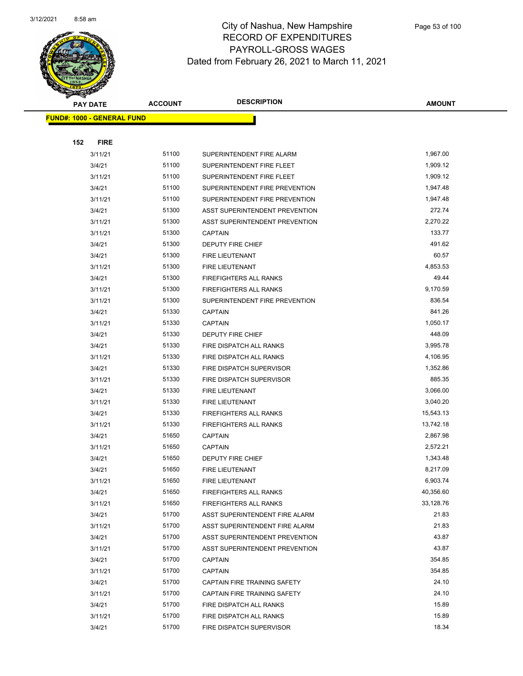

| <b>PAY DATE</b>                    | <b>ACCOUNT</b> | <b>DESCRIPTION</b>             | <b>AMOUNT</b> |
|------------------------------------|----------------|--------------------------------|---------------|
| <u> FUND#: 1000 - GENERAL FUND</u> |                |                                |               |
|                                    |                |                                |               |
| 152<br><b>FIRE</b>                 |                |                                |               |
| 3/11/21                            | 51100          | SUPERINTENDENT FIRE ALARM      | 1,967.00      |
| 3/4/21                             | 51100          | SUPERINTENDENT FIRE FLEET      | 1,909.12      |
| 3/11/21                            | 51100          | SUPERINTENDENT FIRE FLEET      | 1,909.12      |
| 3/4/21                             | 51100          | SUPERINTENDENT FIRE PREVENTION | 1,947.48      |
| 3/11/21                            | 51100          | SUPERINTENDENT FIRE PREVENTION | 1,947.48      |
| 3/4/21                             | 51300          | ASST SUPERINTENDENT PREVENTION | 272.74        |
| 3/11/21                            | 51300          | ASST SUPERINTENDENT PREVENTION | 2,270.22      |
| 3/11/21                            | 51300          | <b>CAPTAIN</b>                 | 133.77        |
| 3/4/21                             | 51300          | DEPUTY FIRE CHIEF              | 491.62        |
| 3/4/21                             | 51300          | FIRE LIEUTENANT                | 60.57         |
| 3/11/21                            | 51300          | <b>FIRE LIEUTENANT</b>         | 4,853.53      |
| 3/4/21                             | 51300          | FIREFIGHTERS ALL RANKS         | 49.44         |
| 3/11/21                            | 51300          | FIREFIGHTERS ALL RANKS         | 9,170.59      |
| 3/11/21                            | 51300          | SUPERINTENDENT FIRE PREVENTION | 836.54        |
| 3/4/21                             | 51330          | <b>CAPTAIN</b>                 | 841.26        |
| 3/11/21                            | 51330          | <b>CAPTAIN</b>                 | 1,050.17      |
| 3/4/21                             | 51330          | DEPUTY FIRE CHIEF              | 448.09        |
| 3/4/21                             | 51330          | FIRE DISPATCH ALL RANKS        | 3,995.78      |
| 3/11/21                            | 51330          | FIRE DISPATCH ALL RANKS        | 4,106.95      |
| 3/4/21                             | 51330          | FIRE DISPATCH SUPERVISOR       | 1,352.86      |
| 3/11/21                            | 51330          | FIRE DISPATCH SUPERVISOR       | 885.35        |
| 3/4/21                             | 51330          | FIRE LIEUTENANT                | 3,066.00      |
| 3/11/21                            | 51330          | FIRE LIEUTENANT                | 3,040.20      |
| 3/4/21                             | 51330          | FIREFIGHTERS ALL RANKS         | 15,543.13     |
| 3/11/21                            | 51330          | FIREFIGHTERS ALL RANKS         | 13,742.18     |
| 3/4/21                             | 51650          | <b>CAPTAIN</b>                 | 2,867.98      |
| 3/11/21                            | 51650          | <b>CAPTAIN</b>                 | 2,572.21      |
| 3/4/21                             | 51650          | <b>DEPUTY FIRE CHIEF</b>       | 1,343.48      |
| 3/4/21                             | 51650          | FIRE LIEUTENANT                | 8,217.09      |
| 3/11/21                            | 51650          | FIRE LIEUTENANT                | 6,903.74      |
| 3/4/21                             | 51650          | FIREFIGHTERS ALL RANKS         | 40,356.60     |
| 3/11/21                            | 51650          | FIREFIGHTERS ALL RANKS         | 33,128.76     |
| 3/4/21                             | 51700          | ASST SUPERINTENDENT FIRE ALARM | 21.83         |
| 3/11/21                            | 51700          | ASST SUPERINTENDENT FIRE ALARM | 21.83         |
| 3/4/21                             | 51700          | ASST SUPERINTENDENT PREVENTION | 43.87         |
| 3/11/21                            | 51700          | ASST SUPERINTENDENT PREVENTION | 43.87         |
| 3/4/21                             | 51700          | <b>CAPTAIN</b>                 | 354.85        |
| 3/11/21                            | 51700          | <b>CAPTAIN</b>                 | 354.85        |
| 3/4/21                             | 51700          | CAPTAIN FIRE TRAINING SAFETY   | 24.10         |
| 3/11/21                            | 51700          | CAPTAIN FIRE TRAINING SAFETY   | 24.10         |
| 3/4/21                             | 51700          | FIRE DISPATCH ALL RANKS        | 15.89         |
| 3/11/21                            | 51700          | FIRE DISPATCH ALL RANKS        | 15.89         |
| 3/4/21                             | 51700          | FIRE DISPATCH SUPERVISOR       | 18.34         |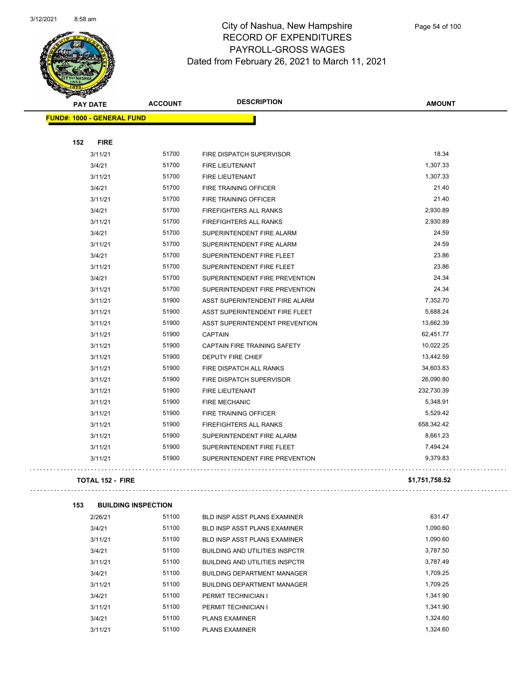

Page 54 of 100

|     | <b>PAY DATE</b>                   | <b>ACCOUNT</b> | <b>DESCRIPTION</b>             | <b>AMOUNT</b> |
|-----|-----------------------------------|----------------|--------------------------------|---------------|
|     | <b>FUND#: 1000 - GENERAL FUND</b> |                |                                |               |
|     |                                   |                |                                |               |
| 152 | <b>FIRE</b>                       |                |                                |               |
|     | 3/11/21                           | 51700          | FIRE DISPATCH SUPERVISOR       | 18.34         |
|     | 3/4/21                            | 51700          | <b>FIRE LIEUTENANT</b>         | 1,307.33      |
|     | 3/11/21                           | 51700          | FIRE LIEUTENANT                | 1,307.33      |
|     | 3/4/21                            | 51700          | FIRE TRAINING OFFICER          | 21.40         |
|     | 3/11/21                           | 51700          | FIRE TRAINING OFFICER          | 21.40         |
|     | 3/4/21                            | 51700          | FIREFIGHTERS ALL RANKS         | 2,930.89      |
|     | 3/11/21                           | 51700          | <b>FIREFIGHTERS ALL RANKS</b>  | 2,930.89      |
|     | 3/4/21                            | 51700          | SUPERINTENDENT FIRE ALARM      | 24.59         |
|     | 3/11/21                           | 51700          | SUPERINTENDENT FIRE ALARM      | 24.59         |
|     | 3/4/21                            | 51700          | SUPERINTENDENT FIRE FLEET      | 23.86         |
|     | 3/11/21                           | 51700          | SUPERINTENDENT FIRE FLEET      | 23.86         |
|     | 3/4/21                            | 51700          | SUPERINTENDENT FIRE PREVENTION | 24.34         |
|     | 3/11/21                           | 51700          | SUPERINTENDENT FIRE PREVENTION | 24.34         |
|     | 3/11/21                           | 51900          | ASST SUPERINTENDENT FIRE ALARM | 7,352.70      |
|     | 3/11/21                           | 51900          | ASST SUPERINTENDENT FIRE FLEET | 5,688.24      |
|     | 3/11/21                           | 51900          | ASST SUPERINTENDENT PREVENTION | 13,662.39     |
|     | 3/11/21                           | 51900          | <b>CAPTAIN</b>                 | 62,451.77     |
|     | 3/11/21                           | 51900          | CAPTAIN FIRE TRAINING SAFETY   | 10,022.25     |
|     | 3/11/21                           | 51900          | DEPUTY FIRE CHIEF              | 13,442.59     |
|     | 3/11/21                           | 51900          | FIRE DISPATCH ALL RANKS        | 34,603.83     |
|     | 3/11/21                           | 51900          | FIRE DISPATCH SUPERVISOR       | 26,090.80     |
|     | 3/11/21                           | 51900          | FIRE LIEUTENANT                | 232,730.39    |
|     | 3/11/21                           | 51900          | <b>FIRE MECHANIC</b>           | 5,348.91      |
|     | 3/11/21                           | 51900          | <b>FIRE TRAINING OFFICER</b>   | 5,529.42      |
|     | 3/11/21                           | 51900          | <b>FIREFIGHTERS ALL RANKS</b>  | 658,342.42    |
|     | 3/11/21                           | 51900          | SUPERINTENDENT FIRE ALARM      | 8,661.23      |
|     | 3/11/21                           | 51900          | SUPERINTENDENT FIRE FLEET      | 7,494.24      |
|     | 3/11/21                           | 51900          | SUPERINTENDENT FIRE PREVENTION | 9,379.83      |
|     |                                   |                |                                |               |

### **TOTAL 152 - FIRE \$1,751,758.52**

 $\sim 1.1$  .

| 153 | <b>BUILDING INSPECTION</b> |       |                                       |          |
|-----|----------------------------|-------|---------------------------------------|----------|
|     | 2/26/21                    | 51100 | <b>BLD INSP ASST PLANS EXAMINER</b>   | 631.47   |
|     | 3/4/21                     | 51100 | <b>BLD INSP ASST PLANS EXAMINER</b>   | 1.090.60 |
|     | 3/11/21                    | 51100 | <b>BLD INSP ASST PLANS EXAMINER</b>   | 1,090.60 |
|     | 3/4/21                     | 51100 | <b>BUILDING AND UTILITIES INSPCTR</b> | 3,787.50 |
|     | 3/11/21                    | 51100 | <b>BUILDING AND UTILITIES INSPCTR</b> | 3,787.49 |
|     | 3/4/21                     | 51100 | <b>BUILDING DEPARTMENT MANAGER</b>    | 1.709.25 |
|     | 3/11/21                    | 51100 | <b>BUILDING DEPARTMENT MANAGER</b>    | 1,709.25 |
|     | 3/4/21                     | 51100 | PERMIT TECHNICIAN I                   | 1.341.90 |
|     | 3/11/21                    | 51100 | PERMIT TECHNICIAN I                   | 1,341.90 |
|     | 3/4/21                     | 51100 | <b>PLANS EXAMINER</b>                 | 1,324.60 |
|     | 3/11/21                    | 51100 | <b>PLANS EXAMINER</b>                 | 1.324.60 |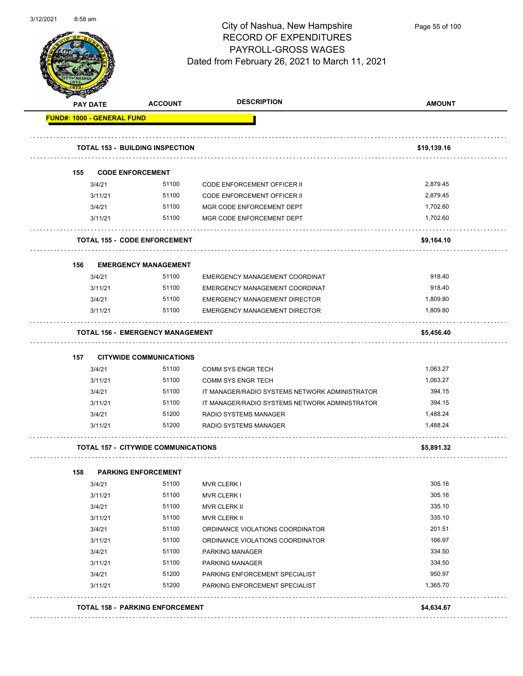

Page 55 of 100

|     | <b>PAY DATE</b>                   | <b>ACCOUNT</b>                             | <b>DESCRIPTION</b>                             | <b>AMOUNT</b> |
|-----|-----------------------------------|--------------------------------------------|------------------------------------------------|---------------|
|     | <b>FUND#: 1000 - GENERAL FUND</b> |                                            |                                                |               |
|     |                                   | <b>TOTAL 153 - BUILDING INSPECTION</b>     |                                                | \$19,139.16   |
| 155 |                                   | <b>CODE ENFORCEMENT</b>                    |                                                |               |
|     | 3/4/21                            | 51100                                      | CODE ENFORCEMENT OFFICER II                    | 2,879.45      |
|     | 3/11/21                           | 51100                                      | <b>CODE ENFORCEMENT OFFICER II</b>             | 2,879.45      |
|     | 3/4/21                            | 51100                                      | MGR CODE ENFORCEMENT DEPT                      | 1,702.60      |
|     | 3/11/21                           | 51100                                      | MGR CODE ENFORCEMENT DEPT                      | 1,702.60      |
|     |                                   | <b>TOTAL 155 - CODE ENFORCEMENT</b>        |                                                | \$9,164.10    |
| 156 |                                   | <b>EMERGENCY MANAGEMENT</b>                |                                                |               |
|     | 3/4/21                            | 51100                                      | EMERGENCY MANAGEMENT COORDINAT                 | 918.40        |
|     | 3/11/21                           | 51100                                      | EMERGENCY MANAGEMENT COORDINAT                 | 918.40        |
|     | 3/4/21                            | 51100                                      | EMERGENCY MANAGEMENT DIRECTOR                  | 1,809.80      |
|     | 3/11/21                           | 51100                                      | <b>EMERGENCY MANAGEMENT DIRECTOR</b>           | 1,809.80      |
|     |                                   | <b>TOTAL 156 - EMERGENCY MANAGEMENT</b>    |                                                | \$5,456.40    |
| 157 |                                   | <b>CITYWIDE COMMUNICATIONS</b>             |                                                |               |
|     | 3/4/21                            | 51100                                      | <b>COMM SYS ENGR TECH</b>                      | 1,063.27      |
|     | 3/11/21                           | 51100                                      | <b>COMM SYS ENGR TECH</b>                      | 1,063.27      |
|     | 3/4/21                            | 51100                                      | IT MANAGER/RADIO SYSTEMS NETWORK ADMINISTRATOR | 394.15        |
|     | 3/11/21                           | 51100                                      | IT MANAGER/RADIO SYSTEMS NETWORK ADMINISTRATOR | 394.15        |
|     | 3/4/21                            | 51200                                      | RADIO SYSTEMS MANAGER                          | 1,488.24      |
|     | 3/11/21                           | 51200                                      | RADIO SYSTEMS MANAGER                          | 1,488.24      |
|     |                                   | <b>TOTAL 157 - CITYWIDE COMMUNICATIONS</b> |                                                | \$5,891.32    |
| 158 |                                   | <b>PARKING ENFORCEMENT</b>                 |                                                |               |
|     | 3/4/21                            | 51100                                      | <b>MVR CLERK I</b>                             | 305.16        |
|     | 3/11/21                           | 51100                                      | <b>MVR CLERK I</b>                             | 305.16        |
|     | 3/4/21                            | 51100                                      | <b>MVR CLERK II</b>                            | 335.10        |
|     | 3/11/21                           | 51100                                      | MVR CLERK II                                   | 335.10        |
|     | 3/4/21                            | 51100                                      | ORDINANCE VIOLATIONS COORDINATOR               | 201.51        |
|     | 3/11/21                           | 51100                                      | ORDINANCE VIOLATIONS COORDINATOR               | 166.97        |
|     | 3/4/21                            | 51100                                      | PARKING MANAGER                                | 334.50        |
|     | 3/11/21                           | 51100                                      | <b>PARKING MANAGER</b>                         | 334.50        |
|     | 3/4/21                            | 51200                                      | PARKING ENFORCEMENT SPECIALIST                 | 950.97        |
|     | 3/11/21                           | 51200                                      | PARKING ENFORCEMENT SPECIALIST                 | 1,365.70      |
|     |                                   |                                            |                                                |               |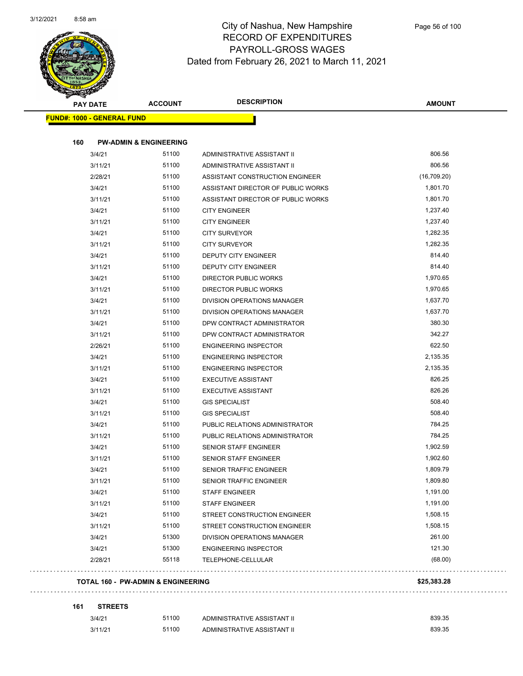

|     | <b>PAY DATE</b><br><b>FUND#: 1000 - GENERAL FUND</b> | <b>ACCOUNT</b>                                | <b>DESCRIPTION</b>                 | <b>AMOUNT</b> |
|-----|------------------------------------------------------|-----------------------------------------------|------------------------------------|---------------|
|     |                                                      |                                               |                                    |               |
| 160 |                                                      | <b>PW-ADMIN &amp; ENGINEERING</b>             |                                    |               |
|     | 3/4/21                                               | 51100                                         | ADMINISTRATIVE ASSISTANT II        | 806.56        |
|     | 3/11/21                                              | 51100                                         | ADMINISTRATIVE ASSISTANT II        | 806.56        |
|     | 2/28/21                                              | 51100                                         | ASSISTANT CONSTRUCTION ENGINEER    | (16,709.20)   |
|     | 3/4/21                                               | 51100                                         | ASSISTANT DIRECTOR OF PUBLIC WORKS | 1,801.70      |
|     | 3/11/21                                              | 51100                                         | ASSISTANT DIRECTOR OF PUBLIC WORKS | 1,801.70      |
|     | 3/4/21                                               | 51100                                         | <b>CITY ENGINEER</b>               | 1,237.40      |
|     | 3/11/21                                              | 51100                                         | <b>CITY ENGINEER</b>               | 1,237.40      |
|     | 3/4/21                                               | 51100                                         | <b>CITY SURVEYOR</b>               | 1,282.35      |
|     | 3/11/21                                              | 51100                                         | <b>CITY SURVEYOR</b>               | 1,282.35      |
|     | 3/4/21                                               | 51100                                         | DEPUTY CITY ENGINEER               | 814.40        |
|     | 3/11/21                                              | 51100                                         | DEPUTY CITY ENGINEER               | 814.40        |
|     | 3/4/21                                               | 51100                                         | <b>DIRECTOR PUBLIC WORKS</b>       | 1,970.65      |
|     | 3/11/21                                              | 51100                                         | <b>DIRECTOR PUBLIC WORKS</b>       | 1,970.65      |
|     | 3/4/21                                               | 51100                                         | DIVISION OPERATIONS MANAGER        | 1,637.70      |
|     | 3/11/21                                              | 51100                                         | DIVISION OPERATIONS MANAGER        | 1,637.70      |
|     | 3/4/21                                               | 51100                                         | DPW CONTRACT ADMINISTRATOR         | 380.30        |
|     | 3/11/21                                              | 51100                                         | DPW CONTRACT ADMINISTRATOR         | 342.27        |
|     | 2/26/21                                              | 51100                                         | <b>ENGINEERING INSPECTOR</b>       | 622.50        |
|     | 3/4/21                                               | 51100                                         | <b>ENGINEERING INSPECTOR</b>       | 2,135.35      |
|     | 3/11/21                                              | 51100                                         | <b>ENGINEERING INSPECTOR</b>       | 2,135.35      |
|     | 3/4/21                                               | 51100                                         | <b>EXECUTIVE ASSISTANT</b>         | 826.25        |
|     | 3/11/21                                              | 51100                                         | <b>EXECUTIVE ASSISTANT</b>         | 826.26        |
|     | 3/4/21                                               | 51100                                         | <b>GIS SPECIALIST</b>              | 508.40        |
|     | 3/11/21                                              | 51100                                         | <b>GIS SPECIALIST</b>              | 508.40        |
|     | 3/4/21                                               | 51100                                         | PUBLIC RELATIONS ADMINISTRATOR     | 784.25        |
|     | 3/11/21                                              | 51100                                         | PUBLIC RELATIONS ADMINISTRATOR     | 784.25        |
|     | 3/4/21                                               | 51100                                         | <b>SENIOR STAFF ENGINEER</b>       | 1,902.59      |
|     | 3/11/21                                              | 51100                                         | <b>SENIOR STAFF ENGINEER</b>       | 1,902.60      |
|     | 3/4/21                                               | 51100                                         | <b>SENIOR TRAFFIC ENGINEER</b>     | 1,809.79      |
|     | 3/11/21                                              | 51100                                         | SENIOR TRAFFIC ENGINEER            | 1,809.80      |
|     | 3/4/21                                               | 51100                                         | <b>STAFF ENGINEER</b>              | 1,191.00      |
|     | 3/11/21                                              | 51100                                         | <b>STAFF ENGINEER</b>              | 1,191.00      |
|     | 3/4/21                                               | 51100                                         | STREET CONSTRUCTION ENGINEER       | 1,508.15      |
|     | 3/11/21                                              | 51100                                         | STREET CONSTRUCTION ENGINEER       | 1,508.15      |
|     | 3/4/21                                               | 51300                                         | DIVISION OPERATIONS MANAGER        | 261.00        |
|     | 3/4/21                                               | 51300                                         | <b>ENGINEERING INSPECTOR</b>       | 121.30        |
|     | 2/28/21                                              | 55118                                         | TELEPHONE-CELLULAR                 | (68.00)       |
|     |                                                      |                                               |                                    |               |
|     |                                                      | <b>TOTAL 160 - PW-ADMIN &amp; ENGINEERING</b> |                                    | \$25,383.28   |
|     |                                                      |                                               |                                    |               |

#### **161 STREETS**

 $\bar{z}$  .

3/4/21 51100 ADMINISTRATIVE ASSISTANT II 839.35 3/11/21 51100 ADMINISTRATIVE ASSISTANT II 639.35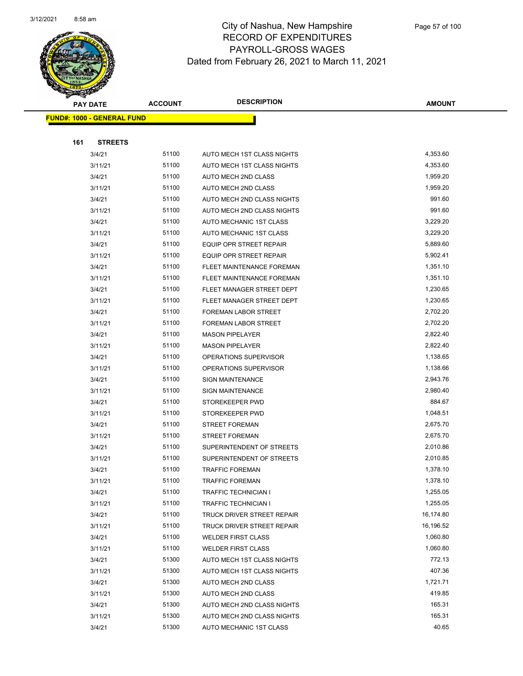

|     | <b>PAY DATE</b>                    | <b>ACCOUNT</b> | <b>DESCRIPTION</b>          | <b>AMOUNT</b> |  |
|-----|------------------------------------|----------------|-----------------------------|---------------|--|
|     | <u> FUND#: 1000 - GENERAL FUND</u> |                |                             |               |  |
|     |                                    |                |                             |               |  |
| 161 | <b>STREETS</b>                     |                |                             |               |  |
|     | 3/4/21                             | 51100          | AUTO MECH 1ST CLASS NIGHTS  | 4,353.60      |  |
|     | 3/11/21                            | 51100          | AUTO MECH 1ST CLASS NIGHTS  | 4,353.60      |  |
|     | 3/4/21                             | 51100          | AUTO MECH 2ND CLASS         | 1,959.20      |  |
|     | 3/11/21                            | 51100          | AUTO MECH 2ND CLASS         | 1,959.20      |  |
|     | 3/4/21                             | 51100          | AUTO MECH 2ND CLASS NIGHTS  | 991.60        |  |
|     | 3/11/21                            | 51100          | AUTO MECH 2ND CLASS NIGHTS  | 991.60        |  |
|     | 3/4/21                             | 51100          | AUTO MECHANIC 1ST CLASS     | 3,229.20      |  |
|     | 3/11/21                            | 51100          | AUTO MECHANIC 1ST CLASS     | 3,229.20      |  |
|     | 3/4/21                             | 51100          | EQUIP OPR STREET REPAIR     | 5,889.60      |  |
|     | 3/11/21                            | 51100          | EQUIP OPR STREET REPAIR     | 5,902.41      |  |
|     | 3/4/21                             | 51100          | FLEET MAINTENANCE FOREMAN   | 1,351.10      |  |
|     | 3/11/21                            | 51100          | FLEET MAINTENANCE FOREMAN   | 1,351.10      |  |
|     | 3/4/21                             | 51100          | FLEET MANAGER STREET DEPT   | 1,230.65      |  |
|     | 3/11/21                            | 51100          | FLEET MANAGER STREET DEPT   | 1,230.65      |  |
|     | 3/4/21                             | 51100          | FOREMAN LABOR STREET        | 2,702.20      |  |
|     | 3/11/21                            | 51100          | FOREMAN LABOR STREET        | 2,702.20      |  |
|     | 3/4/21                             | 51100          | <b>MASON PIPELAYER</b>      | 2,822.40      |  |
|     | 3/11/21                            | 51100          | <b>MASON PIPELAYER</b>      | 2,822.40      |  |
|     | 3/4/21                             | 51100          | OPERATIONS SUPERVISOR       | 1,138.65      |  |
|     | 3/11/21                            | 51100          | OPERATIONS SUPERVISOR       | 1,138.66      |  |
|     | 3/4/21                             | 51100          | <b>SIGN MAINTENANCE</b>     | 2,943.76      |  |
|     | 3/11/21                            | 51100          | <b>SIGN MAINTENANCE</b>     | 2,980.40      |  |
|     | 3/4/21                             | 51100          | STOREKEEPER PWD             | 884.67        |  |
|     | 3/11/21                            | 51100          | STOREKEEPER PWD             | 1,048.51      |  |
|     | 3/4/21                             | 51100          | <b>STREET FOREMAN</b>       | 2,675.70      |  |
|     | 3/11/21                            | 51100          | <b>STREET FOREMAN</b>       | 2,675.70      |  |
|     | 3/4/21                             | 51100          | SUPERINTENDENT OF STREETS   | 2,010.86      |  |
|     | 3/11/21                            | 51100          | SUPERINTENDENT OF STREETS   | 2,010.85      |  |
|     | 3/4/21                             | 51100          | <b>TRAFFIC FOREMAN</b>      | 1,378.10      |  |
|     | 3/11/21                            | 51100          | <b>TRAFFIC FOREMAN</b>      | 1,378.10      |  |
|     | 3/4/21                             | 51100          | <b>TRAFFIC TECHNICIAN I</b> | 1,255.05      |  |
|     | 3/11/21                            | 51100          | <b>TRAFFIC TECHNICIAN I</b> | 1,255.05      |  |
|     | 3/4/21                             | 51100          | TRUCK DRIVER STREET REPAIR  | 16,174.80     |  |
|     | 3/11/21                            | 51100          | TRUCK DRIVER STREET REPAIR  | 16,196.52     |  |
|     | 3/4/21                             | 51100          | <b>WELDER FIRST CLASS</b>   | 1,060.80      |  |
|     | 3/11/21                            | 51100          | <b>WELDER FIRST CLASS</b>   | 1,060.80      |  |
|     | 3/4/21                             | 51300          | AUTO MECH 1ST CLASS NIGHTS  | 772.13        |  |
|     | 3/11/21                            | 51300          | AUTO MECH 1ST CLASS NIGHTS  | 407.36        |  |
|     | 3/4/21                             | 51300          | AUTO MECH 2ND CLASS         | 1,721.71      |  |
|     | 3/11/21                            | 51300          | AUTO MECH 2ND CLASS         | 419.85        |  |
|     | 3/4/21                             | 51300          | AUTO MECH 2ND CLASS NIGHTS  | 165.31        |  |
|     | 3/11/21                            | 51300          | AUTO MECH 2ND CLASS NIGHTS  | 165.31        |  |
|     | 3/4/21                             | 51300          | AUTO MECHANIC 1ST CLASS     | 40.65         |  |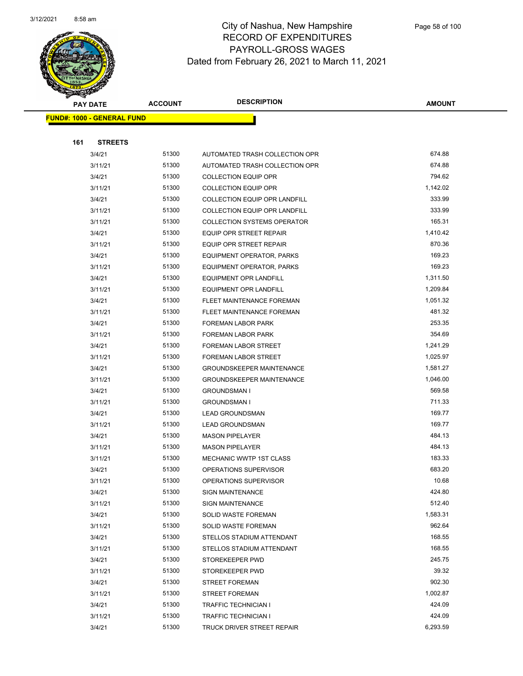

|     | <b>PAY DATE</b>                    | <b>ACCOUNT</b> | <b>DESCRIPTION</b>                   | <b>AMOUNT</b> |
|-----|------------------------------------|----------------|--------------------------------------|---------------|
|     | <u> FUND#: 1000 - GENERAL FUND</u> |                |                                      |               |
|     |                                    |                |                                      |               |
| 161 | <b>STREETS</b>                     |                |                                      |               |
|     | 3/4/21                             | 51300          | AUTOMATED TRASH COLLECTION OPR       | 674.88        |
|     | 3/11/21                            | 51300          | AUTOMATED TRASH COLLECTION OPR       | 674.88        |
|     | 3/4/21                             | 51300          | <b>COLLECTION EQUIP OPR</b>          | 794.62        |
|     | 3/11/21                            | 51300          | <b>COLLECTION EQUIP OPR</b>          | 1,142.02      |
|     | 3/4/21                             | 51300          | <b>COLLECTION EQUIP OPR LANDFILL</b> | 333.99        |
|     | 3/11/21                            | 51300          | COLLECTION EQUIP OPR LANDFILL        | 333.99        |
|     | 3/11/21                            | 51300          | <b>COLLECTION SYSTEMS OPERATOR</b>   | 165.31        |
|     | 3/4/21                             | 51300          | EQUIP OPR STREET REPAIR              | 1,410.42      |
|     | 3/11/21                            | 51300          | EQUIP OPR STREET REPAIR              | 870.36        |
|     | 3/4/21                             | 51300          | EQUIPMENT OPERATOR, PARKS            | 169.23        |
|     | 3/11/21                            | 51300          | <b>EQUIPMENT OPERATOR, PARKS</b>     | 169.23        |
|     | 3/4/21                             | 51300          | EQUIPMENT OPR LANDFILL               | 1,311.50      |
|     | 3/11/21                            | 51300          | EQUIPMENT OPR LANDFILL               | 1,209.84      |
|     | 3/4/21                             | 51300          | FLEET MAINTENANCE FOREMAN            | 1,051.32      |
|     | 3/11/21                            | 51300          | FLEET MAINTENANCE FOREMAN            | 481.32        |
|     | 3/4/21                             | 51300          | <b>FOREMAN LABOR PARK</b>            | 253.35        |
|     | 3/11/21                            | 51300          | <b>FOREMAN LABOR PARK</b>            | 354.69        |
|     | 3/4/21                             | 51300          | <b>FOREMAN LABOR STREET</b>          | 1,241.29      |
|     | 3/11/21                            | 51300          | FOREMAN LABOR STREET                 | 1,025.97      |
|     | 3/4/21                             | 51300          | <b>GROUNDSKEEPER MAINTENANCE</b>     | 1,581.27      |
|     | 3/11/21                            | 51300          | <b>GROUNDSKEEPER MAINTENANCE</b>     | 1,046.00      |
|     | 3/4/21                             | 51300          | <b>GROUNDSMAN I</b>                  | 569.58        |
|     | 3/11/21                            | 51300          | <b>GROUNDSMAN I</b>                  | 711.33        |
|     | 3/4/21                             | 51300          | <b>LEAD GROUNDSMAN</b>               | 169.77        |
|     | 3/11/21                            | 51300          | <b>LEAD GROUNDSMAN</b>               | 169.77        |
|     | 3/4/21                             | 51300          | <b>MASON PIPELAYER</b>               | 484.13        |
|     | 3/11/21                            | 51300          | <b>MASON PIPELAYER</b>               | 484.13        |
|     | 3/11/21                            | 51300          | MECHANIC WWTP 1ST CLASS              | 183.33        |
|     | 3/4/21                             | 51300          | OPERATIONS SUPERVISOR                | 683.20        |
|     | 3/11/21                            | 51300          | OPERATIONS SUPERVISOR                | 10.68         |
|     | 3/4/21                             | 51300          | <b>SIGN MAINTENANCE</b>              | 424.80        |
|     | 3/11/21                            | 51300          | <b>SIGN MAINTENANCE</b>              | 512.40        |
|     | 3/4/21                             | 51300          | SOLID WASTE FOREMAN                  | 1,583.31      |
|     | 3/11/21                            | 51300          | SOLID WASTE FOREMAN                  | 962.64        |
|     | 3/4/21                             | 51300          | STELLOS STADIUM ATTENDANT            | 168.55        |
|     | 3/11/21                            | 51300          | STELLOS STADIUM ATTENDANT            | 168.55        |
|     | 3/4/21                             | 51300          | STOREKEEPER PWD                      | 245.75        |
|     | 3/11/21                            | 51300          | STOREKEEPER PWD                      | 39.32         |
|     | 3/4/21                             | 51300          | <b>STREET FOREMAN</b>                | 902.30        |
|     | 3/11/21                            | 51300          | <b>STREET FOREMAN</b>                | 1,002.87      |
|     | 3/4/21                             | 51300          | <b>TRAFFIC TECHNICIAN I</b>          | 424.09        |
|     | 3/11/21                            | 51300          | TRAFFIC TECHNICIAN I                 | 424.09        |
|     | 3/4/21                             | 51300          | TRUCK DRIVER STREET REPAIR           | 6,293.59      |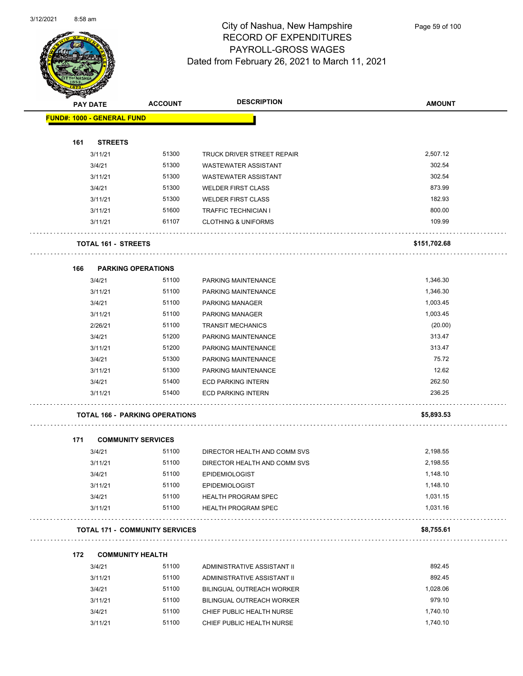

Page 59 of 100

| <b>SACTORISTS</b> |                                       |                |                                  |               |
|-------------------|---------------------------------------|----------------|----------------------------------|---------------|
| <b>PAY DATE</b>   |                                       | <b>ACCOUNT</b> | <b>DESCRIPTION</b>               | <b>AMOUNT</b> |
|                   | <b>FUND#: 1000 - GENERAL FUND</b>     |                |                                  |               |
|                   |                                       |                |                                  |               |
| 161               | <b>STREETS</b>                        |                |                                  |               |
|                   | 3/11/21                               | 51300          | TRUCK DRIVER STREET REPAIR       | 2,507.12      |
|                   | 3/4/21                                | 51300          | <b>WASTEWATER ASSISTANT</b>      | 302.54        |
|                   | 3/11/21                               | 51300          | <b>WASTEWATER ASSISTANT</b>      | 302.54        |
|                   | 3/4/21                                | 51300          | <b>WELDER FIRST CLASS</b>        | 873.99        |
|                   | 3/11/21                               | 51300          | <b>WELDER FIRST CLASS</b>        | 182.93        |
|                   | 3/11/21                               | 51600          | <b>TRAFFIC TECHNICIAN I</b>      | 800.00        |
|                   | 3/11/21                               | 61107          | <b>CLOTHING &amp; UNIFORMS</b>   | 109.99        |
|                   | TOTAL 161 - STREETS                   |                |                                  | \$151,702.68  |
| 166               | <b>PARKING OPERATIONS</b>             |                |                                  |               |
|                   | 3/4/21                                | 51100          | PARKING MAINTENANCE              | 1,346.30      |
|                   | 3/11/21                               | 51100          | PARKING MAINTENANCE              | 1,346.30      |
|                   | 3/4/21                                | 51100          | <b>PARKING MANAGER</b>           | 1,003.45      |
|                   | 3/11/21                               | 51100          | <b>PARKING MANAGER</b>           | 1,003.45      |
|                   | 2/26/21                               | 51100          | <b>TRANSIT MECHANICS</b>         | (20.00)       |
|                   | 3/4/21                                | 51200          | PARKING MAINTENANCE              | 313.47        |
|                   | 3/11/21                               | 51200          | PARKING MAINTENANCE              | 313.47        |
|                   | 3/4/21                                | 51300          | PARKING MAINTENANCE              | 75.72         |
|                   | 3/11/21                               | 51300          | PARKING MAINTENANCE              | 12.62         |
|                   | 3/4/21                                | 51400          | <b>ECD PARKING INTERN</b>        | 262.50        |
|                   | 3/11/21                               | 51400          | <b>ECD PARKING INTERN</b>        | 236.25        |
|                   | <b>TOTAL 166 - PARKING OPERATIONS</b> |                |                                  | \$5,893.53    |
| 171               | <b>COMMUNITY SERVICES</b>             |                |                                  |               |
|                   | 3/4/21                                | 51100          | DIRECTOR HEALTH AND COMM SVS     | 2,198.55      |
|                   | 3/11/21                               | 51100          | DIRECTOR HEALTH AND COMM SVS     | 2,198.55      |
|                   | 3/4/21                                | 51100          | EPIDEMIOLOGIST                   | 1,148.10      |
|                   | 3/11/21                               | 51100          | <b>EPIDEMIOLOGIST</b>            | 1,148.10      |
|                   | 3/4/21                                | 51100          | <b>HEALTH PROGRAM SPEC</b>       | 1,031.15      |
|                   | 3/11/21                               | 51100          | <b>HEALTH PROGRAM SPEC</b>       | 1,031.16      |
|                   | <b>TOTAL 171 - COMMUNITY SERVICES</b> |                |                                  | \$8,755.61    |
| 172               | <b>COMMUNITY HEALTH</b>               |                |                                  |               |
|                   | 3/4/21                                | 51100          | ADMINISTRATIVE ASSISTANT II      | 892.45        |
|                   | 3/11/21                               | 51100          | ADMINISTRATIVE ASSISTANT II      | 892.45        |
|                   | 3/4/21                                | 51100          | <b>BILINGUAL OUTREACH WORKER</b> | 1,028.06      |
|                   | 3/11/21                               | 51100          | BILINGUAL OUTREACH WORKER        | 979.10        |

3/4/21 51100 CHIEF PUBLIC HEALTH NURSE 1,740.10 3/11/21 51100 CHIEF PUBLIC HEALTH NURSE 1,740.10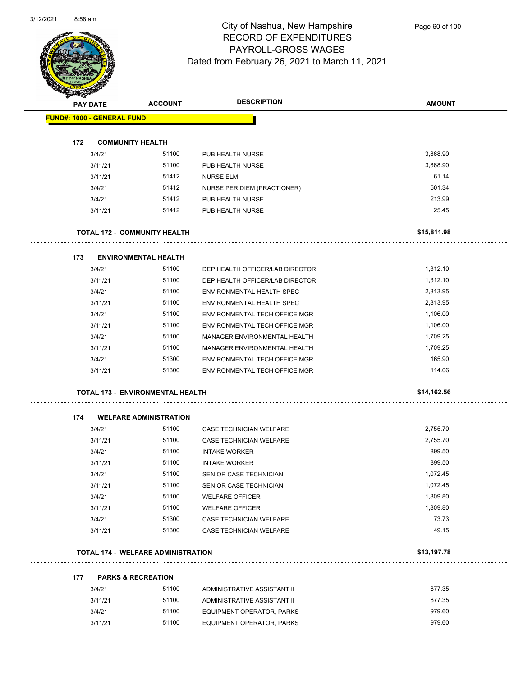$\overline{\phantom{0}}$ 



### City of Nashua, New Hampshire RECORD OF EXPENDITURES PAYROLL-GROSS WAGES Dated from February 26, 2021 to March 11, 2021

Page 60 of 100

|     | <b>PAY DATE</b>                   | <b>ACCOUNT</b>                            | <b>DESCRIPTION</b>              | <b>AMOUNT</b> |
|-----|-----------------------------------|-------------------------------------------|---------------------------------|---------------|
|     | <b>FUND#: 1000 - GENERAL FUND</b> |                                           |                                 |               |
| 172 |                                   | <b>COMMUNITY HEALTH</b>                   |                                 |               |
|     | 3/4/21                            | 51100                                     | PUB HEALTH NURSE                | 3,868.90      |
|     | 3/11/21                           | 51100                                     | PUB HEALTH NURSE                | 3,868.90      |
|     | 3/11/21                           | 51412                                     | <b>NURSE ELM</b>                | 61.14         |
|     | 3/4/21                            | 51412                                     | NURSE PER DIEM (PRACTIONER)     | 501.34        |
|     | 3/4/21                            | 51412                                     | PUB HEALTH NURSE                | 213.99        |
|     | 3/11/21                           | 51412                                     | PUB HEALTH NURSE                | 25.45         |
|     |                                   | <b>TOTAL 172 - COMMUNITY HEALTH</b>       |                                 | \$15,811.98   |
| 173 |                                   | <b>ENVIRONMENTAL HEALTH</b>               |                                 |               |
|     | 3/4/21                            | 51100                                     | DEP HEALTH OFFICER/LAB DIRECTOR | 1,312.10      |
|     | 3/11/21                           | 51100                                     | DEP HEALTH OFFICER/LAB DIRECTOR | 1,312.10      |
|     | 3/4/21                            | 51100                                     | ENVIRONMENTAL HEALTH SPEC       | 2,813.95      |
|     | 3/11/21                           | 51100                                     | ENVIRONMENTAL HEALTH SPEC       | 2,813.95      |
|     | 3/4/21                            | 51100                                     | ENVIRONMENTAL TECH OFFICE MGR   | 1,106.00      |
|     | 3/11/21                           | 51100                                     | ENVIRONMENTAL TECH OFFICE MGR   | 1,106.00      |
|     | 3/4/21                            | 51100                                     | MANAGER ENVIRONMENTAL HEALTH    | 1,709.25      |
|     | 3/11/21                           | 51100                                     | MANAGER ENVIRONMENTAL HEALTH    | 1,709.25      |
|     | 3/4/21                            | 51300                                     | ENVIRONMENTAL TECH OFFICE MGR   | 165.90        |
|     | 3/11/21                           | 51300                                     | ENVIRONMENTAL TECH OFFICE MGR   | 114.06        |
|     |                                   | TOTAL 173 - ENVIRONMENTAL HEALTH          |                                 | \$14,162.56   |
| 174 |                                   | <b>WELFARE ADMINISTRATION</b>             |                                 |               |
|     | 3/4/21                            | 51100                                     | <b>CASE TECHNICIAN WELFARE</b>  | 2,755.70      |
|     | 3/11/21                           | 51100                                     | <b>CASE TECHNICIAN WELFARE</b>  | 2,755.70      |
|     | 3/4/21                            | 51100                                     | <b>INTAKE WORKER</b>            | 899.50        |
|     | 3/11/21                           | 51100                                     | <b>INTAKE WORKER</b>            | 899.50        |
|     | 3/4/21                            | 51100                                     | SENIOR CASE TECHNICIAN          | 1,072.45      |
|     | 3/11/21                           | 51100                                     | SENIOR CASE TECHNICIAN          | 1,072.45      |
|     | 3/4/21                            | 51100                                     | <b>WELFARE OFFICER</b>          | 1,809.80      |
|     | 3/11/21                           | 51100                                     | <b>WELFARE OFFICER</b>          | 1,809.80      |
|     | 3/4/21                            | 51300                                     | CASE TECHNICIAN WELFARE         | 73.73         |
|     | 3/11/21                           | 51300                                     | <b>CASE TECHNICIAN WELFARE</b>  | 49.15         |
|     |                                   | <b>TOTAL 174 - WELFARE ADMINISTRATION</b> |                                 | \$13,197.78   |
| 177 |                                   | <b>PARKS &amp; RECREATION</b>             |                                 |               |
|     | 3/4/21                            | 51100                                     | ADMINISTRATIVE ASSISTANT II     | 877.35        |
|     | 3/11/21                           | 51100                                     | ADMINISTRATIVE ASSISTANT II     | 877.35        |
|     | 3/4/21                            | 51100                                     | EQUIPMENT OPERATOR, PARKS       | 979.60        |

3/11/21 51100 EQUIPMENT OPERATOR, PARKS 979.60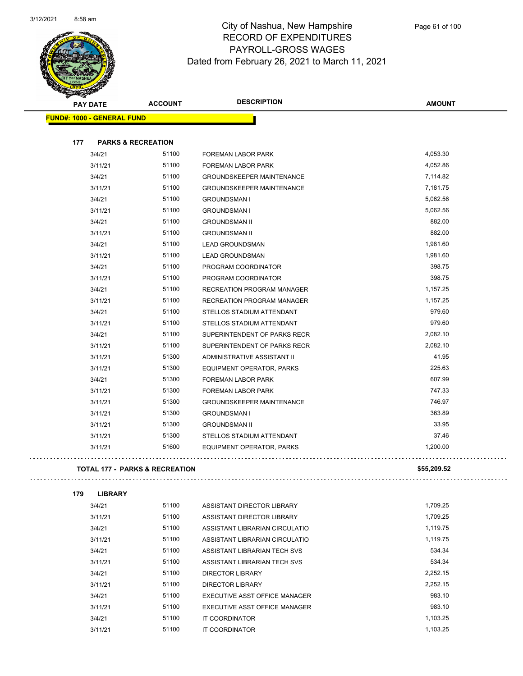

|     | <b>PAY DATE</b>                   | <b>ACCOUNT</b>                | <b>DESCRIPTION</b>                | <b>AMOUNT</b> |
|-----|-----------------------------------|-------------------------------|-----------------------------------|---------------|
|     | <b>FUND#: 1000 - GENERAL FUND</b> |                               |                                   |               |
|     |                                   |                               |                                   |               |
| 177 |                                   | <b>PARKS &amp; RECREATION</b> |                                   |               |
|     | 3/4/21                            | 51100                         | FOREMAN LABOR PARK                | 4,053.30      |
|     | 3/11/21                           | 51100                         | FOREMAN LABOR PARK                | 4,052.86      |
|     | 3/4/21                            | 51100                         | <b>GROUNDSKEEPER MAINTENANCE</b>  | 7,114.82      |
|     | 3/11/21                           | 51100                         | <b>GROUNDSKEEPER MAINTENANCE</b>  | 7,181.75      |
|     | 3/4/21                            | 51100                         | <b>GROUNDSMAN I</b>               | 5,062.56      |
|     | 3/11/21                           | 51100                         | <b>GROUNDSMAN I</b>               | 5,062.56      |
|     | 3/4/21                            | 51100                         | <b>GROUNDSMAN II</b>              | 882.00        |
|     | 3/11/21                           | 51100                         | <b>GROUNDSMAN II</b>              | 882.00        |
|     | 3/4/21                            | 51100                         | <b>LEAD GROUNDSMAN</b>            | 1,981.60      |
|     | 3/11/21                           | 51100                         | <b>LEAD GROUNDSMAN</b>            | 1,981.60      |
|     | 3/4/21                            | 51100                         | PROGRAM COORDINATOR               | 398.75        |
|     | 3/11/21                           | 51100                         | PROGRAM COORDINATOR               | 398.75        |
|     | 3/4/21                            | 51100                         | RECREATION PROGRAM MANAGER        | 1,157.25      |
|     | 3/11/21                           | 51100                         | <b>RECREATION PROGRAM MANAGER</b> | 1,157.25      |
|     | 3/4/21                            | 51100                         | STELLOS STADIUM ATTENDANT         | 979.60        |
|     | 3/11/21                           | 51100                         | STELLOS STADIUM ATTENDANT         | 979.60        |
|     | 3/4/21                            | 51100                         | SUPERINTENDENT OF PARKS RECR      | 2,082.10      |
|     | 3/11/21                           | 51100                         | SUPERINTENDENT OF PARKS RECR      | 2,082.10      |
|     | 3/11/21                           | 51300                         | ADMINISTRATIVE ASSISTANT II       | 41.95         |
|     | 3/11/21                           | 51300                         | <b>EQUIPMENT OPERATOR, PARKS</b>  | 225.63        |
|     | 3/4/21                            | 51300                         | FOREMAN LABOR PARK                | 607.99        |
|     | 3/11/21                           | 51300                         | FOREMAN LABOR PARK                | 747.33        |
|     | 3/11/21                           | 51300                         | <b>GROUNDSKEEPER MAINTENANCE</b>  | 746.97        |
|     | 3/11/21                           | 51300                         | <b>GROUNDSMAN I</b>               | 363.89        |
|     | 3/11/21                           | 51300                         | <b>GROUNDSMAN II</b>              | 33.95         |
|     | 3/11/21                           | 51300                         | STELLOS STADIUM ATTENDANT         | 37.46         |
|     | 3/11/21                           | 51600                         | EQUIPMENT OPERATOR, PARKS         | 1,200.00      |
|     |                                   |                               |                                   |               |

#### **TOTAL 177 - PARKS & RECREATION \$55,209.52**

| 179 | <b>LIBRARY</b> |       |                                |          |
|-----|----------------|-------|--------------------------------|----------|
|     | 3/4/21         | 51100 | ASSISTANT DIRECTOR LIBRARY     | 1,709.25 |
|     | 3/11/21        | 51100 | ASSISTANT DIRECTOR LIBRARY     | 1,709.25 |
|     | 3/4/21         | 51100 | ASSISTANT LIBRARIAN CIRCULATIO | 1,119.75 |
|     | 3/11/21        | 51100 | ASSISTANT LIBRARIAN CIRCULATIO | 1,119.75 |
|     | 3/4/21         | 51100 | ASSISTANT LIBRARIAN TECH SVS   | 534.34   |
|     | 3/11/21        | 51100 | ASSISTANT LIBRARIAN TECH SVS   | 534.34   |
|     | 3/4/21         | 51100 | DIRECTOR LIBRARY               | 2,252.15 |
|     | 3/11/21        | 51100 | DIRECTOR LIBRARY               | 2,252.15 |
|     | 3/4/21         | 51100 | EXECUTIVE ASST OFFICE MANAGER  | 983.10   |
|     | 3/11/21        | 51100 | EXECUTIVE ASST OFFICE MANAGER  | 983.10   |
|     | 3/4/21         | 51100 | <b>IT COORDINATOR</b>          | 1,103.25 |
|     | 3/11/21        | 51100 | IT COORDINATOR                 | 1.103.25 |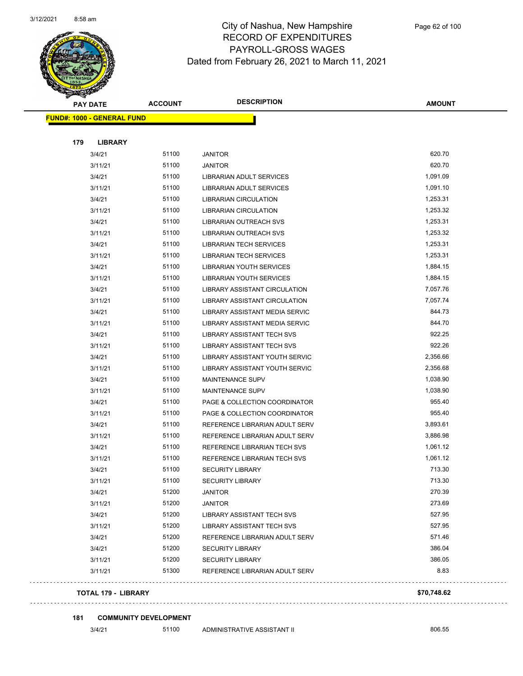

| <b>PAY DATE</b>                   | <b>ACCOUNT</b> | <b>DESCRIPTION</b>                    | <b>AMOUNT</b> |
|-----------------------------------|----------------|---------------------------------------|---------------|
| <b>FUND#: 1000 - GENERAL FUND</b> |                |                                       |               |
|                                   |                |                                       |               |
| 179<br><b>LIBRARY</b>             |                |                                       |               |
| 3/4/21                            | 51100          | <b>JANITOR</b>                        | 620.70        |
| 3/11/21                           | 51100          | <b>JANITOR</b>                        | 620.70        |
| 3/4/21                            | 51100          | LIBRARIAN ADULT SERVICES              | 1,091.09      |
| 3/11/21                           | 51100          | LIBRARIAN ADULT SERVICES              | 1,091.10      |
| 3/4/21                            | 51100          | <b>LIBRARIAN CIRCULATION</b>          | 1,253.31      |
| 3/11/21                           | 51100          | <b>LIBRARIAN CIRCULATION</b>          | 1,253.32      |
| 3/4/21                            | 51100          | <b>LIBRARIAN OUTREACH SVS</b>         | 1,253.31      |
| 3/11/21                           | 51100          | LIBRARIAN OUTREACH SVS                | 1,253.32      |
| 3/4/21                            | 51100          | <b>LIBRARIAN TECH SERVICES</b>        | 1,253.31      |
| 3/11/21                           | 51100          | <b>LIBRARIAN TECH SERVICES</b>        | 1,253.31      |
| 3/4/21                            | 51100          | <b>LIBRARIAN YOUTH SERVICES</b>       | 1,884.15      |
| 3/11/21                           | 51100          | LIBRARIAN YOUTH SERVICES              | 1,884.15      |
| 3/4/21                            | 51100          | LIBRARY ASSISTANT CIRCULATION         | 7,057.76      |
| 3/11/21                           | 51100          | LIBRARY ASSISTANT CIRCULATION         | 7,057.74      |
| 3/4/21                            | 51100          | <b>LIBRARY ASSISTANT MEDIA SERVIC</b> | 844.73        |
| 3/11/21                           | 51100          | LIBRARY ASSISTANT MEDIA SERVIC        | 844.70        |
| 3/4/21                            | 51100          | <b>LIBRARY ASSISTANT TECH SVS</b>     | 922.25        |
| 3/11/21                           | 51100          | LIBRARY ASSISTANT TECH SVS            | 922.26        |
| 3/4/21                            | 51100          | LIBRARY ASSISTANT YOUTH SERVIC        | 2,356.66      |
| 3/11/21                           | 51100          | LIBRARY ASSISTANT YOUTH SERVIC        | 2,356.68      |
| 3/4/21                            | 51100          | <b>MAINTENANCE SUPV</b>               | 1,038.90      |
| 3/11/21                           | 51100          | <b>MAINTENANCE SUPV</b>               | 1,038.90      |
| 3/4/21                            | 51100          | PAGE & COLLECTION COORDINATOR         | 955.40        |
| 3/11/21                           | 51100          | PAGE & COLLECTION COORDINATOR         | 955.40        |
| 3/4/21                            | 51100          | REFERENCE LIBRARIAN ADULT SERV        | 3,893.61      |
| 3/11/21                           | 51100          | REFERENCE LIBRARIAN ADULT SERV        | 3,886.98      |
| 3/4/21                            | 51100          | REFERENCE LIBRARIAN TECH SVS          | 1,061.12      |
| 3/11/21                           | 51100          | REFERENCE LIBRARIAN TECH SVS          | 1,061.12      |
| 3/4/21                            | 51100          | <b>SECURITY LIBRARY</b>               | 713.30        |
| 3/11/21                           | 51100          | SECURITY LIBRARY                      | 713.30        |
| 3/4/21                            | 51200          | <b>JANITOR</b>                        | 270.39        |
| 3/11/21                           | 51200          | <b>JANITOR</b>                        | 273.69        |
| 3/4/21                            | 51200          | LIBRARY ASSISTANT TECH SVS            | 527.95        |
| 3/11/21                           | 51200          | LIBRARY ASSISTANT TECH SVS            | 527.95        |
| 3/4/21                            | 51200          | REFERENCE LIBRARIAN ADULT SERV        | 571.46        |
| 3/4/21                            | 51200          | <b>SECURITY LIBRARY</b>               | 386.04        |
| 3/11/21                           | 51200          | <b>SECURITY LIBRARY</b>               | 386.05        |
| 3/11/21                           | 51300          | REFERENCE LIBRARIAN ADULT SERV        | 8.83          |
|                                   |                |                                       |               |

#### **TOTAL 179 - LIBRARY \$70,748.62**

#### 

**181 COMMUNITY DEVELOPMENT**

3/4/21 51100 ADMINISTRATIVE ASSISTANT II 606.55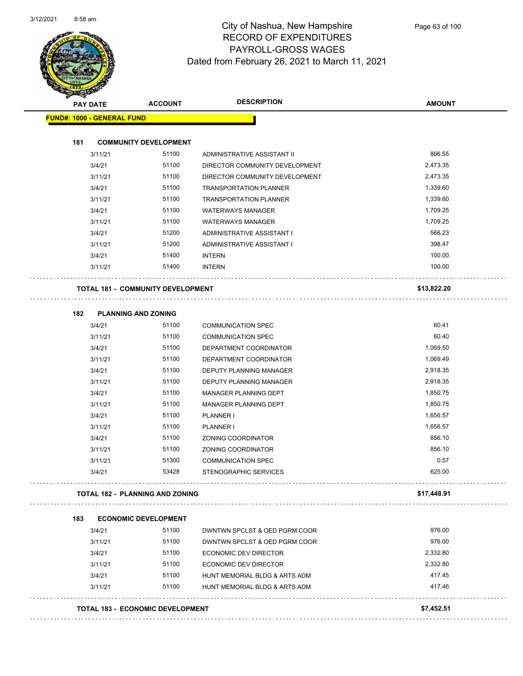

| <b>PAY DATE</b>                          | <b>ACCOUNT</b>                   | <b>DESCRIPTION</b>             | <b>AMOUNT</b> |
|------------------------------------------|----------------------------------|--------------------------------|---------------|
| <b>FUND#: 1000 - GENERAL FUND</b>        |                                  |                                |               |
| 181                                      | <b>COMMUNITY DEVELOPMENT</b>     |                                |               |
| 3/11/21                                  | 51100                            | ADMINISTRATIVE ASSISTANT II    | 806.55        |
| 3/4/21                                   | 51100                            | DIRECTOR COMMUNITY DEVELOPMENT | 2,473.35      |
| 3/11/21                                  | 51100                            | DIRECTOR COMMUNITY DEVELOPMENT | 2,473.35      |
| 3/4/21                                   | 51100                            | <b>TRANSPORTATION PLANNER</b>  | 1,339.60      |
| 3/11/21                                  | 51100                            | <b>TRANSPORTATION PLANNER</b>  | 1,339.60      |
| 3/4/21                                   | 51100                            | <b>WATERWAYS MANAGER</b>       | 1,709.25      |
| 3/11/21                                  | 51100                            | <b>WATERWAYS MANAGER</b>       | 1,709.25      |
| 3/4/21                                   | 51200                            | ADMINISTRATIVE ASSISTANT I     | 566.23        |
| 3/11/21                                  | 51200                            | ADMINISTRATIVE ASSISTANT I     | 398.47        |
| 3/4/21                                   | 51400                            | <b>INTERN</b>                  | 100.00        |
| 3/11/21                                  | 51400                            | <b>INTERN</b>                  | 100.00        |
| <b>TOTAL 181 - COMMUNITY DEVELOPMENT</b> |                                  |                                | \$13,822.20   |
| 182                                      | <b>PLANNING AND ZONING</b>       |                                |               |
| 3/4/21                                   | 51100                            | <b>COMMUNICATION SPEC</b>      | 60.41         |
| 3/11/21                                  | 51100                            | <b>COMMUNICATION SPEC</b>      | 60.40         |
| 3/4/21                                   | 51100                            | DEPARTMENT COORDINATOR         | 1,069.50      |
| 3/11/21                                  | 51100                            | DEPARTMENT COORDINATOR         | 1,069.49      |
| 3/4/21                                   | 51100                            | DEPUTY PLANNING MANAGER        | 2,918.35      |
| 3/11/21                                  | 51100                            | DEPUTY PLANNING MANAGER        | 2,918.35      |
| 3/4/21                                   | 51100                            | MANAGER PLANNING DEPT          | 1,850.75      |
| 3/11/21                                  | 51100                            | MANAGER PLANNING DEPT          | 1,850.75      |
| 3/4/21                                   | 51100                            | PLANNER I                      | 1,656.57      |
| 3/11/21                                  | 51100                            | PLANNER I                      | 1,656.57      |
| 3/4/21                                   | 51100                            | ZONING COORDINATOR             | 856.10        |
| 3/11/21                                  | 51100                            | ZONING COORDINATOR             | 856.10        |
| 3/11/21                                  | 51300                            | <b>COMMUNICATION SPEC</b>      | 0.57          |
| 3/4/21                                   | 53428                            | STENOGRAPHIC SERVICES          | 625.00        |
| <b>TOTAL 182 - PLANNING AND ZONING</b>   |                                  |                                | \$17,448.91   |
| 183                                      | <b>ECONOMIC DEVELOPMENT</b>      |                                |               |
| 3/4/21                                   | 51100                            | DWNTWN SPCLST & OED PGRM COOR  | 976.00        |
| 3/11/21                                  | 51100                            | DWNTWN SPCLST & OED PGRM COOR  | 976.00        |
| 3/4/21                                   | 51100                            | <b>ECONOMIC DEV DIRECTOR</b>   | 2,332.80      |
| 3/11/21                                  | 51100                            | ECONOMIC DEV DIRECTOR          | 2,332.80      |
| 3/4/21                                   | 51100                            | HUNT MEMORIAL BLDG & ARTS ADM  | 417.45        |
| 3/11/21                                  | 51100                            | HUNT MEMORIAL BLDG & ARTS ADM  | 417.46        |
|                                          | TOTAL 183 - ECONOMIC DEVELOPMENT |                                | \$7,452.51    |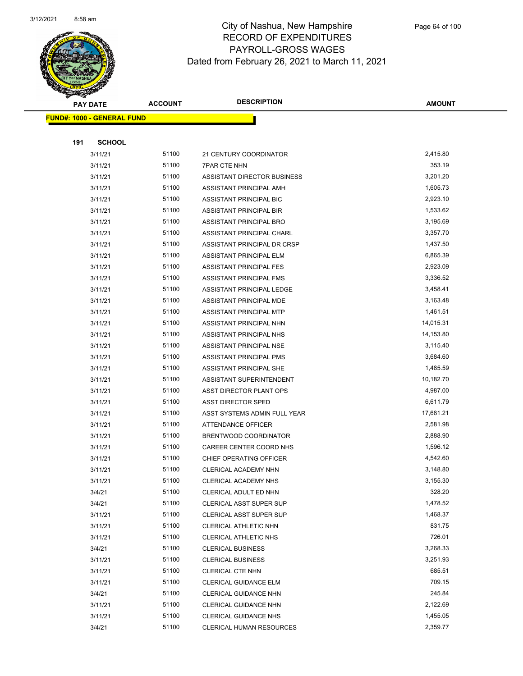

|     | <b>PAY DATE</b>                    | <b>ACCOUNT</b> | <b>DESCRIPTION</b>                               | AMOUNT             |
|-----|------------------------------------|----------------|--------------------------------------------------|--------------------|
|     | <u> FUND#: 1000 - GENERAL FUND</u> |                |                                                  |                    |
|     |                                    |                |                                                  |                    |
| 191 | <b>SCHOOL</b>                      |                |                                                  |                    |
|     | 3/11/21                            | 51100          | 21 CENTURY COORDINATOR                           | 2,415.80           |
|     | 3/11/21                            | 51100          | <b>7PAR CTE NHN</b>                              | 353.19             |
|     | 3/11/21                            | 51100          | <b>ASSISTANT DIRECTOR BUSINESS</b>               | 3,201.20           |
|     | 3/11/21                            | 51100          | ASSISTANT PRINCIPAL AMH                          | 1,605.73           |
|     | 3/11/21                            | 51100          | ASSISTANT PRINCIPAL BIC                          | 2,923.10           |
|     | 3/11/21                            | 51100          | ASSISTANT PRINCIPAL BIR                          | 1,533.62           |
|     | 3/11/21                            | 51100          | ASSISTANT PRINCIPAL BRO                          | 3,195.69           |
|     | 3/11/21                            | 51100          | ASSISTANT PRINCIPAL CHARL                        | 3,357.70           |
|     | 3/11/21                            | 51100          | ASSISTANT PRINCIPAL DR CRSP                      | 1,437.50           |
|     | 3/11/21                            | 51100          | ASSISTANT PRINCIPAL ELM                          | 6,865.39           |
|     | 3/11/21                            | 51100          | ASSISTANT PRINCIPAL FES                          | 2,923.09           |
|     | 3/11/21                            | 51100          | <b>ASSISTANT PRINCIPAL FMS</b>                   | 3,336.52           |
|     | 3/11/21                            | 51100          | ASSISTANT PRINCIPAL LEDGE                        | 3,458.41           |
|     | 3/11/21                            | 51100          | ASSISTANT PRINCIPAL MDE                          | 3,163.48           |
|     | 3/11/21                            | 51100          | <b>ASSISTANT PRINCIPAL MTP</b>                   | 1,461.51           |
|     | 3/11/21                            | 51100          | ASSISTANT PRINCIPAL NHN                          | 14,015.31          |
|     | 3/11/21                            | 51100          | ASSISTANT PRINCIPAL NHS                          | 14,153.80          |
|     | 3/11/21                            | 51100          | ASSISTANT PRINCIPAL NSE                          | 3,115.40           |
|     | 3/11/21                            | 51100          | ASSISTANT PRINCIPAL PMS                          | 3,684.60           |
|     | 3/11/21                            | 51100          | ASSISTANT PRINCIPAL SHE                          | 1,485.59           |
|     | 3/11/21                            | 51100          | ASSISTANT SUPERINTENDENT                         | 10,182.70          |
|     | 3/11/21                            | 51100          | ASST DIRECTOR PLANT OPS                          | 4,987.00           |
|     | 3/11/21                            | 51100          | <b>ASST DIRECTOR SPED</b>                        | 6,611.79           |
|     | 3/11/21                            | 51100          | ASST SYSTEMS ADMIN FULL YEAR                     | 17,681.21          |
|     | 3/11/21                            | 51100          | <b>ATTENDANCE OFFICER</b>                        | 2,581.98           |
|     | 3/11/21                            | 51100          | BRENTWOOD COORDINATOR                            | 2,888.90           |
|     | 3/11/21                            | 51100          | CAREER CENTER COORD NHS                          | 1,596.12           |
|     | 3/11/21                            | 51100          | CHIEF OPERATING OFFICER                          | 4,542.60           |
|     | 3/11/21                            | 51100<br>51100 | CLERICAL ACADEMY NHN                             | 3,148.80           |
|     | 3/11/21                            | 51100          | CLERICAL ACADEMY NHS                             | 3,155.30<br>328.20 |
|     | 3/4/21<br>3/4/21                   | 51100          | CLERICAL ADULT ED NHN<br>CLERICAL ASST SUPER SUP | 1,478.52           |
|     | 3/11/21                            | 51100          | CLERICAL ASST SUPER SUP                          | 1,468.37           |
|     | 3/11/21                            | 51100          | CLERICAL ATHLETIC NHN                            | 831.75             |
|     | 3/11/21                            | 51100          | CLERICAL ATHLETIC NHS                            | 726.01             |
|     | 3/4/21                             | 51100          | <b>CLERICAL BUSINESS</b>                         | 3,268.33           |
|     | 3/11/21                            | 51100          | <b>CLERICAL BUSINESS</b>                         | 3,251.93           |
|     | 3/11/21                            | 51100          | <b>CLERICAL CTE NHN</b>                          | 685.51             |
|     | 3/11/21                            | 51100          | CLERICAL GUIDANCE ELM                            | 709.15             |
|     | 3/4/21                             | 51100          | CLERICAL GUIDANCE NHN                            | 245.84             |
|     | 3/11/21                            | 51100          | CLERICAL GUIDANCE NHN                            | 2,122.69           |
|     | 3/11/21                            | 51100          | <b>CLERICAL GUIDANCE NHS</b>                     | 1,455.05           |
|     | 3/4/21                             | 51100          | <b>CLERICAL HUMAN RESOURCES</b>                  | 2,359.77           |
|     |                                    |                |                                                  |                    |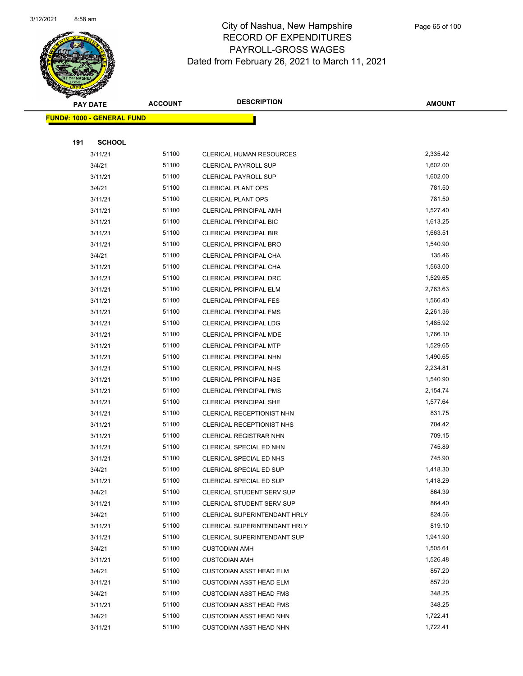

|     | <b>PAY DATE</b>                    | <b>ACCOUNT</b> | <b>DESCRIPTION</b>              | AMOUNT   |
|-----|------------------------------------|----------------|---------------------------------|----------|
|     | <u> FUND#: 1000 - GENERAL FUND</u> |                |                                 |          |
|     |                                    |                |                                 |          |
| 191 | <b>SCHOOL</b>                      |                |                                 |          |
|     | 3/11/21                            | 51100          | <b>CLERICAL HUMAN RESOURCES</b> | 2,335.42 |
|     | 3/4/21                             | 51100          | <b>CLERICAL PAYROLL SUP</b>     | 1,602.00 |
|     | 3/11/21                            | 51100          | CLERICAL PAYROLL SUP            | 1,602.00 |
|     | 3/4/21                             | 51100          | <b>CLERICAL PLANT OPS</b>       | 781.50   |
|     | 3/11/21                            | 51100          | <b>CLERICAL PLANT OPS</b>       | 781.50   |
|     | 3/11/21                            | 51100          | CLERICAL PRINCIPAL AMH          | 1,527.40 |
|     | 3/11/21                            | 51100          | CLERICAL PRINCIPAL BIC          | 1,613.25 |
|     | 3/11/21                            | 51100          | CLERICAL PRINCIPAL BIR          | 1,663.51 |
|     | 3/11/21                            | 51100          | <b>CLERICAL PRINCIPAL BRO</b>   | 1,540.90 |
|     | 3/4/21                             | 51100          | CLERICAL PRINCIPAL CHA          | 135.46   |
|     | 3/11/21                            | 51100          | CLERICAL PRINCIPAL CHA          | 1,563.00 |
|     | 3/11/21                            | 51100          | <b>CLERICAL PRINCIPAL DRC</b>   | 1,529.65 |
|     | 3/11/21                            | 51100          | CLERICAL PRINCIPAL ELM          | 2,763.63 |
|     | 3/11/21                            | 51100          | <b>CLERICAL PRINCIPAL FES</b>   | 1,566.40 |
|     | 3/11/21                            | 51100          | <b>CLERICAL PRINCIPAL FMS</b>   | 2,261.36 |
|     | 3/11/21                            | 51100          | <b>CLERICAL PRINCIPAL LDG</b>   | 1,485.92 |
|     | 3/11/21                            | 51100          | CLERICAL PRINCIPAL MDE          | 1,766.10 |
|     | 3/11/21                            | 51100          | CLERICAL PRINCIPAL MTP          | 1,529.65 |
|     | 3/11/21                            | 51100          | CLERICAL PRINCIPAL NHN          | 1,490.65 |
|     | 3/11/21                            | 51100          | <b>CLERICAL PRINCIPAL NHS</b>   | 2,234.81 |
|     | 3/11/21                            | 51100          | <b>CLERICAL PRINCIPAL NSE</b>   | 1,540.90 |
|     | 3/11/21                            | 51100          | <b>CLERICAL PRINCIPAL PMS</b>   | 2,154.74 |
|     | 3/11/21                            | 51100          | CLERICAL PRINCIPAL SHE          | 1,577.64 |
|     | 3/11/21                            | 51100          | CLERICAL RECEPTIONIST NHN       | 831.75   |
|     | 3/11/21                            | 51100          | CLERICAL RECEPTIONIST NHS       | 704.42   |
|     | 3/11/21                            | 51100          | <b>CLERICAL REGISTRAR NHN</b>   | 709.15   |
|     | 3/11/21                            | 51100          | CLERICAL SPECIAL ED NHN         | 745.89   |
|     | 3/11/21                            | 51100          | CLERICAL SPECIAL ED NHS         | 745.90   |
|     | 3/4/21                             | 51100          | CLERICAL SPECIAL ED SUP         | 1,418.30 |
|     | 3/11/21                            | 51100          | CLERICAL SPECIAL ED SUP         | 1,418.29 |
|     | 3/4/21                             | 51100          | CLERICAL STUDENT SERV SUP       | 864.39   |
|     | 3/11/21                            | 51100          | CLERICAL STUDENT SERV SUP       | 864.40   |
|     | 3/4/21                             | 51100          | CLERICAL SUPERINTENDANT HRLY    | 824.56   |
|     | 3/11/21                            | 51100          | CLERICAL SUPERINTENDANT HRLY    | 819.10   |
|     | 3/11/21                            | 51100          | CLERICAL SUPERINTENDANT SUP     | 1,941.90 |
|     | 3/4/21                             | 51100          | <b>CUSTODIAN AMH</b>            | 1,505.61 |
|     | 3/11/21                            | 51100          | <b>CUSTODIAN AMH</b>            | 1,526.48 |
|     | 3/4/21                             | 51100          | <b>CUSTODIAN ASST HEAD ELM</b>  | 857.20   |
|     | 3/11/21                            | 51100          | <b>CUSTODIAN ASST HEAD ELM</b>  | 857.20   |
|     | 3/4/21                             | 51100          | <b>CUSTODIAN ASST HEAD FMS</b>  | 348.25   |
|     | 3/11/21                            | 51100          | <b>CUSTODIAN ASST HEAD FMS</b>  | 348.25   |
|     | 3/4/21                             | 51100          | <b>CUSTODIAN ASST HEAD NHN</b>  | 1,722.41 |
|     | 3/11/21                            | 51100          | CUSTODIAN ASST HEAD NHN         | 1,722.41 |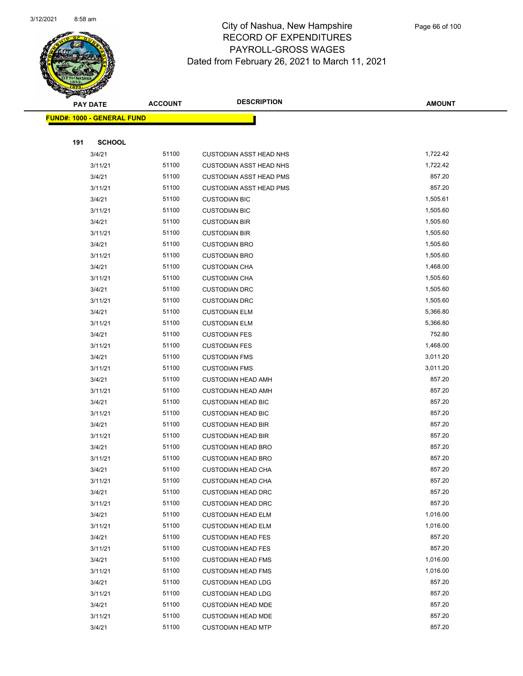

|     | <b>PAY DATE</b>                    | <b>ACCOUNT</b> | <b>DESCRIPTION</b>                                     | <b>AMOUNT</b>    |  |
|-----|------------------------------------|----------------|--------------------------------------------------------|------------------|--|
|     | <u> FUND#: 1000 - GENERAL FUND</u> |                |                                                        |                  |  |
|     |                                    |                |                                                        |                  |  |
| 191 | <b>SCHOOL</b>                      |                |                                                        |                  |  |
|     | 3/4/21                             | 51100          | <b>CUSTODIAN ASST HEAD NHS</b>                         | 1,722.42         |  |
|     | 3/11/21                            | 51100          | <b>CUSTODIAN ASST HEAD NHS</b>                         | 1,722.42         |  |
|     | 3/4/21                             | 51100          | <b>CUSTODIAN ASST HEAD PMS</b>                         | 857.20           |  |
|     | 3/11/21                            | 51100          | <b>CUSTODIAN ASST HEAD PMS</b>                         | 857.20           |  |
|     | 3/4/21                             | 51100          | <b>CUSTODIAN BIC</b>                                   | 1,505.61         |  |
|     | 3/11/21                            | 51100          | <b>CUSTODIAN BIC</b>                                   | 1,505.60         |  |
|     | 3/4/21                             | 51100          | <b>CUSTODIAN BIR</b>                                   | 1,505.60         |  |
|     | 3/11/21                            | 51100          | <b>CUSTODIAN BIR</b>                                   | 1,505.60         |  |
|     | 3/4/21                             | 51100          | <b>CUSTODIAN BRO</b>                                   | 1,505.60         |  |
|     | 3/11/21                            | 51100          | <b>CUSTODIAN BRO</b>                                   | 1,505.60         |  |
|     | 3/4/21                             | 51100          | <b>CUSTODIAN CHA</b>                                   | 1,468.00         |  |
|     | 3/11/21                            | 51100          | <b>CUSTODIAN CHA</b>                                   | 1,505.60         |  |
|     | 3/4/21                             | 51100          | <b>CUSTODIAN DRC</b>                                   | 1,505.60         |  |
|     | 3/11/21                            | 51100          | <b>CUSTODIAN DRC</b>                                   | 1,505.60         |  |
|     | 3/4/21                             | 51100          | <b>CUSTODIAN ELM</b>                                   | 5,366.80         |  |
|     | 3/11/21                            | 51100          | <b>CUSTODIAN ELM</b>                                   | 5,366.80         |  |
|     | 3/4/21                             | 51100          | <b>CUSTODIAN FES</b>                                   | 752.80           |  |
|     | 3/11/21                            | 51100          | <b>CUSTODIAN FES</b>                                   | 1,468.00         |  |
|     | 3/4/21                             | 51100          | <b>CUSTODIAN FMS</b>                                   | 3,011.20         |  |
|     | 3/11/21                            | 51100          | <b>CUSTODIAN FMS</b>                                   | 3,011.20         |  |
|     | 3/4/21                             | 51100          | <b>CUSTODIAN HEAD AMH</b>                              | 857.20           |  |
|     | 3/11/21                            | 51100          | <b>CUSTODIAN HEAD AMH</b>                              | 857.20           |  |
|     | 3/4/21                             | 51100          | <b>CUSTODIAN HEAD BIC</b>                              | 857.20           |  |
|     | 3/11/21                            | 51100          | <b>CUSTODIAN HEAD BIC</b>                              | 857.20           |  |
|     | 3/4/21                             | 51100          | <b>CUSTODIAN HEAD BIR</b>                              | 857.20           |  |
|     | 3/11/21                            | 51100          | <b>CUSTODIAN HEAD BIR</b>                              | 857.20           |  |
|     | 3/4/21                             | 51100          | <b>CUSTODIAN HEAD BRO</b>                              | 857.20           |  |
|     | 3/11/21                            | 51100          | <b>CUSTODIAN HEAD BRO</b>                              | 857.20           |  |
|     | 3/4/21                             | 51100          | <b>CUSTODIAN HEAD CHA</b>                              | 857.20           |  |
|     | 3/11/21                            | 51100          | <b>CUSTODIAN HEAD CHA</b>                              | 857.20           |  |
|     | 3/4/21                             | 51100          | <b>CUSTODIAN HEAD DRC</b>                              | 857.20<br>857.20 |  |
|     | 3/11/21<br>3/4/21                  | 51100<br>51100 | <b>CUSTODIAN HEAD DRC</b>                              | 1,016.00         |  |
|     | 3/11/21                            | 51100          | <b>CUSTODIAN HEAD ELM</b><br><b>CUSTODIAN HEAD ELM</b> | 1,016.00         |  |
|     | 3/4/21                             | 51100          | <b>CUSTODIAN HEAD FES</b>                              | 857.20           |  |
|     | 3/11/21                            | 51100          | <b>CUSTODIAN HEAD FES</b>                              | 857.20           |  |
|     | 3/4/21                             | 51100          | <b>CUSTODIAN HEAD FMS</b>                              | 1,016.00         |  |
|     | 3/11/21                            | 51100          | <b>CUSTODIAN HEAD FMS</b>                              | 1,016.00         |  |
|     | 3/4/21                             | 51100          | <b>CUSTODIAN HEAD LDG</b>                              | 857.20           |  |
|     | 3/11/21                            | 51100          | <b>CUSTODIAN HEAD LDG</b>                              | 857.20           |  |
|     | 3/4/21                             | 51100          | <b>CUSTODIAN HEAD MDE</b>                              | 857.20           |  |
|     | 3/11/21                            | 51100          | <b>CUSTODIAN HEAD MDE</b>                              | 857.20           |  |
|     | 3/4/21                             | 51100          | <b>CUSTODIAN HEAD MTP</b>                              | 857.20           |  |
|     |                                    |                |                                                        |                  |  |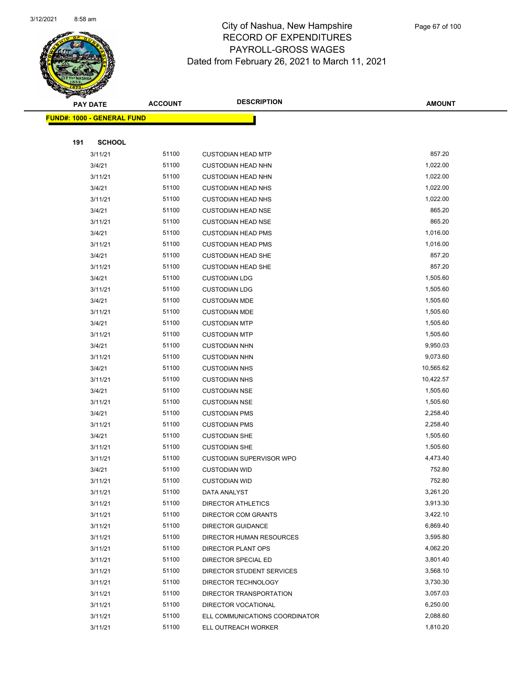

Page 67 of 100

|     | <b>PAY DATE</b>                    | <b>ACCOUNT</b> | <b>DESCRIPTION</b>             | <b>AMOUNT</b> |
|-----|------------------------------------|----------------|--------------------------------|---------------|
|     | <u> FUND#: 1000 - GENERAL FUND</u> |                |                                |               |
|     |                                    |                |                                |               |
| 191 | <b>SCHOOL</b>                      |                |                                |               |
|     | 3/11/21                            | 51100          | <b>CUSTODIAN HEAD MTP</b>      | 857.20        |
|     | 3/4/21                             | 51100          | <b>CUSTODIAN HEAD NHN</b>      | 1,022.00      |
|     | 3/11/21                            | 51100          | <b>CUSTODIAN HEAD NHN</b>      | 1,022.00      |
|     | 3/4/21                             | 51100          | <b>CUSTODIAN HEAD NHS</b>      | 1,022.00      |
|     | 3/11/21                            | 51100          | <b>CUSTODIAN HEAD NHS</b>      | 1,022.00      |
|     | 3/4/21                             | 51100          | <b>CUSTODIAN HEAD NSE</b>      | 865.20        |
|     | 3/11/21                            | 51100          | <b>CUSTODIAN HEAD NSE</b>      | 865.20        |
|     | 3/4/21                             | 51100          | <b>CUSTODIAN HEAD PMS</b>      | 1,016.00      |
|     | 3/11/21                            | 51100          | <b>CUSTODIAN HEAD PMS</b>      | 1,016.00      |
|     | 3/4/21                             | 51100          | <b>CUSTODIAN HEAD SHE</b>      | 857.20        |
|     | 3/11/21                            | 51100          | <b>CUSTODIAN HEAD SHE</b>      | 857.20        |
|     | 3/4/21                             | 51100          | <b>CUSTODIAN LDG</b>           | 1,505.60      |
|     | 3/11/21                            | 51100          | <b>CUSTODIAN LDG</b>           | 1,505.60      |
|     | 3/4/21                             | 51100          | <b>CUSTODIAN MDE</b>           | 1,505.60      |
|     | 3/11/21                            | 51100          | <b>CUSTODIAN MDE</b>           | 1,505.60      |
|     | 3/4/21                             | 51100          | <b>CUSTODIAN MTP</b>           | 1,505.60      |
|     | 3/11/21                            | 51100          | <b>CUSTODIAN MTP</b>           | 1,505.60      |
|     | 3/4/21                             | 51100          | <b>CUSTODIAN NHN</b>           | 9,950.03      |
|     | 3/11/21                            | 51100          | <b>CUSTODIAN NHN</b>           | 9,073.60      |
|     | 3/4/21                             | 51100          | <b>CUSTODIAN NHS</b>           | 10,565.62     |
|     | 3/11/21                            | 51100          | <b>CUSTODIAN NHS</b>           | 10,422.57     |
|     | 3/4/21                             | 51100          | <b>CUSTODIAN NSE</b>           | 1,505.60      |
|     | 3/11/21                            | 51100          | <b>CUSTODIAN NSE</b>           | 1,505.60      |
|     | 3/4/21                             | 51100          | <b>CUSTODIAN PMS</b>           | 2,258.40      |
|     | 3/11/21                            | 51100          | <b>CUSTODIAN PMS</b>           | 2,258.40      |
|     | 3/4/21                             | 51100          | <b>CUSTODIAN SHE</b>           | 1,505.60      |
|     | 3/11/21                            | 51100          | <b>CUSTODIAN SHE</b>           | 1,505.60      |
|     | 3/11/21                            | 51100          | CUSTODIAN SUPERVISOR WPO       | 4,473.40      |
|     | 3/4/21                             | 51100          | <b>CUSTODIAN WID</b>           | 752.80        |
|     | 3/11/21                            | 51100          | <b>CUSTODIAN WID</b>           | 752.80        |
|     | 3/11/21                            | 51100          | DATA ANALYST                   | 3,261.20      |
|     | 3/11/21                            | 51100          | <b>DIRECTOR ATHLETICS</b>      | 3,913.30      |
|     | 3/11/21                            | 51100          | DIRECTOR COM GRANTS            | 3,422.10      |
|     | 3/11/21                            | 51100          | <b>DIRECTOR GUIDANCE</b>       | 6,869.40      |
|     | 3/11/21                            | 51100          | DIRECTOR HUMAN RESOURCES       | 3,595.80      |
|     | 3/11/21                            | 51100          | DIRECTOR PLANT OPS             | 4,062.20      |
|     | 3/11/21                            | 51100          | DIRECTOR SPECIAL ED            | 3,801.40      |
|     | 3/11/21                            | 51100          | DIRECTOR STUDENT SERVICES      | 3,568.10      |
|     | 3/11/21                            | 51100          | DIRECTOR TECHNOLOGY            | 3,730.30      |
|     | 3/11/21                            | 51100          | DIRECTOR TRANSPORTATION        | 3,057.03      |
|     | 3/11/21                            | 51100          | DIRECTOR VOCATIONAL            | 6,250.00      |
|     | 3/11/21                            | 51100          | ELL COMMUNICATIONS COORDINATOR | 2,088.60      |
|     | 3/11/21                            | 51100          | ELL OUTREACH WORKER            | 1,810.20      |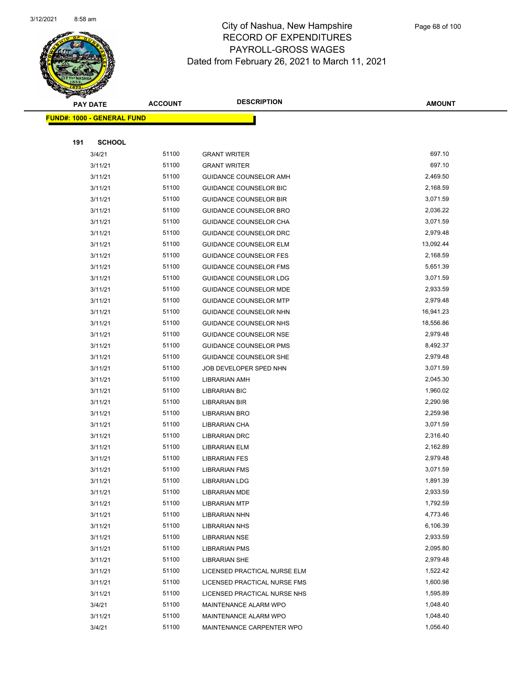

|     | <b>PAY DATE</b>                    | <b>ACCOUNT</b> | <b>DESCRIPTION</b>            | <b>AMOUNT</b> |
|-----|------------------------------------|----------------|-------------------------------|---------------|
|     | <u> FUND#: 1000 - GENERAL FUND</u> |                |                               |               |
|     |                                    |                |                               |               |
| 191 | <b>SCHOOL</b>                      |                |                               |               |
|     | 3/4/21                             | 51100          | <b>GRANT WRITER</b>           | 697.10        |
|     | 3/11/21                            | 51100          | <b>GRANT WRITER</b>           | 697.10        |
|     | 3/11/21                            | 51100          | GUIDANCE COUNSELOR AMH        | 2,469.50      |
|     | 3/11/21                            | 51100          | GUIDANCE COUNSELOR BIC        | 2,168.59      |
|     | 3/11/21                            | 51100          | <b>GUIDANCE COUNSELOR BIR</b> | 3,071.59      |
|     | 3/11/21                            | 51100          | GUIDANCE COUNSELOR BRO        | 2,036.22      |
|     | 3/11/21                            | 51100          | GUIDANCE COUNSELOR CHA        | 3,071.59      |
|     | 3/11/21                            | 51100          | GUIDANCE COUNSELOR DRC        | 2,979.48      |
|     | 3/11/21                            | 51100          | <b>GUIDANCE COUNSELOR ELM</b> | 13,092.44     |
|     | 3/11/21                            | 51100          | <b>GUIDANCE COUNSELOR FES</b> | 2,168.59      |
|     | 3/11/21                            | 51100          | GUIDANCE COUNSELOR FMS        | 5,651.39      |
|     | 3/11/21                            | 51100          | GUIDANCE COUNSELOR LDG        | 3,071.59      |
|     | 3/11/21                            | 51100          | <b>GUIDANCE COUNSELOR MDE</b> | 2,933.59      |
|     | 3/11/21                            | 51100          | <b>GUIDANCE COUNSELOR MTP</b> | 2,979.48      |
|     | 3/11/21                            | 51100          | GUIDANCE COUNSELOR NHN        | 16,941.23     |
|     | 3/11/21                            | 51100          | GUIDANCE COUNSELOR NHS        | 18,556.86     |
|     | 3/11/21                            | 51100          | GUIDANCE COUNSELOR NSE        | 2,979.48      |
|     | 3/11/21                            | 51100          | <b>GUIDANCE COUNSELOR PMS</b> | 8,492.37      |
|     | 3/11/21                            | 51100          | <b>GUIDANCE COUNSELOR SHE</b> | 2,979.48      |
|     | 3/11/21                            | 51100          | JOB DEVELOPER SPED NHN        | 3,071.59      |
|     | 3/11/21                            | 51100          | LIBRARIAN AMH                 | 2,045.30      |
|     | 3/11/21                            | 51100          | <b>LIBRARIAN BIC</b>          | 1,960.02      |
|     | 3/11/21                            | 51100          | LIBRARIAN BIR                 | 2,290.98      |
|     | 3/11/21                            | 51100          | LIBRARIAN BRO                 | 2,259.98      |
|     | 3/11/21                            | 51100          | LIBRARIAN CHA                 | 3,071.59      |
|     | 3/11/21                            | 51100          | <b>LIBRARIAN DRC</b>          | 2,316.40      |
|     | 3/11/21                            | 51100          | LIBRARIAN ELM                 | 2,162.89      |
|     | 3/11/21                            | 51100          | <b>LIBRARIAN FES</b>          | 2,979.48      |
|     | 3/11/21                            | 51100          | <b>LIBRARIAN FMS</b>          | 3,071.59      |
|     | 3/11/21                            | 51100          | <b>LIBRARIAN LDG</b>          | 1,891.39      |
|     | 3/11/21                            | 51100          | LIBRARIAN MDE                 | 2,933.59      |
|     | 3/11/21                            | 51100          | <b>LIBRARIAN MTP</b>          | 1,792.59      |
|     | 3/11/21                            | 51100          | LIBRARIAN NHN                 | 4,773.46      |
|     | 3/11/21                            | 51100          | <b>LIBRARIAN NHS</b>          | 6,106.39      |
|     | 3/11/21                            | 51100          | <b>LIBRARIAN NSE</b>          | 2,933.59      |
|     | 3/11/21                            | 51100          | LIBRARIAN PMS                 | 2,095.80      |
|     | 3/11/21                            | 51100          | <b>LIBRARIAN SHE</b>          | 2,979.48      |
|     | 3/11/21                            | 51100          | LICENSED PRACTICAL NURSE ELM  | 1,522.42      |
|     | 3/11/21                            | 51100          | LICENSED PRACTICAL NURSE FMS  | 1,600.98      |
|     | 3/11/21                            | 51100          | LICENSED PRACTICAL NURSE NHS  | 1,595.89      |
|     | 3/4/21                             | 51100          | MAINTENANCE ALARM WPO         | 1,048.40      |
|     | 3/11/21                            | 51100          | MAINTENANCE ALARM WPO         | 1,048.40      |
|     | 3/4/21                             | 51100          | MAINTENANCE CARPENTER WPO     | 1,056.40      |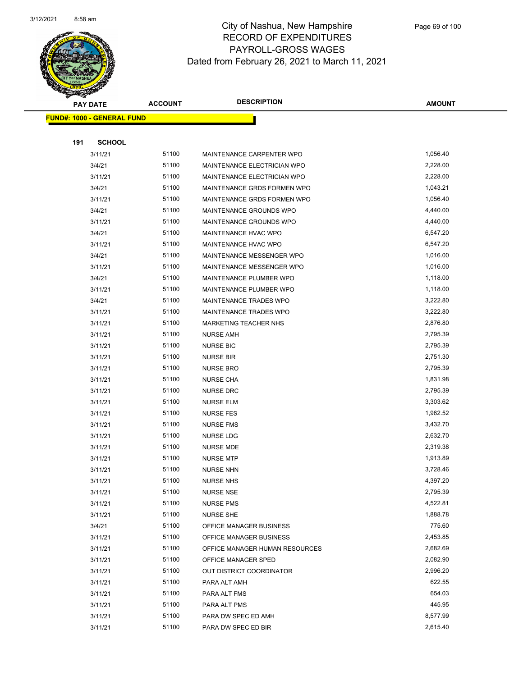

|     | <b>PAY DATE</b>                    | <b>ACCOUNT</b> | <b>DESCRIPTION</b>             | <b>AMOUNT</b> |
|-----|------------------------------------|----------------|--------------------------------|---------------|
|     | <u> FUND#: 1000 - GENERAL FUND</u> |                |                                |               |
|     |                                    |                |                                |               |
| 191 | <b>SCHOOL</b>                      |                |                                |               |
|     | 3/11/21                            | 51100          | MAINTENANCE CARPENTER WPO      | 1,056.40      |
|     | 3/4/21                             | 51100          | MAINTENANCE ELECTRICIAN WPO    | 2,228.00      |
|     | 3/11/21                            | 51100          | MAINTENANCE ELECTRICIAN WPO    | 2,228.00      |
|     | 3/4/21                             | 51100          | MAINTENANCE GRDS FORMEN WPO    | 1,043.21      |
|     | 3/11/21                            | 51100          | MAINTENANCE GRDS FORMEN WPO    | 1,056.40      |
|     | 3/4/21                             | 51100          | MAINTENANCE GROUNDS WPO        | 4,440.00      |
|     | 3/11/21                            | 51100          | MAINTENANCE GROUNDS WPO        | 4,440.00      |
|     | 3/4/21                             | 51100          | MAINTENANCE HVAC WPO           | 6,547.20      |
|     | 3/11/21                            | 51100          | MAINTENANCE HVAC WPO           | 6,547.20      |
|     | 3/4/21                             | 51100          | MAINTENANCE MESSENGER WPO      | 1,016.00      |
|     | 3/11/21                            | 51100          | MAINTENANCE MESSENGER WPO      | 1,016.00      |
|     | 3/4/21                             | 51100          | MAINTENANCE PLUMBER WPO        | 1,118.00      |
|     | 3/11/21                            | 51100          | MAINTENANCE PLUMBER WPO        | 1,118.00      |
|     | 3/4/21                             | 51100          | MAINTENANCE TRADES WPO         | 3,222.80      |
|     | 3/11/21                            | 51100          | MAINTENANCE TRADES WPO         | 3,222.80      |
|     | 3/11/21                            | 51100          | <b>MARKETING TEACHER NHS</b>   | 2,876.80      |
|     | 3/11/21                            | 51100          | <b>NURSE AMH</b>               | 2,795.39      |
|     | 3/11/21                            | 51100          | <b>NURSE BIC</b>               | 2,795.39      |
|     | 3/11/21                            | 51100          | <b>NURSE BIR</b>               | 2,751.30      |
|     | 3/11/21                            | 51100          | <b>NURSE BRO</b>               | 2,795.39      |
|     | 3/11/21                            | 51100          | <b>NURSE CHA</b>               | 1,831.98      |
|     | 3/11/21                            | 51100          | <b>NURSE DRC</b>               | 2,795.39      |
|     | 3/11/21                            | 51100          | <b>NURSE ELM</b>               | 3,303.62      |
|     | 3/11/21                            | 51100          | <b>NURSE FES</b>               | 1,962.52      |
|     | 3/11/21                            | 51100          | <b>NURSE FMS</b>               | 3,432.70      |
|     | 3/11/21                            | 51100          | <b>NURSE LDG</b>               | 2,632.70      |
|     | 3/11/21                            | 51100          | <b>NURSE MDE</b>               | 2,319.38      |
|     | 3/11/21                            | 51100          | <b>NURSE MTP</b>               | 1,913.89      |
|     | 3/11/21                            | 51100          | <b>NURSE NHN</b>               | 3,728.46      |
|     | 3/11/21                            | 51100          | <b>NURSE NHS</b>               | 4,397.20      |
|     | 3/11/21                            | 51100          | <b>NURSE NSE</b>               | 2,795.39      |
|     | 3/11/21                            | 51100          | <b>NURSE PMS</b>               | 4,522.81      |
|     | 3/11/21                            | 51100          | <b>NURSE SHE</b>               | 1,888.78      |
|     | 3/4/21                             | 51100          | OFFICE MANAGER BUSINESS        | 775.60        |
|     | 3/11/21                            | 51100          | OFFICE MANAGER BUSINESS        | 2,453.85      |
|     | 3/11/21                            | 51100          | OFFICE MANAGER HUMAN RESOURCES | 2,682.69      |
|     | 3/11/21                            | 51100          | OFFICE MANAGER SPED            | 2,082.90      |
|     | 3/11/21                            | 51100          | OUT DISTRICT COORDINATOR       | 2,996.20      |
|     | 3/11/21                            | 51100          | PARA ALT AMH                   | 622.55        |
|     | 3/11/21                            | 51100          | PARA ALT FMS                   | 654.03        |
|     | 3/11/21                            | 51100          | PARA ALT PMS                   | 445.95        |
|     | 3/11/21                            | 51100          | PARA DW SPEC ED AMH            | 8,577.99      |
|     | 3/11/21                            | 51100          | PARA DW SPEC ED BIR            | 2,615.40      |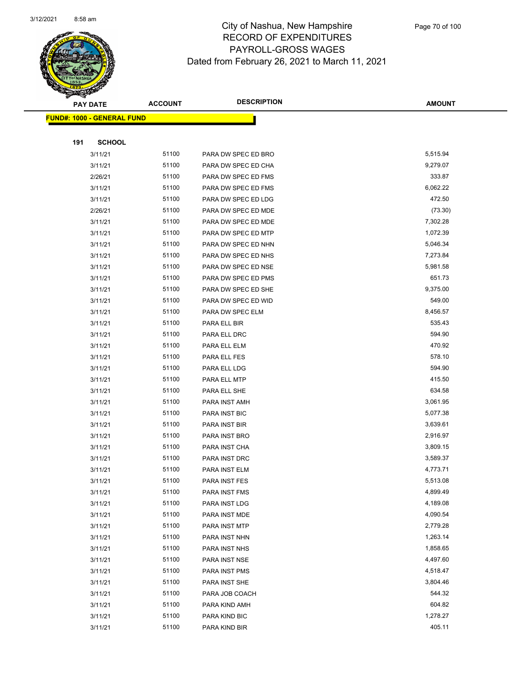

Page 70 of 100

|     | <b>PAY DATE</b>                    | <b>ACCOUNT</b> | <b>DESCRIPTION</b>   | <b>AMOUNT</b> |
|-----|------------------------------------|----------------|----------------------|---------------|
|     | <u> FUND#: 1000 - GENERAL FUND</u> |                |                      |               |
|     |                                    |                |                      |               |
| 191 | <b>SCHOOL</b>                      |                |                      |               |
|     | 3/11/21                            | 51100          | PARA DW SPEC ED BRO  | 5,515.94      |
|     | 3/11/21                            | 51100          | PARA DW SPEC ED CHA  | 9,279.07      |
|     | 2/26/21                            | 51100          | PARA DW SPEC ED FMS  | 333.87        |
|     | 3/11/21                            | 51100          | PARA DW SPEC ED FMS  | 6,062.22      |
|     | 3/11/21                            | 51100          | PARA DW SPEC ED LDG  | 472.50        |
|     | 2/26/21                            | 51100          | PARA DW SPEC ED MDE  | (73.30)       |
|     | 3/11/21                            | 51100          | PARA DW SPEC ED MDE  | 7,302.28      |
|     | 3/11/21                            | 51100          | PARA DW SPEC ED MTP  | 1,072.39      |
|     | 3/11/21                            | 51100          | PARA DW SPEC ED NHN  | 5,046.34      |
|     | 3/11/21                            | 51100          | PARA DW SPEC ED NHS  | 7,273.84      |
|     | 3/11/21                            | 51100          | PARA DW SPEC ED NSE  | 5,981.58      |
|     | 3/11/21                            | 51100          | PARA DW SPEC ED PMS  | 651.73        |
|     | 3/11/21                            | 51100          | PARA DW SPEC ED SHE  | 9,375.00      |
|     | 3/11/21                            | 51100          | PARA DW SPEC ED WID  | 549.00        |
|     | 3/11/21                            | 51100          | PARA DW SPEC ELM     | 8,456.57      |
|     | 3/11/21                            | 51100          | PARA ELL BIR         | 535.43        |
|     | 3/11/21                            | 51100          | PARA ELL DRC         | 594.90        |
|     | 3/11/21                            | 51100          | PARA ELL ELM         | 470.92        |
|     | 3/11/21                            | 51100          | PARA ELL FES         | 578.10        |
|     | 3/11/21                            | 51100          | PARA ELL LDG         | 594.90        |
|     | 3/11/21                            | 51100          | PARA ELL MTP         | 415.50        |
|     | 3/11/21                            | 51100          | PARA ELL SHE         | 634.58        |
|     | 3/11/21                            | 51100          | PARA INST AMH        | 3,061.95      |
|     | 3/11/21                            | 51100          | PARA INST BIC        | 5,077.38      |
|     | 3/11/21                            | 51100          | PARA INST BIR        | 3,639.61      |
|     | 3/11/21                            | 51100          | PARA INST BRO        | 2,916.97      |
|     | 3/11/21                            | 51100          | PARA INST CHA        | 3,809.15      |
|     | 3/11/21                            | 51100          | PARA INST DRC        | 3,589.37      |
|     | 3/11/21                            | 51100          | PARA INST ELM        | 4,773.71      |
|     | 3/11/21                            | 51100          | <b>PARA INST FES</b> | 5,513.08      |
|     | 3/11/21                            | 51100          | PARA INST FMS        | 4,899.49      |
|     | 3/11/21                            | 51100          | PARA INST LDG        | 4,189.08      |
|     | 3/11/21                            | 51100          | PARA INST MDE        | 4,090.54      |
|     | 3/11/21                            | 51100          | PARA INST MTP        | 2,779.28      |
|     | 3/11/21                            | 51100          | PARA INST NHN        | 1,263.14      |
|     | 3/11/21                            | 51100          | PARA INST NHS        | 1,858.65      |
|     | 3/11/21                            | 51100          | PARA INST NSE        | 4,497.60      |
|     | 3/11/21                            | 51100          | PARA INST PMS        | 4,518.47      |
|     | 3/11/21                            | 51100          | PARA INST SHE        | 3,804.46      |
|     | 3/11/21                            | 51100          | PARA JOB COACH       | 544.32        |
|     | 3/11/21                            | 51100          | PARA KIND AMH        | 604.82        |
|     | 3/11/21                            | 51100          | PARA KIND BIC        | 1,278.27      |
|     | 3/11/21                            | 51100          | PARA KIND BIR        | 405.11        |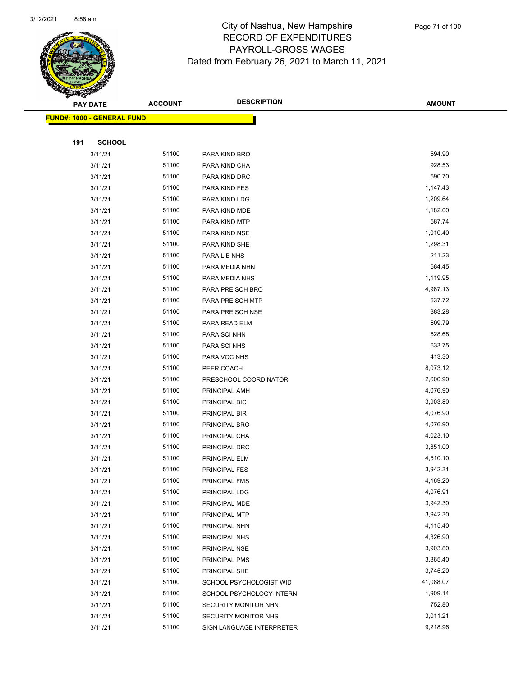

|     | <b>PAY DATE</b>                    | <b>ACCOUNT</b> | <b>DESCRIPTION</b>        | <b>AMOUNT</b>         |
|-----|------------------------------------|----------------|---------------------------|-----------------------|
|     | <u> FUND#: 1000 - GENERAL FUND</u> |                |                           |                       |
|     |                                    |                |                           |                       |
| 191 | <b>SCHOOL</b>                      |                |                           |                       |
|     | 3/11/21                            | 51100          | PARA KIND BRO             | 594.90                |
|     | 3/11/21                            | 51100          | PARA KIND CHA             | 928.53                |
|     | 3/11/21                            | 51100          | PARA KIND DRC             | 590.70                |
|     | 3/11/21                            | 51100          | PARA KIND FES             | 1,147.43              |
|     | 3/11/21                            | 51100          | PARA KIND LDG             | 1,209.64              |
|     | 3/11/21                            | 51100          | PARA KIND MDE             | 1,182.00              |
|     | 3/11/21                            | 51100          | PARA KIND MTP             | 587.74                |
|     | 3/11/21                            | 51100          | PARA KIND NSE             | 1,010.40              |
|     | 3/11/21                            | 51100          | PARA KIND SHE             | 1,298.31              |
|     | 3/11/21                            | 51100          | PARA LIB NHS              | 211.23                |
|     | 3/11/21                            | 51100          | PARA MEDIA NHN            | 684.45                |
|     | 3/11/21                            | 51100          | PARA MEDIA NHS            | 1,119.95              |
|     | 3/11/21                            | 51100          | PARA PRE SCH BRO          | 4,987.13              |
|     | 3/11/21                            | 51100          | PARA PRE SCH MTP          | 637.72                |
|     | 3/11/21                            | 51100          | PARA PRE SCH NSE          | 383.28                |
|     | 3/11/21                            | 51100          | PARA READ ELM             | 609.79                |
|     | 3/11/21                            | 51100          | PARA SCI NHN              | 628.68                |
|     | 3/11/21                            | 51100          | PARA SCI NHS              | 633.75                |
|     | 3/11/21                            | 51100          | PARA VOC NHS              | 413.30                |
|     | 3/11/21                            | 51100          | PEER COACH                | 8,073.12              |
|     | 3/11/21                            | 51100          | PRESCHOOL COORDINATOR     | 2,600.90              |
|     | 3/11/21                            | 51100          | PRINCIPAL AMH             | 4,076.90              |
|     | 3/11/21                            | 51100          | PRINCIPAL BIC             | 3,903.80              |
|     | 3/11/21                            | 51100          | PRINCIPAL BIR             | 4,076.90              |
|     | 3/11/21                            | 51100          | PRINCIPAL BRO             | 4,076.90              |
|     | 3/11/21                            | 51100          | PRINCIPAL CHA             | 4,023.10              |
|     | 3/11/21                            | 51100          | PRINCIPAL DRC             | 3,851.00              |
|     | 3/11/21                            | 51100          | PRINCIPAL ELM             | 4,510.10              |
|     | 3/11/21                            | 51100          | PRINCIPAL FES             | 3,942.31              |
|     | 3/11/21                            | 51100          | PRINCIPAL FMS             | 4,169.20              |
|     | 3/11/21                            | 51100          | PRINCIPAL LDG             | 4,076.91              |
|     | 3/11/21                            | 51100          | PRINCIPAL MDE             | 3,942.30              |
|     | 3/11/21                            | 51100          | PRINCIPAL MTP             | 3,942.30              |
|     | 3/11/21                            | 51100          | PRINCIPAL NHN             | 4,115.40              |
|     | 3/11/21                            | 51100          | PRINCIPAL NHS             | 4,326.90<br>3,903.80  |
|     | 3/11/21                            | 51100<br>51100 | PRINCIPAL NSE             |                       |
|     | 3/11/21                            |                | PRINCIPAL PMS             | 3,865.40              |
|     | 3/11/21                            | 51100          | PRINCIPAL SHE             | 3,745.20              |
|     | 3/11/21                            | 51100          | SCHOOL PSYCHOLOGIST WID   | 41,088.07<br>1,909.14 |
|     | 3/11/21                            | 51100          | SCHOOL PSYCHOLOGY INTERN  | 752.80                |
|     | 3/11/21                            | 51100<br>51100 | SECURITY MONITOR NHN      | 3,011.21              |
|     | 3/11/21                            |                | SECURITY MONITOR NHS      |                       |
|     | 3/11/21                            | 51100          | SIGN LANGUAGE INTERPRETER | 9,218.96              |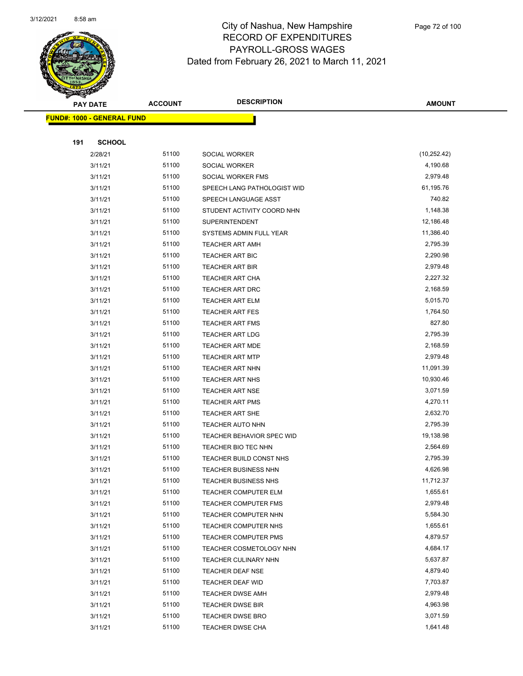

|     | <b>PAY DATE</b>                    | <b>ACCOUNT</b> | <b>DESCRIPTION</b>          | <b>AMOUNT</b> |
|-----|------------------------------------|----------------|-----------------------------|---------------|
|     | <u> FUND#: 1000 - GENERAL FUND</u> |                |                             |               |
|     |                                    |                |                             |               |
| 191 | <b>SCHOOL</b>                      |                |                             |               |
|     | 2/28/21                            | 51100          | SOCIAL WORKER               | (10, 252.42)  |
|     | 3/11/21                            | 51100          | SOCIAL WORKER               | 4,190.68      |
|     | 3/11/21                            | 51100          | SOCIAL WORKER FMS           | 2,979.48      |
|     | 3/11/21                            | 51100          | SPEECH LANG PATHOLOGIST WID | 61,195.76     |
|     | 3/11/21                            | 51100          | SPEECH LANGUAGE ASST        | 740.82        |
|     | 3/11/21                            | 51100          | STUDENT ACTIVITY COORD NHN  | 1,148.38      |
|     | 3/11/21                            | 51100          | <b>SUPERINTENDENT</b>       | 12,186.48     |
|     | 3/11/21                            | 51100          | SYSTEMS ADMIN FULL YEAR     | 11,386.40     |
|     | 3/11/21                            | 51100          | <b>TEACHER ART AMH</b>      | 2,795.39      |
|     | 3/11/21                            | 51100          | <b>TEACHER ART BIC</b>      | 2,290.98      |
|     | 3/11/21                            | 51100          | <b>TEACHER ART BIR</b>      | 2,979.48      |
|     | 3/11/21                            | 51100          | <b>TEACHER ART CHA</b>      | 2,227.32      |
|     | 3/11/21                            | 51100          | <b>TEACHER ART DRC</b>      | 2,168.59      |
|     | 3/11/21                            | 51100          | <b>TEACHER ART ELM</b>      | 5,015.70      |
|     | 3/11/21                            | 51100          | <b>TEACHER ART FES</b>      | 1,764.50      |
|     | 3/11/21                            | 51100          | <b>TEACHER ART FMS</b>      | 827.80        |
|     | 3/11/21                            | 51100          | <b>TEACHER ART LDG</b>      | 2,795.39      |
|     | 3/11/21                            | 51100          | TEACHER ART MDE             | 2,168.59      |
|     | 3/11/21                            | 51100          | <b>TEACHER ART MTP</b>      | 2,979.48      |
|     | 3/11/21                            | 51100          | <b>TEACHER ART NHN</b>      | 11,091.39     |
|     | 3/11/21                            | 51100          | <b>TEACHER ART NHS</b>      | 10,930.46     |
|     | 3/11/21                            | 51100          | <b>TEACHER ART NSE</b>      | 3,071.59      |
|     | 3/11/21                            | 51100          | <b>TEACHER ART PMS</b>      | 4,270.11      |
|     | 3/11/21                            | 51100          | <b>TEACHER ART SHE</b>      | 2,632.70      |
|     | 3/11/21                            | 51100          | TEACHER AUTO NHN            | 2,795.39      |
|     | 3/11/21                            | 51100          | TEACHER BEHAVIOR SPEC WID   | 19,138.98     |
|     | 3/11/21                            | 51100          | TEACHER BIO TEC NHN         | 2,564.69      |
|     | 3/11/21                            | 51100          | TEACHER BUILD CONST NHS     | 2,795.39      |
|     | 3/11/21                            | 51100          | <b>TEACHER BUSINESS NHN</b> | 4,626.98      |
|     | 3/11/21                            | 51100          | TEACHER BUSINESS NHS        | 11,712.37     |
|     | 3/11/21                            | 51100          | <b>TEACHER COMPUTER ELM</b> | 1,655.61      |
|     | 3/11/21                            | 51100          | TEACHER COMPUTER FMS        | 2,979.48      |
|     | 3/11/21                            | 51100          | TEACHER COMPUTER NHN        | 5,584.30      |
|     | 3/11/21                            | 51100          | TEACHER COMPUTER NHS        | 1,655.61      |
|     | 3/11/21                            | 51100          | <b>TEACHER COMPUTER PMS</b> | 4,879.57      |
|     | 3/11/21                            | 51100          | TEACHER COSMETOLOGY NHN     | 4,684.17      |
|     | 3/11/21                            | 51100          | TEACHER CULINARY NHN        | 5,637.87      |
|     | 3/11/21                            | 51100          | TEACHER DEAF NSE            | 4,879.40      |
|     | 3/11/21                            | 51100          | TEACHER DEAF WID            | 7,703.87      |
|     | 3/11/21                            | 51100          | <b>TEACHER DWSE AMH</b>     | 2,979.48      |
|     | 3/11/21                            | 51100          | <b>TEACHER DWSE BIR</b>     | 4,963.98      |
|     | 3/11/21                            | 51100          | TEACHER DWSE BRO            | 3,071.59      |
|     | 3/11/21                            | 51100          | TEACHER DWSE CHA            | 1,641.48      |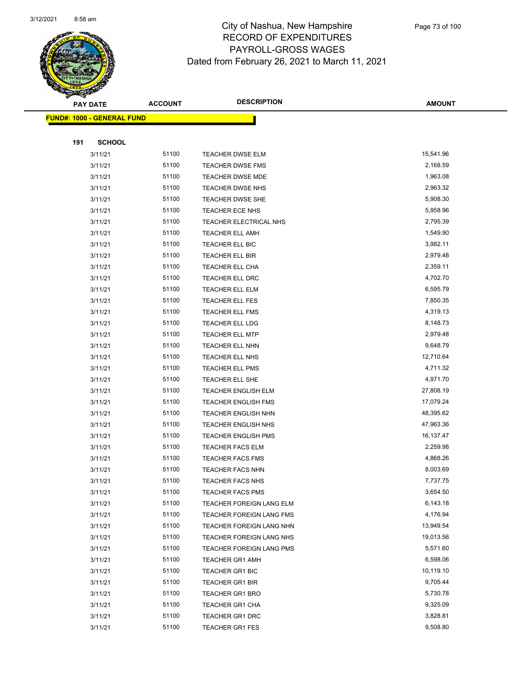

| <b>PAY DATE</b> |                                    | <b>ACCOUNT</b> | <b>DESCRIPTION</b>         | AMOUNT    |
|-----------------|------------------------------------|----------------|----------------------------|-----------|
|                 | <u> FUND#: 1000 - GENERAL FUND</u> |                |                            |           |
|                 |                                    |                |                            |           |
| 191             | <b>SCHOOL</b>                      |                |                            |           |
|                 | 3/11/21                            | 51100          | <b>TEACHER DWSE ELM</b>    | 15,541.96 |
|                 | 3/11/21                            | 51100          | <b>TEACHER DWSE FMS</b>    | 2,168.59  |
|                 | 3/11/21                            | 51100          | TEACHER DWSE MDE           | 1,963.08  |
|                 | 3/11/21                            | 51100          | TEACHER DWSE NHS           | 2,963.32  |
|                 | 3/11/21                            | 51100          | <b>TEACHER DWSE SHE</b>    | 5,908.30  |
|                 | 3/11/21                            | 51100          | TEACHER ECE NHS            | 5,958.96  |
|                 | 3/11/21                            | 51100          | TEACHER ELECTRICAL NHS     | 2,795.39  |
|                 | 3/11/21                            | 51100          | <b>TEACHER ELL AMH</b>     | 1,549.90  |
|                 | 3/11/21                            | 51100          | TEACHER ELL BIC            | 3,982.11  |
|                 | 3/11/21                            | 51100          | <b>TEACHER ELL BIR</b>     | 2,979.48  |
|                 | 3/11/21                            | 51100          | TEACHER ELL CHA            | 2,359.11  |
|                 | 3/11/21                            | 51100          | TEACHER ELL DRC            | 4,702.70  |
|                 | 3/11/21                            | 51100          | TEACHER ELL ELM            | 6,595.79  |
|                 | 3/11/21                            | 51100          | TEACHER ELL FES            | 7,850.35  |
|                 | 3/11/21                            | 51100          | <b>TEACHER ELL FMS</b>     | 4,319.13  |
|                 | 3/11/21                            | 51100          | TEACHER ELL LDG            | 8,148.73  |
|                 | 3/11/21                            | 51100          | <b>TEACHER ELL MTP</b>     | 2,979.48  |
|                 | 3/11/21                            | 51100          | TEACHER ELL NHN            | 9,648.79  |
|                 | 3/11/21                            | 51100          | TEACHER ELL NHS            | 12,710.64 |
|                 | 3/11/21                            | 51100          | <b>TEACHER ELL PMS</b>     | 4,711.32  |
|                 | 3/11/21                            | 51100          | <b>TEACHER ELL SHE</b>     | 4,971.70  |
|                 | 3/11/21                            | 51100          | TEACHER ENGLISH ELM        | 27,808.19 |
|                 | 3/11/21                            | 51100          | <b>TEACHER ENGLISH FMS</b> | 17,079.24 |
|                 | 3/11/21                            | 51100          | <b>TEACHER ENGLISH NHN</b> | 48,395.62 |
|                 | 3/11/21                            | 51100          | <b>TEACHER ENGLISH NHS</b> | 47,963.36 |
|                 | 3/11/21                            | 51100          | <b>TEACHER ENGLISH PMS</b> | 16,137.47 |
|                 | 3/11/21                            | 51100          | <b>TEACHER FACS ELM</b>    | 2,259.98  |
|                 | 3/11/21                            | 51100          | <b>TEACHER FACS FMS</b>    | 4,868.26  |
|                 | 3/11/21                            | 51100          | <b>TEACHER FACS NHN</b>    | 8,003.69  |
|                 | 3/11/21                            | 51100          | TEACHER FACS NHS           | 7,737.75  |
|                 | 3/11/21                            | 51100          | <b>TEACHER FACS PMS</b>    | 3,654.50  |
|                 | 3/11/21                            | 51100          | TEACHER FOREIGN LANG ELM   | 6,143.18  |
|                 | 3/11/21                            | 51100          | TEACHER FOREIGN LANG FMS   | 4,176.94  |
|                 | 3/11/21                            | 51100          | TEACHER FOREIGN LANG NHN   | 13,949.54 |
|                 | 3/11/21                            | 51100          | TEACHER FOREIGN LANG NHS   | 19,013.56 |
|                 | 3/11/21                            | 51100          | TEACHER FOREIGN LANG PMS   | 5,571.60  |
|                 | 3/11/21                            | 51100          | <b>TEACHER GR1 AMH</b>     | 6,598.06  |
|                 | 3/11/21                            | 51100          | <b>TEACHER GR1 BIC</b>     | 10,119.10 |
|                 | 3/11/21                            | 51100          | <b>TEACHER GR1 BIR</b>     | 9,705.44  |
|                 | 3/11/21                            | 51100          | <b>TEACHER GR1 BRO</b>     | 5,730.78  |
|                 | 3/11/21                            | 51100          | <b>TEACHER GR1 CHA</b>     | 9,325.09  |
|                 | 3/11/21                            | 51100          | <b>TEACHER GR1 DRC</b>     | 3,828.81  |
|                 | 3/11/21                            | 51100          | <b>TEACHER GR1 FES</b>     | 9,508.80  |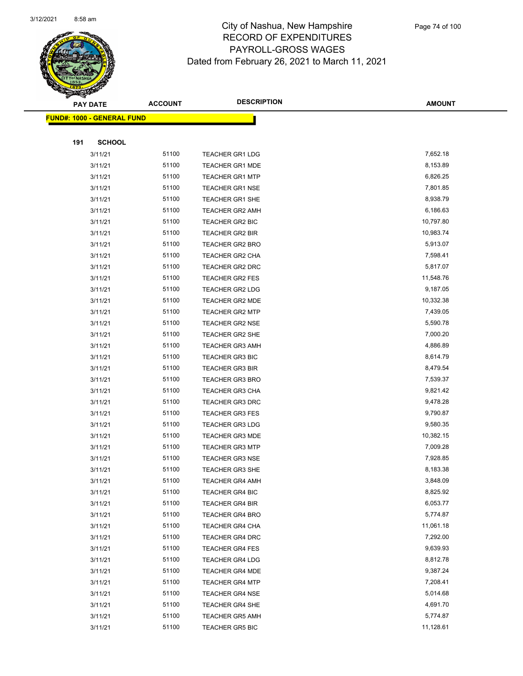

Page 74 of 100

|     | <b>PAY DATE</b>                   | <b>ACCOUNT</b> | <b>DESCRIPTION</b>     | <b>AMOUNT</b> |
|-----|-----------------------------------|----------------|------------------------|---------------|
|     | <b>FUND#: 1000 - GENERAL FUND</b> |                |                        |               |
|     |                                   |                |                        |               |
| 191 | <b>SCHOOL</b>                     |                |                        |               |
|     | 3/11/21                           | 51100          | <b>TEACHER GR1 LDG</b> | 7,652.18      |
|     | 3/11/21                           | 51100          | <b>TEACHER GR1 MDE</b> | 8,153.89      |
|     | 3/11/21                           | 51100          | <b>TEACHER GR1 MTP</b> | 6,826.25      |
|     | 3/11/21                           | 51100          | <b>TEACHER GR1 NSE</b> | 7,801.85      |
|     | 3/11/21                           | 51100          | <b>TEACHER GR1 SHE</b> | 8,938.79      |
|     | 3/11/21                           | 51100          | <b>TEACHER GR2 AMH</b> | 6,186.63      |
|     | 3/11/21                           | 51100          | TEACHER GR2 BIC        | 10,797.80     |
|     | 3/11/21                           | 51100          | <b>TEACHER GR2 BIR</b> | 10,983.74     |
|     | 3/11/21                           | 51100          | TEACHER GR2 BRO        | 5,913.07      |
|     | 3/11/21                           | 51100          | <b>TEACHER GR2 CHA</b> | 7,598.41      |
|     | 3/11/21                           | 51100          | TEACHER GR2 DRC        | 5,817.07      |
|     | 3/11/21                           | 51100          | <b>TEACHER GR2 FES</b> | 11,548.76     |
|     | 3/11/21                           | 51100          | <b>TEACHER GR2 LDG</b> | 9,187.05      |
|     | 3/11/21                           | 51100          | TEACHER GR2 MDE        | 10,332.38     |
|     | 3/11/21                           | 51100          | <b>TEACHER GR2 MTP</b> | 7,439.05      |
|     | 3/11/21                           | 51100          | <b>TEACHER GR2 NSE</b> | 5,590.78      |
|     | 3/11/21                           | 51100          | <b>TEACHER GR2 SHE</b> | 7,000.20      |
|     | 3/11/21                           | 51100          | <b>TEACHER GR3 AMH</b> | 4,886.89      |
|     | 3/11/21                           | 51100          | <b>TEACHER GR3 BIC</b> | 8,614.79      |
|     | 3/11/21                           | 51100          | <b>TEACHER GR3 BIR</b> | 8,479.54      |
|     | 3/11/21                           | 51100          | <b>TEACHER GR3 BRO</b> | 7,539.37      |
|     | 3/11/21                           | 51100          | <b>TEACHER GR3 CHA</b> | 9,821.42      |
|     | 3/11/21                           | 51100          | <b>TEACHER GR3 DRC</b> | 9,478.28      |
|     | 3/11/21                           | 51100          | TEACHER GR3 FES        | 9,790.87      |
|     | 3/11/21                           | 51100          | <b>TEACHER GR3 LDG</b> | 9,580.35      |
|     | 3/11/21                           | 51100          | <b>TEACHER GR3 MDE</b> | 10,382.15     |
|     | 3/11/21                           | 51100          | <b>TEACHER GR3 MTP</b> | 7,009.28      |
|     | 3/11/21                           | 51100          | <b>TEACHER GR3 NSE</b> | 7,928.85      |
|     | 3/11/21                           | 51100          | <b>TEACHER GR3 SHE</b> | 8,183.38      |
|     | 3/11/21                           | 51100          | <b>TEACHER GR4 AMH</b> | 3,848.09      |
|     | 3/11/21                           | 51100          | <b>TEACHER GR4 BIC</b> | 8,825.92      |
|     | 3/11/21                           | 51100          | <b>TEACHER GR4 BIR</b> | 6,053.77      |
|     | 3/11/21                           | 51100          | <b>TEACHER GR4 BRO</b> | 5,774.87      |
|     | 3/11/21                           | 51100          | <b>TEACHER GR4 CHA</b> | 11,061.18     |
|     | 3/11/21                           | 51100          | <b>TEACHER GR4 DRC</b> | 7,292.00      |
|     | 3/11/21                           | 51100          | <b>TEACHER GR4 FES</b> | 9,639.93      |
|     | 3/11/21                           | 51100          | <b>TEACHER GR4 LDG</b> | 8,812.78      |
|     | 3/11/21                           | 51100          | <b>TEACHER GR4 MDE</b> | 9,387.24      |
|     | 3/11/21                           | 51100          | <b>TEACHER GR4 MTP</b> | 7,208.41      |
|     | 3/11/21                           | 51100          | <b>TEACHER GR4 NSE</b> | 5,014.68      |
|     | 3/11/21                           | 51100          | TEACHER GR4 SHE        | 4,691.70      |
|     | 3/11/21                           | 51100          | TEACHER GR5 AMH        | 5,774.87      |
|     | 3/11/21                           | 51100          | <b>TEACHER GR5 BIC</b> | 11,128.61     |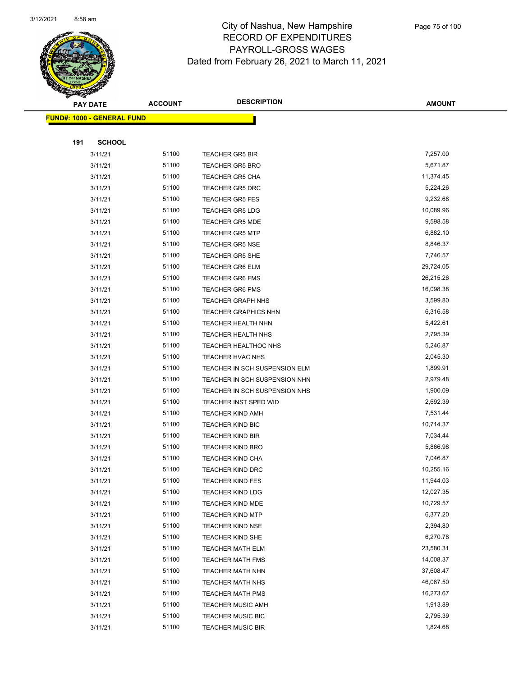

Page 75 of 100

|     | <b>PAY DATE</b>                    | <b>ACCOUNT</b> | <b>DESCRIPTION</b>                                 | <b>AMOUNT</b>         |
|-----|------------------------------------|----------------|----------------------------------------------------|-----------------------|
|     | <u> FUND#: 1000 - GENERAL FUND</u> |                |                                                    |                       |
|     |                                    |                |                                                    |                       |
| 191 | <b>SCHOOL</b>                      |                |                                                    |                       |
|     | 3/11/21                            | 51100          | <b>TEACHER GR5 BIR</b>                             | 7,257.00              |
|     | 3/11/21                            | 51100          | <b>TEACHER GR5 BRO</b>                             | 5,671.87              |
|     | 3/11/21                            | 51100          | <b>TEACHER GR5 CHA</b>                             | 11,374.45             |
|     | 3/11/21                            | 51100          | <b>TEACHER GR5 DRC</b>                             | 5,224.26              |
|     | 3/11/21                            | 51100          | <b>TEACHER GR5 FES</b>                             | 9,232.68              |
|     | 3/11/21                            | 51100          | <b>TEACHER GR5 LDG</b>                             | 10,089.96             |
|     | 3/11/21                            | 51100          | <b>TEACHER GR5 MDE</b>                             | 9,598.58              |
|     | 3/11/21                            | 51100          | <b>TEACHER GR5 MTP</b>                             | 6,882.10              |
|     | 3/11/21                            | 51100          | <b>TEACHER GR5 NSE</b>                             | 8,846.37              |
|     | 3/11/21                            | 51100          | <b>TEACHER GR5 SHE</b>                             | 7,746.57              |
|     | 3/11/21                            | 51100          | <b>TEACHER GR6 ELM</b>                             | 29,724.05             |
|     | 3/11/21                            | 51100          | <b>TEACHER GR6 FMS</b>                             | 26,215.26             |
|     | 3/11/21                            | 51100          | <b>TEACHER GR6 PMS</b>                             | 16,098.38             |
|     | 3/11/21                            | 51100          | <b>TEACHER GRAPH NHS</b>                           | 3,599.80              |
|     | 3/11/21                            | 51100          | <b>TEACHER GRAPHICS NHN</b>                        | 6,316.58              |
|     | 3/11/21                            | 51100          | <b>TEACHER HEALTH NHN</b>                          | 5,422.61              |
|     | 3/11/21                            | 51100          | <b>TEACHER HEALTH NHS</b>                          | 2,795.39              |
|     | 3/11/21                            | 51100          | TEACHER HEALTHOC NHS                               | 5,246.87              |
|     | 3/11/21                            | 51100          | TEACHER HVAC NHS                                   | 2,045.30              |
|     | 3/11/21                            | 51100          | TEACHER IN SCH SUSPENSION ELM                      | 1,899.91              |
|     | 3/11/21                            | 51100          | TEACHER IN SCH SUSPENSION NHN                      | 2,979.48              |
|     | 3/11/21                            | 51100          | TEACHER IN SCH SUSPENSION NHS                      | 1,900.09              |
|     | 3/11/21                            | 51100          | TEACHER INST SPED WID                              | 2,692.39              |
|     | 3/11/21                            | 51100          | <b>TEACHER KIND AMH</b>                            | 7,531.44              |
|     | 3/11/21                            | 51100          | <b>TEACHER KIND BIC</b>                            | 10,714.37             |
|     | 3/11/21                            | 51100          | <b>TEACHER KIND BIR</b>                            | 7,034.44              |
|     | 3/11/21                            | 51100          | <b>TEACHER KIND BRO</b>                            | 5,866.98              |
|     | 3/11/21                            | 51100          | <b>TEACHER KIND CHA</b><br><b>TEACHER KIND DRC</b> | 7,046.87<br>10,255.16 |
|     | 3/11/21<br>3/11/21                 | 51100<br>51100 | <b>TEACHER KIND FES</b>                            | 11,944.03             |
|     | 3/11/21                            | 51100          | <b>TEACHER KIND LDG</b>                            | 12,027.35             |
|     | 3/11/21                            | 51100          | TEACHER KIND MDE                                   | 10,729.57             |
|     | 3/11/21                            | 51100          | <b>TEACHER KIND MTP</b>                            | 6,377.20              |
|     | 3/11/21                            | 51100          | <b>TEACHER KIND NSE</b>                            | 2,394.80              |
|     | 3/11/21                            | 51100          | <b>TEACHER KIND SHE</b>                            | 6,270.78              |
|     | 3/11/21                            | 51100          | <b>TEACHER MATH ELM</b>                            | 23,580.31             |
|     | 3/11/21                            | 51100          | <b>TEACHER MATH FMS</b>                            | 14,008.37             |
|     | 3/11/21                            | 51100          | <b>TEACHER MATH NHN</b>                            | 37,608.47             |
|     | 3/11/21                            | 51100          | <b>TEACHER MATH NHS</b>                            | 46,087.50             |
|     | 3/11/21                            | 51100          | <b>TEACHER MATH PMS</b>                            | 16,273.67             |
|     | 3/11/21                            | 51100          | <b>TEACHER MUSIC AMH</b>                           | 1,913.89              |
|     | 3/11/21                            | 51100          | <b>TEACHER MUSIC BIC</b>                           | 2,795.39              |
|     | 3/11/21                            | 51100          | <b>TEACHER MUSIC BIR</b>                           | 1,824.68              |
|     |                                    |                |                                                    |                       |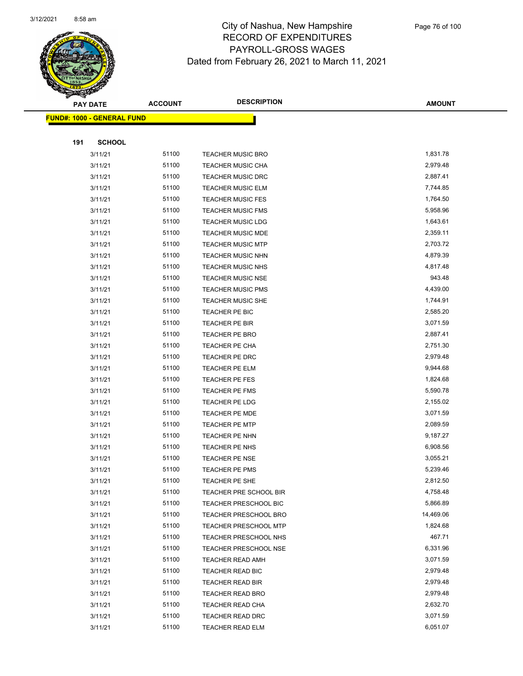

Page 76 of 100

|     | <b>PAY DATE</b>                   | <b>ACCOUNT</b> | <b>DESCRIPTION</b>                          | <b>AMOUNT</b>        |
|-----|-----------------------------------|----------------|---------------------------------------------|----------------------|
|     | <b>FUND#: 1000 - GENERAL FUND</b> |                |                                             |                      |
|     |                                   |                |                                             |                      |
| 191 | <b>SCHOOL</b>                     |                |                                             |                      |
|     | 3/11/21                           | 51100          | <b>TEACHER MUSIC BRO</b>                    | 1,831.78             |
|     | 3/11/21                           | 51100          | <b>TEACHER MUSIC CHA</b>                    | 2,979.48             |
|     | 3/11/21                           | 51100          | <b>TEACHER MUSIC DRC</b>                    | 2,887.41             |
|     | 3/11/21                           | 51100          | <b>TEACHER MUSIC ELM</b>                    | 7,744.85             |
|     | 3/11/21                           | 51100          | <b>TEACHER MUSIC FES</b>                    | 1,764.50             |
|     | 3/11/21                           | 51100          | <b>TEACHER MUSIC FMS</b>                    | 5,958.96             |
|     | 3/11/21                           | 51100          | <b>TEACHER MUSIC LDG</b>                    | 1,643.61             |
|     | 3/11/21                           | 51100          | <b>TEACHER MUSIC MDE</b>                    | 2,359.11             |
|     | 3/11/21                           | 51100          | <b>TEACHER MUSIC MTP</b>                    | 2,703.72             |
|     | 3/11/21                           | 51100          | <b>TEACHER MUSIC NHN</b>                    | 4,879.39             |
|     | 3/11/21                           | 51100          | TEACHER MUSIC NHS                           | 4,817.48             |
|     | 3/11/21                           | 51100          | <b>TEACHER MUSIC NSE</b>                    | 943.48               |
|     | 3/11/21                           | 51100          | <b>TEACHER MUSIC PMS</b>                    | 4,439.00             |
|     | 3/11/21                           | 51100          | <b>TEACHER MUSIC SHE</b>                    | 1,744.91             |
|     | 3/11/21                           | 51100          | TEACHER PE BIC                              | 2,585.20             |
|     | 3/11/21                           | 51100          | TEACHER PE BIR                              | 3,071.59             |
|     | 3/11/21                           | 51100          | TEACHER PE BRO                              | 2,887.41             |
|     | 3/11/21                           | 51100          | TEACHER PE CHA                              | 2,751.30             |
|     | 3/11/21                           | 51100          | TEACHER PE DRC                              | 2,979.48             |
|     | 3/11/21                           | 51100          | TEACHER PE ELM                              | 9,944.68             |
|     | 3/11/21                           | 51100          | TEACHER PE FES                              | 1,824.68             |
|     | 3/11/21                           | 51100          | <b>TEACHER PE FMS</b>                       | 5,590.78             |
|     | 3/11/21                           | 51100          | TEACHER PE LDG                              | 2,155.02             |
|     | 3/11/21                           | 51100          | TEACHER PE MDE                              | 3,071.59             |
|     | 3/11/21                           | 51100          | <b>TEACHER PE MTP</b>                       | 2,089.59             |
|     | 3/11/21                           | 51100          | TEACHER PE NHN                              | 9,187.27             |
|     | 3/11/21                           | 51100          | TEACHER PE NHS                              | 6,908.56             |
|     | 3/11/21                           | 51100          | <b>TEACHER PE NSE</b>                       | 3,055.21             |
|     | 3/11/21                           | 51100          | TEACHER PE PMS                              | 5,239.46             |
|     | 3/11/21                           | 51100          | TEACHER PE SHE                              | 2,812.50             |
|     | 3/11/21                           | 51100          | TEACHER PRE SCHOOL BIR                      | 4,758.48             |
|     | 3/11/21                           | 51100          | <b>TEACHER PRESCHOOL BIC</b>                | 5,866.89             |
|     | 3/11/21                           | 51100          | <b>TEACHER PRESCHOOL BRO</b>                | 14,469.06            |
|     | 3/11/21                           | 51100          | <b>TEACHER PRESCHOOL MTP</b>                | 1,824.68             |
|     | 3/11/21                           | 51100<br>51100 | TEACHER PRESCHOOL NHS                       | 467.71<br>6,331.96   |
|     | 3/11/21                           | 51100          | <b>TEACHER PRESCHOOL NSE</b>                |                      |
|     | 3/11/21                           |                | <b>TEACHER READ AMH</b>                     | 3,071.59             |
|     | 3/11/21                           | 51100          | TEACHER READ BIC                            | 2,979.48             |
|     | 3/11/21                           | 51100<br>51100 | TEACHER READ BIR                            | 2,979.48<br>2,979.48 |
|     | 3/11/21<br>3/11/21                | 51100          | <b>TEACHER READ BRO</b>                     | 2,632.70             |
|     | 3/11/21                           | 51100          | TEACHER READ CHA<br><b>TEACHER READ DRC</b> | 3,071.59             |
|     | 3/11/21                           | 51100          | <b>TEACHER READ ELM</b>                     | 6,051.07             |
|     |                                   |                |                                             |                      |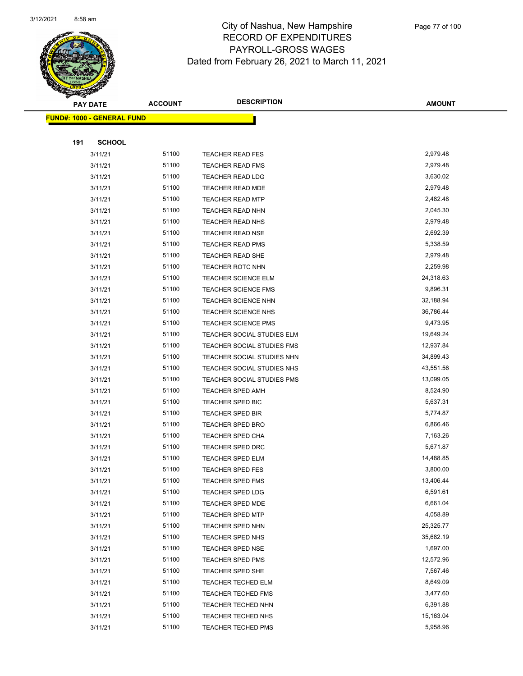

Page 77 of 100

|     | <b>PAY DATE</b>                    | <b>ACCOUNT</b> | <b>DESCRIPTION</b>         | <b>AMOUNT</b>         |
|-----|------------------------------------|----------------|----------------------------|-----------------------|
|     | <u> FUND#: 1000 - GENERAL FUND</u> |                |                            |                       |
|     |                                    |                |                            |                       |
| 191 | <b>SCHOOL</b>                      |                |                            |                       |
|     | 3/11/21                            | 51100          | <b>TEACHER READ FES</b>    | 2,979.48              |
|     | 3/11/21                            | 51100          | <b>TEACHER READ FMS</b>    | 2,979.48              |
|     | 3/11/21                            | 51100          | <b>TEACHER READ LDG</b>    | 3,630.02              |
|     | 3/11/21                            | 51100          | <b>TEACHER READ MDE</b>    | 2,979.48              |
|     | 3/11/21                            | 51100          | <b>TEACHER READ MTP</b>    | 2,482.48              |
|     | 3/11/21                            | 51100          | <b>TEACHER READ NHN</b>    | 2,045.30              |
|     | 3/11/21                            | 51100          | <b>TEACHER READ NHS</b>    | 2,979.48              |
|     | 3/11/21                            | 51100          | <b>TEACHER READ NSE</b>    | 2,692.39              |
|     | 3/11/21                            | 51100          | <b>TEACHER READ PMS</b>    | 5,338.59              |
|     | 3/11/21                            | 51100          | <b>TEACHER READ SHE</b>    | 2,979.48              |
|     | 3/11/21                            | 51100          | <b>TEACHER ROTC NHN</b>    | 2,259.98              |
|     | 3/11/21                            | 51100          | <b>TEACHER SCIENCE ELM</b> | 24,318.63             |
|     | 3/11/21                            | 51100          | <b>TEACHER SCIENCE FMS</b> | 9,896.31              |
|     | 3/11/21                            | 51100          | <b>TEACHER SCIENCE NHN</b> | 32,188.94             |
|     | 3/11/21                            | 51100          | <b>TEACHER SCIENCE NHS</b> | 36,786.44             |
|     | 3/11/21                            | 51100          | <b>TEACHER SCIENCE PMS</b> | 9,473.95              |
|     | 3/11/21                            | 51100          | TEACHER SOCIAL STUDIES ELM | 19,649.24             |
|     | 3/11/21                            | 51100          | TEACHER SOCIAL STUDIES FMS | 12,937.84             |
|     | 3/11/21                            | 51100          | TEACHER SOCIAL STUDIES NHN | 34,899.43             |
|     | 3/11/21                            | 51100          | TEACHER SOCIAL STUDIES NHS | 43,551.56             |
|     | 3/11/21                            | 51100          | TEACHER SOCIAL STUDIES PMS | 13,099.05             |
|     | 3/11/21                            | 51100          | <b>TEACHER SPED AMH</b>    | 8,524.90              |
|     | 3/11/21                            | 51100          | TEACHER SPED BIC           | 5,637.31              |
|     | 3/11/21                            | 51100          | <b>TEACHER SPED BIR</b>    | 5,774.87              |
|     | 3/11/21                            | 51100          | <b>TEACHER SPED BRO</b>    | 6,866.46              |
|     | 3/11/21                            | 51100          | <b>TEACHER SPED CHA</b>    | 7,163.26              |
|     | 3/11/21                            | 51100          | <b>TEACHER SPED DRC</b>    | 5,671.87              |
|     | 3/11/21                            | 51100          | <b>TEACHER SPED ELM</b>    | 14,488.85             |
|     | 3/11/21                            | 51100          | <b>TEACHER SPED FES</b>    | 3,800.00              |
|     | 3/11/21                            | 51100          | <b>TEACHER SPED FMS</b>    | 13,406.44             |
|     | 3/11/21                            | 51100          | TEACHER SPED LDG           | 6,591.61              |
|     | 3/11/21                            | 51100          | <b>TEACHER SPED MDE</b>    | 6,661.04              |
|     | 3/11/21                            | 51100          | <b>TEACHER SPED MTP</b>    | 4,058.89              |
|     | 3/11/21                            | 51100          | <b>TEACHER SPED NHN</b>    | 25,325.77             |
|     | 3/11/21                            | 51100<br>51100 | TEACHER SPED NHS           | 35,682.19             |
|     | 3/11/21                            |                | <b>TEACHER SPED NSE</b>    | 1,697.00              |
|     | 3/11/21                            | 51100          | <b>TEACHER SPED PMS</b>    | 12,572.96<br>7,567.46 |
|     | 3/11/21                            | 51100          | TEACHER SPED SHE           |                       |
|     | 3/11/21                            | 51100          | <b>TEACHER TECHED ELM</b>  | 8,649.09              |
|     | 3/11/21                            | 51100<br>51100 | <b>TEACHER TECHED FMS</b>  | 3,477.60              |
|     | 3/11/21                            |                | TEACHER TECHED NHN         | 6,391.88              |
|     | 3/11/21                            | 51100          | <b>TEACHER TECHED NHS</b>  | 15,163.04             |
|     | 3/11/21                            | 51100          | <b>TEACHER TECHED PMS</b>  | 5,958.96              |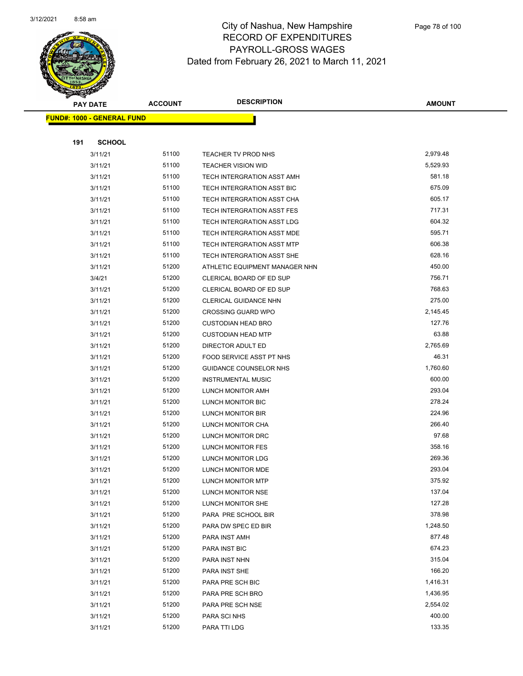

|     | <b>PAY DATE</b>                    | <b>ACCOUNT</b> | <b>DESCRIPTION</b>              | <b>AMOUNT</b>        |
|-----|------------------------------------|----------------|---------------------------------|----------------------|
|     | <u> FUND#: 1000 - GENERAL FUND</u> |                |                                 |                      |
|     |                                    |                |                                 |                      |
| 191 | <b>SCHOOL</b>                      |                |                                 |                      |
|     | 3/11/21                            | 51100          | TEACHER TV PROD NHS             | 2,979.48             |
|     | 3/11/21                            | 51100          | <b>TEACHER VISION WID</b>       | 5,529.93             |
|     | 3/11/21                            | 51100          | TECH INTERGRATION ASST AMH      | 581.18               |
|     | 3/11/21                            | 51100          | TECH INTERGRATION ASST BIC      | 675.09               |
|     | 3/11/21                            | 51100          | TECH INTERGRATION ASST CHA      | 605.17               |
|     | 3/11/21                            | 51100          | TECH INTERGRATION ASST FES      | 717.31               |
|     | 3/11/21                            | 51100          | TECH INTERGRATION ASST LDG      | 604.32               |
|     | 3/11/21                            | 51100          | TECH INTERGRATION ASST MDE      | 595.71               |
|     | 3/11/21                            | 51100          | TECH INTERGRATION ASST MTP      | 606.38               |
|     | 3/11/21                            | 51100          | TECH INTERGRATION ASST SHE      | 628.16               |
|     | 3/11/21                            | 51200          | ATHLETIC EQUIPMENT MANAGER NHN  | 450.00               |
|     | 3/4/21                             | 51200          | <b>CLERICAL BOARD OF ED SUP</b> | 756.71               |
|     | 3/11/21                            | 51200          | CLERICAL BOARD OF ED SUP        | 768.63               |
|     | 3/11/21                            | 51200          | CLERICAL GUIDANCE NHN           | 275.00               |
|     | 3/11/21                            | 51200          | <b>CROSSING GUARD WPO</b>       | 2,145.45             |
|     | 3/11/21                            | 51200          | <b>CUSTODIAN HEAD BRO</b>       | 127.76               |
|     | 3/11/21                            | 51200          | <b>CUSTODIAN HEAD MTP</b>       | 63.88                |
|     | 3/11/21                            | 51200          | DIRECTOR ADULT ED               | 2,765.69             |
|     | 3/11/21                            | 51200          | FOOD SERVICE ASST PT NHS        | 46.31                |
|     | 3/11/21                            | 51200          | GUIDANCE COUNSELOR NHS          | 1,760.60             |
|     | 3/11/21                            | 51200          | <b>INSTRUMENTAL MUSIC</b>       | 600.00               |
|     | 3/11/21                            | 51200          | LUNCH MONITOR AMH               | 293.04               |
|     | 3/11/21                            | 51200          | LUNCH MONITOR BIC               | 278.24               |
|     | 3/11/21                            | 51200          | LUNCH MONITOR BIR               | 224.96               |
|     | 3/11/21                            | 51200          | LUNCH MONITOR CHA               | 266.40               |
|     | 3/11/21                            | 51200          | <b>LUNCH MONITOR DRC</b>        | 97.68                |
|     | 3/11/21                            | 51200          | LUNCH MONITOR FES               | 358.16               |
|     | 3/11/21                            | 51200          | LUNCH MONITOR LDG               | 269.36               |
|     | 3/11/21                            | 51200          | LUNCH MONITOR MDE               | 293.04               |
|     | 3/11/21                            | 51200          | LUNCH MONITOR MTP               | 375.92               |
|     | 3/11/21                            | 51200          | LUNCH MONITOR NSE               | 137.04               |
|     | 3/11/21                            | 51200          | LUNCH MONITOR SHE               | 127.28               |
|     | 3/11/21                            | 51200          | PARA PRE SCHOOL BIR             | 378.98               |
|     | 3/11/21                            | 51200          | PARA DW SPEC ED BIR             | 1,248.50             |
|     | 3/11/21                            | 51200          | PARA INST AMH                   | 877.48               |
|     | 3/11/21                            | 51200          | PARA INST BIC                   | 674.23               |
|     | 3/11/21                            | 51200          | PARA INST NHN                   | 315.04               |
|     | 3/11/21                            | 51200          | PARA INST SHE                   | 166.20               |
|     | 3/11/21                            | 51200          | PARA PRE SCH BIC                | 1,416.31             |
|     | 3/11/21                            | 51200          | PARA PRE SCH BRO                | 1,436.95<br>2,554.02 |
|     | 3/11/21                            | 51200<br>51200 | PARA PRE SCH NSE                | 400.00               |
|     | 3/11/21                            |                | PARA SCI NHS                    | 133.35               |
|     | 3/11/21                            | 51200          | PARA TTI LDG                    |                      |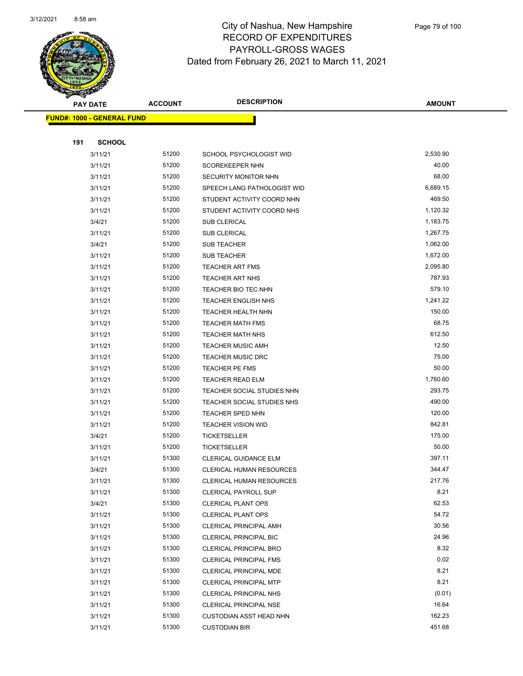

|     | <b>PAY DATE</b>                    | <b>ACCOUNT</b> | <b>DESCRIPTION</b>              | <b>AMOUNT</b> |
|-----|------------------------------------|----------------|---------------------------------|---------------|
|     | <u> FUND#: 1000 - GENERAL FUND</u> |                |                                 |               |
|     |                                    |                |                                 |               |
| 191 | <b>SCHOOL</b>                      |                |                                 |               |
|     | 3/11/21                            | 51200          | SCHOOL PSYCHOLOGIST WID         | 2,530.90      |
|     | 3/11/21                            | 51200          | SCOREKEEPER NHN                 | 40.00         |
|     | 3/11/21                            | 51200          | <b>SECURITY MONITOR NHN</b>     | 68.00         |
|     | 3/11/21                            | 51200          | SPEECH LANG PATHOLOGIST WID     | 6,689.15      |
|     | 3/11/21                            | 51200          | STUDENT ACTIVITY COORD NHN      | 469.50        |
|     | 3/11/21                            | 51200          | STUDENT ACTIVITY COORD NHS      | 1,120.32      |
|     | 3/4/21                             | 51200          | <b>SUB CLERICAL</b>             | 1,183.75      |
|     | 3/11/21                            | 51200          | <b>SUB CLERICAL</b>             | 1,267.75      |
|     | 3/4/21                             | 51200          | <b>SUB TEACHER</b>              | 1,062.00      |
|     | 3/11/21                            | 51200          | <b>SUB TEACHER</b>              | 1,672.00      |
|     | 3/11/21                            | 51200          | <b>TEACHER ART FMS</b>          | 2,095.80      |
|     | 3/11/21                            | 51200          | <b>TEACHER ART NHS</b>          | 787.93        |
|     | 3/11/21                            | 51200          | <b>TEACHER BIO TEC NHN</b>      | 579.10        |
|     | 3/11/21                            | 51200          | <b>TEACHER ENGLISH NHS</b>      | 1,241.22      |
|     | 3/11/21                            | 51200          | <b>TEACHER HEALTH NHN</b>       | 150.00        |
|     | 3/11/21                            | 51200          | <b>TEACHER MATH FMS</b>         | 68.75         |
|     | 3/11/21                            | 51200          | <b>TEACHER MATH NHS</b>         | 612.50        |
|     | 3/11/21                            | 51200          | <b>TEACHER MUSIC AMH</b>        | 12.50         |
|     | 3/11/21                            | 51200          | <b>TEACHER MUSIC DRC</b>        | 75.00         |
|     | 3/11/21                            | 51200          | <b>TEACHER PE FMS</b>           | 50.00         |
|     | 3/11/21                            | 51200          | <b>TEACHER READ ELM</b>         | 1,760.60      |
|     | 3/11/21                            | 51200          | TEACHER SOCIAL STUDIES NHN      | 293.75        |
|     | 3/11/21                            | 51200          | TEACHER SOCIAL STUDIES NHS      | 490.00        |
|     | 3/11/21                            | 51200          | TEACHER SPED NHN                | 120.00        |
|     | 3/11/21                            | 51200          | <b>TEACHER VISION WID</b>       | 842.81        |
|     | 3/4/21                             | 51200          | <b>TICKETSELLER</b>             | 175.00        |
|     | 3/11/21                            | 51200          | <b>TICKETSELLER</b>             | 50.00         |
|     | 3/11/21                            | 51300          | <b>CLERICAL GUIDANCE ELM</b>    | 397.11        |
|     | 3/4/21                             | 51300          | <b>CLERICAL HUMAN RESOURCES</b> | 344.47        |
|     | 3/11/21                            | 51300          | CLERICAL HUMAN RESOURCES        | 217.76        |
|     | 3/11/21                            | 51300          | <b>CLERICAL PAYROLL SUP</b>     | 8.21          |
|     | 3/4/21                             | 51300          | <b>CLERICAL PLANT OPS</b>       | 62.53         |
|     | 3/11/21                            | 51300          | <b>CLERICAL PLANT OPS</b>       | 54.72         |
|     | 3/11/21                            | 51300          | CLERICAL PRINCIPAL AMH          | 30.56         |
|     | 3/11/21                            | 51300          | <b>CLERICAL PRINCIPAL BIC</b>   | 24.96         |
|     | 3/11/21                            | 51300          | <b>CLERICAL PRINCIPAL BRO</b>   | 8.32          |
|     | 3/11/21                            | 51300          | <b>CLERICAL PRINCIPAL FMS</b>   | 0.02          |
|     | 3/11/21                            | 51300          | CLERICAL PRINCIPAL MDE          | 8.21          |
|     | 3/11/21                            | 51300          | <b>CLERICAL PRINCIPAL MTP</b>   | 8.21          |
|     | 3/11/21                            | 51300          | CLERICAL PRINCIPAL NHS          | (0.01)        |
|     | 3/11/21                            | 51300          | <b>CLERICAL PRINCIPAL NSE</b>   | 16.64         |
|     | 3/11/21                            | 51300          | CUSTODIAN ASST HEAD NHN         | 162.23        |
|     | 3/11/21                            | 51300          | <b>CUSTODIAN BIR</b>            | 451.68        |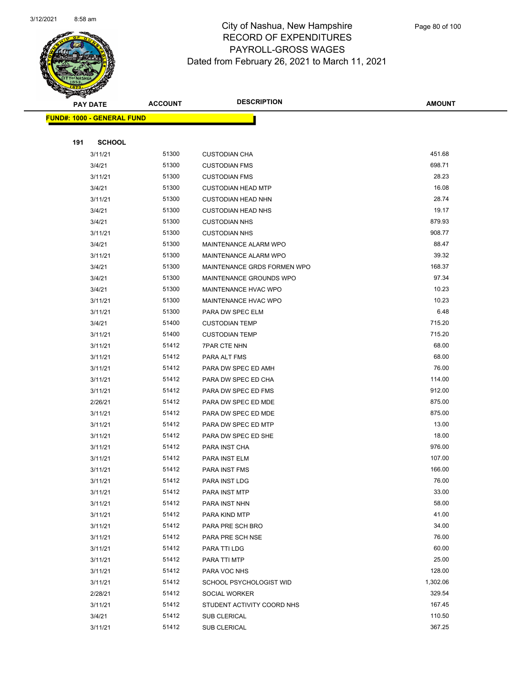

Page 80 of 100

|     | <b>PAY DATE</b>                   | <b>ACCOUNT</b> | <b>DESCRIPTION</b>          | <b>AMOUNT</b>      |
|-----|-----------------------------------|----------------|-----------------------------|--------------------|
|     | <b>FUND#: 1000 - GENERAL FUND</b> |                |                             |                    |
|     |                                   |                |                             |                    |
| 191 | <b>SCHOOL</b>                     |                |                             |                    |
|     | 3/11/21                           | 51300          | <b>CUSTODIAN CHA</b>        | 451.68             |
|     | 3/4/21                            | 51300          | <b>CUSTODIAN FMS</b>        | 698.71             |
|     | 3/11/21                           | 51300          | <b>CUSTODIAN FMS</b>        | 28.23              |
|     | 3/4/21                            | 51300          | <b>CUSTODIAN HEAD MTP</b>   | 16.08              |
|     | 3/11/21                           | 51300          | <b>CUSTODIAN HEAD NHN</b>   | 28.74              |
|     | 3/4/21                            | 51300          | <b>CUSTODIAN HEAD NHS</b>   | 19.17              |
|     | 3/4/21                            | 51300          | <b>CUSTODIAN NHS</b>        | 879.93             |
|     | 3/11/21                           | 51300          | <b>CUSTODIAN NHS</b>        | 908.77             |
|     | 3/4/21                            | 51300          | MAINTENANCE ALARM WPO       | 88.47              |
|     | 3/11/21                           | 51300          | MAINTENANCE ALARM WPO       | 39.32              |
|     | 3/4/21                            | 51300          | MAINTENANCE GRDS FORMEN WPO | 168.37             |
|     | 3/4/21                            | 51300          | MAINTENANCE GROUNDS WPO     | 97.34              |
|     | 3/4/21                            | 51300          | MAINTENANCE HVAC WPO        | 10.23              |
|     | 3/11/21                           | 51300          | MAINTENANCE HVAC WPO        | 10.23              |
|     | 3/11/21                           | 51300          | PARA DW SPEC ELM            | 6.48               |
|     | 3/4/21                            | 51400          | <b>CUSTODIAN TEMP</b>       | 715.20             |
|     | 3/11/21                           | 51400          | <b>CUSTODIAN TEMP</b>       | 715.20             |
|     | 3/11/21                           | 51412          | <b>7PAR CTE NHN</b>         | 68.00              |
|     | 3/11/21                           | 51412          | PARA ALT FMS                | 68.00              |
|     | 3/11/21                           | 51412          | PARA DW SPEC ED AMH         | 76.00              |
|     | 3/11/21                           | 51412          | PARA DW SPEC ED CHA         | 114.00             |
|     | 3/11/21                           | 51412          | PARA DW SPEC ED FMS         | 912.00             |
|     | 2/26/21                           | 51412          | PARA DW SPEC ED MDE         | 875.00             |
|     | 3/11/21                           | 51412          | PARA DW SPEC ED MDE         | 875.00             |
|     | 3/11/21                           | 51412          | PARA DW SPEC ED MTP         | 13.00              |
|     | 3/11/21                           | 51412          | PARA DW SPEC ED SHE         | 18.00              |
|     | 3/11/21                           | 51412          | PARA INST CHA               | 976.00             |
|     | 3/11/21                           | 51412          | PARA INST ELM               | 107.00             |
|     | 3/11/21                           | 51412          | <b>PARA INST FMS</b>        | 166.00             |
|     | 3/11/21                           | 51412          | PARA INST LDG               | 76.00              |
|     | 3/11/21                           | 51412          | PARA INST MTP               | 33.00              |
|     | 3/11/21                           | 51412          | PARA INST NHN               | 58.00              |
|     | 3/11/21                           | 51412          | PARA KIND MTP               | 41.00              |
|     | 3/11/21                           | 51412          | PARA PRE SCH BRO            | 34.00              |
|     | 3/11/21                           | 51412          | PARA PRE SCH NSE            | 76.00              |
|     | 3/11/21                           | 51412          | PARA TTI LDG                | 60.00              |
|     | 3/11/21                           | 51412          | PARA TTI MTP                | 25.00              |
|     | 3/11/21                           | 51412          | PARA VOC NHS                | 128.00<br>1,302.06 |
|     | 3/11/21                           | 51412          | SCHOOL PSYCHOLOGIST WID     |                    |
|     | 2/28/21                           | 51412          | SOCIAL WORKER               | 329.54             |
|     | 3/11/21                           | 51412          | STUDENT ACTIVITY COORD NHS  | 167.45<br>110.50   |
|     | 3/4/21                            | 51412          | <b>SUB CLERICAL</b>         |                    |
|     | 3/11/21                           | 51412          | SUB CLERICAL                | 367.25             |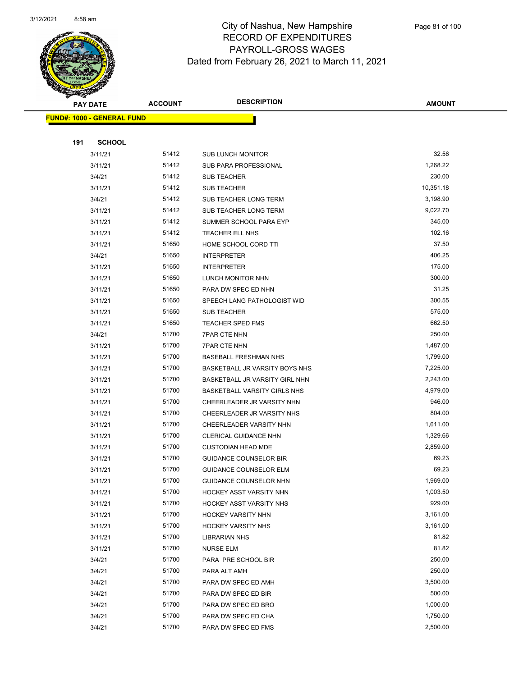

Page 81 of 100

|     | <b>PAY DATE</b>                   | <b>ACCOUNT</b> | <b>DESCRIPTION</b>                                          | <b>AMOUNT</b>        |
|-----|-----------------------------------|----------------|-------------------------------------------------------------|----------------------|
|     | <b>FUND#: 1000 - GENERAL FUND</b> |                |                                                             |                      |
|     |                                   |                |                                                             |                      |
| 191 | <b>SCHOOL</b>                     |                |                                                             |                      |
|     | 3/11/21                           | 51412          | <b>SUB LUNCH MONITOR</b>                                    | 32.56                |
|     | 3/11/21                           | 51412          | SUB PARA PROFESSIONAL                                       | 1,268.22             |
|     | 3/4/21                            | 51412          | <b>SUB TEACHER</b>                                          | 230.00               |
|     | 3/11/21                           | 51412          | SUB TEACHER                                                 | 10,351.18            |
|     | 3/4/21                            | 51412          | SUB TEACHER LONG TERM                                       | 3,198.90             |
|     | 3/11/21                           | 51412          | SUB TEACHER LONG TERM                                       | 9,022.70             |
|     | 3/11/21                           | 51412          | SUMMER SCHOOL PARA EYP                                      | 345.00               |
|     | 3/11/21                           | 51412          | TEACHER ELL NHS                                             | 102.16               |
|     | 3/11/21                           | 51650          | HOME SCHOOL CORD TTI                                        | 37.50                |
|     | 3/4/21                            | 51650          | <b>INTERPRETER</b>                                          | 406.25               |
|     | 3/11/21                           | 51650          | <b>INTERPRETER</b>                                          | 175.00               |
|     | 3/11/21                           | 51650          | LUNCH MONITOR NHN                                           | 300.00               |
|     | 3/11/21                           | 51650          | PARA DW SPEC ED NHN                                         | 31.25                |
|     | 3/11/21                           | 51650          | SPEECH LANG PATHOLOGIST WID                                 | 300.55               |
|     | 3/11/21                           | 51650          | <b>SUB TEACHER</b>                                          | 575.00               |
|     | 3/11/21                           | 51650          | <b>TEACHER SPED FMS</b>                                     | 662.50               |
|     | 3/4/21                            | 51700          | <b>7PAR CTE NHN</b>                                         | 250.00               |
|     | 3/11/21                           | 51700          | <b>7PAR CTE NHN</b>                                         | 1,487.00             |
|     | 3/11/21                           | 51700          | <b>BASEBALL FRESHMAN NHS</b>                                | 1,799.00             |
|     | 3/11/21                           | 51700          | BASKETBALL JR VARSITY BOYS NHS                              | 7,225.00             |
|     | 3/11/21                           | 51700          | BASKETBALL JR VARSITY GIRL NHN                              | 2,243.00             |
|     | 3/11/21                           | 51700          | <b>BASKETBALL VARSITY GIRLS NHS</b>                         | 4,979.00             |
|     | 3/11/21                           | 51700          | CHEERLEADER JR VARSITY NHN                                  | 946.00               |
|     | 3/11/21                           | 51700          | CHEERLEADER JR VARSITY NHS                                  | 804.00               |
|     | 3/11/21                           | 51700          | CHEERLEADER VARSITY NHN                                     | 1,611.00             |
|     | 3/11/21                           | 51700          | <b>CLERICAL GUIDANCE NHN</b>                                | 1,329.66             |
|     | 3/11/21                           | 51700          | <b>CUSTODIAN HEAD MDE</b>                                   | 2,859.00             |
|     | 3/11/21                           | 51700          | <b>GUIDANCE COUNSELOR BIR</b>                               | 69.23                |
|     | 3/11/21                           | 51700          | <b>GUIDANCE COUNSELOR ELM</b>                               | 69.23                |
|     | 3/11/21                           | 51700<br>51700 | GUIDANCE COUNSELOR NHN                                      | 1,969.00<br>1,003.50 |
|     | 3/11/21                           | 51700          | HOCKEY ASST VARSITY NHN                                     | 929.00               |
|     | 3/11/21                           | 51700          | <b>HOCKEY ASST VARSITY NHS</b><br><b>HOCKEY VARSITY NHN</b> | 3,161.00             |
|     | 3/11/21<br>3/11/21                | 51700          | <b>HOCKEY VARSITY NHS</b>                                   | 3,161.00             |
|     | 3/11/21                           | 51700          | <b>LIBRARIAN NHS</b>                                        | 81.82                |
|     | 3/11/21                           | 51700          | <b>NURSE ELM</b>                                            | 81.82                |
|     | 3/4/21                            | 51700          | PARA PRE SCHOOL BIR                                         | 250.00               |
|     | 3/4/21                            | 51700          | PARA ALT AMH                                                | 250.00               |
|     | 3/4/21                            | 51700          | PARA DW SPEC ED AMH                                         | 3,500.00             |
|     | 3/4/21                            | 51700          | PARA DW SPEC ED BIR                                         | 500.00               |
|     | 3/4/21                            | 51700          | PARA DW SPEC ED BRO                                         | 1,000.00             |
|     | 3/4/21                            | 51700          | PARA DW SPEC ED CHA                                         | 1,750.00             |
|     | 3/4/21                            | 51700          | PARA DW SPEC ED FMS                                         | 2,500.00             |
|     |                                   |                |                                                             |                      |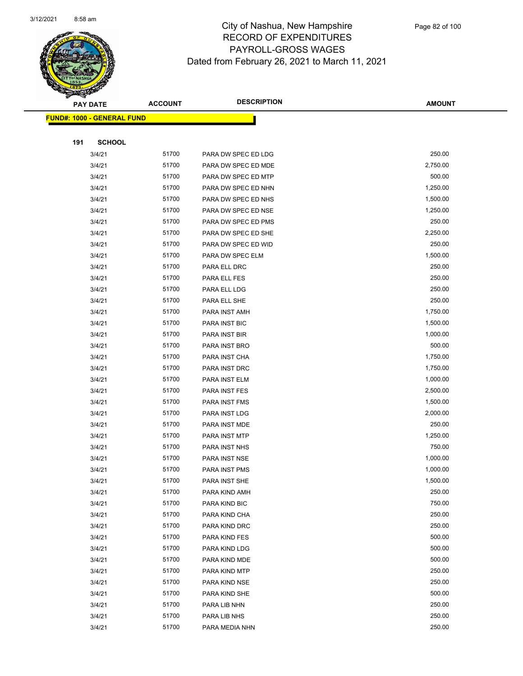

|     | <b>PAY DATE</b>                    | <b>ACCOUNT</b> | <b>DESCRIPTION</b>   | <b>AMOUNT</b>    |
|-----|------------------------------------|----------------|----------------------|------------------|
|     | <u> FUND#: 1000 - GENERAL FUND</u> |                |                      |                  |
|     |                                    |                |                      |                  |
| 191 | <b>SCHOOL</b>                      |                |                      |                  |
|     | 3/4/21                             | 51700          | PARA DW SPEC ED LDG  | 250.00           |
|     | 3/4/21                             | 51700          | PARA DW SPEC ED MDE  | 2,750.00         |
|     | 3/4/21                             | 51700          | PARA DW SPEC ED MTP  | 500.00           |
|     | 3/4/21                             | 51700          | PARA DW SPEC ED NHN  | 1,250.00         |
|     | 3/4/21                             | 51700          | PARA DW SPEC ED NHS  | 1,500.00         |
|     | 3/4/21                             | 51700          | PARA DW SPEC ED NSE  | 1,250.00         |
|     | 3/4/21                             | 51700          | PARA DW SPEC ED PMS  | 250.00           |
|     | 3/4/21                             | 51700          | PARA DW SPEC ED SHE  | 2,250.00         |
|     | 3/4/21                             | 51700          | PARA DW SPEC ED WID  | 250.00           |
|     | 3/4/21                             | 51700          | PARA DW SPEC ELM     | 1,500.00         |
|     | 3/4/21                             | 51700          | PARA ELL DRC         | 250.00           |
|     | 3/4/21                             | 51700          | PARA ELL FES         | 250.00           |
|     | 3/4/21                             | 51700          | PARA ELL LDG         | 250.00           |
|     | 3/4/21                             | 51700          | PARA ELL SHE         | 250.00           |
|     | 3/4/21                             | 51700          | PARA INST AMH        | 1,750.00         |
|     | 3/4/21                             | 51700          | <b>PARA INST BIC</b> | 1,500.00         |
|     | 3/4/21                             | 51700          | PARA INST BIR        | 1,000.00         |
|     | 3/4/21                             | 51700          | PARA INST BRO        | 500.00           |
|     | 3/4/21                             | 51700          | PARA INST CHA        | 1,750.00         |
|     | 3/4/21                             | 51700          | PARA INST DRC        | 1,750.00         |
|     | 3/4/21                             | 51700          | PARA INST ELM        | 1,000.00         |
|     | 3/4/21                             | 51700          | PARA INST FES        | 2,500.00         |
|     | 3/4/21                             | 51700          | PARA INST FMS        | 1,500.00         |
|     | 3/4/21                             | 51700          | PARA INST LDG        | 2,000.00         |
|     | 3/4/21                             | 51700          | PARA INST MDE        | 250.00           |
|     | 3/4/21                             | 51700          | PARA INST MTP        | 1,250.00         |
|     | 3/4/21                             | 51700          | PARA INST NHS        | 750.00           |
|     | 3/4/21                             | 51700          | PARA INST NSE        | 1,000.00         |
|     | 3/4/21                             | 51700          | PARA INST PMS        | 1,000.00         |
|     | 3/4/21                             | 51700          | PARA INST SHE        | 1,500.00         |
|     | 3/4/21                             | 51700          | PARA KIND AMH        | 250.00           |
|     | 3/4/21                             | 51700          | PARA KIND BIC        | 750.00           |
|     | 3/4/21                             | 51700          | PARA KIND CHA        | 250.00           |
|     | 3/4/21                             | 51700          | PARA KIND DRC        | 250.00           |
|     | 3/4/21                             | 51700          | PARA KIND FES        | 500.00           |
|     | 3/4/21                             | 51700          | PARA KIND LDG        | 500.00           |
|     | 3/4/21                             | 51700          | PARA KIND MDE        | 500.00           |
|     | 3/4/21                             | 51700          | PARA KIND MTP        | 250.00           |
|     | 3/4/21                             | 51700          | PARA KIND NSE        | 250.00           |
|     | 3/4/21                             | 51700          | PARA KIND SHE        | 500.00           |
|     | 3/4/21                             | 51700<br>51700 | PARA LIB NHN         | 250.00<br>250.00 |
|     | 3/4/21                             | 51700          | PARA LIB NHS         | 250.00           |
|     | 3/4/21                             |                | PARA MEDIA NHN       |                  |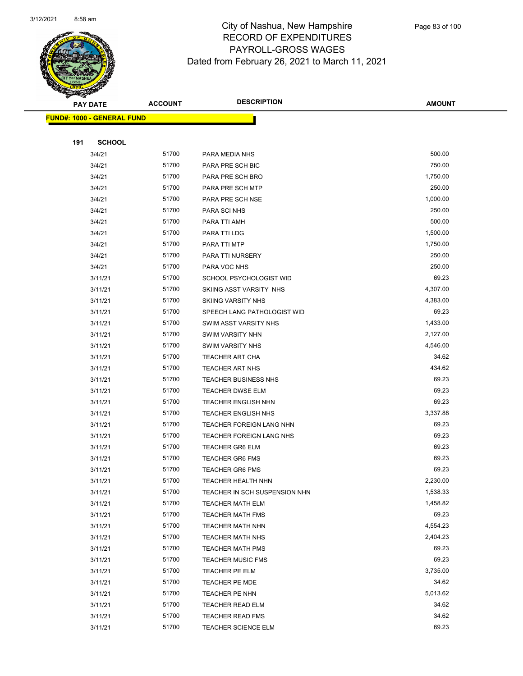

|     | <b>PAY DATE</b>                    | <b>ACCOUNT</b> | <b>DESCRIPTION</b>            | <b>AMOUNT</b> |
|-----|------------------------------------|----------------|-------------------------------|---------------|
|     | <u> FUND#: 1000 - GENERAL FUND</u> |                |                               |               |
|     |                                    |                |                               |               |
| 191 | <b>SCHOOL</b>                      |                |                               |               |
|     | 3/4/21                             | 51700          | PARA MEDIA NHS                | 500.00        |
|     | 3/4/21                             | 51700          | PARA PRE SCH BIC              | 750.00        |
|     | 3/4/21                             | 51700          | PARA PRE SCH BRO              | 1,750.00      |
|     | 3/4/21                             | 51700          | PARA PRE SCH MTP              | 250.00        |
|     | 3/4/21                             | 51700          | PARA PRE SCH NSE              | 1,000.00      |
|     | 3/4/21                             | 51700          | PARA SCI NHS                  | 250.00        |
|     | 3/4/21                             | 51700          | PARA TTI AMH                  | 500.00        |
|     | 3/4/21                             | 51700          | PARA TTI LDG                  | 1,500.00      |
|     | 3/4/21                             | 51700          | PARA TTI MTP                  | 1,750.00      |
|     | 3/4/21                             | 51700          | PARA TTI NURSERY              | 250.00        |
|     | 3/4/21                             | 51700          | PARA VOC NHS                  | 250.00        |
|     | 3/11/21                            | 51700          | SCHOOL PSYCHOLOGIST WID       | 69.23         |
|     | 3/11/21                            | 51700          | SKIING ASST VARSITY NHS       | 4,307.00      |
|     | 3/11/21                            | 51700          | <b>SKIING VARSITY NHS</b>     | 4,383.00      |
|     | 3/11/21                            | 51700          | SPEECH LANG PATHOLOGIST WID   | 69.23         |
|     | 3/11/21                            | 51700          | SWIM ASST VARSITY NHS         | 1,433.00      |
|     | 3/11/21                            | 51700          | <b>SWIM VARSITY NHN</b>       | 2,127.00      |
|     | 3/11/21                            | 51700          | <b>SWIM VARSITY NHS</b>       | 4,546.00      |
|     | 3/11/21                            | 51700          | <b>TEACHER ART CHA</b>        | 34.62         |
|     | 3/11/21                            | 51700          | <b>TEACHER ART NHS</b>        | 434.62        |
|     | 3/11/21                            | 51700          | <b>TEACHER BUSINESS NHS</b>   | 69.23         |
|     | 3/11/21                            | 51700          | <b>TEACHER DWSE ELM</b>       | 69.23         |
|     | 3/11/21                            | 51700          | <b>TEACHER ENGLISH NHN</b>    | 69.23         |
|     | 3/11/21                            | 51700          | <b>TEACHER ENGLISH NHS</b>    | 3,337.88      |
|     | 3/11/21                            | 51700          | TEACHER FOREIGN LANG NHN      | 69.23         |
|     | 3/11/21                            | 51700          | TEACHER FOREIGN LANG NHS      | 69.23         |
|     | 3/11/21                            | 51700          | <b>TEACHER GR6 ELM</b>        | 69.23         |
|     | 3/11/21                            | 51700          | <b>TEACHER GR6 FMS</b>        | 69.23         |
|     | 3/11/21                            | 51700          | <b>TEACHER GR6 PMS</b>        | 69.23         |
|     | 3/11/21                            | 51700          | <b>TEACHER HEALTH NHN</b>     | 2,230.00      |
|     | 3/11/21                            | 51700          | TEACHER IN SCH SUSPENSION NHN | 1,538.33      |
|     | 3/11/21                            | 51700          | <b>TEACHER MATH ELM</b>       | 1,458.82      |
|     | 3/11/21                            | 51700          | <b>TEACHER MATH FMS</b>       | 69.23         |
|     | 3/11/21                            | 51700          | <b>TEACHER MATH NHN</b>       | 4,554.23      |
|     | 3/11/21                            | 51700          | <b>TEACHER MATH NHS</b>       | 2,404.23      |
|     | 3/11/21                            | 51700          | <b>TEACHER MATH PMS</b>       | 69.23         |
|     | 3/11/21                            | 51700          | <b>TEACHER MUSIC FMS</b>      | 69.23         |
|     | 3/11/21                            | 51700          | TEACHER PE ELM                | 3,735.00      |
|     | 3/11/21                            | 51700          | TEACHER PE MDE                | 34.62         |
|     | 3/11/21                            | 51700          | TEACHER PE NHN                | 5,013.62      |
|     | 3/11/21                            | 51700          | TEACHER READ ELM              | 34.62         |
|     | 3/11/21                            | 51700          | <b>TEACHER READ FMS</b>       | 34.62         |
|     | 3/11/21                            | 51700          | TEACHER SCIENCE ELM           | 69.23         |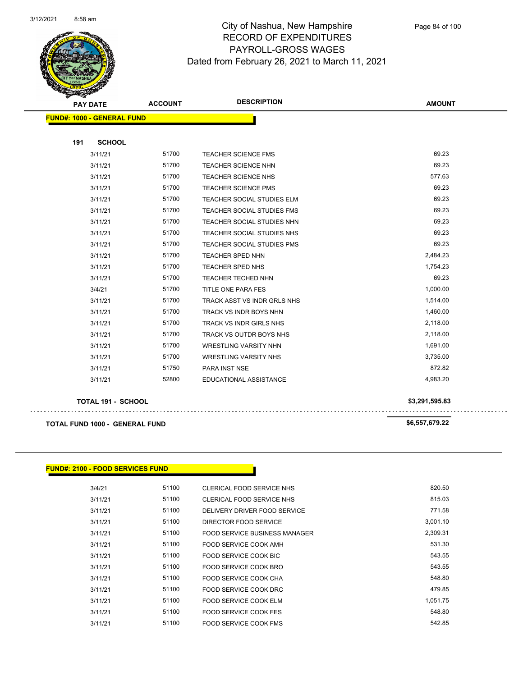

Page 84 of 100

| <b>PAY DATE</b>                   | <b>ACCOUNT</b> | <b>DESCRIPTION</b>                | <b>AMOUNT</b>  |
|-----------------------------------|----------------|-----------------------------------|----------------|
| <b>FUND#: 1000 - GENERAL FUND</b> |                |                                   |                |
| 191<br><b>SCHOOL</b>              |                |                                   |                |
| 3/11/21                           | 51700          | <b>TEACHER SCIENCE FMS</b>        | 69.23          |
| 3/11/21                           | 51700          | <b>TEACHER SCIENCE NHN</b>        | 69.23          |
| 3/11/21                           | 51700          | <b>TEACHER SCIENCE NHS</b>        | 577.63         |
| 3/11/21                           | 51700          | <b>TEACHER SCIENCE PMS</b>        | 69.23          |
| 3/11/21                           | 51700          | TEACHER SOCIAL STUDIES ELM        | 69.23          |
| 3/11/21                           | 51700          | TEACHER SOCIAL STUDIES FMS        | 69.23          |
| 3/11/21                           | 51700          | TEACHER SOCIAL STUDIES NHN        | 69.23          |
| 3/11/21                           | 51700          | TEACHER SOCIAL STUDIES NHS        | 69.23          |
| 3/11/21                           | 51700          | <b>TEACHER SOCIAL STUDIES PMS</b> | 69.23          |
| 3/11/21                           | 51700          | <b>TEACHER SPED NHN</b>           | 2,484.23       |
| 3/11/21                           | 51700          | TEACHER SPED NHS                  | 1,754.23       |
| 3/11/21                           | 51700          | <b>TEACHER TECHED NHN</b>         | 69.23          |
| 3/4/21                            | 51700          | <b>TITLE ONE PARA FES</b>         | 1,000.00       |
| 3/11/21                           | 51700          | TRACK ASST VS INDR GRLS NHS       | 1,514.00       |
| 3/11/21                           | 51700          | TRACK VS INDR BOYS NHN            | 1,460.00       |
| 3/11/21                           | 51700          | TRACK VS INDR GIRLS NHS           | 2,118.00       |
| 3/11/21                           | 51700          | TRACK VS OUTDR BOYS NHS           | 2,118.00       |
| 3/11/21                           | 51700          | <b>WRESTLING VARSITY NHN</b>      | 1,691.00       |
| 3/11/21                           | 51700          | <b>WRESTLING VARSITY NHS</b>      | 3,735.00       |
| 3/11/21                           | 51750          | PARA INST NSE                     | 872.82         |
| 3/11/21                           | 52800          | EDUCATIONAL ASSISTANCE            | 4,983.20       |
| <b>TOTAL 191 - SCHOOL</b>         |                |                                   | \$3,291,595.83 |

 $\bar{z}$  is a

**TOTAL FUND 1000 - GENERAL FUND \$6,557,679.22** 

### **FUND#: 2100 - FOOD SERVICES FUND**

| 3/4/21  | 51100 | CLERICAL FOOD SERVICE NHS            | 820.50   |
|---------|-------|--------------------------------------|----------|
| 3/11/21 | 51100 | CLERICAL FOOD SERVICE NHS            | 815.03   |
| 3/11/21 | 51100 | DELIVERY DRIVER FOOD SERVICE         | 771.58   |
| 3/11/21 | 51100 | DIRECTOR FOOD SERVICE                | 3.001.10 |
| 3/11/21 | 51100 | <b>FOOD SERVICE BUSINESS MANAGER</b> | 2.309.31 |
| 3/11/21 | 51100 | FOOD SERVICE COOK AMH                | 531.30   |
| 3/11/21 | 51100 | FOOD SERVICE COOK BIC                | 543.55   |
| 3/11/21 | 51100 | FOOD SERVICE COOK BRO                | 543.55   |
| 3/11/21 | 51100 | FOOD SERVICE COOK CHA                | 548.80   |
| 3/11/21 | 51100 | FOOD SERVICE COOK DRC                | 479.85   |
| 3/11/21 | 51100 | FOOD SERVICE COOK ELM                | 1.051.75 |
| 3/11/21 | 51100 | FOOD SERVICE COOK FES                | 548.80   |
| 3/11/21 | 51100 | FOOD SERVICE COOK FMS                | 542.85   |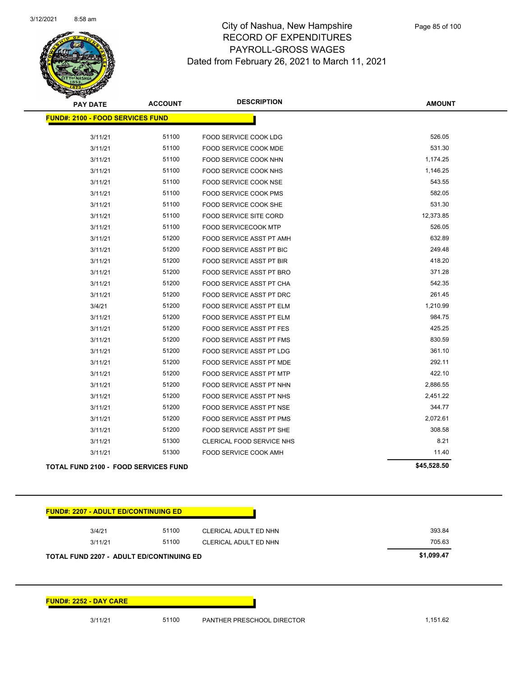

| <b>PAY DATE</b>                             | <b>ACCOUNT</b> | <b>DESCRIPTION</b>              | <b>AMOUNT</b> |
|---------------------------------------------|----------------|---------------------------------|---------------|
| <b>FUND#: 2100 - FOOD SERVICES FUND</b>     |                |                                 |               |
| 3/11/21                                     | 51100          | FOOD SERVICE COOK LDG           | 526.05        |
| 3/11/21                                     | 51100          | FOOD SERVICE COOK MDE           | 531.30        |
| 3/11/21                                     | 51100          | FOOD SERVICE COOK NHN           | 1,174.25      |
| 3/11/21                                     | 51100          | FOOD SERVICE COOK NHS           | 1,146.25      |
| 3/11/21                                     | 51100          | FOOD SERVICE COOK NSE           | 543.55        |
| 3/11/21                                     | 51100          | <b>FOOD SERVICE COOK PMS</b>    | 582.05        |
| 3/11/21                                     | 51100          | FOOD SERVICE COOK SHE           | 531.30        |
| 3/11/21                                     | 51100          | FOOD SERVICE SITE CORD          | 12,373.85     |
| 3/11/21                                     | 51100          | <b>FOOD SERVICECOOK MTP</b>     | 526.05        |
| 3/11/21                                     | 51200          | FOOD SERVICE ASST PT AMH        | 632.89        |
| 3/11/21                                     | 51200          | FOOD SERVICE ASST PT BIC        | 249.48        |
| 3/11/21                                     | 51200          | FOOD SERVICE ASST PT BIR        | 418.20        |
| 3/11/21                                     | 51200          | FOOD SERVICE ASST PT BRO        | 371.28        |
| 3/11/21                                     | 51200          | FOOD SERVICE ASST PT CHA        | 542.35        |
| 3/11/21                                     | 51200          | <b>FOOD SERVICE ASST PT DRC</b> | 261.45        |
| 3/4/21                                      | 51200          | FOOD SERVICE ASST PT ELM        | 1,210.99      |
| 3/11/21                                     | 51200          | FOOD SERVICE ASST PT ELM        | 984.75        |
| 3/11/21                                     | 51200          | <b>FOOD SERVICE ASST PT FES</b> | 425.25        |
| 3/11/21                                     | 51200          | <b>FOOD SERVICE ASST PT FMS</b> | 830.59        |
| 3/11/21                                     | 51200          | FOOD SERVICE ASST PT LDG        | 361.10        |
| 3/11/21                                     | 51200          | FOOD SERVICE ASST PT MDE        | 292.11        |
| 3/11/21                                     | 51200          | FOOD SERVICE ASST PT MTP        | 422.10        |
| 3/11/21                                     | 51200          | FOOD SERVICE ASST PT NHN        | 2,886.55      |
| 3/11/21                                     | 51200          | <b>FOOD SERVICE ASST PT NHS</b> | 2,451.22      |
| 3/11/21                                     | 51200          | FOOD SERVICE ASST PT NSE        | 344.77        |
| 3/11/21                                     | 51200          | FOOD SERVICE ASST PT PMS        | 2,072.61      |
| 3/11/21                                     | 51200          | FOOD SERVICE ASST PT SHE        | 308.58        |
| 3/11/21                                     | 51300          | CLERICAL FOOD SERVICE NHS       | 8.21          |
| 3/11/21                                     | 51300          | FOOD SERVICE COOK AMH           | 11.40         |
| <b>TOTAL FUND 2100 - FOOD SERVICES FUND</b> |                |                                 | \$45,528.50   |

| 3/4/21<br>3/11/21                               | 51100<br>51100 | CLERICAL ADULT ED NHN<br>CLERICAL ADULT ED NHN | 393.84<br>705.63 |
|-------------------------------------------------|----------------|------------------------------------------------|------------------|
|                                                 |                |                                                | \$1,099.47       |
|                                                 |                |                                                |                  |
|                                                 |                |                                                |                  |
| <b>TOTAL FUND 2207 - ADULT ED/CONTINUING ED</b> |                |                                                |                  |
|                                                 |                |                                                |                  |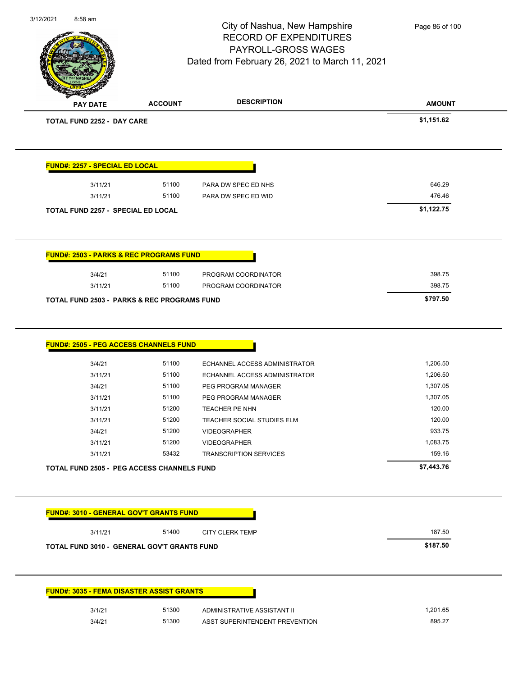|                                                         |                | City of Nashua, New Hampshire<br><b>RECORD OF EXPENDITURES</b><br>PAYROLL-GROSS WAGES<br>Dated from February 26, 2021 to March 11, 2021 | Page 86 of 100 |
|---------------------------------------------------------|----------------|-----------------------------------------------------------------------------------------------------------------------------------------|----------------|
| <b>PAY DATE</b>                                         | <b>ACCOUNT</b> | <b>DESCRIPTION</b>                                                                                                                      | <b>AMOUNT</b>  |
| <b>TOTAL FUND 2252 - DAY CARE</b>                       |                |                                                                                                                                         | \$1,151.62     |
| <b>FUND#: 2257 - SPECIAL ED LOCAL</b>                   |                |                                                                                                                                         |                |
| 3/11/21                                                 | 51100          | PARA DW SPEC ED NHS                                                                                                                     | 646.29         |
| 3/11/21                                                 | 51100          | PARA DW SPEC ED WID                                                                                                                     | 476.46         |
| <b>TOTAL FUND 2257 - SPECIAL ED LOCAL</b>               |                |                                                                                                                                         | \$1,122.75     |
| <b>FUND#: 2503 - PARKS &amp; REC PROGRAMS FUND</b>      |                |                                                                                                                                         |                |
| 3/4/21                                                  | 51100          | PROGRAM COORDINATOR                                                                                                                     | 398.75         |
| 3/11/21                                                 | 51100          | PROGRAM COORDINATOR                                                                                                                     | 398.75         |
|                                                         |                |                                                                                                                                         |                |
| <b>TOTAL FUND 2503 - PARKS &amp; REC PROGRAMS FUND</b>  |                |                                                                                                                                         | \$797.50       |
| <b>FUND#: 2505 - PEG ACCESS CHANNELS FUND</b><br>3/4/21 | 51100          | ECHANNEL ACCESS ADMINISTRATOR                                                                                                           | 1,206.50       |
| 3/11/21                                                 | 51100          | ECHANNEL ACCESS ADMINISTRATOR                                                                                                           | 1,206.50       |
| 3/4/21                                                  | 51100          | PEG PROGRAM MANAGER                                                                                                                     | 1,307.05       |
| 3/11/21                                                 | 51100          | PEG PROGRAM MANAGER                                                                                                                     | 1,307.05       |
| 3/11/21                                                 | 51200          | TEACHER PE NHN                                                                                                                          | 120.00         |
| 3/11/21                                                 | 51200          | TEACHER SOCIAL STUDIES ELM                                                                                                              | 120.00         |
| 3/4/21                                                  | 51200          | <b>VIDEOGRAPHER</b>                                                                                                                     | 933.75         |
| 3/11/21                                                 | 51200          | <b>VIDEOGRAPHER</b>                                                                                                                     | 1,083.75       |
| 3/11/21                                                 | 53432          | <b>TRANSCRIPTION SERVICES</b>                                                                                                           | 159.16         |
| TOTAL FUND 2505 - PEG ACCESS CHANNELS FUND              |                |                                                                                                                                         | \$7,443.76     |
| <b>FUND#: 3010 - GENERAL GOV'T GRANTS FUND</b>          |                |                                                                                                                                         |                |
| 3/11/21                                                 | 51400          | <b>CITY CLERK TEMP</b>                                                                                                                  | 187.50         |
| TOTAL FUND 3010 - GENERAL GOV'T GRANTS FUND             |                |                                                                                                                                         | \$187.50       |
|                                                         |                |                                                                                                                                         |                |
| <b>FUND#: 3035 - FEMA DISASTER ASSIST GRANTS</b>        |                |                                                                                                                                         |                |
| 3/1/21                                                  | 51300          | ADMINISTRATIVE ASSISTANT II                                                                                                             | 1,201.65       |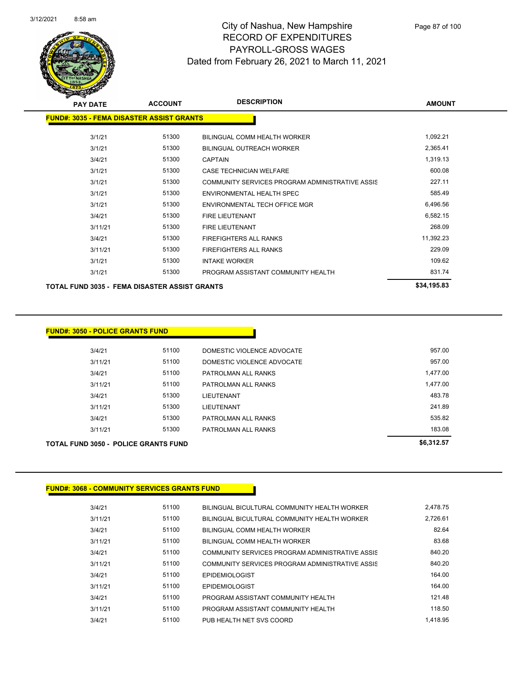

| <b>PAY DATE</b>                                  | <b>ACCOUNT</b> | <b>DESCRIPTION</b>                              | <b>AMOUNT</b> |  |
|--------------------------------------------------|----------------|-------------------------------------------------|---------------|--|
| <b>FUND#: 3035 - FEMA DISASTER ASSIST GRANTS</b> |                |                                                 |               |  |
| 3/1/21                                           | 51300          | BILINGUAL COMM HEALTH WORKER                    | 1,092.21      |  |
| 3/1/21                                           | 51300          | <b>BILINGUAL OUTREACH WORKER</b>                | 2,365.41      |  |
| 3/4/21                                           | 51300          | <b>CAPTAIN</b>                                  | 1,319.13      |  |
| 3/1/21                                           | 51300          | <b>CASE TECHNICIAN WELFARE</b>                  | 600.08        |  |
| 3/1/21                                           | 51300          | COMMUNITY SERVICES PROGRAM ADMINISTRATIVE ASSIS | 227.11        |  |
| 3/1/21                                           | 51300          | ENVIRONMENTAL HEALTH SPEC                       | 585.49        |  |
| 3/1/21                                           | 51300          | ENVIRONMENTAL TECH OFFICE MGR                   | 6,496.56      |  |
| 3/4/21                                           | 51300          | <b>FIRE LIEUTENANT</b>                          | 6,582.15      |  |
| 3/11/21                                          | 51300          | <b>FIRE LIEUTENANT</b>                          | 268.09        |  |
| 3/4/21                                           | 51300          | <b>FIREFIGHTERS ALL RANKS</b>                   | 11,392.23     |  |
| 3/11/21                                          | 51300          | FIREFIGHTERS ALL RANKS                          | 229.09        |  |
| 3/1/21                                           | 51300          | <b>INTAKE WORKER</b>                            | 109.62        |  |
| 3/1/21                                           | 51300          | PROGRAM ASSISTANT COMMUNITY HEALTH              | 831.74        |  |
| TOTAL FUND 3035 - FEMA DISASTER ASSIST GRANTS    |                |                                                 | \$34,195.83   |  |

| <b>TOTAL FUND 3050 - POLICE GRANTS FUND</b> |         |       |                            | \$6,312.57 |
|---------------------------------------------|---------|-------|----------------------------|------------|
|                                             | 3/11/21 | 51300 | PATROLMAN ALL RANKS        | 183.08     |
| 3/4/21                                      |         | 51300 | PATROLMAN ALL RANKS        | 535.82     |
|                                             | 3/11/21 | 51300 | LIEUTENANT                 | 241.89     |
| 3/4/21                                      |         | 51300 | LIEUTENANT                 | 483.78     |
|                                             | 3/11/21 | 51100 | PATROLMAN ALL RANKS        | 1.477.00   |
| 3/4/21                                      |         | 51100 | PATROLMAN ALL RANKS        | 1,477.00   |
|                                             | 3/11/21 | 51100 | DOMESTIC VIOLENCE ADVOCATE | 957.00     |
| 3/4/21                                      |         | 51100 | DOMESTIC VIOLENCE ADVOCATE | 957.00     |

### **FUND#: 3068 - COMMUNITY SERVICES GRANTS FUND**

| 3/4/21  | 51100 | BILINGUAL BICULTURAL COMMUNITY HEALTH WORKER    | 2.478.75 |
|---------|-------|-------------------------------------------------|----------|
| 3/11/21 | 51100 | BILINGUAL BICULTURAL COMMUNITY HEALTH WORKER    | 2.726.61 |
| 3/4/21  | 51100 | BILINGUAL COMM HEALTH WORKER                    | 82.64    |
| 3/11/21 | 51100 | BILINGUAL COMM HEALTH WORKER                    | 83.68    |
| 3/4/21  | 51100 | COMMUNITY SERVICES PROGRAM ADMINISTRATIVE ASSIS | 840.20   |
| 3/11/21 | 51100 | COMMUNITY SERVICES PROGRAM ADMINISTRATIVE ASSIS | 840.20   |
| 3/4/21  | 51100 | <b>EPIDEMIOLOGIST</b>                           | 164.00   |
| 3/11/21 | 51100 | <b>EPIDEMIOLOGIST</b>                           | 164.00   |
| 3/4/21  | 51100 | PROGRAM ASSISTANT COMMUNITY HEALTH              | 121.48   |
| 3/11/21 | 51100 | PROGRAM ASSISTANT COMMUNITY HEALTH              | 118.50   |
| 3/4/21  | 51100 | PUB HEALTH NET SVS COORD                        | 1.418.95 |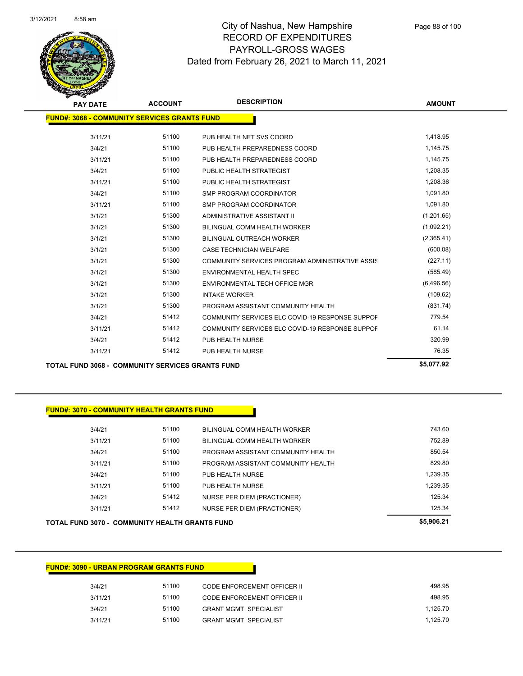

| <b>PAY DATE</b>                                     | <b>ACCOUNT</b> | <b>DESCRIPTION</b>                              | <b>AMOUNT</b> |
|-----------------------------------------------------|----------------|-------------------------------------------------|---------------|
| <b>FUND#: 3068 - COMMUNITY SERVICES GRANTS FUND</b> |                |                                                 |               |
|                                                     |                |                                                 |               |
| 3/11/21                                             | 51100          | PUB HEALTH NET SVS COORD                        | 1,418.95      |
| 3/4/21                                              | 51100          | PUB HEALTH PREPAREDNESS COORD                   | 1,145.75      |
| 3/11/21                                             | 51100          | PUB HEALTH PREPAREDNESS COORD                   | 1,145.75      |
| 3/4/21                                              | 51100          | PUBLIC HEALTH STRATEGIST                        | 1,208.35      |
| 3/11/21                                             | 51100          | PUBLIC HEALTH STRATEGIST                        | 1,208.36      |
| 3/4/21                                              | 51100          | <b>SMP PROGRAM COORDINATOR</b>                  | 1,091.80      |
| 3/11/21                                             | 51100          | <b>SMP PROGRAM COORDINATOR</b>                  | 1,091.80      |
| 3/1/21                                              | 51300          | ADMINISTRATIVE ASSISTANT II                     | (1,201.65)    |
| 3/1/21                                              | 51300          | <b>BILINGUAL COMM HEALTH WORKER</b>             | (1,092.21)    |
| 3/1/21                                              | 51300          | <b>BILINGUAL OUTREACH WORKER</b>                | (2,365.41)    |
| 3/1/21                                              | 51300          | <b>CASE TECHNICIAN WELFARE</b>                  | (600.08)      |
| 3/1/21                                              | 51300          | COMMUNITY SERVICES PROGRAM ADMINISTRATIVE ASSIS | (227.11)      |
| 3/1/21                                              | 51300          | ENVIRONMENTAL HEALTH SPEC                       | (585.49)      |
| 3/1/21                                              | 51300          | ENVIRONMENTAL TECH OFFICE MGR                   | (6,496.56)    |
| 3/1/21                                              | 51300          | <b>INTAKE WORKER</b>                            | (109.62)      |
| 3/1/21                                              | 51300          | PROGRAM ASSISTANT COMMUNITY HEALTH              | (831.74)      |
| 3/4/21                                              | 51412          | COMMUNITY SERVICES ELC COVID-19 RESPONSE SUPPOF | 779.54        |
| 3/11/21                                             | 51412          | COMMUNITY SERVICES ELC COVID-19 RESPONSE SUPPOF | 61.14         |
| 3/4/21                                              | 51412          | PUB HEALTH NURSE                                | 320.99        |
| 3/11/21                                             | 51412          | PUB HEALTH NURSE                                | 76.35         |
|                                                     |                |                                                 |               |

**TOTAL FUND 3068 - COMMUNITY SERVICES GRANTS FUND \$5,077.92** 

### **FUND#: 3070 - COMMUNITY HEALTH GRANTS FUND**

|         | <b>TOTAL FUND 3070 - COMMUNITY HEALTH GRANTS FUND</b> |                                    | \$5,906.21 |
|---------|-------------------------------------------------------|------------------------------------|------------|
| 3/11/21 | 51412                                                 | <b>NURSE PER DIEM (PRACTIONER)</b> | 125.34     |
| 3/4/21  | 51412                                                 | NURSE PER DIEM (PRACTIONER)        | 125.34     |
| 3/11/21 | 51100                                                 | PUB HEALTH NURSE                   | 1,239.35   |
| 3/4/21  | 51100                                                 | PUB HEALTH NURSE                   | 1,239.35   |
| 3/11/21 | 51100                                                 | PROGRAM ASSISTANT COMMUNITY HEALTH | 829.80     |
| 3/4/21  | 51100                                                 | PROGRAM ASSISTANT COMMUNITY HEALTH | 850.54     |
| 3/11/21 | 51100                                                 | BILINGUAL COMM HEALTH WORKER       | 752.89     |
| 3/4/21  | 51100                                                 | BILINGUAL COMM HEALTH WORKER       | 743.60     |
|         |                                                       |                                    |            |

| <b>FUND#: 3090 - URBAN PROGRAM GRANTS FUND</b> |                              |       |         |  |  |  |  |  |
|------------------------------------------------|------------------------------|-------|---------|--|--|--|--|--|
| 498.95                                         | CODE ENFORCEMENT OFFICER II  | 51100 | 3/4/21  |  |  |  |  |  |
| 498.95                                         | CODE ENFORCEMENT OFFICER II  | 51100 | 3/11/21 |  |  |  |  |  |
| 1.125.70                                       | <b>GRANT MGMT SPECIALIST</b> | 51100 | 3/4/21  |  |  |  |  |  |
| 1.125.70                                       | <b>GRANT MGMT SPECIALIST</b> | 51100 | 3/11/21 |  |  |  |  |  |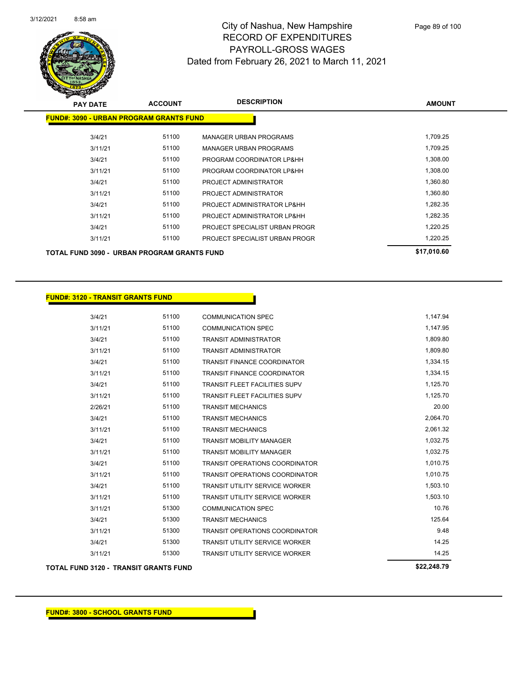

| <b>PAY DATE</b> | <b>ACCOUNT</b>                                 | <b>DESCRIPTION</b>             | <b>AMOUNT</b> |
|-----------------|------------------------------------------------|--------------------------------|---------------|
|                 | <b>FUND#: 3090 - URBAN PROGRAM GRANTS FUND</b> |                                |               |
| 3/4/21          | 51100                                          | <b>MANAGER URBAN PROGRAMS</b>  | 1,709.25      |
| 3/11/21         | 51100                                          | <b>MANAGER URBAN PROGRAMS</b>  | 1,709.25      |
| 3/4/21          | 51100                                          | PROGRAM COORDINATOR LP&HH      | 1,308.00      |
| 3/11/21         | 51100                                          | PROGRAM COORDINATOR LP&HH      | 1,308.00      |
| 3/4/21          | 51100                                          | PROJECT ADMINISTRATOR          | 1.360.80      |
| 3/11/21         | 51100                                          | PROJECT ADMINISTRATOR          | 1,360.80      |
| 3/4/21          | 51100                                          | PROJECT ADMINISTRATOR LP&HH    | 1,282.35      |
| 3/11/21         | 51100                                          | PROJECT ADMINISTRATOR LP&HH    | 1,282.35      |
| 3/4/21          | 51100                                          | PROJECT SPECIALIST URBAN PROGR | 1,220.25      |
| 3/11/21         | 51100                                          | PROJECT SPECIALIST URBAN PROGR | 1,220.25      |
|                 | TOTAL FUND 3090 - URBAN PROGRAM GRANTS FUND    |                                | \$17,010.60   |

### **FUND#: 3120 - TRANSIT GRANTS FUND**

| 3/4/21  | 51100 | <b>COMMUNICATION SPEC</b>             | 1,147.94 |
|---------|-------|---------------------------------------|----------|
| 3/11/21 | 51100 | <b>COMMUNICATION SPEC</b>             | 1,147.95 |
| 3/4/21  | 51100 | <b>TRANSIT ADMINISTRATOR</b>          | 1,809.80 |
| 3/11/21 | 51100 | <b>TRANSIT ADMINISTRATOR</b>          | 1,809.80 |
| 3/4/21  | 51100 | <b>TRANSIT FINANCE COORDINATOR</b>    | 1,334.15 |
| 3/11/21 | 51100 | <b>TRANSIT FINANCE COORDINATOR</b>    | 1,334.15 |
| 3/4/21  | 51100 | <b>TRANSIT FLEET FACILITIES SUPV</b>  | 1,125.70 |
| 3/11/21 | 51100 | <b>TRANSIT FLEET FACILITIES SUPV</b>  | 1,125.70 |
| 2/26/21 | 51100 | <b>TRANSIT MECHANICS</b>              | 20.00    |
| 3/4/21  | 51100 | <b>TRANSIT MECHANICS</b>              | 2,064.70 |
| 3/11/21 | 51100 | <b>TRANSIT MECHANICS</b>              | 2,061.32 |
| 3/4/21  | 51100 | <b>TRANSIT MOBILITY MANAGER</b>       | 1,032.75 |
| 3/11/21 | 51100 | <b>TRANSIT MOBILITY MANAGER</b>       | 1,032.75 |
| 3/4/21  | 51100 | <b>TRANSIT OPERATIONS COORDINATOR</b> | 1,010.75 |
| 3/11/21 | 51100 | <b>TRANSIT OPERATIONS COORDINATOR</b> | 1,010.75 |
| 3/4/21  | 51100 | <b>TRANSIT UTILITY SERVICE WORKER</b> | 1,503.10 |
| 3/11/21 | 51100 | <b>TRANSIT UTILITY SERVICE WORKER</b> | 1,503.10 |
| 3/11/21 | 51300 | <b>COMMUNICATION SPEC</b>             | 10.76    |
| 3/4/21  | 51300 | <b>TRANSIT MECHANICS</b>              | 125.64   |
| 3/11/21 | 51300 | <b>TRANSIT OPERATIONS COORDINATOR</b> | 9.48     |
| 3/4/21  | 51300 | <b>TRANSIT UTILITY SERVICE WORKER</b> | 14.25    |
| 3/11/21 | 51300 | <b>TRANSIT UTILITY SERVICE WORKER</b> | 14.25    |
|         |       |                                       |          |

**TOTAL FUND 3120 - TRANSIT GRANTS FUND \$22,248.79**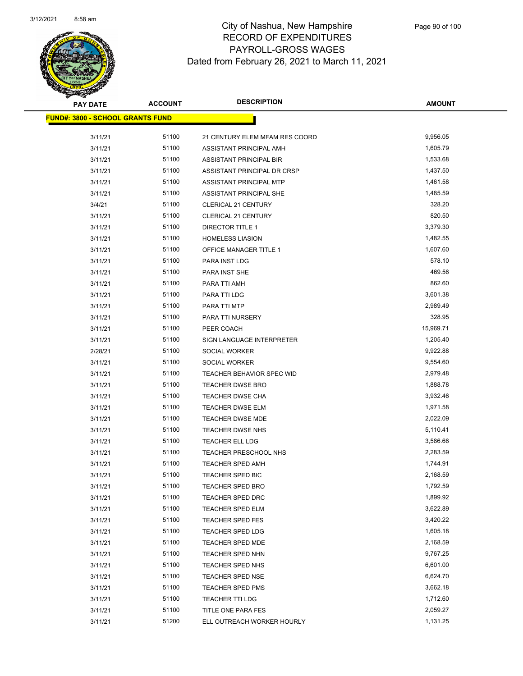

| <b>PAY DATE</b>                         | <b>ACCOUNT</b> | <b>DESCRIPTION</b>             | <b>AMOUNT</b> |
|-----------------------------------------|----------------|--------------------------------|---------------|
| <b>FUND#: 3800 - SCHOOL GRANTS FUND</b> |                |                                |               |
| 3/11/21                                 | 51100          | 21 CENTURY ELEM MFAM RES COORD | 9,956.05      |
| 3/11/21                                 | 51100          | ASSISTANT PRINCIPAL AMH        | 1,605.79      |
| 3/11/21                                 | 51100          | ASSISTANT PRINCIPAL BIR        | 1,533.68      |
| 3/11/21                                 | 51100          | ASSISTANT PRINCIPAL DR CRSP    | 1,437.50      |
| 3/11/21                                 | 51100          | ASSISTANT PRINCIPAL MTP        | 1,461.58      |
| 3/11/21                                 | 51100          | ASSISTANT PRINCIPAL SHE        | 1,485.59      |
| 3/4/21                                  | 51100          | <b>CLERICAL 21 CENTURY</b>     | 328.20        |
| 3/11/21                                 | 51100          | <b>CLERICAL 21 CENTURY</b>     | 820.50        |
| 3/11/21                                 | 51100          | DIRECTOR TITLE 1               | 3,379.30      |
| 3/11/21                                 | 51100          | <b>HOMELESS LIASION</b>        | 1,482.55      |
| 3/11/21                                 | 51100          | <b>OFFICE MANAGER TITLE 1</b>  | 1,607.60      |
| 3/11/21                                 | 51100          | PARA INST LDG                  | 578.10        |
| 3/11/21                                 | 51100          | PARA INST SHE                  | 469.56        |
| 3/11/21                                 | 51100          | PARA TTI AMH                   | 862.60        |
| 3/11/21                                 | 51100          | PARA TTI LDG                   | 3,601.38      |
| 3/11/21                                 | 51100          | PARA TTI MTP                   | 2,989.49      |
| 3/11/21                                 | 51100          | PARA TTI NURSERY               | 328.95        |
| 3/11/21                                 | 51100          | PEER COACH                     | 15,969.71     |
| 3/11/21                                 | 51100          | SIGN LANGUAGE INTERPRETER      | 1,205.40      |
| 2/28/21                                 | 51100          | SOCIAL WORKER                  | 9,922.88      |
| 3/11/21                                 | 51100          | SOCIAL WORKER                  | 9,554.60      |
| 3/11/21                                 | 51100          | TEACHER BEHAVIOR SPEC WID      | 2,979.48      |
| 3/11/21                                 | 51100          | TEACHER DWSE BRO               | 1,888.78      |
| 3/11/21                                 | 51100          | TEACHER DWSE CHA               | 3,932.46      |
| 3/11/21                                 | 51100          | <b>TEACHER DWSE ELM</b>        | 1,971.58      |
| 3/11/21                                 | 51100          | <b>TEACHER DWSE MDE</b>        | 2,022.09      |
| 3/11/21                                 | 51100          | TEACHER DWSE NHS               | 5,110.41      |
| 3/11/21                                 | 51100          | TEACHER ELL LDG                | 3,586.66      |
| 3/11/21                                 | 51100          | TEACHER PRESCHOOL NHS          | 2,283.59      |
| 3/11/21                                 | 51100          | TEACHER SPED AMH               | 1,744.91      |
| 3/11/21                                 | 51100          | TEACHER SPED BIC               | 2,168.59      |
| 3/11/21                                 | 51100          | <b>TEACHER SPED BRO</b>        | 1,792.59      |
| 3/11/21                                 | 51100          | TEACHER SPED DRC               | 1,899.92      |
| 3/11/21                                 | 51100          | TEACHER SPED ELM               | 3,622.89      |
| 3/11/21                                 | 51100          | TEACHER SPED FES               | 3,420.22      |
| 3/11/21                                 | 51100          | <b>TEACHER SPED LDG</b>        | 1,605.18      |
| 3/11/21                                 | 51100          | <b>TEACHER SPED MDE</b>        | 2,168.59      |
| 3/11/21                                 | 51100          | TEACHER SPED NHN               | 9,767.25      |
| 3/11/21                                 | 51100          | TEACHER SPED NHS               | 6,601.00      |
| 3/11/21                                 | 51100          | <b>TEACHER SPED NSE</b>        | 6,624.70      |
| 3/11/21                                 | 51100          | <b>TEACHER SPED PMS</b>        | 3,662.18      |
| 3/11/21                                 | 51100          | <b>TEACHER TTI LDG</b>         | 1,712.60      |
| 3/11/21                                 | 51100          | TITLE ONE PARA FES             | 2,059.27      |
| 3/11/21                                 | 51200          | ELL OUTREACH WORKER HOURLY     | 1,131.25      |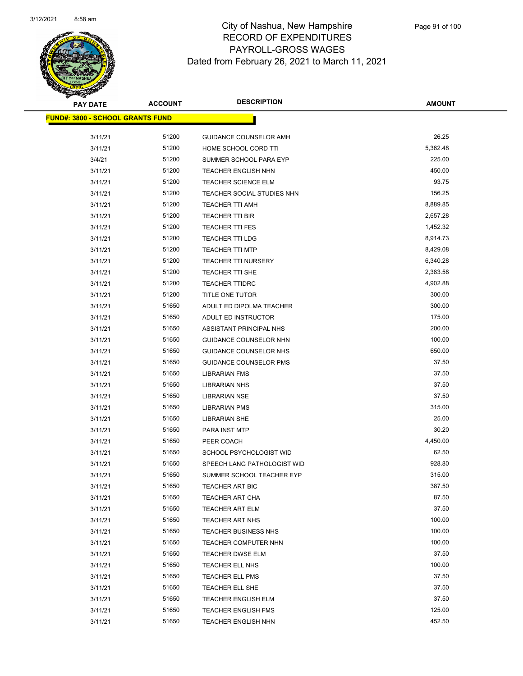

| <b>PAY DATE</b>                  | <b>ACCOUNT</b> | <b>DESCRIPTION</b>            | <b>AMOUNT</b> |
|----------------------------------|----------------|-------------------------------|---------------|
| FUND#: 3800 - SCHOOL GRANTS FUND |                |                               |               |
| 3/11/21                          | 51200          | GUIDANCE COUNSELOR AMH        | 26.25         |
| 3/11/21                          | 51200          | HOME SCHOOL CORD TTI          | 5,362.48      |
| 3/4/21                           | 51200          | SUMMER SCHOOL PARA EYP        | 225.00        |
| 3/11/21                          | 51200          | <b>TEACHER ENGLISH NHN</b>    | 450.00        |
| 3/11/21                          | 51200          | <b>TEACHER SCIENCE ELM</b>    | 93.75         |
| 3/11/21                          | 51200          | TEACHER SOCIAL STUDIES NHN    | 156.25        |
| 3/11/21                          | 51200          | <b>TEACHER TTI AMH</b>        | 8,889.85      |
| 3/11/21                          | 51200          | TEACHER TTI BIR               | 2,657.28      |
| 3/11/21                          | 51200          | <b>TEACHER TTI FES</b>        | 1,452.32      |
| 3/11/21                          | 51200          | <b>TEACHER TTI LDG</b>        | 8,914.73      |
| 3/11/21                          | 51200          | <b>TEACHER TTI MTP</b>        | 8,429.08      |
| 3/11/21                          | 51200          | <b>TEACHER TTI NURSERY</b>    | 6,340.28      |
| 3/11/21                          | 51200          | <b>TEACHER TTI SHE</b>        | 2,383.58      |
| 3/11/21                          | 51200          | <b>TEACHER TTIDRC</b>         | 4,902.88      |
| 3/11/21                          | 51200          | TITLE ONE TUTOR               | 300.00        |
| 3/11/21                          | 51650          | ADULT ED DIPOLMA TEACHER      | 300.00        |
| 3/11/21                          | 51650          | ADULT ED INSTRUCTOR           | 175.00        |
| 3/11/21                          | 51650          | ASSISTANT PRINCIPAL NHS       | 200.00        |
| 3/11/21                          | 51650          | GUIDANCE COUNSELOR NHN        | 100.00        |
| 3/11/21                          | 51650          | GUIDANCE COUNSELOR NHS        | 650.00        |
| 3/11/21                          | 51650          | <b>GUIDANCE COUNSELOR PMS</b> | 37.50         |
| 3/11/21                          | 51650          | <b>LIBRARIAN FMS</b>          | 37.50         |
| 3/11/21                          | 51650          | <b>LIBRARIAN NHS</b>          | 37.50         |
| 3/11/21                          | 51650          | <b>LIBRARIAN NSE</b>          | 37.50         |
| 3/11/21                          | 51650          | <b>LIBRARIAN PMS</b>          | 315.00        |
| 3/11/21                          | 51650          | <b>LIBRARIAN SHE</b>          | 25.00         |
| 3/11/21                          | 51650          | PARA INST MTP                 | 30.20         |
| 3/11/21                          | 51650          | PEER COACH                    | 4,450.00      |
| 3/11/21                          | 51650          | SCHOOL PSYCHOLOGIST WID       | 62.50         |
| 3/11/21                          | 51650          | SPEECH LANG PATHOLOGIST WID   | 928.80        |
| 3/11/21                          | 51650          | SUMMER SCHOOL TEACHER EYP     | 315.00        |
| 3/11/21                          | 51650          | TEACHER ART BIC               | 387.50        |
| 3/11/21                          | 51650          | TEACHER ART CHA               | 87.50         |
| 3/11/21                          | 51650          | <b>TEACHER ART ELM</b>        | 37.50         |
| 3/11/21                          | 51650          | <b>TEACHER ART NHS</b>        | 100.00        |
| 3/11/21                          | 51650          | <b>TEACHER BUSINESS NHS</b>   | 100.00        |
| 3/11/21                          | 51650          | TEACHER COMPUTER NHN          | 100.00        |
| 3/11/21                          | 51650          | TEACHER DWSE ELM              | 37.50         |
| 3/11/21                          | 51650          | TEACHER ELL NHS               | 100.00        |
| 3/11/21                          | 51650          | <b>TEACHER ELL PMS</b>        | 37.50         |
| 3/11/21                          | 51650          | TEACHER ELL SHE               | 37.50         |
| 3/11/21                          | 51650          | <b>TEACHER ENGLISH ELM</b>    | 37.50         |
| 3/11/21                          | 51650          | TEACHER ENGLISH FMS           | 125.00        |
| 3/11/21                          | 51650          | <b>TEACHER ENGLISH NHN</b>    | 452.50        |
|                                  |                |                               |               |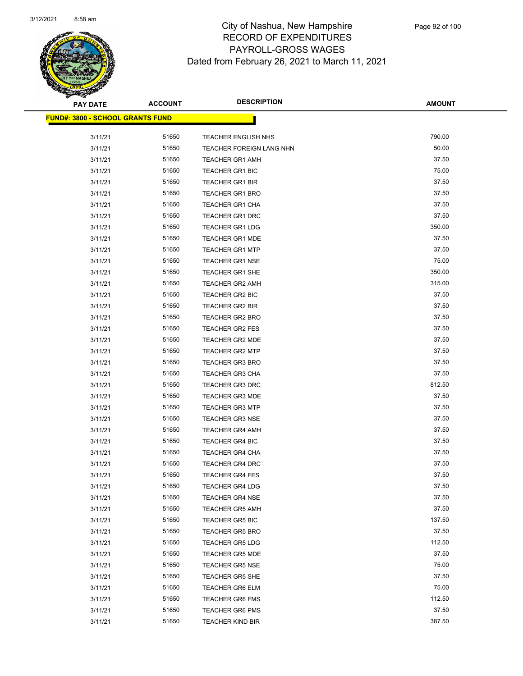

| <b>PAY DATE</b>                         | <b>ACCOUNT</b> | <b>DESCRIPTION</b>       | <b>AMOUNT</b> |
|-----------------------------------------|----------------|--------------------------|---------------|
| <b>FUND#: 3800 - SCHOOL GRANTS FUND</b> |                |                          |               |
| 3/11/21                                 | 51650          | TEACHER ENGLISH NHS      | 790.00        |
| 3/11/21                                 | 51650          | TEACHER FOREIGN LANG NHN | 50.00         |
| 3/11/21                                 | 51650          | <b>TEACHER GR1 AMH</b>   | 37.50         |
| 3/11/21                                 | 51650          | <b>TEACHER GR1 BIC</b>   | 75.00         |
| 3/11/21                                 | 51650          | <b>TEACHER GR1 BIR</b>   | 37.50         |
| 3/11/21                                 | 51650          | <b>TEACHER GR1 BRO</b>   | 37.50         |
| 3/11/21                                 | 51650          | <b>TEACHER GR1 CHA</b>   | 37.50         |
| 3/11/21                                 | 51650          | <b>TEACHER GR1 DRC</b>   | 37.50         |
| 3/11/21                                 | 51650          | <b>TEACHER GR1 LDG</b>   | 350.00        |
| 3/11/21                                 | 51650          | TEACHER GR1 MDE          | 37.50         |
| 3/11/21                                 | 51650          | <b>TEACHER GR1 MTP</b>   | 37.50         |
| 3/11/21                                 | 51650          | <b>TEACHER GR1 NSE</b>   | 75.00         |
| 3/11/21                                 | 51650          | <b>TEACHER GR1 SHE</b>   | 350.00        |
| 3/11/21                                 | 51650          | <b>TEACHER GR2 AMH</b>   | 315.00        |
| 3/11/21                                 | 51650          | <b>TEACHER GR2 BIC</b>   | 37.50         |
| 3/11/21                                 | 51650          | <b>TEACHER GR2 BIR</b>   | 37.50         |
| 3/11/21                                 | 51650          | <b>TEACHER GR2 BRO</b>   | 37.50         |
| 3/11/21                                 | 51650          | <b>TEACHER GR2 FES</b>   | 37.50         |
| 3/11/21                                 | 51650          | <b>TEACHER GR2 MDE</b>   | 37.50         |
| 3/11/21                                 | 51650          | <b>TEACHER GR2 MTP</b>   | 37.50         |
| 3/11/21                                 | 51650          | <b>TEACHER GR3 BRO</b>   | 37.50         |
| 3/11/21                                 | 51650          | <b>TEACHER GR3 CHA</b>   | 37.50         |
| 3/11/21                                 | 51650          | <b>TEACHER GR3 DRC</b>   | 812.50        |
| 3/11/21                                 | 51650          | <b>TEACHER GR3 MDE</b>   | 37.50         |
| 3/11/21                                 | 51650          | <b>TEACHER GR3 MTP</b>   | 37.50         |
| 3/11/21                                 | 51650          | <b>TEACHER GR3 NSE</b>   | 37.50         |
| 3/11/21                                 | 51650          | <b>TEACHER GR4 AMH</b>   | 37.50         |
| 3/11/21                                 | 51650          | <b>TEACHER GR4 BIC</b>   | 37.50         |
| 3/11/21                                 | 51650          | <b>TEACHER GR4 CHA</b>   | 37.50         |
| 3/11/21                                 | 51650          | <b>TEACHER GR4 DRC</b>   | 37.50         |
| 3/11/21                                 | 51650          | <b>TEACHER GR4 FES</b>   | 37.50         |
| 3/11/21                                 | 51650          | <b>TEACHER GR4 LDG</b>   | 37.50         |
| 3/11/21                                 | 51650          | <b>TEACHER GR4 NSE</b>   | 37.50         |
| 3/11/21                                 | 51650          | <b>TEACHER GR5 AMH</b>   | 37.50         |
| 3/11/21                                 | 51650          | TEACHER GR5 BIC          | 137.50        |
| 3/11/21                                 | 51650          | <b>TEACHER GR5 BRO</b>   | 37.50         |
| 3/11/21                                 | 51650          | <b>TEACHER GR5 LDG</b>   | 112.50        |
| 3/11/21                                 | 51650          | <b>TEACHER GR5 MDE</b>   | 37.50         |
| 3/11/21                                 | 51650          | <b>TEACHER GR5 NSE</b>   | 75.00         |
| 3/11/21                                 | 51650          | TEACHER GR5 SHE          | 37.50         |
| 3/11/21                                 | 51650          | <b>TEACHER GR6 ELM</b>   | 75.00         |
| 3/11/21                                 | 51650          | <b>TEACHER GR6 FMS</b>   | 112.50        |
| 3/11/21                                 | 51650          | <b>TEACHER GR6 PMS</b>   | 37.50         |
| 3/11/21                                 | 51650          | <b>TEACHER KIND BIR</b>  | 387.50        |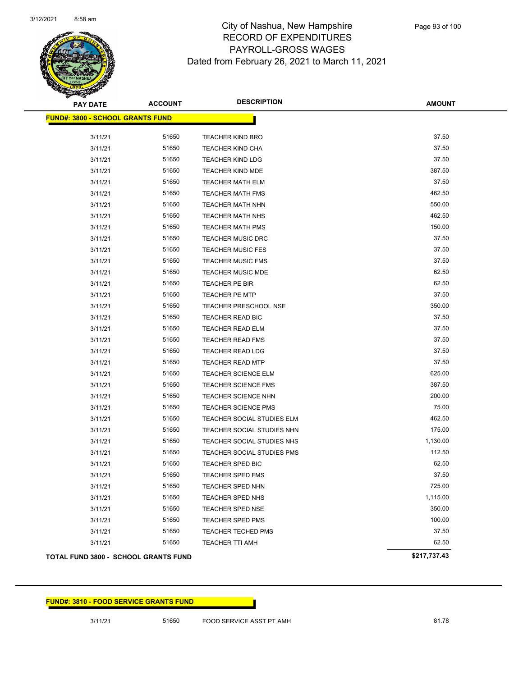

| <b>PAY DATE</b>                         | <b>ACCOUNT</b> | <b>DESCRIPTION</b>           | <b>AMOUNT</b> |
|-----------------------------------------|----------------|------------------------------|---------------|
| <b>FUND#: 3800 - SCHOOL GRANTS FUND</b> |                |                              |               |
| 3/11/21                                 | 51650          | <b>TEACHER KIND BRO</b>      | 37.50         |
| 3/11/21                                 | 51650          | <b>TEACHER KIND CHA</b>      | 37.50         |
| 3/11/21                                 | 51650          | <b>TEACHER KIND LDG</b>      | 37.50         |
| 3/11/21                                 | 51650          | <b>TEACHER KIND MDE</b>      | 387.50        |
| 3/11/21                                 | 51650          | <b>TEACHER MATH ELM</b>      | 37.50         |
| 3/11/21                                 | 51650          | <b>TEACHER MATH FMS</b>      | 462.50        |
| 3/11/21                                 | 51650          | <b>TEACHER MATH NHN</b>      | 550.00        |
| 3/11/21                                 | 51650          | <b>TEACHER MATH NHS</b>      | 462.50        |
| 3/11/21                                 | 51650          | <b>TEACHER MATH PMS</b>      | 150.00        |
| 3/11/21                                 | 51650          | <b>TEACHER MUSIC DRC</b>     | 37.50         |
| 3/11/21                                 | 51650          | <b>TEACHER MUSIC FES</b>     | 37.50         |
| 3/11/21                                 | 51650          | <b>TEACHER MUSIC FMS</b>     | 37.50         |
| 3/11/21                                 | 51650          | <b>TEACHER MUSIC MDE</b>     | 62.50         |
| 3/11/21                                 | 51650          | TEACHER PE BIR               | 62.50         |
| 3/11/21                                 | 51650          | <b>TEACHER PE MTP</b>        | 37.50         |
| 3/11/21                                 | 51650          | <b>TEACHER PRESCHOOL NSE</b> | 350.00        |
| 3/11/21                                 | 51650          | TEACHER READ BIC             | 37.50         |
| 3/11/21                                 | 51650          | <b>TEACHER READ ELM</b>      | 37.50         |
| 3/11/21                                 | 51650          | <b>TEACHER READ FMS</b>      | 37.50         |
| 3/11/21                                 | 51650          | <b>TEACHER READ LDG</b>      | 37.50         |
| 3/11/21                                 | 51650          | <b>TEACHER READ MTP</b>      | 37.50         |
| 3/11/21                                 | 51650          | <b>TEACHER SCIENCE ELM</b>   | 625.00        |
| 3/11/21                                 | 51650          | <b>TEACHER SCIENCE FMS</b>   | 387.50        |
| 3/11/21                                 | 51650          | <b>TEACHER SCIENCE NHN</b>   | 200.00        |
| 3/11/21                                 | 51650          | <b>TEACHER SCIENCE PMS</b>   | 75.00         |
| 3/11/21                                 | 51650          | TEACHER SOCIAL STUDIES ELM   | 462.50        |
| 3/11/21                                 | 51650          | TEACHER SOCIAL STUDIES NHN   | 175.00        |
| 3/11/21                                 | 51650          | TEACHER SOCIAL STUDIES NHS   | 1,130.00      |
| 3/11/21                                 | 51650          | TEACHER SOCIAL STUDIES PMS   | 112.50        |
| 3/11/21                                 | 51650          | TEACHER SPED BIC             | 62.50         |
| 3/11/21                                 | 51650          | <b>TEACHER SPED FMS</b>      | 37.50         |
| 3/11/21                                 | 51650          | <b>TEACHER SPED NHN</b>      | 725.00        |
| 3/11/21                                 | 51650          | <b>TEACHER SPED NHS</b>      | 1,115.00      |
| 3/11/21                                 | 51650          | TEACHER SPED NSE             | 350.00        |
| 3/11/21                                 | 51650          | TEACHER SPED PMS             | 100.00        |
| 3/11/21                                 | 51650          | <b>TEACHER TECHED PMS</b>    | 37.50         |
| 3/11/21                                 | 51650          | <b>TEACHER TTI AMH</b>       | 62.50         |
| TOTAL FUND 3800 - SCHOOL GRANTS FUND    |                |                              | \$217,737.43  |

### **FUND#: 3810 - FOOD SERVICE GRANTS FUND**

3/11/21 51650 FOOD SERVICE ASST PT AMH 81.78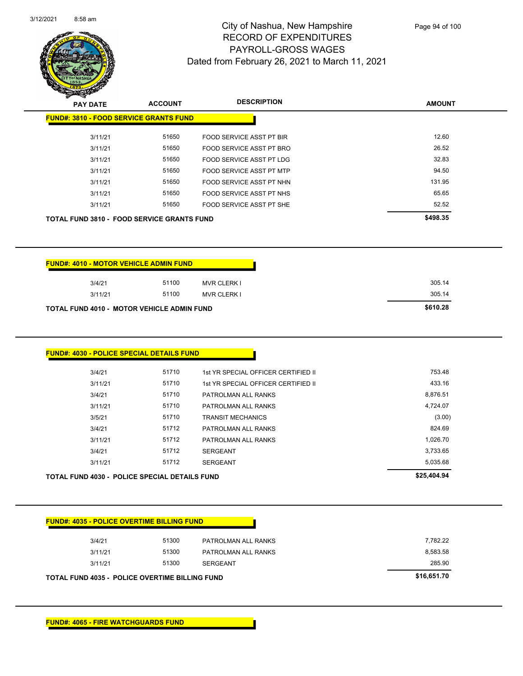

Page 94 of 100

| <b>PAY DATE</b>                               | <b>ACCOUNT</b> | <b>DESCRIPTION</b>       | <b>AMOUNT</b> |
|-----------------------------------------------|----------------|--------------------------|---------------|
| <b>FUND#: 3810 - FOOD SERVICE GRANTS FUND</b> |                |                          |               |
| 3/11/21                                       | 51650          | FOOD SERVICE ASST PT BIR | 12.60         |
| 3/11/21                                       | 51650          | FOOD SERVICE ASST PT BRO | 26.52         |
| 3/11/21                                       | 51650          | FOOD SERVICE ASST PT LDG | 32.83         |
| 3/11/21                                       | 51650          | FOOD SERVICE ASST PT MTP | 94.50         |
| 3/11/21                                       | 51650          | FOOD SERVICE ASST PT NHN | 131.95        |
| 3/11/21                                       | 51650          | FOOD SERVICE ASST PT NHS | 65.65         |
| 3/11/21                                       | 51650          | FOOD SERVICE ASST PT SHE | 52.52         |
| TOTAL FUND 3810 - FOOD SERVICE GRANTS FUND    |                |                          | \$498.35      |
|                                               |                |                          |               |
|                                               |                |                          |               |
|                                               |                |                          |               |
| <b>FUND#: 4010 - MOTOR VEHICLE ADMIN FUND</b> |                |                          |               |
|                                               | 51100          |                          | 305.14        |
| 3/4/21                                        |                | <b>MVR CLERK I</b>       |               |
| 3/11/21                                       | 51100          | <b>MVR CLERK I</b>       | 305.14        |

TOTAL FUND 4010 - MOTOR VEHICLE ADMIN FUND<br>
\$610.28

|       | 1st YR SPECIAL OFFICER CERTIFIED II | 753.48   |
|-------|-------------------------------------|----------|
| 51710 | 1st YR SPECIAL OFFICER CERTIFIED II | 433.16   |
| 51710 | PATROLMAN ALL RANKS                 | 8,876.51 |
| 51710 | PATROLMAN ALL RANKS                 | 4,724.07 |
| 51710 | <b>TRANSIT MECHANICS</b>            | (3.00)   |
| 51712 | PATROLMAN ALL RANKS                 | 824.69   |
| 51712 | PATROLMAN ALL RANKS                 | 1,026.70 |
| 51712 | <b>SERGEANT</b>                     | 3,733.65 |
| 51712 | <b>SERGEANT</b>                     | 5,035.68 |
|       |                                     |          |

| 3/4/21  | 51300 | PATROLMAN ALL RANKS | 7,782.22 |
|---------|-------|---------------------|----------|
| 3/11/21 | 51300 | PATROLMAN ALL RANKS | 8,583.58 |
| 3/11/21 | 51300 | <b>SERGEANT</b>     | 285.90   |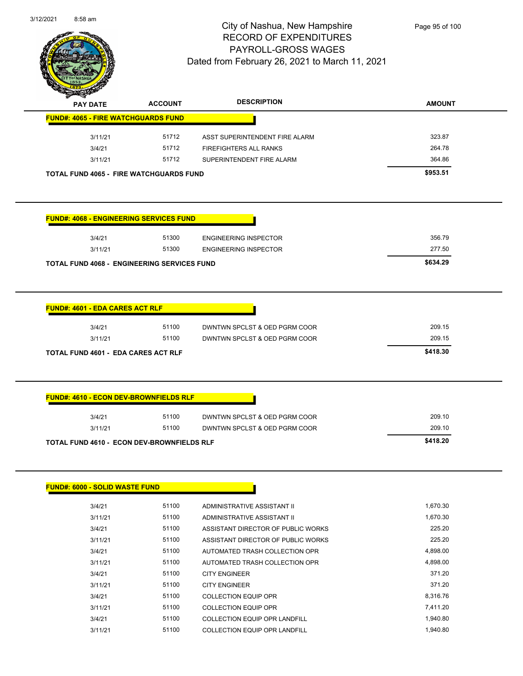

|                                                |                | <b>DESCRIPTION</b>             |               |
|------------------------------------------------|----------------|--------------------------------|---------------|
| <b>PAY DATE</b>                                | <b>ACCOUNT</b> |                                | <b>AMOUNT</b> |
| <b>FUND#: 4065 - FIRE WATCHGUARDS FUND</b>     |                |                                |               |
| 3/11/21                                        | 51712          | ASST SUPERINTENDENT FIRE ALARM | 323.87        |
| 3/4/21                                         | 51712          | FIREFIGHTERS ALL RANKS         | 264.78        |
| 3/11/21                                        | 51712          | SUPERINTENDENT FIRE ALARM      | 364.86        |
| <b>TOTAL FUND 4065 - FIRE WATCHGUARDS FUND</b> |                |                                | \$953.51      |
|                                                |                |                                |               |
| <b>FUND#: 4068 - ENGINEERING SERVICES FUND</b> |                |                                |               |
| 3/4/21                                         | 51300          | <b>ENGINEERING INSPECTOR</b>   | 356.79        |
| 3/11/21                                        | 51300          | <b>ENGINEERING INSPECTOR</b>   | 277.50        |
| TOTAL FUND 4068 - ENGINEERING SERVICES FUND    |                |                                | \$634.29      |
| 3/4/21                                         | 51100          | DWNTWN SPCLST & OED PGRM COOR  | 209.15        |
| 3/11/21                                        | 51100          | DWNTWN SPCLST & OED PGRM COOR  | 209.15        |
|                                                |                |                                | \$418.30      |
| <b>TOTAL FUND 4601 - EDA CARES ACT RLF</b>     |                |                                |               |
| <b>FUND#: 4610 - ECON DEV-BROWNFIELDS RLF</b>  |                |                                |               |
| 3/4/21                                         | 51100          | DWNTWN SPCLST & OED PGRM COOR  | 209.10        |
| 3/11/21                                        | 51100          | DWNTWN SPCLST & OED PGRM COOR  | 209.10        |
| TOTAL FUND 4610 - ECON DEV-BROWNFIELDS RLF     |                |                                | \$418.20      |
|                                                |                |                                |               |
| <b>FUND#: 6000 - SOLID WASTE FUND</b>          |                |                                |               |
| 3/4/21                                         | 51100          | ADMINISTRATIVE ASSISTANT II    | 1,670.30      |

| 3/4/21  | 51100 | ADMINISTRATIVE ASSISTANT II          | 1.670.30 |
|---------|-------|--------------------------------------|----------|
| 3/11/21 | 51100 | ADMINISTRATIVE ASSISTANT II          | 1.670.30 |
| 3/4/21  | 51100 | ASSISTANT DIRECTOR OF PUBLIC WORKS   | 225.20   |
| 3/11/21 | 51100 | ASSISTANT DIRECTOR OF PUBLIC WORKS   | 225.20   |
| 3/4/21  | 51100 | AUTOMATED TRASH COLLECTION OPR       | 4,898.00 |
| 3/11/21 | 51100 | AUTOMATED TRASH COLLECTION OPR       | 4.898.00 |
| 3/4/21  | 51100 | <b>CITY ENGINEER</b>                 | 371.20   |
| 3/11/21 | 51100 | <b>CITY ENGINEER</b>                 | 371.20   |
| 3/4/21  | 51100 | <b>COLLECTION EQUIP OPR</b>          | 8.316.76 |
| 3/11/21 | 51100 | <b>COLLECTION EQUIP OPR</b>          | 7,411.20 |
| 3/4/21  | 51100 | COLLECTION EQUIP OPR LANDFILL        | 1.940.80 |
| 3/11/21 | 51100 | <b>COLLECTION EQUIP OPR LANDFILL</b> | 1.940.80 |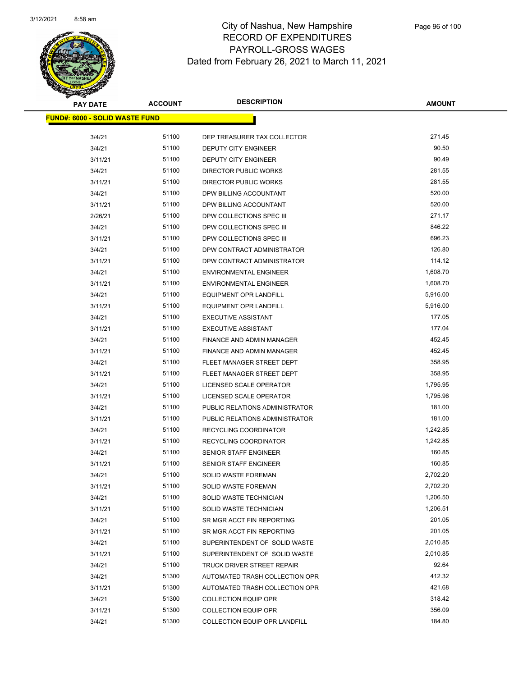

| <b>PAY DATE</b>                        | <b>ACCOUNT</b> | <b>DESCRIPTION</b>                                     | <b>AMOUNT</b>    |
|----------------------------------------|----------------|--------------------------------------------------------|------------------|
| <u> FUND#: 6000 - SOLID WASTE FUND</u> |                |                                                        |                  |
|                                        |                |                                                        |                  |
| 3/4/21                                 | 51100          | DEP TREASURER TAX COLLECTOR                            | 271.45           |
| 3/4/21                                 | 51100          | <b>DEPUTY CITY ENGINEER</b>                            | 90.50<br>90.49   |
| 3/11/21                                | 51100<br>51100 | DEPUTY CITY ENGINEER                                   | 281.55           |
| 3/4/21                                 |                | DIRECTOR PUBLIC WORKS                                  | 281.55           |
| 3/11/21                                | 51100<br>51100 | DIRECTOR PUBLIC WORKS                                  |                  |
| 3/4/21                                 |                | DPW BILLING ACCOUNTANT                                 | 520.00           |
| 3/11/21                                | 51100          | DPW BILLING ACCOUNTANT                                 | 520.00           |
| 2/26/21                                | 51100<br>51100 | DPW COLLECTIONS SPEC III                               | 271.17<br>846.22 |
| 3/4/21                                 | 51100          | DPW COLLECTIONS SPEC III                               | 696.23           |
| 3/11/21<br>3/4/21                      | 51100          | DPW COLLECTIONS SPEC III<br>DPW CONTRACT ADMINISTRATOR | 126.80           |
| 3/11/21                                | 51100          | DPW CONTRACT ADMINISTRATOR                             | 114.12           |
| 3/4/21                                 | 51100          | <b>ENVIRONMENTAL ENGINEER</b>                          | 1,608.70         |
| 3/11/21                                | 51100          | <b>ENVIRONMENTAL ENGINEER</b>                          | 1,608.70         |
| 3/4/21                                 | 51100          | <b>EQUIPMENT OPR LANDFILL</b>                          | 5,916.00         |
| 3/11/21                                | 51100          | <b>EQUIPMENT OPR LANDFILL</b>                          | 5,916.00         |
| 3/4/21                                 | 51100          | <b>EXECUTIVE ASSISTANT</b>                             | 177.05           |
| 3/11/21                                | 51100          | <b>EXECUTIVE ASSISTANT</b>                             | 177.04           |
| 3/4/21                                 | 51100          | FINANCE AND ADMIN MANAGER                              | 452.45           |
| 3/11/21                                | 51100          | FINANCE AND ADMIN MANAGER                              | 452.45           |
| 3/4/21                                 | 51100          | FLEET MANAGER STREET DEPT                              | 358.95           |
| 3/11/21                                | 51100          | FLEET MANAGER STREET DEPT                              | 358.95           |
| 3/4/21                                 | 51100          | LICENSED SCALE OPERATOR                                | 1,795.95         |
| 3/11/21                                | 51100          | LICENSED SCALE OPERATOR                                | 1,795.96         |
| 3/4/21                                 | 51100          | PUBLIC RELATIONS ADMINISTRATOR                         | 181.00           |
| 3/11/21                                | 51100          | PUBLIC RELATIONS ADMINISTRATOR                         | 181.00           |
| 3/4/21                                 | 51100          | <b>RECYCLING COORDINATOR</b>                           | 1,242.85         |
| 3/11/21                                | 51100          | RECYCLING COORDINATOR                                  | 1,242.85         |
| 3/4/21                                 | 51100          | <b>SENIOR STAFF ENGINEER</b>                           | 160.85           |
| 3/11/21                                | 51100          | SENIOR STAFF ENGINEER                                  | 160.85           |
| 3/4/21                                 | 51100          | <b>SOLID WASTE FOREMAN</b>                             | 2,702.20         |
| 3/11/21                                | 51100          | SOLID WASTE FOREMAN                                    | 2,702.20         |
| 3/4/21                                 | 51100          | SOLID WASTE TECHNICIAN                                 | 1,206.50         |
| 3/11/21                                | 51100          | SOLID WASTE TECHNICIAN                                 | 1,206.51         |
| 3/4/21                                 | 51100          | SR MGR ACCT FIN REPORTING                              | 201.05           |
| 3/11/21                                | 51100          | SR MGR ACCT FIN REPORTING                              | 201.05           |
| 3/4/21                                 | 51100          | SUPERINTENDENT OF SOLID WASTE                          | 2,010.85         |
| 3/11/21                                | 51100          | SUPERINTENDENT OF SOLID WASTE                          | 2,010.85         |
| 3/4/21                                 | 51100          | TRUCK DRIVER STREET REPAIR                             | 92.64            |
| 3/4/21                                 | 51300          | AUTOMATED TRASH COLLECTION OPR                         | 412.32           |
| 3/11/21                                | 51300          | AUTOMATED TRASH COLLECTION OPR                         | 421.68           |
| 3/4/21                                 | 51300          | <b>COLLECTION EQUIP OPR</b>                            | 318.42           |
| 3/11/21                                | 51300          | <b>COLLECTION EQUIP OPR</b>                            | 356.09           |
| 3/4/21                                 | 51300          | COLLECTION EQUIP OPR LANDFILL                          | 184.80           |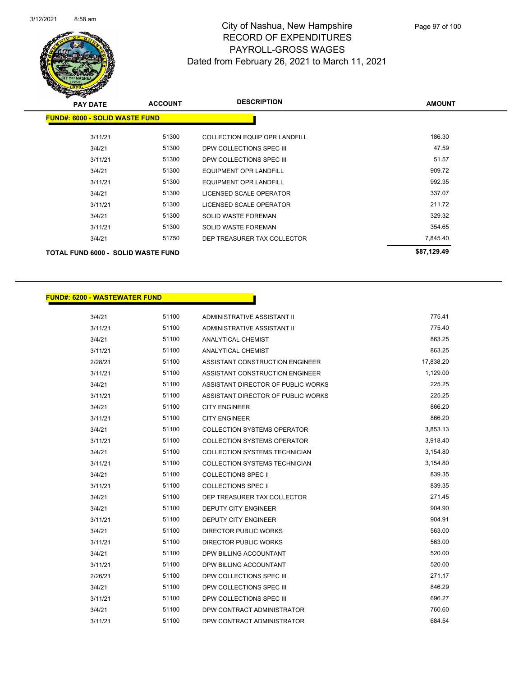

| <b>PAY DATE</b>                           | <b>ACCOUNT</b> | <b>DESCRIPTION</b>                   | <b>AMOUNT</b> |
|-------------------------------------------|----------------|--------------------------------------|---------------|
| <b>FUND#: 6000 - SOLID WASTE FUND</b>     |                |                                      |               |
| 3/11/21                                   | 51300          | <b>COLLECTION EQUIP OPR LANDFILL</b> | 186.30        |
| 3/4/21                                    | 51300          | DPW COLLECTIONS SPEC III             | 47.59         |
| 3/11/21                                   | 51300          | DPW COLLECTIONS SPEC III             | 51.57         |
| 3/4/21                                    | 51300          | <b>EQUIPMENT OPR LANDFILL</b>        | 909.72        |
| 3/11/21                                   | 51300          | EQUIPMENT OPR LANDFILL               | 992.35        |
| 3/4/21                                    | 51300          | LICENSED SCALE OPERATOR              | 337.07        |
| 3/11/21                                   | 51300          | LICENSED SCALE OPERATOR              | 211.72        |
| 3/4/21                                    | 51300          | <b>SOLID WASTE FOREMAN</b>           | 329.32        |
| 3/11/21                                   | 51300          | <b>SOLID WASTE FOREMAN</b>           | 354.65        |
| 3/4/21                                    | 51750          | DEP TREASURER TAX COLLECTOR          | 7,845.40      |
| <b>TOTAL FUND 6000 - SOLID WASTE FUND</b> |                |                                      | \$87,129.49   |

### **FUND#: 6200 - WASTEWATER FUND**

| 3/4/21  | 51100 | ADMINISTRATIVE ASSISTANT II          | 775.41    |
|---------|-------|--------------------------------------|-----------|
| 3/11/21 | 51100 | ADMINISTRATIVE ASSISTANT II          | 775.40    |
| 3/4/21  | 51100 | ANALYTICAL CHEMIST                   | 863.25    |
| 3/11/21 | 51100 | <b>ANALYTICAL CHEMIST</b>            | 863.25    |
| 2/28/21 | 51100 | ASSISTANT CONSTRUCTION ENGINEER      | 17,838.20 |
| 3/11/21 | 51100 | ASSISTANT CONSTRUCTION ENGINEER      | 1,129.00  |
| 3/4/21  | 51100 | ASSISTANT DIRECTOR OF PUBLIC WORKS   | 225.25    |
| 3/11/21 | 51100 | ASSISTANT DIRECTOR OF PUBLIC WORKS   | 225.25    |
| 3/4/21  | 51100 | <b>CITY ENGINEER</b>                 | 866.20    |
| 3/11/21 | 51100 | <b>CITY ENGINEER</b>                 | 866.20    |
| 3/4/21  | 51100 | <b>COLLECTION SYSTEMS OPERATOR</b>   | 3,853.13  |
| 3/11/21 | 51100 | <b>COLLECTION SYSTEMS OPERATOR</b>   | 3,918.40  |
| 3/4/21  | 51100 | COLLECTION SYSTEMS TECHNICIAN        | 3,154.80  |
| 3/11/21 | 51100 | <b>COLLECTION SYSTEMS TECHNICIAN</b> | 3,154.80  |
| 3/4/21  | 51100 | <b>COLLECTIONS SPEC II</b>           | 839.35    |
| 3/11/21 | 51100 | <b>COLLECTIONS SPEC II</b>           | 839.35    |
| 3/4/21  | 51100 | DEP TREASURER TAX COLLECTOR          | 271.45    |
| 3/4/21  | 51100 | <b>DEPUTY CITY ENGINEER</b>          | 904.90    |
| 3/11/21 | 51100 | <b>DEPUTY CITY ENGINEER</b>          | 904.91    |
| 3/4/21  | 51100 | <b>DIRECTOR PUBLIC WORKS</b>         | 563.00    |
| 3/11/21 | 51100 | <b>DIRECTOR PUBLIC WORKS</b>         | 563.00    |
| 3/4/21  | 51100 | DPW BILLING ACCOUNTANT               | 520.00    |
| 3/11/21 | 51100 | DPW BILLING ACCOUNTANT               | 520.00    |
| 2/26/21 | 51100 | DPW COLLECTIONS SPEC III             | 271.17    |
| 3/4/21  | 51100 | DPW COLLECTIONS SPEC III             | 846.29    |
| 3/11/21 | 51100 | DPW COLLECTIONS SPEC III             | 696.27    |
| 3/4/21  | 51100 | DPW CONTRACT ADMINISTRATOR           | 760.60    |
| 3/11/21 | 51100 | DPW CONTRACT ADMINISTRATOR           | 684.54    |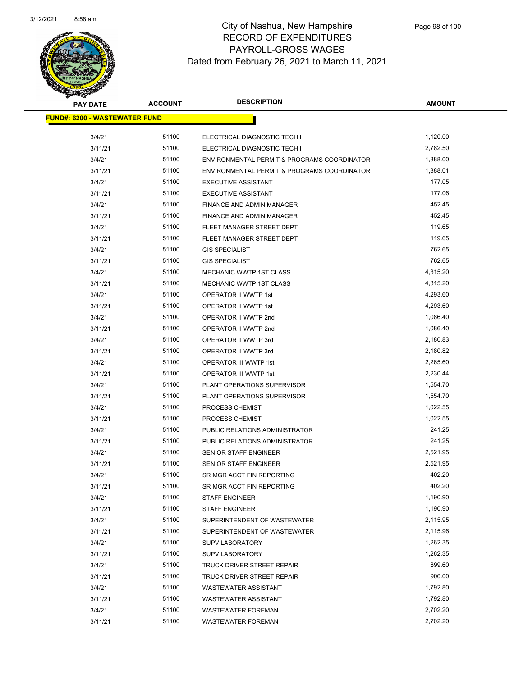

| <b>PAY DATE</b>                       | <b>ACCOUNT</b> | <b>DESCRIPTION</b>                          | <b>AMOUNT</b> |  |
|---------------------------------------|----------------|---------------------------------------------|---------------|--|
| <u> FUND#: 6200 - WASTEWATER FUND</u> |                |                                             |               |  |
| 3/4/21                                | 51100          | ELECTRICAL DIAGNOSTIC TECH I                | 1,120.00      |  |
| 3/11/21                               | 51100          | ELECTRICAL DIAGNOSTIC TECH I                | 2,782.50      |  |
| 3/4/21                                | 51100          | ENVIRONMENTAL PERMIT & PROGRAMS COORDINATOR | 1,388.00      |  |
| 3/11/21                               | 51100          | ENVIRONMENTAL PERMIT & PROGRAMS COORDINATOR | 1,388.01      |  |
| 3/4/21                                | 51100          | <b>EXECUTIVE ASSISTANT</b>                  | 177.05        |  |
| 3/11/21                               | 51100          | <b>EXECUTIVE ASSISTANT</b>                  | 177.06        |  |
| 3/4/21                                | 51100          | FINANCE AND ADMIN MANAGER                   | 452.45        |  |
| 3/11/21                               | 51100          | FINANCE AND ADMIN MANAGER                   | 452.45        |  |
| 3/4/21                                | 51100          | FLEET MANAGER STREET DEPT                   | 119.65        |  |
| 3/11/21                               | 51100          | FLEET MANAGER STREET DEPT                   | 119.65        |  |
| 3/4/21                                | 51100          | <b>GIS SPECIALIST</b>                       | 762.65        |  |
| 3/11/21                               | 51100          | <b>GIS SPECIALIST</b>                       | 762.65        |  |
| 3/4/21                                | 51100          | MECHANIC WWTP 1ST CLASS                     | 4,315.20      |  |
| 3/11/21                               | 51100          | MECHANIC WWTP 1ST CLASS                     | 4,315.20      |  |
| 3/4/21                                | 51100          | OPERATOR II WWTP 1st                        | 4,293.60      |  |
| 3/11/21                               | 51100          | OPERATOR II WWTP 1st                        | 4,293.60      |  |
| 3/4/21                                | 51100          | OPERATOR II WWTP 2nd                        | 1,086.40      |  |
| 3/11/21                               | 51100          | OPERATOR II WWTP 2nd                        | 1,086.40      |  |
| 3/4/21                                | 51100          | OPERATOR II WWTP 3rd                        | 2,180.83      |  |
| 3/11/21                               | 51100          | OPERATOR II WWTP 3rd                        | 2,180.82      |  |
| 3/4/21                                | 51100          | OPERATOR III WWTP 1st                       | 2,265.60      |  |
| 3/11/21                               | 51100          | OPERATOR III WWTP 1st                       | 2,230.44      |  |
| 3/4/21                                | 51100          | PLANT OPERATIONS SUPERVISOR                 | 1,554.70      |  |
| 3/11/21                               | 51100          | PLANT OPERATIONS SUPERVISOR                 | 1,554.70      |  |
| 3/4/21                                | 51100          | PROCESS CHEMIST                             | 1,022.55      |  |
| 3/11/21                               | 51100          | PROCESS CHEMIST                             | 1,022.55      |  |
| 3/4/21                                | 51100          | PUBLIC RELATIONS ADMINISTRATOR              | 241.25        |  |
| 3/11/21                               | 51100          | PUBLIC RELATIONS ADMINISTRATOR              | 241.25        |  |
| 3/4/21                                | 51100          | SENIOR STAFF ENGINEER                       | 2,521.95      |  |
| 3/11/21                               | 51100          | <b>SENIOR STAFF ENGINEER</b>                | 2,521.95      |  |
| 3/4/21                                | 51100          | SR MGR ACCT FIN REPORTING                   | 402.20        |  |
| 3/11/21                               | 51100          | SR MGR ACCT FIN REPORTING                   | 402.20        |  |
| 3/4/21                                | 51100          | <b>STAFF ENGINEER</b>                       | 1,190.90      |  |
| 3/11/21                               | 51100          | <b>STAFF ENGINEER</b>                       | 1,190.90      |  |
| 3/4/21                                | 51100          | SUPERINTENDENT OF WASTEWATER                | 2,115.95      |  |
| 3/11/21                               | 51100          | SUPERINTENDENT OF WASTEWATER                | 2,115.96      |  |
| 3/4/21                                | 51100          | <b>SUPV LABORATORY</b>                      | 1,262.35      |  |
| 3/11/21                               | 51100          | <b>SUPV LABORATORY</b>                      | 1,262.35      |  |
| 3/4/21                                | 51100          | TRUCK DRIVER STREET REPAIR                  | 899.60        |  |
| 3/11/21                               | 51100          | TRUCK DRIVER STREET REPAIR                  | 906.00        |  |
| 3/4/21                                | 51100          | <b>WASTEWATER ASSISTANT</b>                 | 1,792.80      |  |
| 3/11/21                               | 51100          | <b>WASTEWATER ASSISTANT</b>                 | 1,792.80      |  |
| 3/4/21                                | 51100          | <b>WASTEWATER FOREMAN</b>                   | 2,702.20      |  |
| 3/11/21                               | 51100          | <b>WASTEWATER FOREMAN</b>                   | 2,702.20      |  |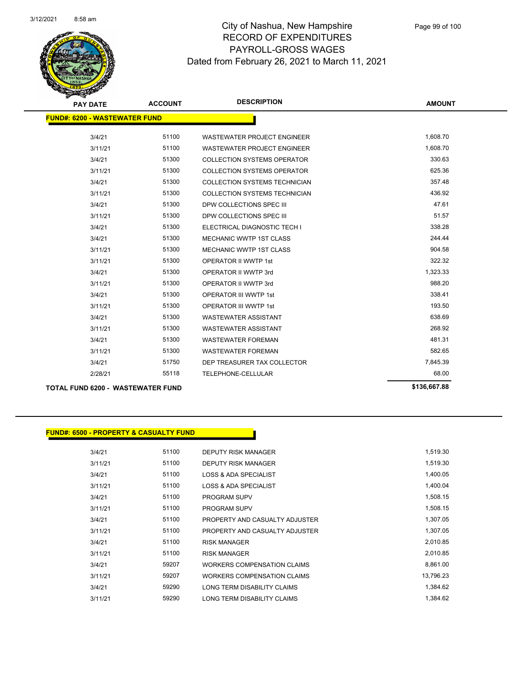

| <b>PAY DATE</b>                      | <b>ACCOUNT</b> | <b>DESCRIPTION</b>                   | <b>AMOUNT</b> |  |  |
|--------------------------------------|----------------|--------------------------------------|---------------|--|--|
| <b>FUND#: 6200 - WASTEWATER FUND</b> |                |                                      |               |  |  |
|                                      |                |                                      |               |  |  |
| 3/4/21                               | 51100          | <b>WASTEWATER PROJECT ENGINEER</b>   | 1,608.70      |  |  |
| 3/11/21                              | 51100          | <b>WASTEWATER PROJECT ENGINEER</b>   | 1,608.70      |  |  |
| 3/4/21                               | 51300          | <b>COLLECTION SYSTEMS OPERATOR</b>   | 330.63        |  |  |
| 3/11/21                              | 51300          | <b>COLLECTION SYSTEMS OPERATOR</b>   | 625.36        |  |  |
| 3/4/21                               | 51300          | <b>COLLECTION SYSTEMS TECHNICIAN</b> | 357.48        |  |  |
| 3/11/21                              | 51300          | <b>COLLECTION SYSTEMS TECHNICIAN</b> | 436.92        |  |  |
| 3/4/21                               | 51300          | DPW COLLECTIONS SPEC III             | 47.61         |  |  |
| 3/11/21                              | 51300          | DPW COLLECTIONS SPEC III             | 51.57         |  |  |
| 3/4/21                               | 51300          | ELECTRICAL DIAGNOSTIC TECH I         | 338.28        |  |  |
| 3/4/21                               | 51300          | <b>MECHANIC WWTP 1ST CLASS</b>       | 244.44        |  |  |
| 3/11/21                              | 51300          | <b>MECHANIC WWTP 1ST CLASS</b>       | 904.58        |  |  |
| 3/11/21                              | 51300          | <b>OPERATOR II WWTP 1st</b>          | 322.32        |  |  |
| 3/4/21                               | 51300          | OPERATOR II WWTP 3rd                 | 1,323.33      |  |  |
| 3/11/21                              | 51300          | OPERATOR II WWTP 3rd                 | 988.20        |  |  |
| 3/4/21                               | 51300          | <b>OPERATOR III WWTP 1st</b>         | 338.41        |  |  |
| 3/11/21                              | 51300          | <b>OPERATOR III WWTP 1st</b>         | 193.50        |  |  |
| 3/4/21                               | 51300          | <b>WASTEWATER ASSISTANT</b>          | 638.69        |  |  |
| 3/11/21                              | 51300          | <b>WASTEWATER ASSISTANT</b>          | 268.92        |  |  |
| 3/4/21                               | 51300          | <b>WASTEWATER FOREMAN</b>            | 481.31        |  |  |
| 3/11/21                              | 51300          | <b>WASTEWATER FOREMAN</b>            | 582.65        |  |  |
| 3/4/21                               | 51750          | DEP TREASURER TAX COLLECTOR          | 7,845.39      |  |  |
| 2/28/21                              | 55118          | TELEPHONE-CELLULAR                   | 68.00         |  |  |
|                                      |                |                                      |               |  |  |

### **TOTAL FUND 6200 - WASTEWATER FUND \$136,667.88**

|         | <b>FUND#: 6500 - PROPERTY &amp; CASUALTY FUND</b> |                                    |           |
|---------|---------------------------------------------------|------------------------------------|-----------|
|         |                                                   |                                    |           |
| 3/4/21  | 51100                                             | DEPUTY RISK MANAGER                | 1,519.30  |
| 3/11/21 | 51100                                             | <b>DEPUTY RISK MANAGER</b>         | 1,519.30  |
| 3/4/21  | 51100                                             | <b>LOSS &amp; ADA SPECIALIST</b>   | 1,400.05  |
| 3/11/21 | 51100                                             | <b>LOSS &amp; ADA SPECIALIST</b>   | 1,400.04  |
| 3/4/21  | 51100                                             | <b>PROGRAM SUPV</b>                | 1,508.15  |
| 3/11/21 | 51100                                             | <b>PROGRAM SUPV</b>                | 1,508.15  |
| 3/4/21  | 51100                                             | PROPERTY AND CASUALTY ADJUSTER     | 1,307.05  |
| 3/11/21 | 51100                                             | PROPERTY AND CASUALTY ADJUSTER     | 1,307.05  |
| 3/4/21  | 51100                                             | <b>RISK MANAGER</b>                | 2,010.85  |
| 3/11/21 | 51100                                             | <b>RISK MANAGER</b>                | 2,010.85  |
| 3/4/21  | 59207                                             | <b>WORKERS COMPENSATION CLAIMS</b> | 8,861.00  |
| 3/11/21 | 59207                                             | <b>WORKERS COMPENSATION CLAIMS</b> | 13,796.23 |
| 3/4/21  | 59290                                             | LONG TERM DISABILITY CLAIMS        | 1,384.62  |
| 3/11/21 | 59290                                             | LONG TERM DISABILITY CLAIMS        | 1,384.62  |